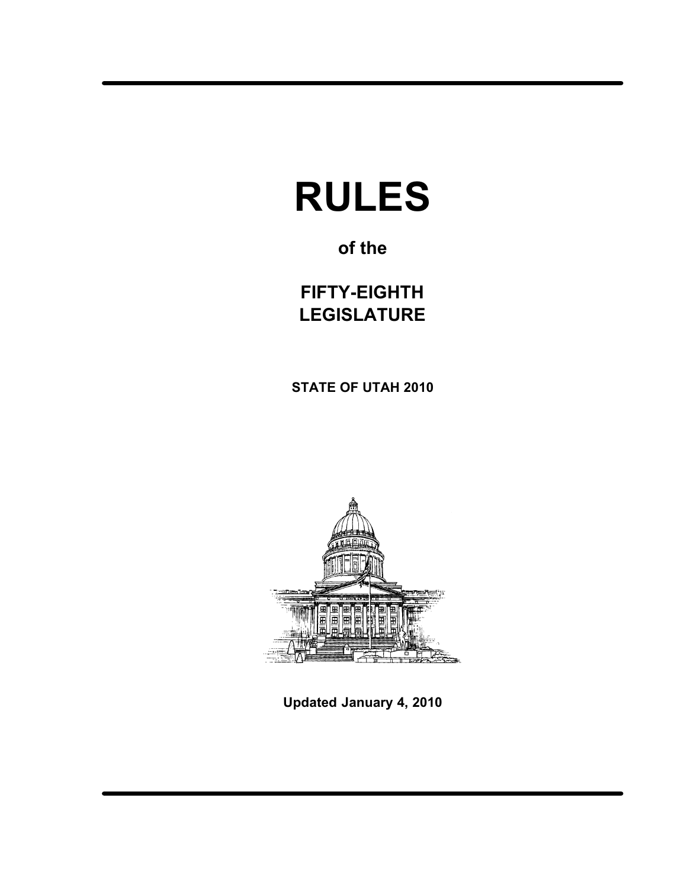# RULES

## of the

FIFTY−EIGHTH LEGISLATURE

STATE OF UTAH 2010



Updated January 4, 2010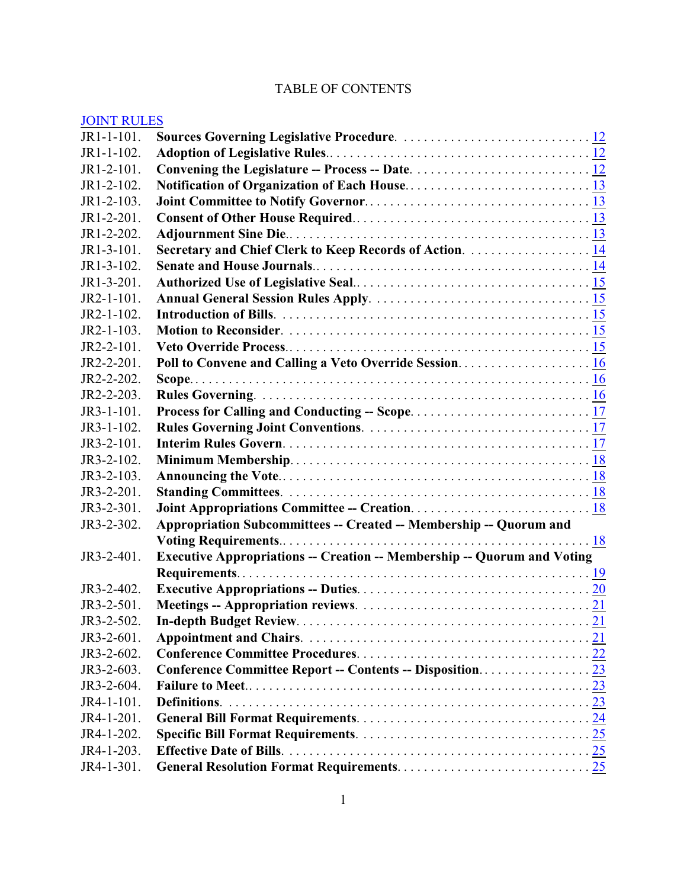## TABLE OF CONTENTS

## [JOINT RULES](#page-12-0)

| $JR1-1-101$ . |                                                                                |  |
|---------------|--------------------------------------------------------------------------------|--|
| JR1-1-102.    |                                                                                |  |
| JR1-2-101.    |                                                                                |  |
| JR1-2-102.    |                                                                                |  |
| JR1-2-103.    |                                                                                |  |
| JR1-2-201.    |                                                                                |  |
| JR1-2-202.    |                                                                                |  |
| JR1-3-101.    | Secretary and Chief Clerk to Keep Records of Action. 14                        |  |
| JR1-3-102.    |                                                                                |  |
| $JR1-3-201$ . |                                                                                |  |
| JR2-1-101.    |                                                                                |  |
| $JR2-1-102.$  |                                                                                |  |
| $JR2-1-103.$  |                                                                                |  |
| JR2-2-101.    |                                                                                |  |
| JR2-2-201.    |                                                                                |  |
| JR2-2-202.    |                                                                                |  |
| JR2-2-203.    |                                                                                |  |
| $JR3-1-101$ . |                                                                                |  |
| $JR3-1-102.$  |                                                                                |  |
| $JR3-2-101.$  |                                                                                |  |
| JR3-2-102.    |                                                                                |  |
| JR3-2-103.    |                                                                                |  |
| JR3-2-201.    |                                                                                |  |
| JR3-2-301.    |                                                                                |  |
| JR3-2-302.    | Appropriation Subcommittees -- Created -- Membership -- Quorum and             |  |
|               |                                                                                |  |
| JR3-2-401.    | <b>Executive Appropriations -- Creation -- Membership -- Quorum and Voting</b> |  |
|               |                                                                                |  |
| JR3-2-402.    |                                                                                |  |
| JR3-2-501.    |                                                                                |  |
| JR3-2-502.    |                                                                                |  |
| JR3-2-601.    |                                                                                |  |
| JR3-2-602.    |                                                                                |  |
| JR3-2-603.    |                                                                                |  |
| JR3-2-604.    |                                                                                |  |
| JR4-1-101.    |                                                                                |  |
| JR4-1-201.    |                                                                                |  |
| JR4-1-202.    |                                                                                |  |
| JR4-1-203.    |                                                                                |  |
| JR4-1-301.    |                                                                                |  |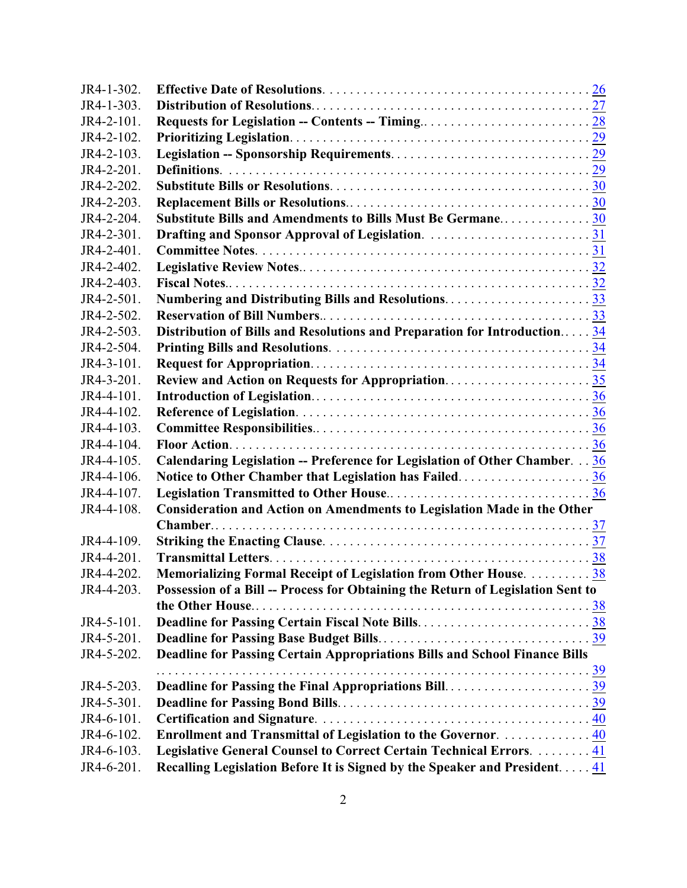| JR4-1-302. |                                                                                 |  |
|------------|---------------------------------------------------------------------------------|--|
| JR4-1-303. |                                                                                 |  |
| JR4-2-101. |                                                                                 |  |
| JR4-2-102. |                                                                                 |  |
| JR4-2-103. |                                                                                 |  |
| JR4-2-201. |                                                                                 |  |
| JR4-2-202. |                                                                                 |  |
| JR4-2-203. |                                                                                 |  |
| JR4-2-204. | Substitute Bills and Amendments to Bills Must Be Germane30                      |  |
| JR4-2-301. | Drafting and Sponsor Approval of Legislation. 31                                |  |
| JR4-2-401. |                                                                                 |  |
| JR4-2-402. |                                                                                 |  |
| JR4-2-403. |                                                                                 |  |
| JR4-2-501. | Numbering and Distributing Bills and Resolutions33                              |  |
| JR4-2-502. |                                                                                 |  |
| JR4-2-503. | Distribution of Bills and Resolutions and Preparation for Introduction34        |  |
| JR4-2-504. |                                                                                 |  |
| JR4-3-101. |                                                                                 |  |
| JR4-3-201. | Review and Action on Requests for Appropriation35                               |  |
| JR4-4-101. |                                                                                 |  |
| JR4-4-102. |                                                                                 |  |
| JR4-4-103. |                                                                                 |  |
| JR4-4-104. |                                                                                 |  |
| JR4-4-105. | Calendaring Legislation -- Preference for Legislation of Other Chamber. 36      |  |
| JR4-4-106. | Notice to Other Chamber that Legislation has Failed36                           |  |
| JR4-4-107. |                                                                                 |  |
| JR4-4-108. | Consideration and Action on Amendments to Legislation Made in the Other         |  |
|            |                                                                                 |  |
| JR4-4-109. |                                                                                 |  |
| JR4-4-201. |                                                                                 |  |
| JR4-4-202. | Memorializing Formal Receipt of Legislation from Other House.  38               |  |
| JR4-4-203. | Possession of a Bill -- Process for Obtaining the Return of Legislation Sent to |  |
|            |                                                                                 |  |
| JR4-5-101. |                                                                                 |  |
| JR4-5-201. |                                                                                 |  |
| JR4-5-202. | Deadline for Passing Certain Appropriations Bills and School Finance Bills      |  |
|            |                                                                                 |  |
| JR4-5-203. |                                                                                 |  |
| JR4-5-301. |                                                                                 |  |
| JR4-6-101. |                                                                                 |  |
| JR4-6-102. | Enrollment and Transmittal of Legislation to the Governor.  40                  |  |
| JR4-6-103. | Legislative General Counsel to Correct Certain Technical Errors.  41            |  |
| JR4-6-201. | Recalling Legislation Before It is Signed by the Speaker and President 41       |  |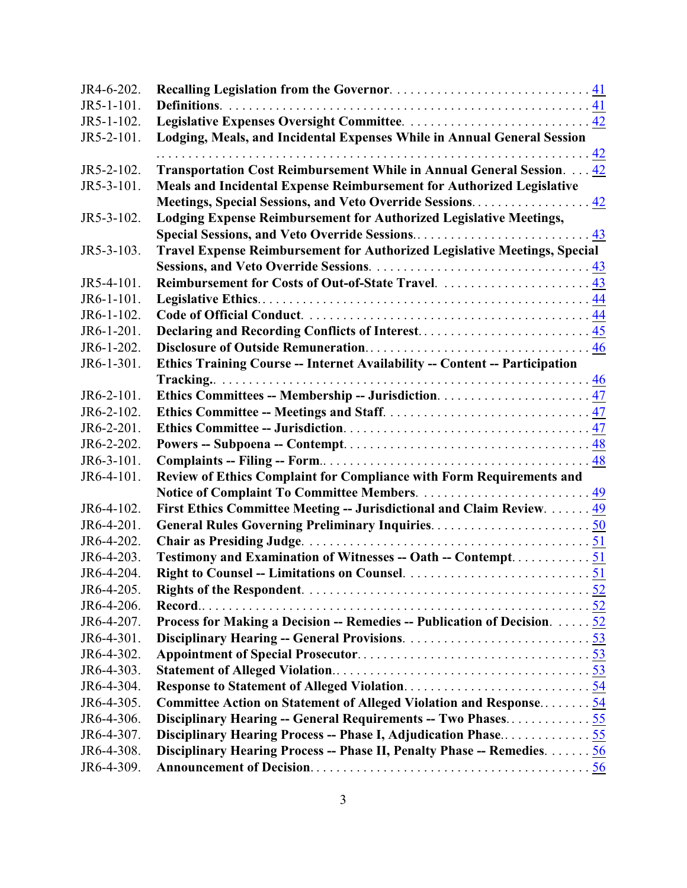| JR4-6-202.               |                                                                             |
|--------------------------|-----------------------------------------------------------------------------|
| JR5-1-101.               |                                                                             |
| JR5-1-102.               |                                                                             |
| JR5-2-101.               | Lodging, Meals, and Incidental Expenses While in Annual General Session     |
|                          |                                                                             |
| JR5-2-102.               | Transportation Cost Reimbursement While in Annual General Session. 42       |
| JR5-3-101.               | Meals and Incidental Expense Reimbursement for Authorized Legislative       |
|                          | Meetings, Special Sessions, and Veto Override Sessions. 42                  |
| JR5-3-102.               | Lodging Expense Reimbursement for Authorized Legislative Meetings,          |
|                          |                                                                             |
| JR5-3-103.               | Travel Expense Reimbursement for Authorized Legislative Meetings, Special   |
|                          |                                                                             |
| JR5-4-101.               | Reimbursement for Costs of Out-of-State Travel.  43                         |
| JR6-1-101.               |                                                                             |
| JR6-1-102.               |                                                                             |
| JR6-1-201.               |                                                                             |
| JR6-1-202.               |                                                                             |
| JR6-1-301.               | Ethics Training Course -- Internet Availability -- Content -- Participation |
|                          |                                                                             |
| JR6-2-101.               |                                                                             |
| JR6-2-102.               |                                                                             |
| JR6-2-201.               |                                                                             |
| JR6-2-202.               |                                                                             |
| JR6-3-101.               |                                                                             |
| JR6-4-101.               | Review of Ethics Complaint for Compliance with Form Requirements and        |
|                          |                                                                             |
| JR6-4-102.               | First Ethics Committee Meeting -- Jurisdictional and Claim Review.  49      |
| JR6-4-201.               |                                                                             |
| JR6-4-202.               |                                                                             |
| JR6-4-203.               | Testimony and Examination of Witnesses -- Oath -- Contempt51                |
| JR6-4-204.               |                                                                             |
| JR6-4-205.               |                                                                             |
| JR6-4-206.               |                                                                             |
| JR6-4-207.               | Process for Making a Decision -- Remedies -- Publication of Decision. $52$  |
| JR6-4-301.               |                                                                             |
| JR6-4-302.               |                                                                             |
| JR6-4-303.               |                                                                             |
| JR6-4-304.               |                                                                             |
| JR6-4-305.               | Committee Action on Statement of Alleged Violation and Response54           |
| JR6-4-306.               | Disciplinary Hearing -- General Requirements -- Two Phases55                |
| JR6-4-307.<br>JR6-4-308. | Disciplinary Hearing Process -- Phase I, Adjudication Phase55               |
|                          | Disciplinary Hearing Process -- Phase II, Penalty Phase -- Remedies. 56     |
| JR6-4-309.               |                                                                             |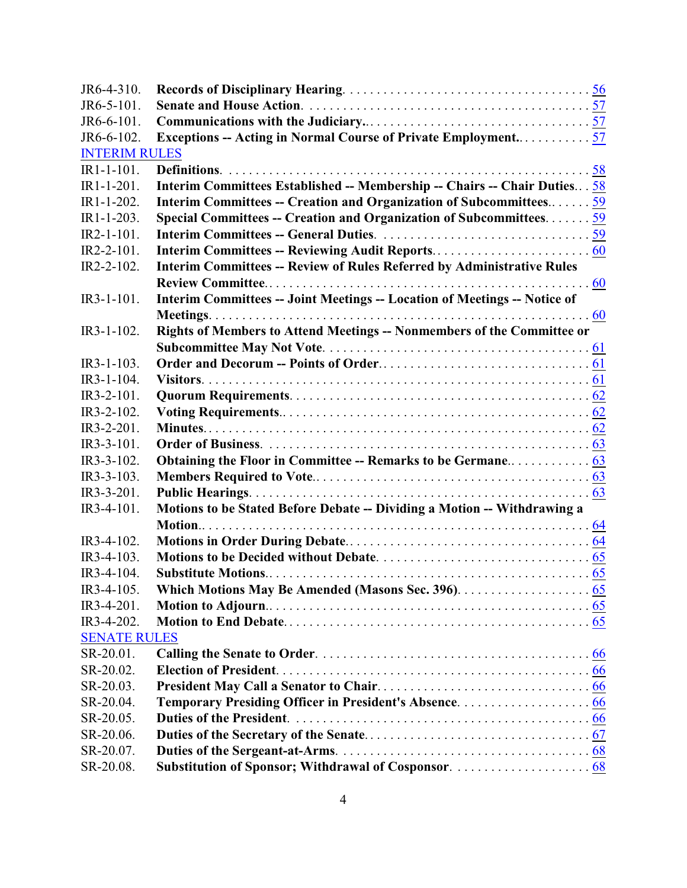| JR6-4-310.           |                                                                               |  |
|----------------------|-------------------------------------------------------------------------------|--|
| JR6-5-101.           |                                                                               |  |
| JR6-6-101.           |                                                                               |  |
| JR6-6-102.           | Exceptions -- Acting in Normal Course of Private Employment57                 |  |
| <b>INTERIM RULES</b> |                                                                               |  |
| $IR1-1-101$ .        |                                                                               |  |
| IR1-1-201.           | Interim Committees Established -- Membership -- Chairs -- Chair Duties 58     |  |
| $IR1 - 1 - 202$ .    | Interim Committees -- Creation and Organization of Subcommittees59            |  |
| $IR1-1-203$ .        | Special Committees -- Creation and Organization of Subcommittees $59$         |  |
| $IR2-1-101$ .        |                                                                               |  |
| $IR2-2-101$ .        |                                                                               |  |
| IR2-2-102.           | <b>Interim Committees -- Review of Rules Referred by Administrative Rules</b> |  |
|                      |                                                                               |  |
| $IR3-1-101$ .        | Interim Committees -- Joint Meetings -- Location of Meetings -- Notice of     |  |
|                      |                                                                               |  |
| $IR3-1-102$ .        | Rights of Members to Attend Meetings -- Nonmembers of the Committee or        |  |
|                      |                                                                               |  |
| IR3-1-103.           |                                                                               |  |
| $IR3-1-104.$         |                                                                               |  |
| IR3-2-101.           |                                                                               |  |
| IR3-2-102.           |                                                                               |  |
| IR3-2-201.           |                                                                               |  |
| $IR3-3-101$ .        |                                                                               |  |
| IR3-3-102.           |                                                                               |  |
| IR3-3-103.           |                                                                               |  |
| IR3-3-201.           |                                                                               |  |
| IR3-4-101.           | Motions to be Stated Before Debate -- Dividing a Motion -- Withdrawing a      |  |
|                      |                                                                               |  |
| IR3-4-102.           |                                                                               |  |
| IR3-4-103.           |                                                                               |  |
| IR3-4-104.           |                                                                               |  |
| IR3-4-105.           |                                                                               |  |
| IR3-4-201.           |                                                                               |  |
| IR3-4-202.           |                                                                               |  |
| <b>SENATE RULES</b>  |                                                                               |  |
| SR-20.01.            |                                                                               |  |
| SR-20.02.            |                                                                               |  |
| SR-20.03.            |                                                                               |  |
| SR-20.04.            |                                                                               |  |
| SR-20.05.            |                                                                               |  |
| SR-20.06.            |                                                                               |  |
| SR-20.07.            |                                                                               |  |
| SR-20.08.            |                                                                               |  |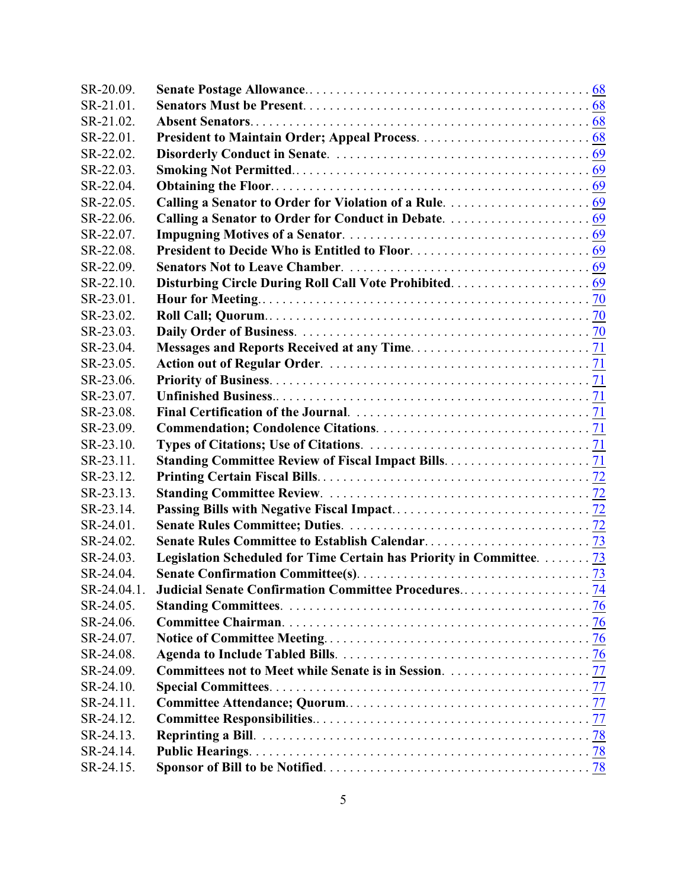| SR-20.09.   |                                                                                  |  |
|-------------|----------------------------------------------------------------------------------|--|
| SR-21.01.   |                                                                                  |  |
| SR-21.02.   |                                                                                  |  |
| SR-22.01.   |                                                                                  |  |
| SR-22.02.   |                                                                                  |  |
| SR-22.03.   |                                                                                  |  |
| SR-22.04.   |                                                                                  |  |
| SR-22.05.   |                                                                                  |  |
| SR-22.06.   |                                                                                  |  |
| SR-22.07.   |                                                                                  |  |
| SR-22.08.   |                                                                                  |  |
| SR-22.09.   |                                                                                  |  |
| SR-22.10.   |                                                                                  |  |
| SR-23.01.   |                                                                                  |  |
| SR-23.02.   |                                                                                  |  |
| SR-23.03.   |                                                                                  |  |
| SR-23.04.   |                                                                                  |  |
| SR-23.05.   |                                                                                  |  |
| SR-23.06.   |                                                                                  |  |
| SR-23.07.   |                                                                                  |  |
| SR-23.08.   |                                                                                  |  |
| SR-23.09.   |                                                                                  |  |
| SR-23.10.   |                                                                                  |  |
| SR-23.11.   |                                                                                  |  |
| SR-23.12.   |                                                                                  |  |
| SR-23.13.   |                                                                                  |  |
| SR-23.14.   |                                                                                  |  |
| SR-24.01.   |                                                                                  |  |
| SR-24.02.   |                                                                                  |  |
| SR-24.03.   | Legislation Scheduled for Time Certain has Priority in Committee. $\frac{73}{ }$ |  |
| SR-24.04.   |                                                                                  |  |
| SR-24.04.1. |                                                                                  |  |
| SR-24.05.   |                                                                                  |  |
| SR-24.06.   |                                                                                  |  |
| SR-24.07.   |                                                                                  |  |
| SR-24.08.   |                                                                                  |  |
| SR-24.09.   |                                                                                  |  |
| SR-24.10.   |                                                                                  |  |
| SR-24.11.   |                                                                                  |  |
| SR-24.12.   |                                                                                  |  |
| SR-24.13.   |                                                                                  |  |
| SR-24.14.   |                                                                                  |  |
| SR-24.15.   |                                                                                  |  |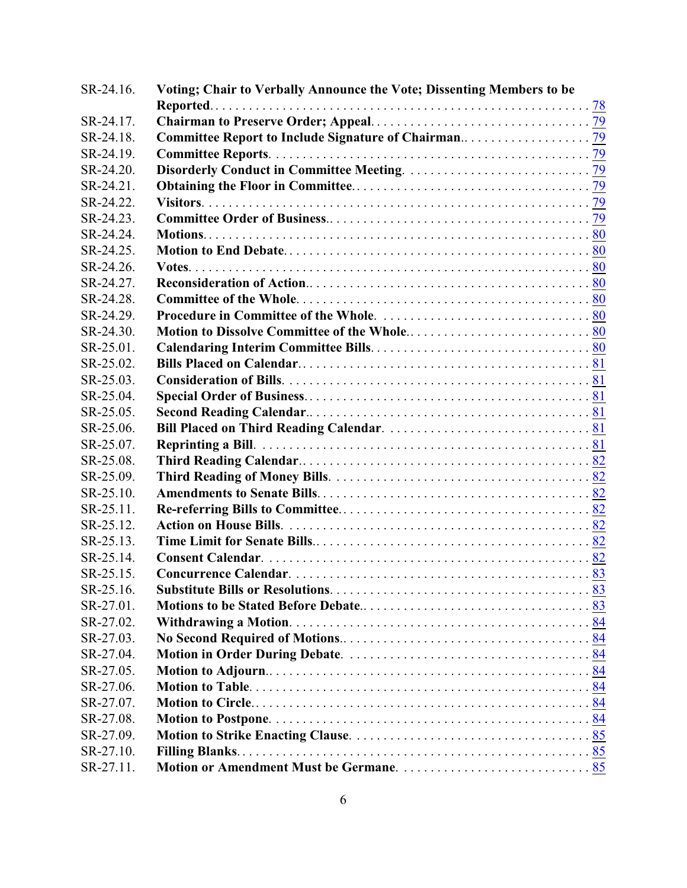| SR-24.16. | Voting; Chair to Verbally Announce the Vote; Dissenting Members to be |  |
|-----------|-----------------------------------------------------------------------|--|
|           |                                                                       |  |
| SR-24.17. |                                                                       |  |
| SR-24.18. |                                                                       |  |
| SR-24.19. |                                                                       |  |
| SR-24.20. |                                                                       |  |
| SR-24.21. |                                                                       |  |
| SR-24.22. |                                                                       |  |
| SR-24.23. |                                                                       |  |
| SR-24.24. |                                                                       |  |
| SR-24.25. |                                                                       |  |
| SR-24.26. |                                                                       |  |
| SR-24.27. |                                                                       |  |
| SR-24.28. |                                                                       |  |
| SR-24.29. |                                                                       |  |
| SR-24.30. |                                                                       |  |
| SR-25.01. |                                                                       |  |
| SR-25.02. |                                                                       |  |
| SR-25.03. |                                                                       |  |
| SR-25.04. |                                                                       |  |
| SR-25.05. |                                                                       |  |
| SR-25.06. |                                                                       |  |
| SR-25.07. |                                                                       |  |
| SR-25.08. |                                                                       |  |
| SR-25.09. |                                                                       |  |
| SR-25.10. |                                                                       |  |
| SR-25.11. |                                                                       |  |
| SR-25.12. |                                                                       |  |
| SR-25.13. |                                                                       |  |
| SR-25.14. |                                                                       |  |
| SR-25.15. |                                                                       |  |
| SR-25.16. |                                                                       |  |
| SR-27.01. |                                                                       |  |
| SR-27.02. |                                                                       |  |
| SR-27.03. |                                                                       |  |
| SR-27.04. |                                                                       |  |
| SR-27.05. |                                                                       |  |
| SR-27.06. |                                                                       |  |
| SR-27.07. |                                                                       |  |
| SR-27.08. |                                                                       |  |
| SR-27.09. |                                                                       |  |
| SR-27.10. |                                                                       |  |
| SR-27.11. |                                                                       |  |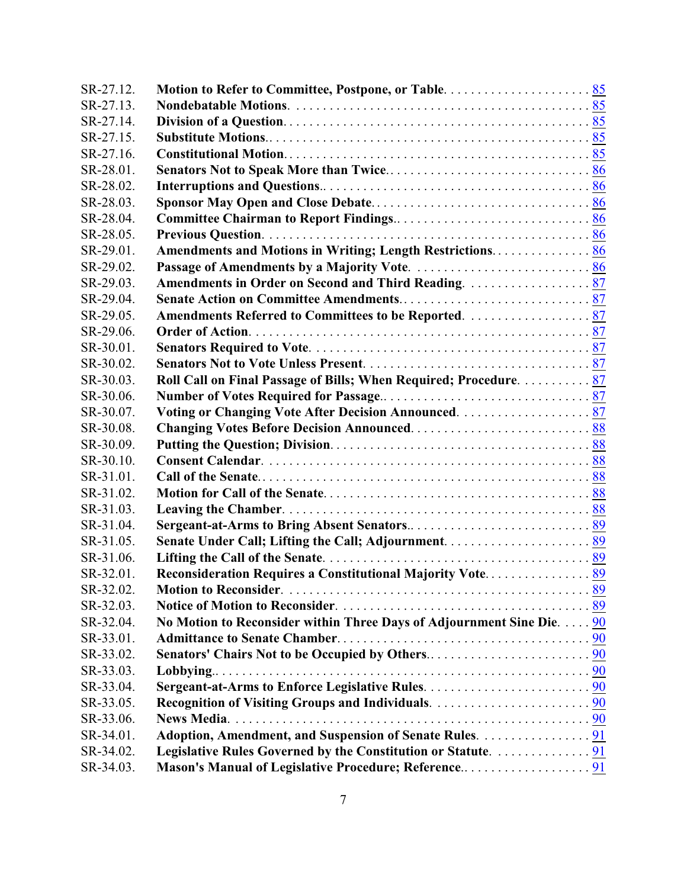| SR-27.12. |                                                                       |  |
|-----------|-----------------------------------------------------------------------|--|
| SR-27.13. |                                                                       |  |
| SR-27.14. |                                                                       |  |
| SR-27.15. |                                                                       |  |
| SR-27.16. |                                                                       |  |
| SR-28.01. |                                                                       |  |
| SR-28.02. |                                                                       |  |
| SR-28.03. |                                                                       |  |
| SR-28.04. |                                                                       |  |
| SR-28.05. |                                                                       |  |
| SR-29.01. | Amendments and Motions in Writing; Length Restrictions 86             |  |
| SR-29.02. |                                                                       |  |
| SR-29.03. |                                                                       |  |
| SR-29.04. |                                                                       |  |
| SR-29.05. |                                                                       |  |
| SR-29.06. |                                                                       |  |
| SR-30.01. |                                                                       |  |
| SR-30.02. |                                                                       |  |
| SR-30.03. | Roll Call on Final Passage of Bills; When Required; Procedure 87      |  |
| SR-30.06. |                                                                       |  |
| SR-30.07. |                                                                       |  |
| SR-30.08. |                                                                       |  |
| SR-30.09. |                                                                       |  |
| SR-30.10. |                                                                       |  |
| SR-31.01. |                                                                       |  |
| SR-31.02. |                                                                       |  |
| SR-31.03. |                                                                       |  |
| SR-31.04. |                                                                       |  |
| SR-31.05. |                                                                       |  |
| SR-31.06. |                                                                       |  |
| SR-32.01. |                                                                       |  |
| SR-32.02. |                                                                       |  |
| SR-32.03. |                                                                       |  |
| SR-32.04. | No Motion to Reconsider within Three Days of Adjournment Sine Die. 90 |  |
| SR-33.01. |                                                                       |  |
| SR-33.02. |                                                                       |  |
| SR-33.03. | Lobbying                                                              |  |
| SR-33.04. |                                                                       |  |
| SR-33.05. |                                                                       |  |
| SR-33.06. |                                                                       |  |
| SR-34.01. | Adoption, Amendment, and Suspension of Senate Rules. 91               |  |
| SR-34.02. |                                                                       |  |
| SR-34.03. |                                                                       |  |
|           |                                                                       |  |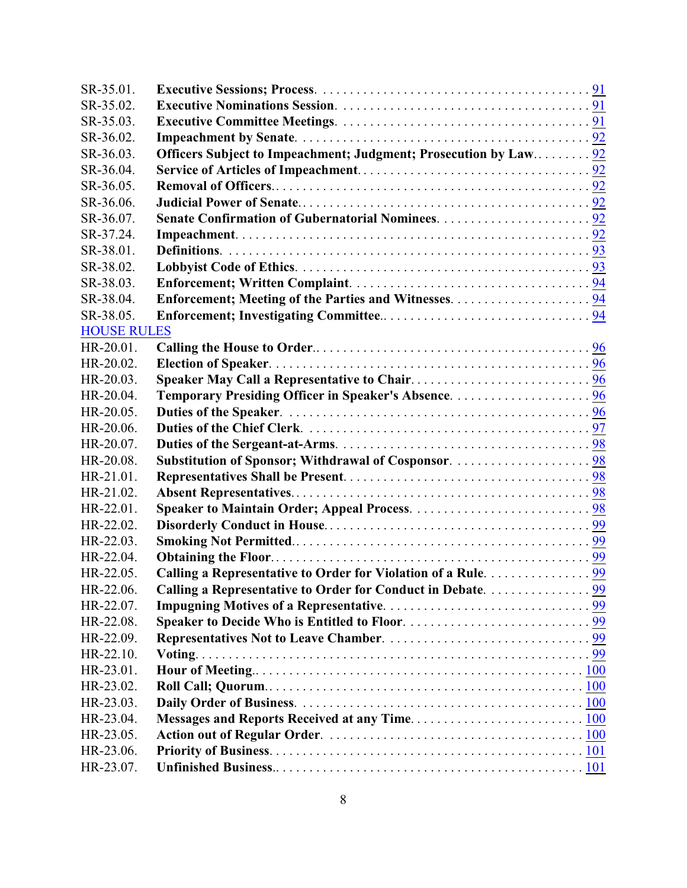| SR-35.01.          |                                                                  |  |
|--------------------|------------------------------------------------------------------|--|
| SR-35.02.          |                                                                  |  |
| SR-35.03.          |                                                                  |  |
| SR-36.02.          |                                                                  |  |
| SR-36.03.          | Officers Subject to Impeachment; Judgment; Prosecution by Law 92 |  |
| SR-36.04.          |                                                                  |  |
| SR-36.05.          |                                                                  |  |
| SR-36.06.          |                                                                  |  |
| SR-36.07.          |                                                                  |  |
| SR-37.24.          |                                                                  |  |
| SR-38.01.          |                                                                  |  |
| SR-38.02.          |                                                                  |  |
| SR-38.03.          |                                                                  |  |
| SR-38.04.          |                                                                  |  |
| SR-38.05.          |                                                                  |  |
| <b>HOUSE RULES</b> |                                                                  |  |
| HR-20.01.          |                                                                  |  |
| HR-20.02.          |                                                                  |  |
| HR-20.03.          |                                                                  |  |
| HR-20.04.          |                                                                  |  |
| HR-20.05.          |                                                                  |  |
| HR-20.06.          |                                                                  |  |
| HR-20.07.          |                                                                  |  |
| HR-20.08.          |                                                                  |  |
| HR-21.01.          |                                                                  |  |
| HR-21.02.          |                                                                  |  |
| HR-22.01.          |                                                                  |  |
| HR-22.02.          |                                                                  |  |
| HR-22.03.          |                                                                  |  |
| HR-22.04.          |                                                                  |  |
| HR-22.05.          | Calling a Representative to Order for Violation of a Rule. 99    |  |
| HR-22.06.          | Calling a Representative to Order for Conduct in Debate. 99      |  |
| HR-22.07.          |                                                                  |  |
| HR-22.08.          |                                                                  |  |
| HR-22.09.          |                                                                  |  |
| HR-22.10.          |                                                                  |  |
| HR-23.01.          |                                                                  |  |
| HR-23.02.          |                                                                  |  |
| HR-23.03.          |                                                                  |  |
| HR-23.04.          |                                                                  |  |
| HR-23.05.          |                                                                  |  |
| HR-23.06.          |                                                                  |  |
| HR-23.07.          |                                                                  |  |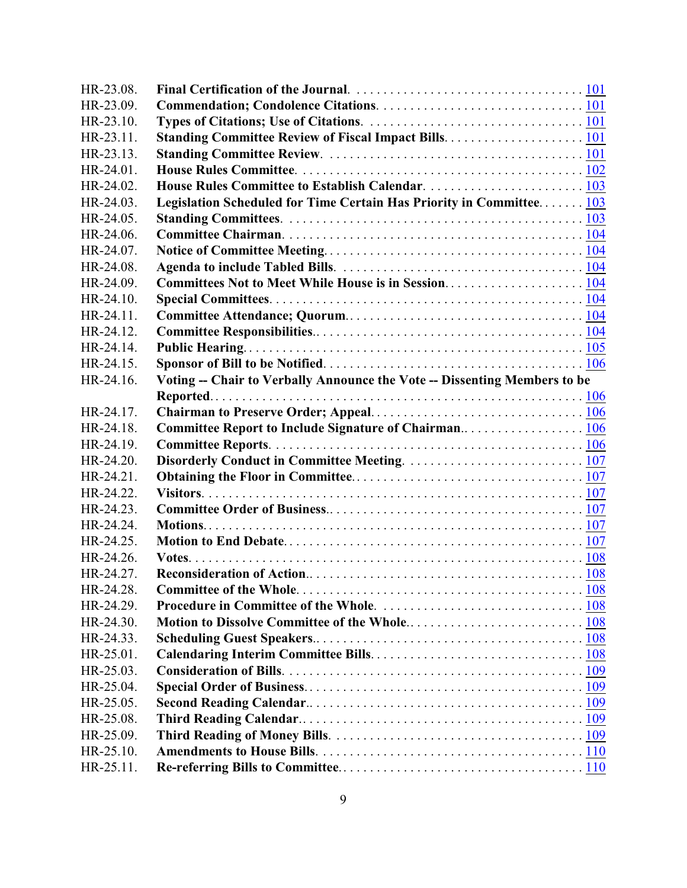| HR-23.08. |                                                                           |  |
|-----------|---------------------------------------------------------------------------|--|
| HR-23.09. |                                                                           |  |
| HR-23.10. |                                                                           |  |
| HR-23.11. |                                                                           |  |
| HR-23.13. |                                                                           |  |
| HR-24.01. |                                                                           |  |
| HR-24.02. |                                                                           |  |
| HR-24.03. | Legislation Scheduled for Time Certain Has Priority in Committee 103      |  |
| HR-24.05. |                                                                           |  |
| HR-24.06. |                                                                           |  |
| HR-24.07. |                                                                           |  |
| HR-24.08. |                                                                           |  |
| HR-24.09. |                                                                           |  |
| HR-24.10. |                                                                           |  |
| HR-24.11. |                                                                           |  |
| HR-24.12. |                                                                           |  |
| HR-24.14. |                                                                           |  |
| HR-24.15. |                                                                           |  |
| HR-24.16. | Voting -- Chair to Verbally Announce the Vote -- Dissenting Members to be |  |
|           |                                                                           |  |
| HR-24.17. |                                                                           |  |
| HR-24.18. | Committee Report to Include Signature of Chairman106                      |  |
| HR-24.19. |                                                                           |  |
| HR-24.20. |                                                                           |  |
| HR-24.21. |                                                                           |  |
| HR-24.22. |                                                                           |  |
| HR-24.23. |                                                                           |  |
| HR-24.24. |                                                                           |  |
| HR-24.25. |                                                                           |  |
| HR-24.26. |                                                                           |  |
| HR-24.27. |                                                                           |  |
| HR-24.28. |                                                                           |  |
| HR-24.29. |                                                                           |  |
| HR-24.30. |                                                                           |  |
| HR-24.33. |                                                                           |  |
| HR-25.01. |                                                                           |  |
| HR-25.03. |                                                                           |  |
| HR-25.04. |                                                                           |  |
| HR-25.05. |                                                                           |  |
| HR-25.08. |                                                                           |  |
| HR-25.09. |                                                                           |  |
| HR-25.10. |                                                                           |  |
| HR-25.11. |                                                                           |  |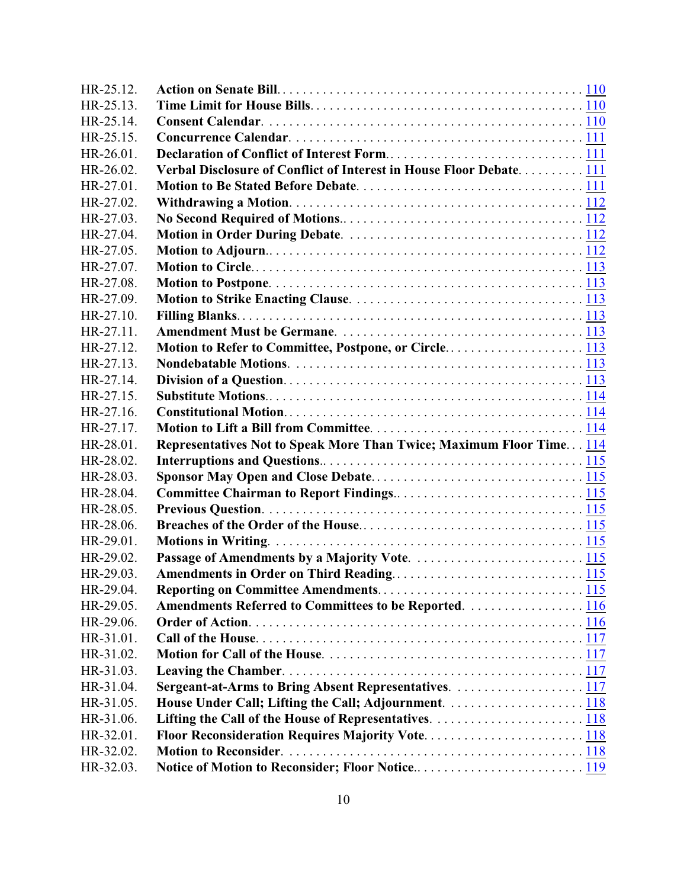| HR-25.12.              |                                                                      |  |
|------------------------|----------------------------------------------------------------------|--|
| HR-25.13.              |                                                                      |  |
| HR-25.14.              |                                                                      |  |
| HR-25.15.              |                                                                      |  |
| HR-26.01.              |                                                                      |  |
| HR-26.02.              | Verbal Disclosure of Conflict of Interest in House Floor Debate 111  |  |
| HR-27.01.              |                                                                      |  |
| HR-27.02.              |                                                                      |  |
| HR-27.03.              |                                                                      |  |
| HR-27.04.              |                                                                      |  |
| HR-27.05.              |                                                                      |  |
| HR-27.07.              |                                                                      |  |
| HR-27.08.              |                                                                      |  |
| HR-27.09.              |                                                                      |  |
| HR-27.10.              |                                                                      |  |
| HR-27.11.              |                                                                      |  |
| HR-27.12.              | Motion to Refer to Committee, Postpone, or Circle113                 |  |
| HR-27.13.              |                                                                      |  |
| HR-27.14.              |                                                                      |  |
| HR-27.15.              |                                                                      |  |
| HR-27.16.              |                                                                      |  |
| HR-27.17.              |                                                                      |  |
| HR-28.01.              | Representatives Not to Speak More Than Twice; Maximum Floor Time 114 |  |
| HR-28.02.              |                                                                      |  |
| HR-28.03.              |                                                                      |  |
| HR-28.04.              |                                                                      |  |
| HR-28.05.              |                                                                      |  |
| HR-28.06.              |                                                                      |  |
| HR-29.01.              |                                                                      |  |
| HR-29.02.              |                                                                      |  |
| HR-29.03.              |                                                                      |  |
|                        |                                                                      |  |
| HR-29.04.              |                                                                      |  |
| HR-29.05.              | Amendments Referred to Committees to be Reported. 116                |  |
| HR-29.06.              |                                                                      |  |
| HR-31.01.              |                                                                      |  |
| HR-31.02.              |                                                                      |  |
| HR-31.03.              |                                                                      |  |
| HR-31.04.              | Sergeant-at-Arms to Bring Absent Representatives. 117                |  |
| HR-31.05.              | House Under Call; Lifting the Call; Adjournment. 118                 |  |
| HR-31.06.              |                                                                      |  |
| HR-32.01.              | Floor Reconsideration Requires Majority Vote118                      |  |
| HR-32.02.<br>HR-32.03. |                                                                      |  |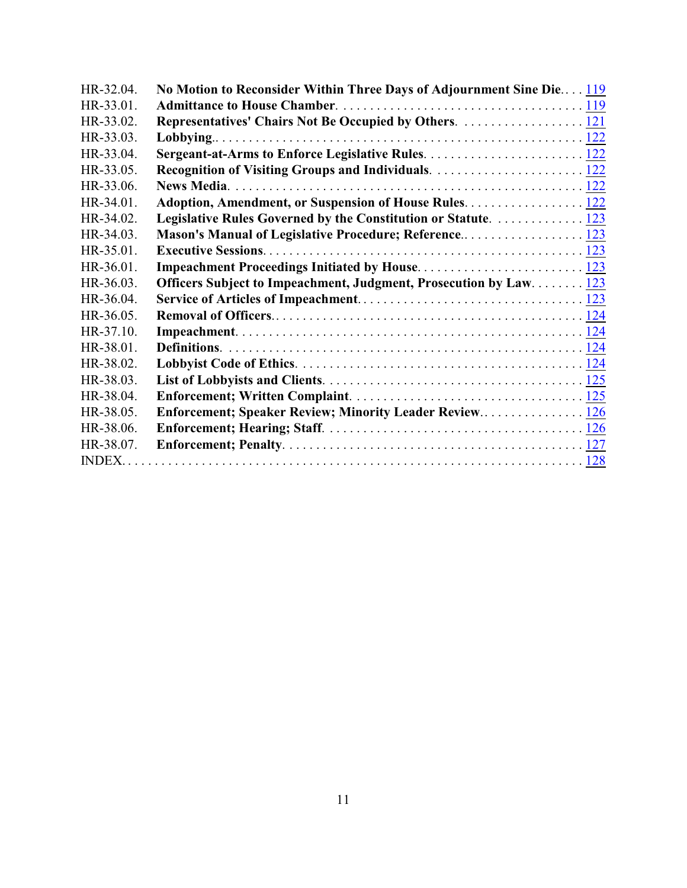| HR-32.04. | No Motion to Reconsider Within Three Days of Adjournment Sine Die 119 |  |
|-----------|-----------------------------------------------------------------------|--|
| HR-33.01. |                                                                       |  |
| HR-33.02. |                                                                       |  |
| HR-33.03. |                                                                       |  |
| HR-33.04. |                                                                       |  |
| HR-33.05. |                                                                       |  |
| HR-33.06. |                                                                       |  |
| HR-34.01. |                                                                       |  |
| HR-34.02. | Legislative Rules Governed by the Constitution or Statute.  123       |  |
| HR-34.03. | Mason's Manual of Legislative Procedure; Reference 123                |  |
| HR-35.01. |                                                                       |  |
| HR-36.01. |                                                                       |  |
| HR-36.03. | Officers Subject to Impeachment, Judgment, Prosecution by Law 123     |  |
| HR-36.04. |                                                                       |  |
| HR-36.05. |                                                                       |  |
| HR-37.10. |                                                                       |  |
| HR-38.01. |                                                                       |  |
| HR-38.02. |                                                                       |  |
| HR-38.03. |                                                                       |  |
| HR-38.04. |                                                                       |  |
| HR-38.05. | Enforcement; Speaker Review; Minority Leader Review 126               |  |
| HR-38.06. |                                                                       |  |
| HR-38.07. |                                                                       |  |
|           |                                                                       |  |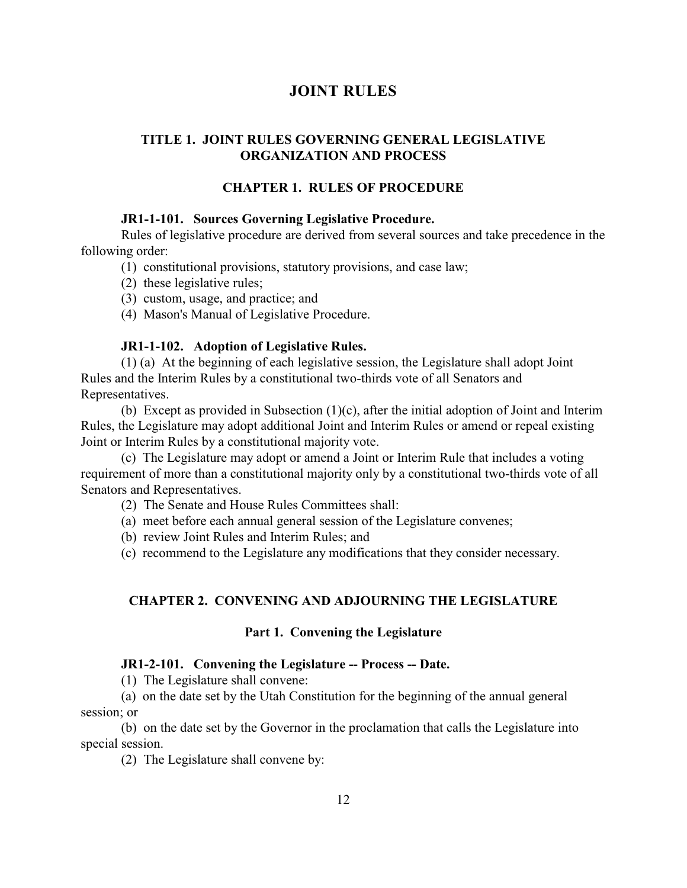## <span id="page-12-0"></span>**JOINT RULES**

## **TITLE 1. JOINT RULES GOVERNING GENERAL LEGISLATIVE ORGANIZATION AND PROCESS**

## **CHAPTER 1. RULES OF PROCEDURE**

## <span id="page-12-1"></span>**JR1-1-101. Sources Governing Legislative Procedure.**

Rules of legislative procedure are derived from several sources and take precedence in the following order:

- (1) constitutional provisions, statutory provisions, and case law;
- (2) these legislative rules;
- (3) custom, usage, and practice; and
- (4) Mason's Manual of Legislative Procedure.

#### <span id="page-12-2"></span>**JR1-1-102. Adoption of Legislative Rules.**

(1) (a) At the beginning of each legislative session, the Legislature shall adopt Joint Rules and the Interim Rules by a constitutional two-thirds vote of all Senators and Representatives.

(b) Except as provided in Subsection (1)(c), after the initial adoption of Joint and Interim Rules, the Legislature may adopt additional Joint and Interim Rules or amend or repeal existing Joint or Interim Rules by a constitutional majority vote.

(c) The Legislature may adopt or amend a Joint or Interim Rule that includes a voting requirement of more than a constitutional majority only by a constitutional two-thirds vote of all Senators and Representatives.

(2) The Senate and House Rules Committees shall:

(a) meet before each annual general session of the Legislature convenes;

(b) review Joint Rules and Interim Rules; and

(c) recommend to the Legislature any modifications that they consider necessary.

## **CHAPTER 2. CONVENING AND ADJOURNING THE LEGISLATURE**

#### **Part 1. Convening the Legislature**

#### <span id="page-12-3"></span>**JR1-2-101. Convening the Legislature -- Process -- Date.**

(1) The Legislature shall convene:

(a) on the date set by the Utah Constitution for the beginning of the annual general session; or

(b) on the date set by the Governor in the proclamation that calls the Legislature into special session.

(2) The Legislature shall convene by: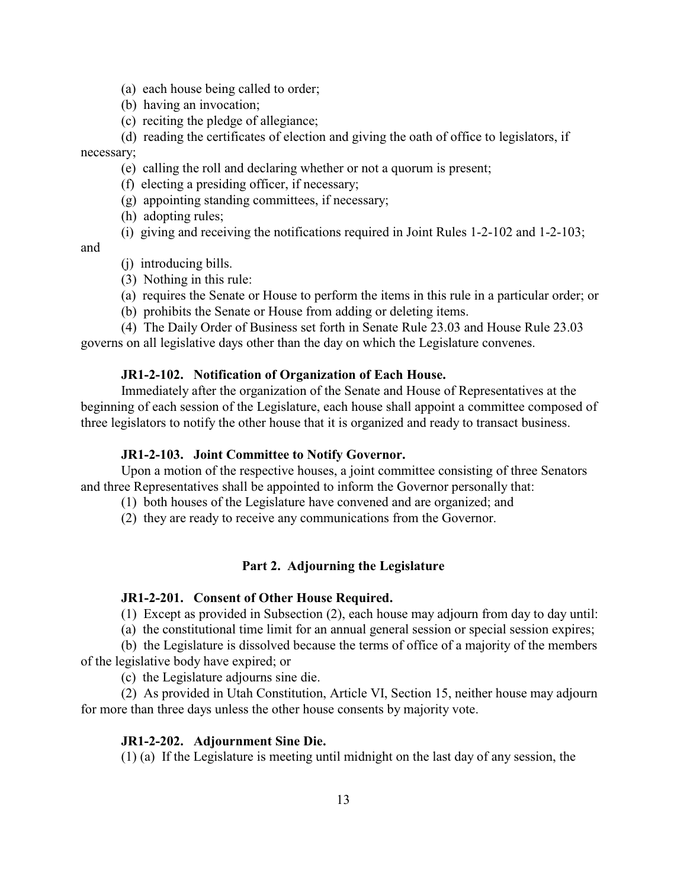- (a) each house being called to order;
- (b) having an invocation;
- (c) reciting the pledge of allegiance;

(d) reading the certificates of election and giving the oath of office to legislators, if necessary;

- (e) calling the roll and declaring whether or not a quorum is present;
- (f) electing a presiding officer, if necessary;
- (g) appointing standing committees, if necessary;
- (h) adopting rules;
- (i) giving and receiving the notifications required in Joint Rules 1-2-102 and 1-2-103;

and

- (j) introducing bills.
- (3) Nothing in this rule:
- (a) requires the Senate or House to perform the items in this rule in a particular order; or
- (b) prohibits the Senate or House from adding or deleting items.

(4) The Daily Order of Business set forth in Senate Rule 23.03 and House Rule 23.03 governs on all legislative days other than the day on which the Legislature convenes.

#### <span id="page-13-0"></span>**JR1-2-102. Notification of Organization of Each House.**

Immediately after the organization of the Senate and House of Representatives at the beginning of each session of the Legislature, each house shall appoint a committee composed of three legislators to notify the other house that it is organized and ready to transact business.

#### <span id="page-13-1"></span>**JR1-2-103. Joint Committee to Notify Governor.**

Upon a motion of the respective houses, a joint committee consisting of three Senators and three Representatives shall be appointed to inform the Governor personally that:

- (1) both houses of the Legislature have convened and are organized; and
- (2) they are ready to receive any communications from the Governor.

#### **Part 2. Adjourning the Legislature**

#### <span id="page-13-2"></span>**JR1-2-201. Consent of Other House Required.**

(1) Except as provided in Subsection (2), each house may adjourn from day to day until:

(a) the constitutional time limit for an annual general session or special session expires;

(b) the Legislature is dissolved because the terms of office of a majority of the members of the legislative body have expired; or

(c) the Legislature adjourns sine die.

(2) As provided in Utah Constitution, Article VI, Section 15, neither house may adjourn for more than three days unless the other house consents by majority vote.

#### <span id="page-13-3"></span>**JR1-2-202. Adjournment Sine Die.**

(1) (a) If the Legislature is meeting until midnight on the last day of any session, the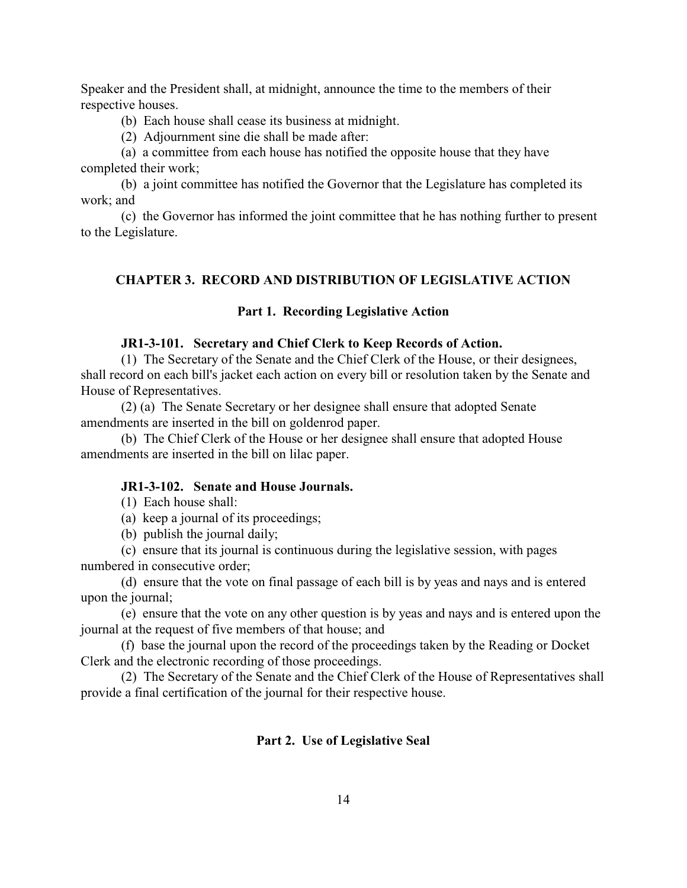Speaker and the President shall, at midnight, announce the time to the members of their respective houses.

(b) Each house shall cease its business at midnight.

(2) Adjournment sine die shall be made after:

(a) a committee from each house has notified the opposite house that they have completed their work;

(b) a joint committee has notified the Governor that the Legislature has completed its work; and

(c) the Governor has informed the joint committee that he has nothing further to present to the Legislature.

## **CHAPTER 3. RECORD AND DISTRIBUTION OF LEGISLATIVE ACTION**

#### **Part 1. Recording Legislative Action**

#### <span id="page-14-0"></span>**JR1-3-101. Secretary and Chief Clerk to Keep Records of Action.**

(1) The Secretary of the Senate and the Chief Clerk of the House, or their designees, shall record on each bill's jacket each action on every bill or resolution taken by the Senate and House of Representatives.

(2) (a) The Senate Secretary or her designee shall ensure that adopted Senate amendments are inserted in the bill on goldenrod paper.

(b) The Chief Clerk of the House or her designee shall ensure that adopted House amendments are inserted in the bill on lilac paper.

#### <span id="page-14-1"></span>**JR1-3-102. Senate and House Journals.**

(1) Each house shall:

(a) keep a journal of its proceedings;

(b) publish the journal daily;

(c) ensure that its journal is continuous during the legislative session, with pages numbered in consecutive order;

(d) ensure that the vote on final passage of each bill is by yeas and nays and is entered upon the journal;

(e) ensure that the vote on any other question is by yeas and nays and is entered upon the journal at the request of five members of that house; and

(f) base the journal upon the record of the proceedings taken by the Reading or Docket Clerk and the electronic recording of those proceedings.

(2) The Secretary of the Senate and the Chief Clerk of the House of Representatives shall provide a final certification of the journal for their respective house.

#### **Part 2. Use of Legislative Seal**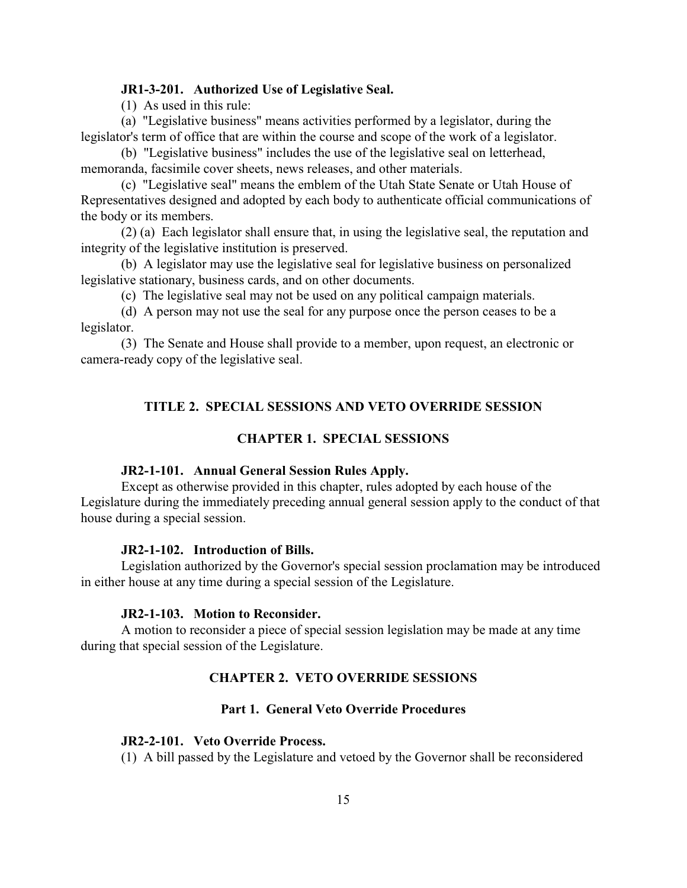## <span id="page-15-0"></span>**JR1-3-201. Authorized Use of Legislative Seal.**

(1) As used in this rule:

(a) "Legislative business" means activities performed by a legislator, during the legislator's term of office that are within the course and scope of the work of a legislator.

(b) "Legislative business" includes the use of the legislative seal on letterhead, memoranda, facsimile cover sheets, news releases, and other materials.

(c) "Legislative seal" means the emblem of the Utah State Senate or Utah House of Representatives designed and adopted by each body to authenticate official communications of the body or its members.

(2) (a) Each legislator shall ensure that, in using the legislative seal, the reputation and integrity of the legislative institution is preserved.

(b) A legislator may use the legislative seal for legislative business on personalized legislative stationary, business cards, and on other documents.

(c) The legislative seal may not be used on any political campaign materials.

(d) A person may not use the seal for any purpose once the person ceases to be a legislator.

(3) The Senate and House shall provide to a member, upon request, an electronic or camera-ready copy of the legislative seal.

## **TITLE 2. SPECIAL SESSIONS AND VETO OVERRIDE SESSION**

## **CHAPTER 1. SPECIAL SESSIONS**

#### <span id="page-15-1"></span>**JR2-1-101. Annual General Session Rules Apply.**

Except as otherwise provided in this chapter, rules adopted by each house of the Legislature during the immediately preceding annual general session apply to the conduct of that house during a special session.

#### <span id="page-15-2"></span>**JR2-1-102. Introduction of Bills.**

Legislation authorized by the Governor's special session proclamation may be introduced in either house at any time during a special session of the Legislature.

#### <span id="page-15-3"></span>**JR2-1-103. Motion to Reconsider.**

A motion to reconsider a piece of special session legislation may be made at any time during that special session of the Legislature.

#### **CHAPTER 2. VETO OVERRIDE SESSIONS**

## **Part 1. General Veto Override Procedures**

#### <span id="page-15-4"></span>**JR2-2-101. Veto Override Process.**

(1) A bill passed by the Legislature and vetoed by the Governor shall be reconsidered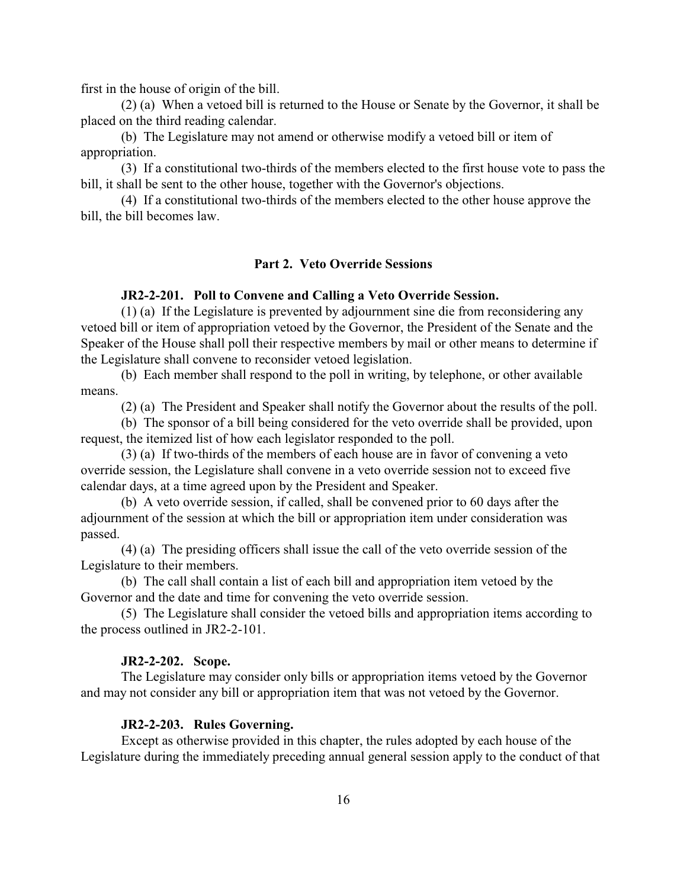first in the house of origin of the bill.

(2) (a) When a vetoed bill is returned to the House or Senate by the Governor, it shall be placed on the third reading calendar.

(b) The Legislature may not amend or otherwise modify a vetoed bill or item of appropriation.

(3) If a constitutional two-thirds of the members elected to the first house vote to pass the bill, it shall be sent to the other house, together with the Governor's objections.

(4) If a constitutional two-thirds of the members elected to the other house approve the bill, the bill becomes law.

#### **Part 2. Veto Override Sessions**

#### <span id="page-16-0"></span>**JR2-2-201. Poll to Convene and Calling a Veto Override Session.**

(1) (a) If the Legislature is prevented by adjournment sine die from reconsidering any vetoed bill or item of appropriation vetoed by the Governor, the President of the Senate and the Speaker of the House shall poll their respective members by mail or other means to determine if the Legislature shall convene to reconsider vetoed legislation.

(b) Each member shall respond to the poll in writing, by telephone, or other available means.

(2) (a) The President and Speaker shall notify the Governor about the results of the poll.

(b) The sponsor of a bill being considered for the veto override shall be provided, upon request, the itemized list of how each legislator responded to the poll.

(3) (a) If two-thirds of the members of each house are in favor of convening a veto override session, the Legislature shall convene in a veto override session not to exceed five calendar days, at a time agreed upon by the President and Speaker.

(b) A veto override session, if called, shall be convened prior to 60 days after the adjournment of the session at which the bill or appropriation item under consideration was passed.

(4) (a) The presiding officers shall issue the call of the veto override session of the Legislature to their members.

(b) The call shall contain a list of each bill and appropriation item vetoed by the Governor and the date and time for convening the veto override session.

(5) The Legislature shall consider the vetoed bills and appropriation items according to the process outlined in JR2-2-101.

#### <span id="page-16-1"></span>**JR2-2-202. Scope.**

The Legislature may consider only bills or appropriation items vetoed by the Governor and may not consider any bill or appropriation item that was not vetoed by the Governor.

#### <span id="page-16-2"></span>**JR2-2-203. Rules Governing.**

Except as otherwise provided in this chapter, the rules adopted by each house of the Legislature during the immediately preceding annual general session apply to the conduct of that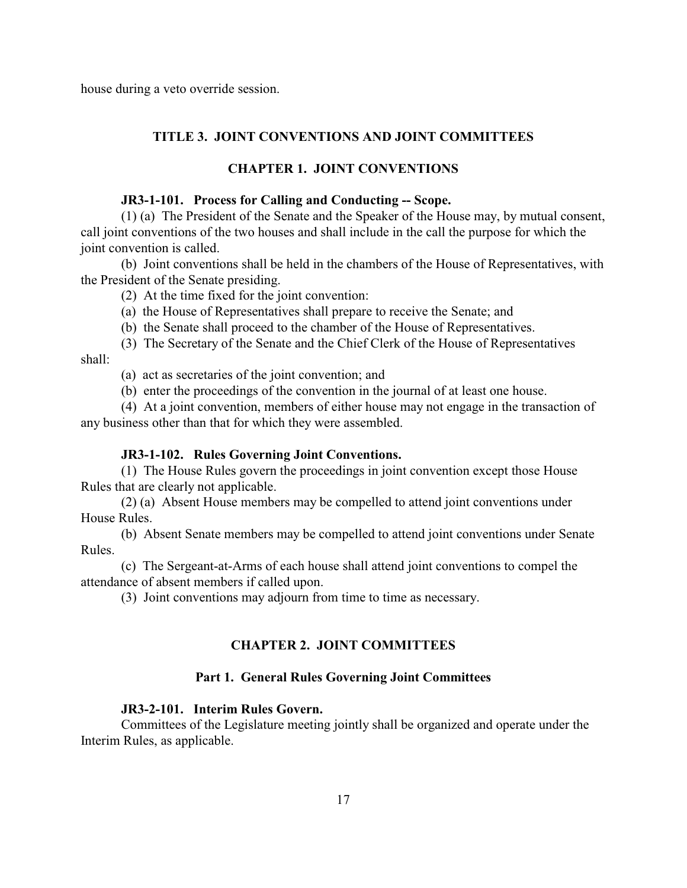house during a veto override session.

## **TITLE 3. JOINT CONVENTIONS AND JOINT COMMITTEES**

## **CHAPTER 1. JOINT CONVENTIONS**

#### <span id="page-17-0"></span>**JR3-1-101. Process for Calling and Conducting -- Scope.**

(1) (a) The President of the Senate and the Speaker of the House may, by mutual consent, call joint conventions of the two houses and shall include in the call the purpose for which the joint convention is called.

(b) Joint conventions shall be held in the chambers of the House of Representatives, with the President of the Senate presiding.

(2) At the time fixed for the joint convention:

(a) the House of Representatives shall prepare to receive the Senate; and

(b) the Senate shall proceed to the chamber of the House of Representatives.

(3) The Secretary of the Senate and the Chief Clerk of the House of Representatives shall:

(a) act as secretaries of the joint convention; and

(b) enter the proceedings of the convention in the journal of at least one house.

(4) At a joint convention, members of either house may not engage in the transaction of any business other than that for which they were assembled.

#### <span id="page-17-1"></span>**JR3-1-102. Rules Governing Joint Conventions.**

(1) The House Rules govern the proceedings in joint convention except those House Rules that are clearly not applicable.

(2) (a) Absent House members may be compelled to attend joint conventions under House Rules.

(b) Absent Senate members may be compelled to attend joint conventions under Senate Rules.

(c) The Sergeant-at-Arms of each house shall attend joint conventions to compel the attendance of absent members if called upon.

(3) Joint conventions may adjourn from time to time as necessary.

#### **CHAPTER 2. JOINT COMMITTEES**

#### **Part 1. General Rules Governing Joint Committees**

#### <span id="page-17-2"></span>**JR3-2-101. Interim Rules Govern.**

Committees of the Legislature meeting jointly shall be organized and operate under the Interim Rules, as applicable.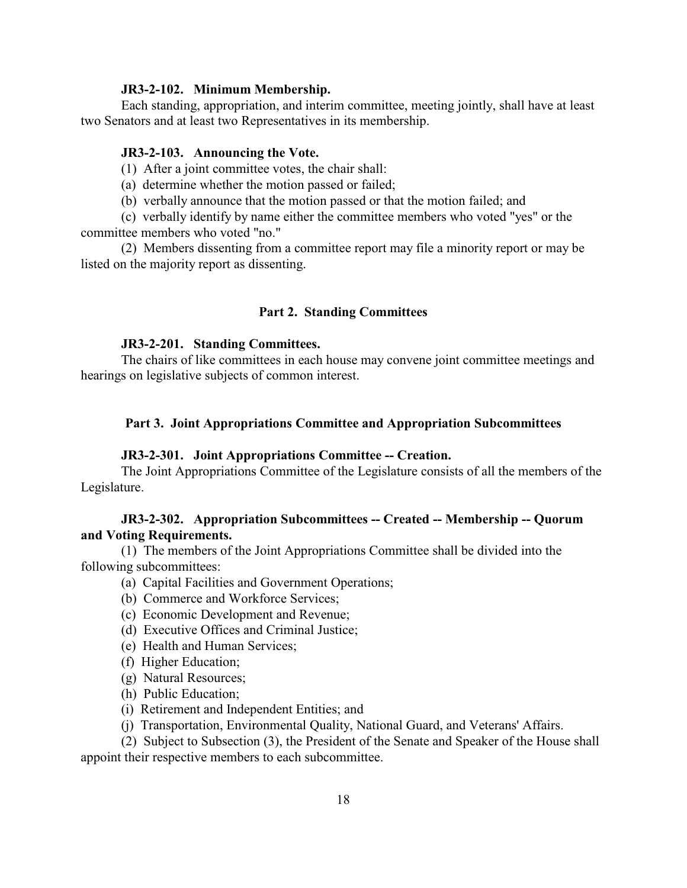#### <span id="page-18-0"></span>**JR3-2-102. Minimum Membership.**

Each standing, appropriation, and interim committee, meeting jointly, shall have at least two Senators and at least two Representatives in its membership.

#### <span id="page-18-1"></span>**JR3-2-103. Announcing the Vote.**

(1) After a joint committee votes, the chair shall:

(a) determine whether the motion passed or failed;

(b) verbally announce that the motion passed or that the motion failed; and

(c) verbally identify by name either the committee members who voted "yes" or the committee members who voted "no."

(2) Members dissenting from a committee report may file a minority report or may be listed on the majority report as dissenting.

#### **Part 2. Standing Committees**

#### <span id="page-18-2"></span>**JR3-2-201. Standing Committees.**

The chairs of like committees in each house may convene joint committee meetings and hearings on legislative subjects of common interest.

#### **Part 3. Joint Appropriations Committee and Appropriation Subcommittees**

#### <span id="page-18-3"></span>**JR3-2-301. Joint Appropriations Committee -- Creation.**

The Joint Appropriations Committee of the Legislature consists of all the members of the Legislature.

## <span id="page-18-4"></span>**JR3-2-302. Appropriation Subcommittees -- Created -- Membership -- Quorum and Voting Requirements.**

(1) The members of the Joint Appropriations Committee shall be divided into the following subcommittees:

- (a) Capital Facilities and Government Operations;
- (b) Commerce and Workforce Services;
- (c) Economic Development and Revenue;
- (d) Executive Offices and Criminal Justice;
- (e) Health and Human Services;
- (f) Higher Education;
- (g) Natural Resources;
- (h) Public Education;
- (i) Retirement and Independent Entities; and

(j) Transportation, Environmental Quality, National Guard, and Veterans' Affairs.

(2) Subject to Subsection (3), the President of the Senate and Speaker of the House shall appoint their respective members to each subcommittee.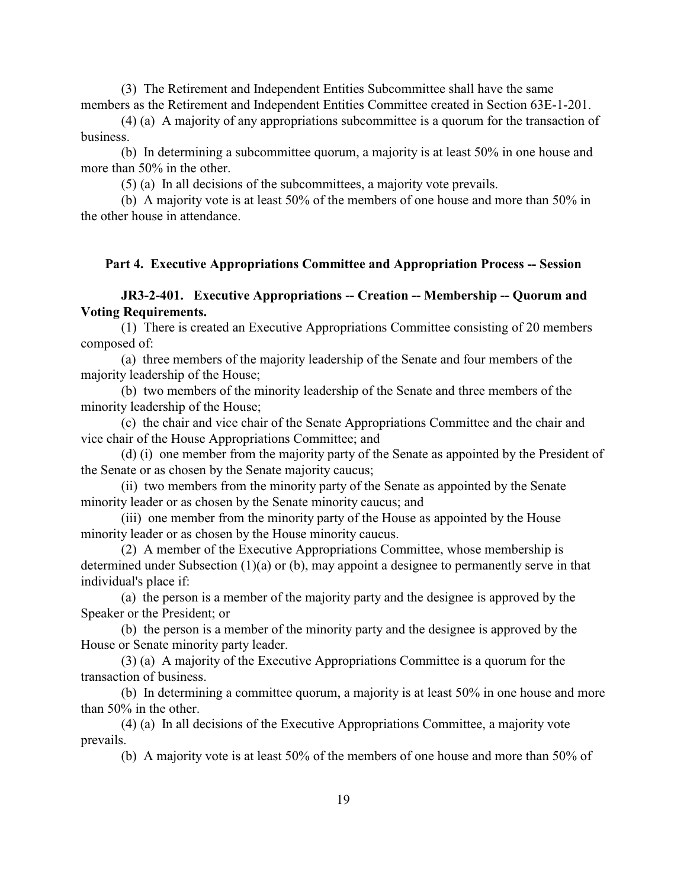(3) The Retirement and Independent Entities Subcommittee shall have the same members as the Retirement and Independent Entities Committee created in Section 63E-1-201.

(4) (a) A majority of any appropriations subcommittee is a quorum for the transaction of business.

(b) In determining a subcommittee quorum, a majority is at least 50% in one house and more than 50% in the other.

(5) (a) In all decisions of the subcommittees, a majority vote prevails.

(b) A majority vote is at least 50% of the members of one house and more than 50% in the other house in attendance.

#### <span id="page-19-0"></span>**Part 4. Executive Appropriations Committee and Appropriation Process -- Session**

## **JR3-2-401. Executive Appropriations -- Creation -- Membership -- Quorum and Voting Requirements.**

(1) There is created an Executive Appropriations Committee consisting of 20 members composed of:

(a) three members of the majority leadership of the Senate and four members of the majority leadership of the House;

(b) two members of the minority leadership of the Senate and three members of the minority leadership of the House;

(c) the chair and vice chair of the Senate Appropriations Committee and the chair and vice chair of the House Appropriations Committee; and

(d) (i) one member from the majority party of the Senate as appointed by the President of the Senate or as chosen by the Senate majority caucus;

(ii) two members from the minority party of the Senate as appointed by the Senate minority leader or as chosen by the Senate minority caucus; and

(iii) one member from the minority party of the House as appointed by the House minority leader or as chosen by the House minority caucus.

(2) A member of the Executive Appropriations Committee, whose membership is determined under Subsection (1)(a) or (b), may appoint a designee to permanently serve in that individual's place if:

(a) the person is a member of the majority party and the designee is approved by the Speaker or the President; or

(b) the person is a member of the minority party and the designee is approved by the House or Senate minority party leader.

(3) (a) A majority of the Executive Appropriations Committee is a quorum for the transaction of business.

(b) In determining a committee quorum, a majority is at least 50% in one house and more than 50% in the other.

(4) (a) In all decisions of the Executive Appropriations Committee, a majority vote prevails.

(b) A majority vote is at least 50% of the members of one house and more than 50% of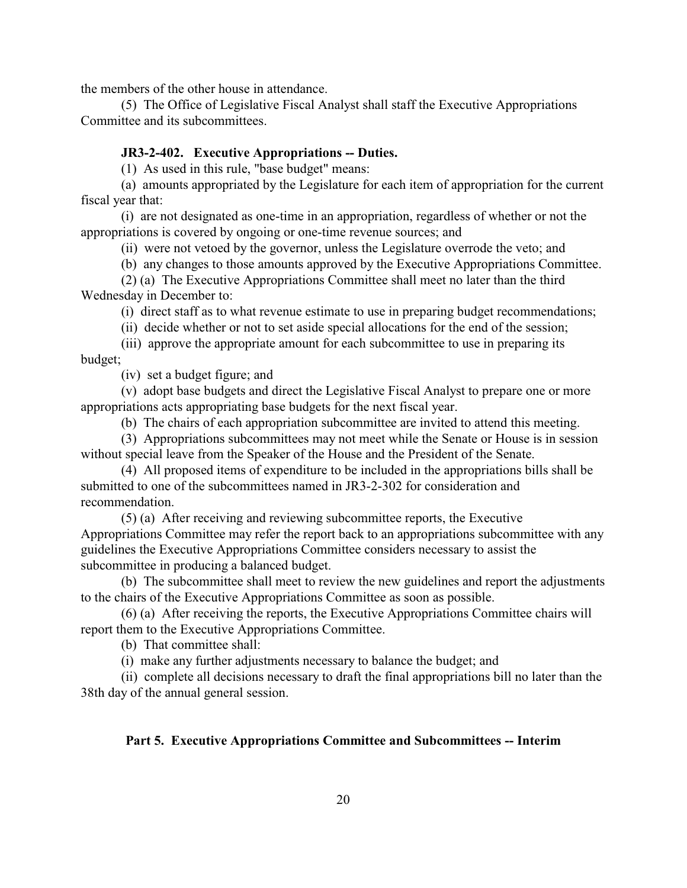the members of the other house in attendance.

(5) The Office of Legislative Fiscal Analyst shall staff the Executive Appropriations Committee and its subcommittees.

#### <span id="page-20-0"></span>**JR3-2-402. Executive Appropriations -- Duties.**

(1) As used in this rule, "base budget" means:

(a) amounts appropriated by the Legislature for each item of appropriation for the current fiscal year that:

(i) are not designated as one-time in an appropriation, regardless of whether or not the appropriations is covered by ongoing or one-time revenue sources; and

(ii) were not vetoed by the governor, unless the Legislature overrode the veto; and

(b) any changes to those amounts approved by the Executive Appropriations Committee.

(2) (a) The Executive Appropriations Committee shall meet no later than the third Wednesday in December to:

(i) direct staff as to what revenue estimate to use in preparing budget recommendations;

(ii) decide whether or not to set aside special allocations for the end of the session;

(iii) approve the appropriate amount for each subcommittee to use in preparing its budget;

(iv) set a budget figure; and

(v) adopt base budgets and direct the Legislative Fiscal Analyst to prepare one or more appropriations acts appropriating base budgets for the next fiscal year.

(b) The chairs of each appropriation subcommittee are invited to attend this meeting.

(3) Appropriations subcommittees may not meet while the Senate or House is in session without special leave from the Speaker of the House and the President of the Senate.

(4) All proposed items of expenditure to be included in the appropriations bills shall be submitted to one of the subcommittees named in JR3-2-302 for consideration and recommendation.

(5) (a) After receiving and reviewing subcommittee reports, the Executive Appropriations Committee may refer the report back to an appropriations subcommittee with any guidelines the Executive Appropriations Committee considers necessary to assist the subcommittee in producing a balanced budget.

(b) The subcommittee shall meet to review the new guidelines and report the adjustments to the chairs of the Executive Appropriations Committee as soon as possible.

(6) (a) After receiving the reports, the Executive Appropriations Committee chairs will report them to the Executive Appropriations Committee.

(b) That committee shall:

(i) make any further adjustments necessary to balance the budget; and

(ii) complete all decisions necessary to draft the final appropriations bill no later than the 38th day of the annual general session.

## **Part 5. Executive Appropriations Committee and Subcommittees -- Interim**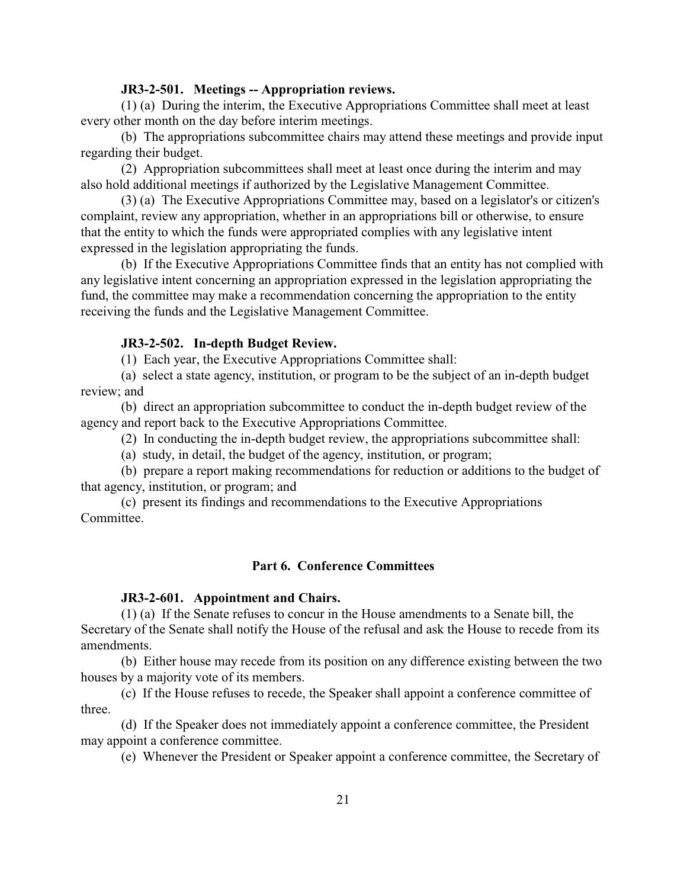#### <span id="page-21-0"></span>**JR3-2-501. Meetings -- Appropriation reviews.**

(1) (a) During the interim, the Executive Appropriations Committee shall meet at least every other month on the day before interim meetings.

(b) The appropriations subcommittee chairs may attend these meetings and provide input regarding their budget.

(2) Appropriation subcommittees shall meet at least once during the interim and may also hold additional meetings if authorized by the Legislative Management Committee.

(3) (a) The Executive Appropriations Committee may, based on a legislator's or citizen's complaint, review any appropriation, whether in an appropriations bill or otherwise, to ensure that the entity to which the funds were appropriated complies with any legislative intent expressed in the legislation appropriating the funds.

(b) If the Executive Appropriations Committee finds that an entity has not complied with any legislative intent concerning an appropriation expressed in the legislation appropriating the fund, the committee may make a recommendation concerning the appropriation to the entity receiving the funds and the Legislative Management Committee.

#### <span id="page-21-1"></span>**JR3-2-502. In-depth Budget Review.**

(1) Each year, the Executive Appropriations Committee shall:

(a) select a state agency, institution, or program to be the subject of an in-depth budget review; and

(b) direct an appropriation subcommittee to conduct the in-depth budget review of the agency and report back to the Executive Appropriations Committee.

(2) In conducting the in-depth budget review, the appropriations subcommittee shall:

(a) study, in detail, the budget of the agency, institution, or program;

(b) prepare a report making recommendations for reduction or additions to the budget of that agency, institution, or program; and

(c) present its findings and recommendations to the Executive Appropriations Committee.

#### **Part 6. Conference Committees**

#### <span id="page-21-2"></span>**JR3-2-601. Appointment and Chairs.**

(1) (a) If the Senate refuses to concur in the House amendments to a Senate bill, the Secretary of the Senate shall notify the House of the refusal and ask the House to recede from its amendments.

(b) Either house may recede from its position on any difference existing between the two houses by a majority vote of its members.

(c) If the House refuses to recede, the Speaker shall appoint a conference committee of three.

(d) If the Speaker does not immediately appoint a conference committee, the President may appoint a conference committee.

(e) Whenever the President or Speaker appoint a conference committee, the Secretary of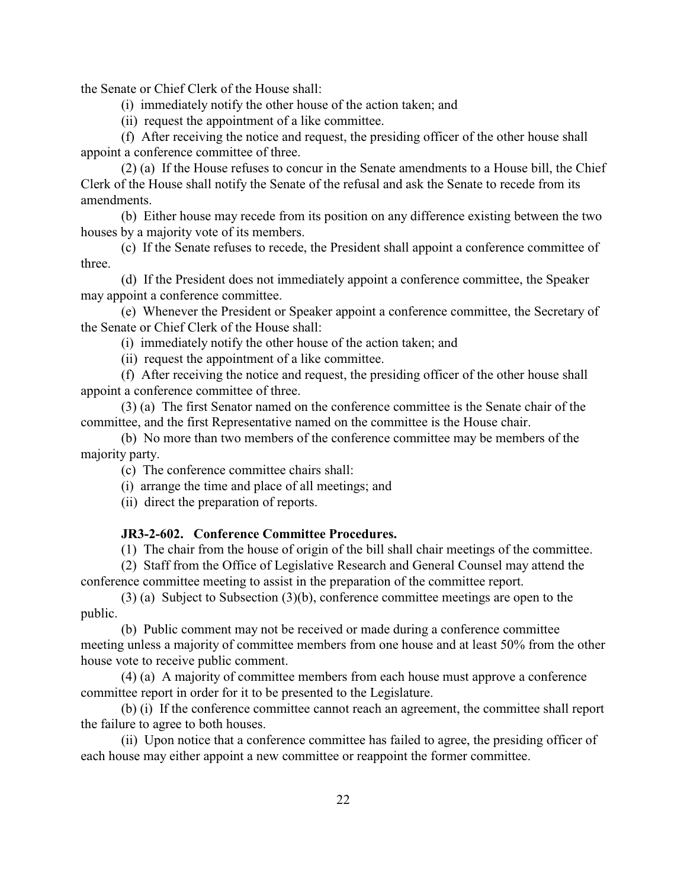the Senate or Chief Clerk of the House shall:

(i) immediately notify the other house of the action taken; and

(ii) request the appointment of a like committee.

(f) After receiving the notice and request, the presiding officer of the other house shall appoint a conference committee of three.

(2) (a) If the House refuses to concur in the Senate amendments to a House bill, the Chief Clerk of the House shall notify the Senate of the refusal and ask the Senate to recede from its amendments.

(b) Either house may recede from its position on any difference existing between the two houses by a majority vote of its members.

(c) If the Senate refuses to recede, the President shall appoint a conference committee of three.

(d) If the President does not immediately appoint a conference committee, the Speaker may appoint a conference committee.

(e) Whenever the President or Speaker appoint a conference committee, the Secretary of the Senate or Chief Clerk of the House shall:

(i) immediately notify the other house of the action taken; and

(ii) request the appointment of a like committee.

(f) After receiving the notice and request, the presiding officer of the other house shall appoint a conference committee of three.

(3) (a) The first Senator named on the conference committee is the Senate chair of the committee, and the first Representative named on the committee is the House chair.

(b) No more than two members of the conference committee may be members of the majority party.

(c) The conference committee chairs shall:

(i) arrange the time and place of all meetings; and

(ii) direct the preparation of reports.

#### <span id="page-22-0"></span>**JR3-2-602. Conference Committee Procedures.**

(1) The chair from the house of origin of the bill shall chair meetings of the committee.

(2) Staff from the Office of Legislative Research and General Counsel may attend the conference committee meeting to assist in the preparation of the committee report.

(3) (a) Subject to Subsection (3)(b), conference committee meetings are open to the public.

(b) Public comment may not be received or made during a conference committee meeting unless a majority of committee members from one house and at least 50% from the other house vote to receive public comment.

(4) (a) A majority of committee members from each house must approve a conference committee report in order for it to be presented to the Legislature.

(b) (i) If the conference committee cannot reach an agreement, the committee shall report the failure to agree to both houses.

(ii) Upon notice that a conference committee has failed to agree, the presiding officer of each house may either appoint a new committee or reappoint the former committee.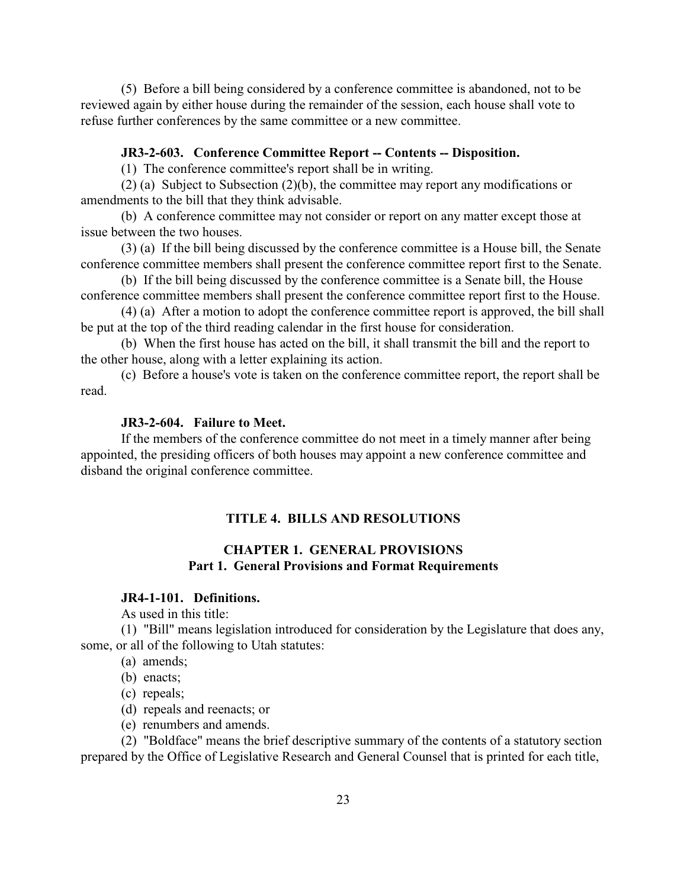(5) Before a bill being considered by a conference committee is abandoned, not to be reviewed again by either house during the remainder of the session, each house shall vote to refuse further conferences by the same committee or a new committee.

#### <span id="page-23-0"></span>**JR3-2-603. Conference Committee Report -- Contents -- Disposition.**

(1) The conference committee's report shall be in writing.

(2) (a) Subject to Subsection (2)(b), the committee may report any modifications or amendments to the bill that they think advisable.

(b) A conference committee may not consider or report on any matter except those at issue between the two houses.

(3) (a) If the bill being discussed by the conference committee is a House bill, the Senate conference committee members shall present the conference committee report first to the Senate.

(b) If the bill being discussed by the conference committee is a Senate bill, the House conference committee members shall present the conference committee report first to the House.

(4) (a) After a motion to adopt the conference committee report is approved, the bill shall be put at the top of the third reading calendar in the first house for consideration.

(b) When the first house has acted on the bill, it shall transmit the bill and the report to the other house, along with a letter explaining its action.

(c) Before a house's vote is taken on the conference committee report, the report shall be read.

#### <span id="page-23-1"></span>**JR3-2-604. Failure to Meet.**

If the members of the conference committee do not meet in a timely manner after being appointed, the presiding officers of both houses may appoint a new conference committee and disband the original conference committee.

#### **TITLE 4. BILLS AND RESOLUTIONS**

## **CHAPTER 1. GENERAL PROVISIONS Part 1. General Provisions and Format Requirements**

## <span id="page-23-2"></span>**JR4-1-101. Definitions.**

As used in this title:

(1) "Bill" means legislation introduced for consideration by the Legislature that does any, some, or all of the following to Utah statutes:

(a) amends;

(b) enacts;

(c) repeals;

(d) repeals and reenacts; or

(e) renumbers and amends.

(2) "Boldface" means the brief descriptive summary of the contents of a statutory section prepared by the Office of Legislative Research and General Counsel that is printed for each title,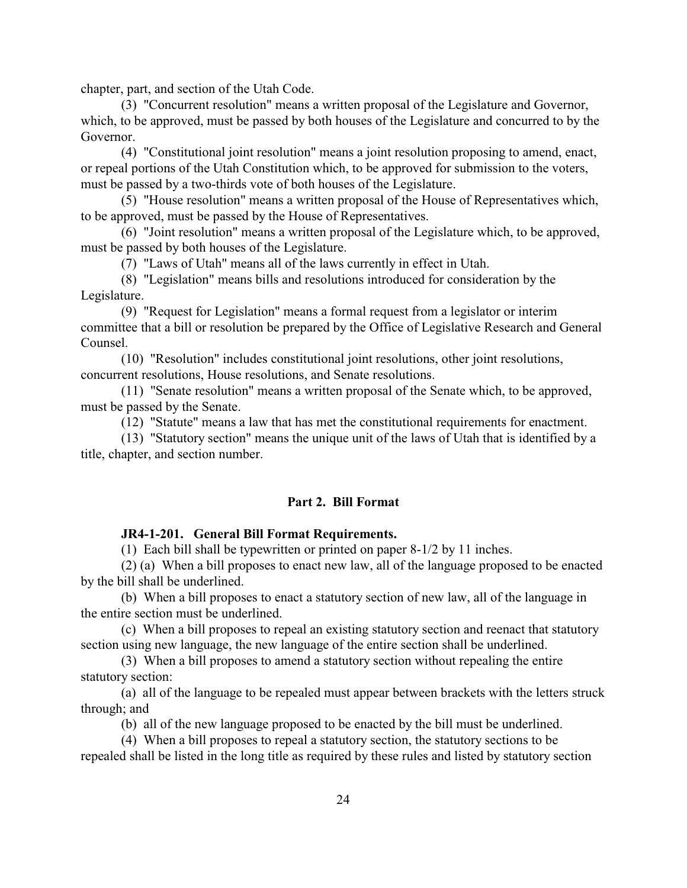chapter, part, and section of the Utah Code.

(3) "Concurrent resolution" means a written proposal of the Legislature and Governor, which, to be approved, must be passed by both houses of the Legislature and concurred to by the Governor.

(4) "Constitutional joint resolution" means a joint resolution proposing to amend, enact, or repeal portions of the Utah Constitution which, to be approved for submission to the voters, must be passed by a two-thirds vote of both houses of the Legislature.

(5) "House resolution" means a written proposal of the House of Representatives which, to be approved, must be passed by the House of Representatives.

(6) "Joint resolution" means a written proposal of the Legislature which, to be approved, must be passed by both houses of the Legislature.

(7) "Laws of Utah" means all of the laws currently in effect in Utah.

(8) "Legislation" means bills and resolutions introduced for consideration by the Legislature.

(9) "Request for Legislation" means a formal request from a legislator or interim committee that a bill or resolution be prepared by the Office of Legislative Research and General Counsel.

(10) "Resolution" includes constitutional joint resolutions, other joint resolutions, concurrent resolutions, House resolutions, and Senate resolutions.

(11) "Senate resolution" means a written proposal of the Senate which, to be approved, must be passed by the Senate.

(12) "Statute" means a law that has met the constitutional requirements for enactment.

(13) "Statutory section" means the unique unit of the laws of Utah that is identified by a title, chapter, and section number.

## **Part 2. Bill Format**

#### <span id="page-24-0"></span>**JR4-1-201. General Bill Format Requirements.**

(1) Each bill shall be typewritten or printed on paper 8-1/2 by 11 inches.

(2) (a) When a bill proposes to enact new law, all of the language proposed to be enacted by the bill shall be underlined.

(b) When a bill proposes to enact a statutory section of new law, all of the language in the entire section must be underlined.

(c) When a bill proposes to repeal an existing statutory section and reenact that statutory section using new language, the new language of the entire section shall be underlined.

(3) When a bill proposes to amend a statutory section without repealing the entire statutory section:

(a) all of the language to be repealed must appear between brackets with the letters struck through; and

(b) all of the new language proposed to be enacted by the bill must be underlined.

(4) When a bill proposes to repeal a statutory section, the statutory sections to be repealed shall be listed in the long title as required by these rules and listed by statutory section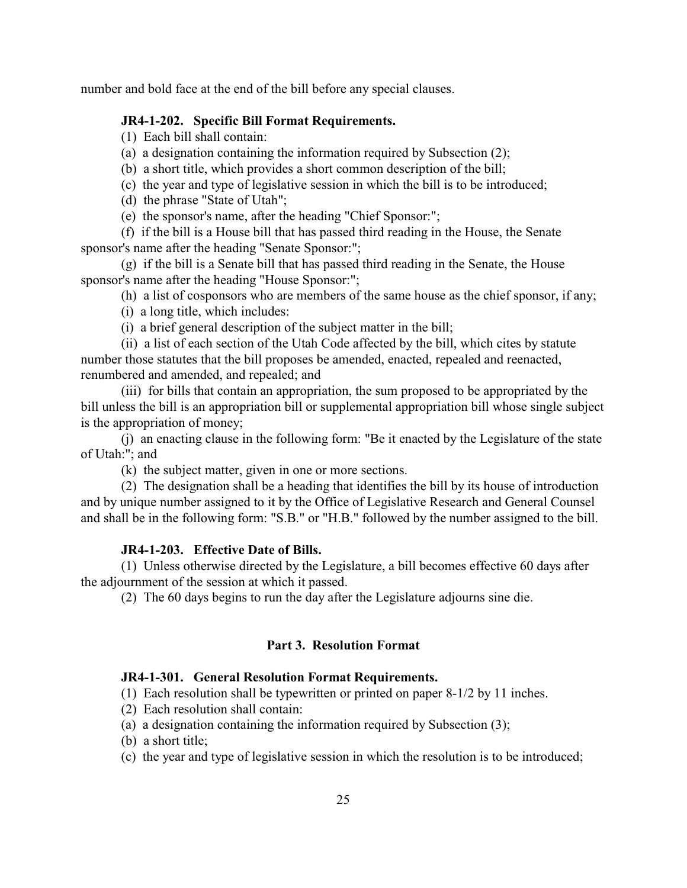number and bold face at the end of the bill before any special clauses.

## <span id="page-25-0"></span>**JR4-1-202. Specific Bill Format Requirements.**

- (1) Each bill shall contain:
- (a) a designation containing the information required by Subsection (2);
- (b) a short title, which provides a short common description of the bill;
- (c) the year and type of legislative session in which the bill is to be introduced;
- (d) the phrase "State of Utah";
- (e) the sponsor's name, after the heading "Chief Sponsor:";

(f) if the bill is a House bill that has passed third reading in the House, the Senate sponsor's name after the heading "Senate Sponsor:";

- (g) if the bill is a Senate bill that has passed third reading in the Senate, the House sponsor's name after the heading "House Sponsor:";
	- (h) a list of cosponsors who are members of the same house as the chief sponsor, if any;
	- (i) a long title, which includes:
	- (i) a brief general description of the subject matter in the bill;
- (ii) a list of each section of the Utah Code affected by the bill, which cites by statute number those statutes that the bill proposes be amended, enacted, repealed and reenacted, renumbered and amended, and repealed; and

(iii) for bills that contain an appropriation, the sum proposed to be appropriated by the bill unless the bill is an appropriation bill or supplemental appropriation bill whose single subject is the appropriation of money;

(j) an enacting clause in the following form: "Be it enacted by the Legislature of the state of Utah:"; and

(k) the subject matter, given in one or more sections.

(2) The designation shall be a heading that identifies the bill by its house of introduction and by unique number assigned to it by the Office of Legislative Research and General Counsel and shall be in the following form: "S.B." or "H.B." followed by the number assigned to the bill.

#### <span id="page-25-1"></span>**JR4-1-203. Effective Date of Bills.**

(1) Unless otherwise directed by the Legislature, a bill becomes effective 60 days after the adjournment of the session at which it passed.

(2) The 60 days begins to run the day after the Legislature adjourns sine die.

#### **Part 3. Resolution Format**

## <span id="page-25-2"></span>**JR4-1-301. General Resolution Format Requirements.**

(1) Each resolution shall be typewritten or printed on paper 8-1/2 by 11 inches.

- (2) Each resolution shall contain:
- (a) a designation containing the information required by Subsection (3);
- (b) a short title;
- (c) the year and type of legislative session in which the resolution is to be introduced;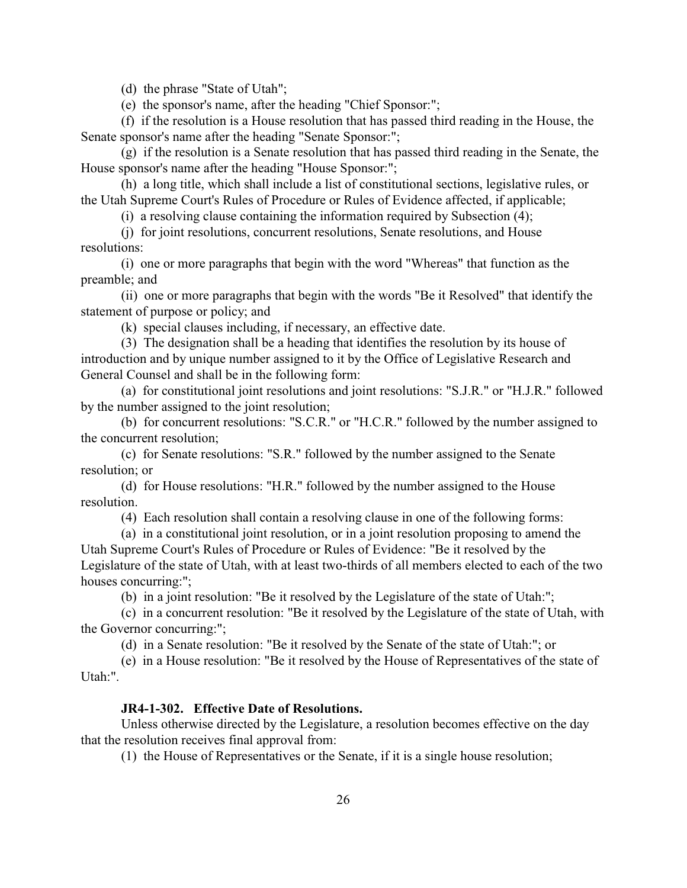(d) the phrase "State of Utah";

(e) the sponsor's name, after the heading "Chief Sponsor:";

(f) if the resolution is a House resolution that has passed third reading in the House, the Senate sponsor's name after the heading "Senate Sponsor:";

(g) if the resolution is a Senate resolution that has passed third reading in the Senate, the House sponsor's name after the heading "House Sponsor:";

(h) a long title, which shall include a list of constitutional sections, legislative rules, or the Utah Supreme Court's Rules of Procedure or Rules of Evidence affected, if applicable;

(i) a resolving clause containing the information required by Subsection (4);

(j) for joint resolutions, concurrent resolutions, Senate resolutions, and House resolutions:

(i) one or more paragraphs that begin with the word "Whereas" that function as the preamble; and

(ii) one or more paragraphs that begin with the words "Be it Resolved" that identify the statement of purpose or policy; and

(k) special clauses including, if necessary, an effective date.

(3) The designation shall be a heading that identifies the resolution by its house of introduction and by unique number assigned to it by the Office of Legislative Research and General Counsel and shall be in the following form:

(a) for constitutional joint resolutions and joint resolutions: "S.J.R." or "H.J.R." followed by the number assigned to the joint resolution;

(b) for concurrent resolutions: "S.C.R." or "H.C.R." followed by the number assigned to the concurrent resolution;

(c) for Senate resolutions: "S.R." followed by the number assigned to the Senate resolution; or

(d) for House resolutions: "H.R." followed by the number assigned to the House resolution.

(4) Each resolution shall contain a resolving clause in one of the following forms:

(a) in a constitutional joint resolution, or in a joint resolution proposing to amend the Utah Supreme Court's Rules of Procedure or Rules of Evidence: "Be it resolved by the Legislature of the state of Utah, with at least two-thirds of all members elected to each of the two houses concurring:";

(b) in a joint resolution: "Be it resolved by the Legislature of the state of Utah:";

(c) in a concurrent resolution: "Be it resolved by the Legislature of the state of Utah, with the Governor concurring:";

(d) in a Senate resolution: "Be it resolved by the Senate of the state of Utah:"; or

(e) in a House resolution: "Be it resolved by the House of Representatives of the state of Utah:".

## <span id="page-26-0"></span>**JR4-1-302. Effective Date of Resolutions.**

Unless otherwise directed by the Legislature, a resolution becomes effective on the day that the resolution receives final approval from:

(1) the House of Representatives or the Senate, if it is a single house resolution;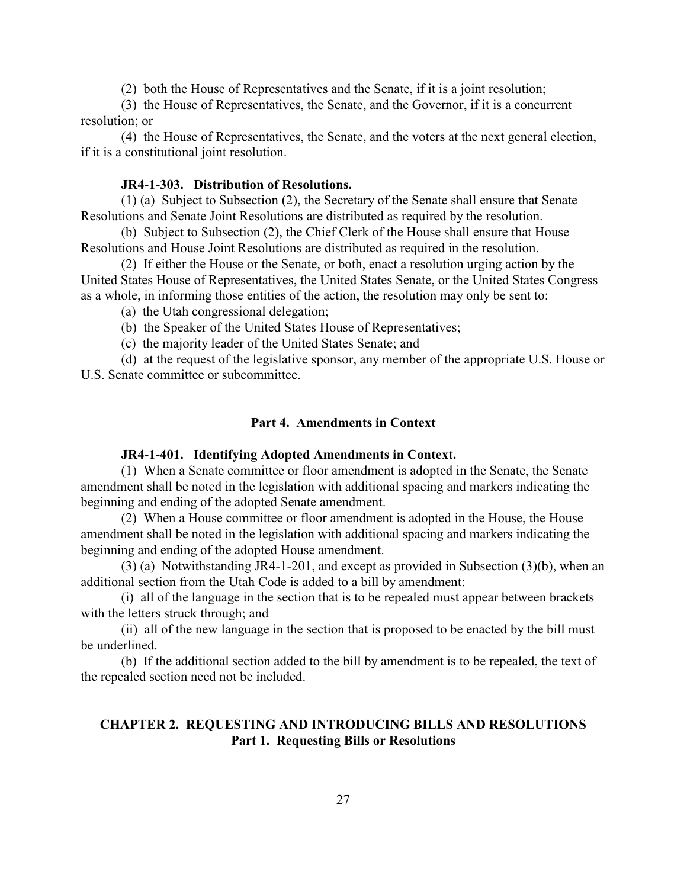(2) both the House of Representatives and the Senate, if it is a joint resolution;

(3) the House of Representatives, the Senate, and the Governor, if it is a concurrent resolution; or

(4) the House of Representatives, the Senate, and the voters at the next general election, if it is a constitutional joint resolution.

## <span id="page-27-0"></span>**JR4-1-303. Distribution of Resolutions.**

(1) (a) Subject to Subsection (2), the Secretary of the Senate shall ensure that Senate Resolutions and Senate Joint Resolutions are distributed as required by the resolution.

(b) Subject to Subsection (2), the Chief Clerk of the House shall ensure that House Resolutions and House Joint Resolutions are distributed as required in the resolution.

(2) If either the House or the Senate, or both, enact a resolution urging action by the United States House of Representatives, the United States Senate, or the United States Congress as a whole, in informing those entities of the action, the resolution may only be sent to:

(a) the Utah congressional delegation;

(b) the Speaker of the United States House of Representatives;

(c) the majority leader of the United States Senate; and

(d) at the request of the legislative sponsor, any member of the appropriate U.S. House or U.S. Senate committee or subcommittee.

#### **Part 4. Amendments in Context**

#### **JR4-1-401. Identifying Adopted Amendments in Context.**

(1) When a Senate committee or floor amendment is adopted in the Senate, the Senate amendment shall be noted in the legislation with additional spacing and markers indicating the beginning and ending of the adopted Senate amendment.

(2) When a House committee or floor amendment is adopted in the House, the House amendment shall be noted in the legislation with additional spacing and markers indicating the beginning and ending of the adopted House amendment.

(3) (a) Notwithstanding JR4-1-201, and except as provided in Subsection (3)(b), when an additional section from the Utah Code is added to a bill by amendment:

(i) all of the language in the section that is to be repealed must appear between brackets with the letters struck through; and

(ii) all of the new language in the section that is proposed to be enacted by the bill must be underlined.

(b) If the additional section added to the bill by amendment is to be repealed, the text of the repealed section need not be included.

## **CHAPTER 2. REQUESTING AND INTRODUCING BILLS AND RESOLUTIONS Part 1. Requesting Bills or Resolutions**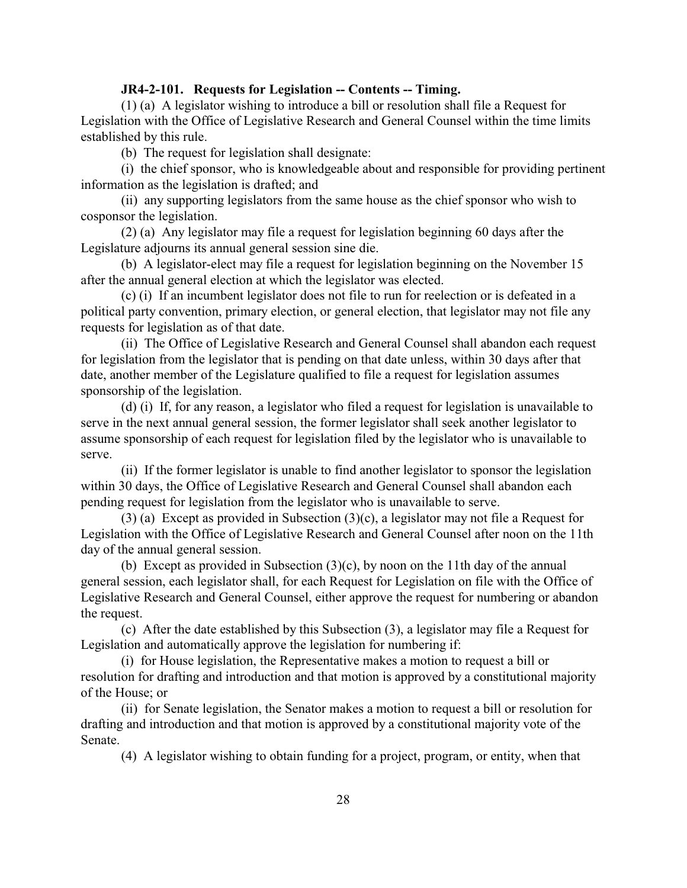#### <span id="page-28-0"></span>**JR4-2-101. Requests for Legislation -- Contents -- Timing.**

(1) (a) A legislator wishing to introduce a bill or resolution shall file a Request for Legislation with the Office of Legislative Research and General Counsel within the time limits established by this rule.

(b) The request for legislation shall designate:

(i) the chief sponsor, who is knowledgeable about and responsible for providing pertinent information as the legislation is drafted; and

(ii) any supporting legislators from the same house as the chief sponsor who wish to cosponsor the legislation.

(2) (a) Any legislator may file a request for legislation beginning 60 days after the Legislature adjourns its annual general session sine die.

(b) A legislator-elect may file a request for legislation beginning on the November 15 after the annual general election at which the legislator was elected.

(c) (i) If an incumbent legislator does not file to run for reelection or is defeated in a political party convention, primary election, or general election, that legislator may not file any requests for legislation as of that date.

(ii) The Office of Legislative Research and General Counsel shall abandon each request for legislation from the legislator that is pending on that date unless, within 30 days after that date, another member of the Legislature qualified to file a request for legislation assumes sponsorship of the legislation.

(d) (i) If, for any reason, a legislator who filed a request for legislation is unavailable to serve in the next annual general session, the former legislator shall seek another legislator to assume sponsorship of each request for legislation filed by the legislator who is unavailable to serve.

(ii) If the former legislator is unable to find another legislator to sponsor the legislation within 30 days, the Office of Legislative Research and General Counsel shall abandon each pending request for legislation from the legislator who is unavailable to serve.

(3) (a) Except as provided in Subsection (3)(c), a legislator may not file a Request for Legislation with the Office of Legislative Research and General Counsel after noon on the 11th day of the annual general session.

(b) Except as provided in Subsection  $(3)(c)$ , by noon on the 11th day of the annual general session, each legislator shall, for each Request for Legislation on file with the Office of Legislative Research and General Counsel, either approve the request for numbering or abandon the request.

(c) After the date established by this Subsection (3), a legislator may file a Request for Legislation and automatically approve the legislation for numbering if:

(i) for House legislation, the Representative makes a motion to request a bill or resolution for drafting and introduction and that motion is approved by a constitutional majority of the House; or

(ii) for Senate legislation, the Senator makes a motion to request a bill or resolution for drafting and introduction and that motion is approved by a constitutional majority vote of the Senate.

(4) A legislator wishing to obtain funding for a project, program, or entity, when that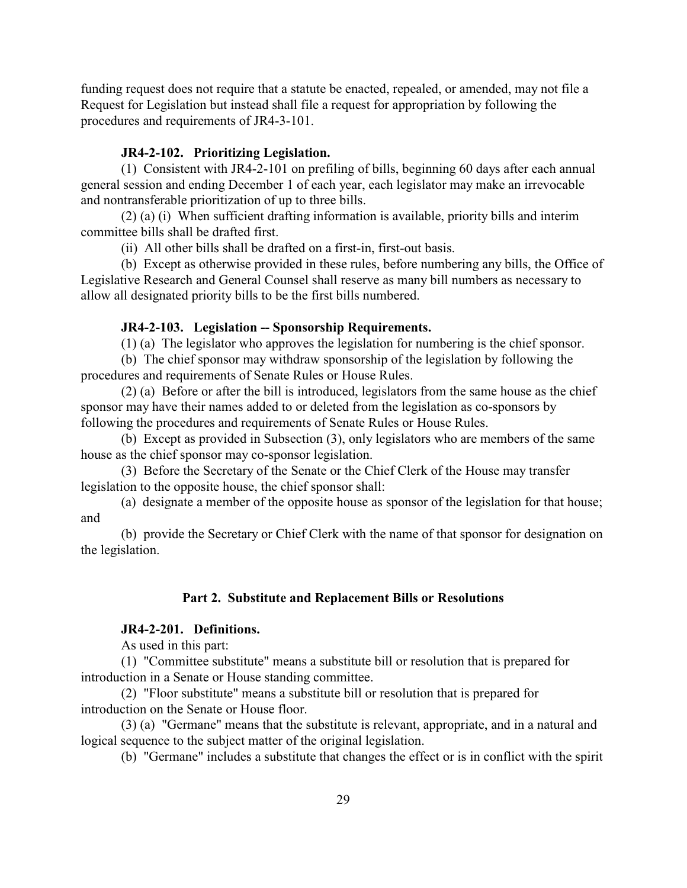funding request does not require that a statute be enacted, repealed, or amended, may not file a Request for Legislation but instead shall file a request for appropriation by following the procedures and requirements of JR4-3-101.

#### <span id="page-29-0"></span>**JR4-2-102. Prioritizing Legislation.**

(1) Consistent with JR4-2-101 on prefiling of bills, beginning 60 days after each annual general session and ending December 1 of each year, each legislator may make an irrevocable and nontransferable prioritization of up to three bills.

(2) (a) (i) When sufficient drafting information is available, priority bills and interim committee bills shall be drafted first.

(ii) All other bills shall be drafted on a first-in, first-out basis.

(b) Except as otherwise provided in these rules, before numbering any bills, the Office of Legislative Research and General Counsel shall reserve as many bill numbers as necessary to allow all designated priority bills to be the first bills numbered.

#### <span id="page-29-1"></span>**JR4-2-103. Legislation -- Sponsorship Requirements.**

(1) (a) The legislator who approves the legislation for numbering is the chief sponsor.

(b) The chief sponsor may withdraw sponsorship of the legislation by following the procedures and requirements of Senate Rules or House Rules.

(2) (a) Before or after the bill is introduced, legislators from the same house as the chief sponsor may have their names added to or deleted from the legislation as co-sponsors by following the procedures and requirements of Senate Rules or House Rules.

(b) Except as provided in Subsection (3), only legislators who are members of the same house as the chief sponsor may co-sponsor legislation.

(3) Before the Secretary of the Senate or the Chief Clerk of the House may transfer legislation to the opposite house, the chief sponsor shall:

(a) designate a member of the opposite house as sponsor of the legislation for that house; and

(b) provide the Secretary or Chief Clerk with the name of that sponsor for designation on the legislation.

## **Part 2. Substitute and Replacement Bills or Resolutions**

## <span id="page-29-2"></span>**JR4-2-201. Definitions.**

As used in this part:

(1) "Committee substitute" means a substitute bill or resolution that is prepared for introduction in a Senate or House standing committee.

(2) "Floor substitute" means a substitute bill or resolution that is prepared for introduction on the Senate or House floor.

(3) (a) "Germane" means that the substitute is relevant, appropriate, and in a natural and logical sequence to the subject matter of the original legislation.

(b) "Germane" includes a substitute that changes the effect or is in conflict with the spirit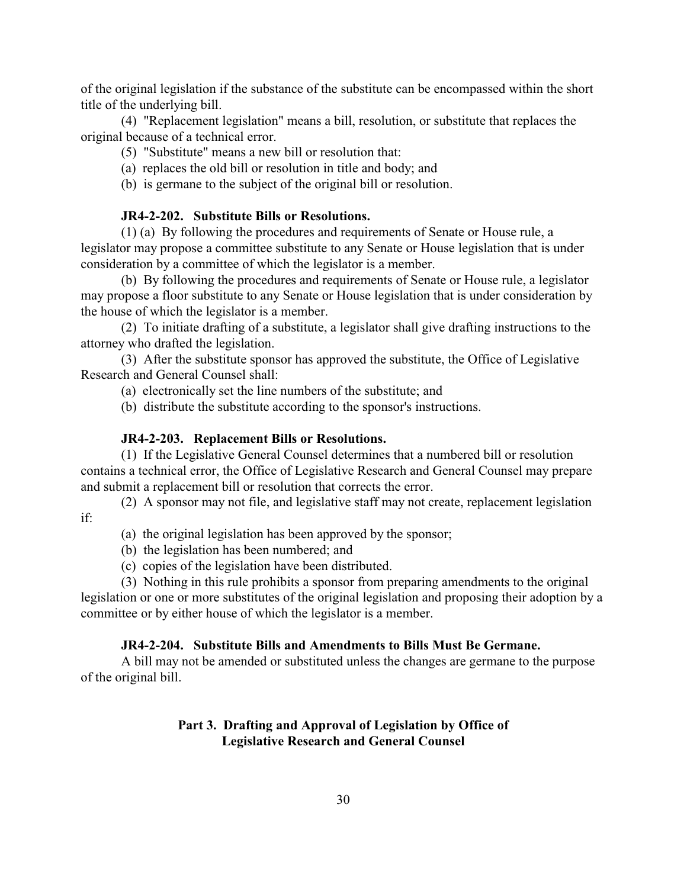of the original legislation if the substance of the substitute can be encompassed within the short title of the underlying bill.

(4) "Replacement legislation" means a bill, resolution, or substitute that replaces the original because of a technical error.

- (5) "Substitute" means a new bill or resolution that:
- (a) replaces the old bill or resolution in title and body; and
- (b) is germane to the subject of the original bill or resolution.

## <span id="page-30-0"></span>**JR4-2-202. Substitute Bills or Resolutions.**

(1) (a) By following the procedures and requirements of Senate or House rule, a legislator may propose a committee substitute to any Senate or House legislation that is under consideration by a committee of which the legislator is a member.

(b) By following the procedures and requirements of Senate or House rule, a legislator may propose a floor substitute to any Senate or House legislation that is under consideration by the house of which the legislator is a member.

(2) To initiate drafting of a substitute, a legislator shall give drafting instructions to the attorney who drafted the legislation.

(3) After the substitute sponsor has approved the substitute, the Office of Legislative Research and General Counsel shall:

(a) electronically set the line numbers of the substitute; and

(b) distribute the substitute according to the sponsor's instructions.

#### <span id="page-30-1"></span>**JR4-2-203. Replacement Bills or Resolutions.**

(1) If the Legislative General Counsel determines that a numbered bill or resolution contains a technical error, the Office of Legislative Research and General Counsel may prepare and submit a replacement bill or resolution that corrects the error.

(2) A sponsor may not file, and legislative staff may not create, replacement legislation if:

- (a) the original legislation has been approved by the sponsor;
- (b) the legislation has been numbered; and
- (c) copies of the legislation have been distributed.

(3) Nothing in this rule prohibits a sponsor from preparing amendments to the original legislation or one or more substitutes of the original legislation and proposing their adoption by a committee or by either house of which the legislator is a member.

#### <span id="page-30-2"></span>**JR4-2-204. Substitute Bills and Amendments to Bills Must Be Germane.**

A bill may not be amended or substituted unless the changes are germane to the purpose of the original bill.

## **Part 3. Drafting and Approval of Legislation by Office of Legislative Research and General Counsel**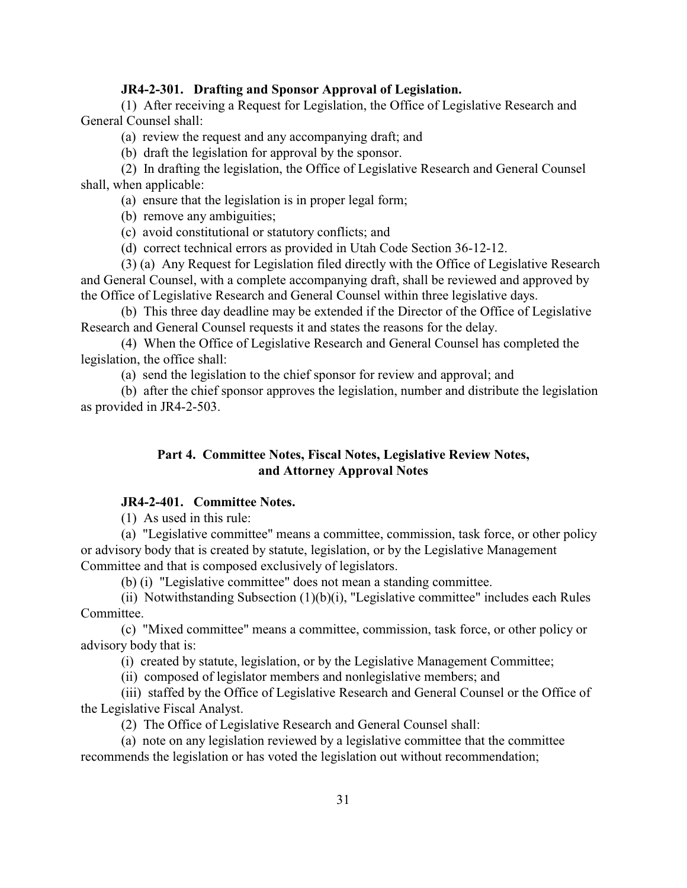#### <span id="page-31-0"></span>**JR4-2-301. Drafting and Sponsor Approval of Legislation.**

(1) After receiving a Request for Legislation, the Office of Legislative Research and General Counsel shall:

(a) review the request and any accompanying draft; and

(b) draft the legislation for approval by the sponsor.

(2) In drafting the legislation, the Office of Legislative Research and General Counsel shall, when applicable:

(a) ensure that the legislation is in proper legal form;

(b) remove any ambiguities;

(c) avoid constitutional or statutory conflicts; and

(d) correct technical errors as provided in Utah Code Section 36-12-12.

(3) (a) Any Request for Legislation filed directly with the Office of Legislative Research and General Counsel, with a complete accompanying draft, shall be reviewed and approved by the Office of Legislative Research and General Counsel within three legislative days.

(b) This three day deadline may be extended if the Director of the Office of Legislative Research and General Counsel requests it and states the reasons for the delay.

(4) When the Office of Legislative Research and General Counsel has completed the legislation, the office shall:

(a) send the legislation to the chief sponsor for review and approval; and

(b) after the chief sponsor approves the legislation, number and distribute the legislation as provided in JR4-2-503.

## **Part 4. Committee Notes, Fiscal Notes, Legislative Review Notes, and Attorney Approval Notes**

## <span id="page-31-1"></span>**JR4-2-401. Committee Notes.**

(1) As used in this rule:

(a) "Legislative committee" means a committee, commission, task force, or other policy or advisory body that is created by statute, legislation, or by the Legislative Management Committee and that is composed exclusively of legislators.

(b) (i) "Legislative committee" does not mean a standing committee.

(ii) Notwithstanding Subsection  $(1)(b)(i)$ , "Legislative committee" includes each Rules Committee.

(c) "Mixed committee" means a committee, commission, task force, or other policy or advisory body that is:

(i) created by statute, legislation, or by the Legislative Management Committee;

(ii) composed of legislator members and nonlegislative members; and

(iii) staffed by the Office of Legislative Research and General Counsel or the Office of the Legislative Fiscal Analyst.

(2) The Office of Legislative Research and General Counsel shall:

(a) note on any legislation reviewed by a legislative committee that the committee recommends the legislation or has voted the legislation out without recommendation;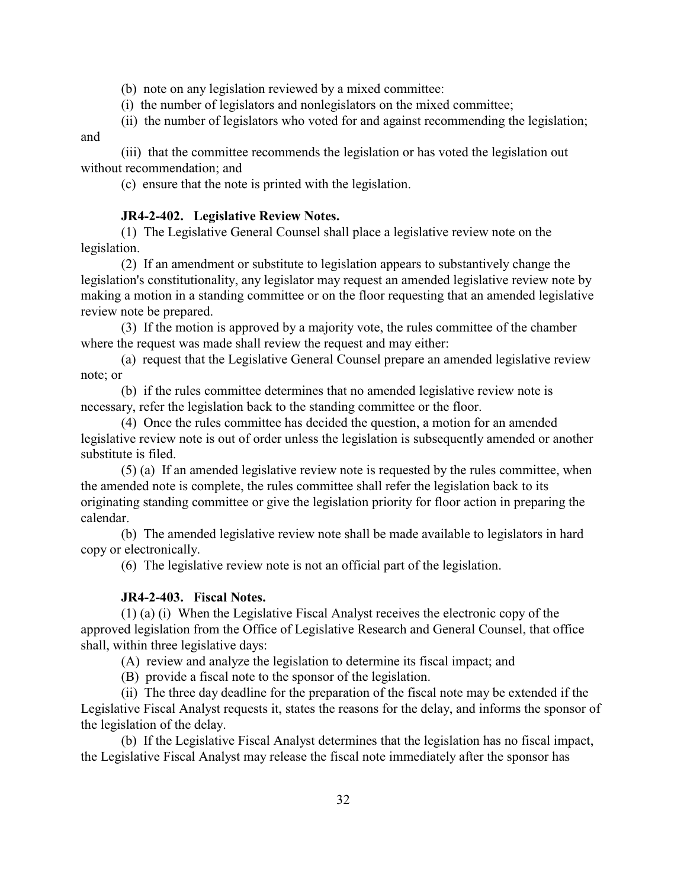(b) note on any legislation reviewed by a mixed committee:

(i) the number of legislators and nonlegislators on the mixed committee;

(ii) the number of legislators who voted for and against recommending the legislation; and

(iii) that the committee recommends the legislation or has voted the legislation out without recommendation; and

(c) ensure that the note is printed with the legislation.

#### <span id="page-32-0"></span>**JR4-2-402. Legislative Review Notes.**

(1) The Legislative General Counsel shall place a legislative review note on the legislation.

(2) If an amendment or substitute to legislation appears to substantively change the legislation's constitutionality, any legislator may request an amended legislative review note by making a motion in a standing committee or on the floor requesting that an amended legislative review note be prepared.

(3) If the motion is approved by a majority vote, the rules committee of the chamber where the request was made shall review the request and may either:

(a) request that the Legislative General Counsel prepare an amended legislative review note; or

(b) if the rules committee determines that no amended legislative review note is necessary, refer the legislation back to the standing committee or the floor.

(4) Once the rules committee has decided the question, a motion for an amended legislative review note is out of order unless the legislation is subsequently amended or another substitute is filed.

(5) (a) If an amended legislative review note is requested by the rules committee, when the amended note is complete, the rules committee shall refer the legislation back to its originating standing committee or give the legislation priority for floor action in preparing the calendar.

(b) The amended legislative review note shall be made available to legislators in hard copy or electronically.

(6) The legislative review note is not an official part of the legislation.

#### <span id="page-32-1"></span>**JR4-2-403. Fiscal Notes.**

(1) (a) (i) When the Legislative Fiscal Analyst receives the electronic copy of the approved legislation from the Office of Legislative Research and General Counsel, that office shall, within three legislative days:

(A) review and analyze the legislation to determine its fiscal impact; and

(B) provide a fiscal note to the sponsor of the legislation.

(ii) The three day deadline for the preparation of the fiscal note may be extended if the Legislative Fiscal Analyst requests it, states the reasons for the delay, and informs the sponsor of the legislation of the delay.

(b) If the Legislative Fiscal Analyst determines that the legislation has no fiscal impact, the Legislative Fiscal Analyst may release the fiscal note immediately after the sponsor has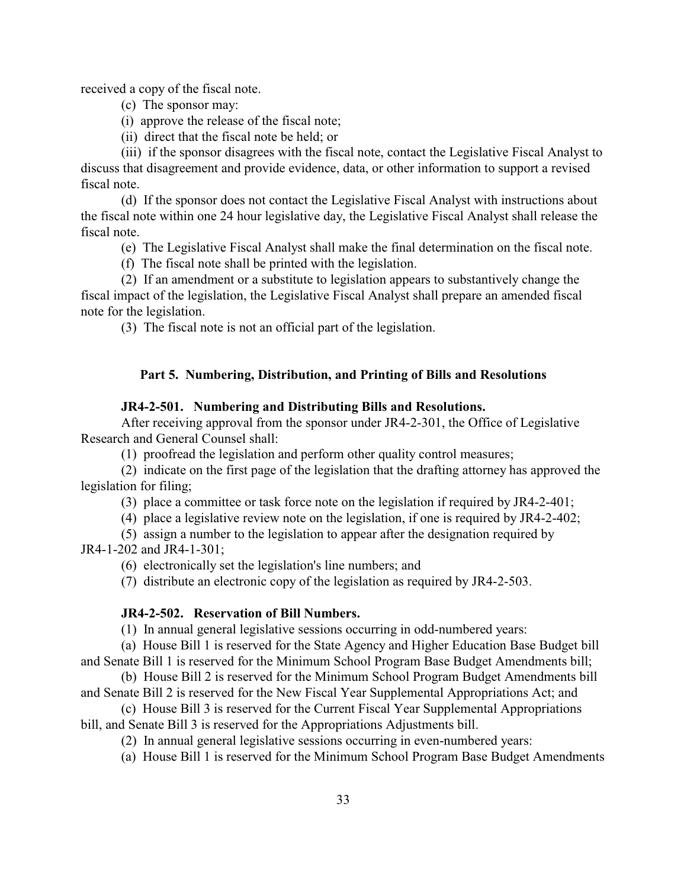received a copy of the fiscal note.

- (c) The sponsor may:
- (i) approve the release of the fiscal note;
- (ii) direct that the fiscal note be held; or

(iii) if the sponsor disagrees with the fiscal note, contact the Legislative Fiscal Analyst to discuss that disagreement and provide evidence, data, or other information to support a revised fiscal note.

(d) If the sponsor does not contact the Legislative Fiscal Analyst with instructions about the fiscal note within one 24 hour legislative day, the Legislative Fiscal Analyst shall release the fiscal note.

(e) The Legislative Fiscal Analyst shall make the final determination on the fiscal note.

(f) The fiscal note shall be printed with the legislation.

(2) If an amendment or a substitute to legislation appears to substantively change the fiscal impact of the legislation, the Legislative Fiscal Analyst shall prepare an amended fiscal note for the legislation.

(3) The fiscal note is not an official part of the legislation.

#### **Part 5. Numbering, Distribution, and Printing of Bills and Resolutions**

#### <span id="page-33-0"></span>**JR4-2-501. Numbering and Distributing Bills and Resolutions.**

After receiving approval from the sponsor under JR4-2-301, the Office of Legislative Research and General Counsel shall:

(1) proofread the legislation and perform other quality control measures;

(2) indicate on the first page of the legislation that the drafting attorney has approved the legislation for filing;

(3) place a committee or task force note on the legislation if required by JR4-2-401;

(4) place a legislative review note on the legislation, if one is required by JR4-2-402;

(5) assign a number to the legislation to appear after the designation required by

JR4-1-202 and JR4-1-301;

(6) electronically set the legislation's line numbers; and

(7) distribute an electronic copy of the legislation as required by JR4-2-503.

#### <span id="page-33-1"></span>**JR4-2-502. Reservation of Bill Numbers.**

(1) In annual general legislative sessions occurring in odd-numbered years:

(a) House Bill 1 is reserved for the State Agency and Higher Education Base Budget bill and Senate Bill 1 is reserved for the Minimum School Program Base Budget Amendments bill;

(b) House Bill 2 is reserved for the Minimum School Program Budget Amendments bill and Senate Bill 2 is reserved for the New Fiscal Year Supplemental Appropriations Act; and

(c) House Bill 3 is reserved for the Current Fiscal Year Supplemental Appropriations bill, and Senate Bill 3 is reserved for the Appropriations Adjustments bill.

(2) In annual general legislative sessions occurring in even-numbered years:

(a) House Bill 1 is reserved for the Minimum School Program Base Budget Amendments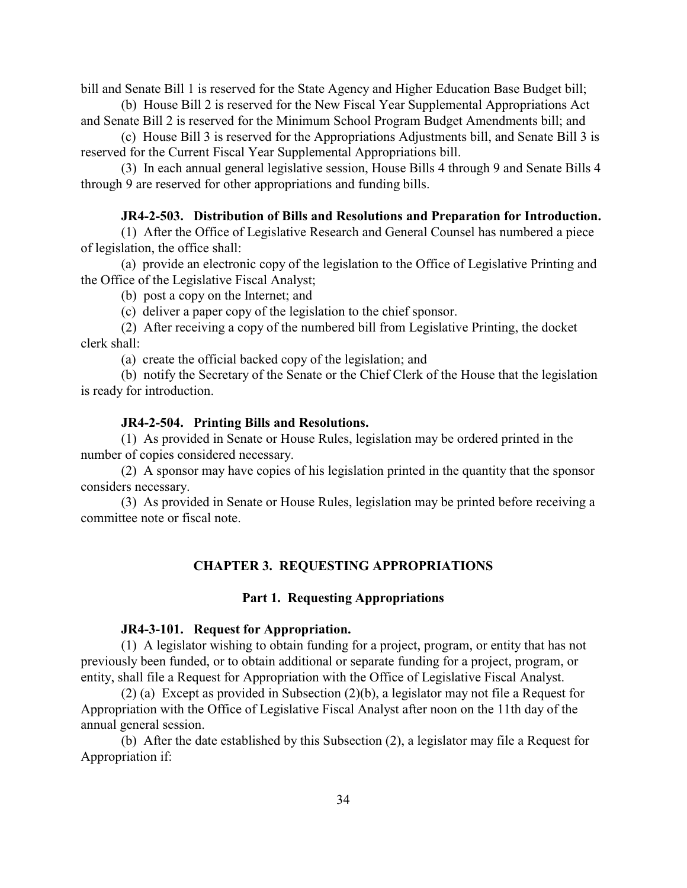bill and Senate Bill 1 is reserved for the State Agency and Higher Education Base Budget bill;

(b) House Bill 2 is reserved for the New Fiscal Year Supplemental Appropriations Act and Senate Bill 2 is reserved for the Minimum School Program Budget Amendments bill; and

(c) House Bill 3 is reserved for the Appropriations Adjustments bill, and Senate Bill 3 is reserved for the Current Fiscal Year Supplemental Appropriations bill.

(3) In each annual general legislative session, House Bills 4 through 9 and Senate Bills 4 through 9 are reserved for other appropriations and funding bills.

#### <span id="page-34-0"></span>**JR4-2-503. Distribution of Bills and Resolutions and Preparation for Introduction.**

(1) After the Office of Legislative Research and General Counsel has numbered a piece of legislation, the office shall:

(a) provide an electronic copy of the legislation to the Office of Legislative Printing and the Office of the Legislative Fiscal Analyst;

(b) post a copy on the Internet; and

(c) deliver a paper copy of the legislation to the chief sponsor.

(2) After receiving a copy of the numbered bill from Legislative Printing, the docket clerk shall:

(a) create the official backed copy of the legislation; and

(b) notify the Secretary of the Senate or the Chief Clerk of the House that the legislation is ready for introduction.

#### <span id="page-34-1"></span>**JR4-2-504. Printing Bills and Resolutions.**

(1) As provided in Senate or House Rules, legislation may be ordered printed in the number of copies considered necessary.

(2) A sponsor may have copies of his legislation printed in the quantity that the sponsor considers necessary.

(3) As provided in Senate or House Rules, legislation may be printed before receiving a committee note or fiscal note.

#### **CHAPTER 3. REQUESTING APPROPRIATIONS**

#### **Part 1. Requesting Appropriations**

#### <span id="page-34-2"></span>**JR4-3-101. Request for Appropriation.**

(1) A legislator wishing to obtain funding for a project, program, or entity that has not previously been funded, or to obtain additional or separate funding for a project, program, or entity, shall file a Request for Appropriation with the Office of Legislative Fiscal Analyst.

(2) (a) Except as provided in Subsection (2)(b), a legislator may not file a Request for Appropriation with the Office of Legislative Fiscal Analyst after noon on the 11th day of the annual general session.

(b) After the date established by this Subsection (2), a legislator may file a Request for Appropriation if: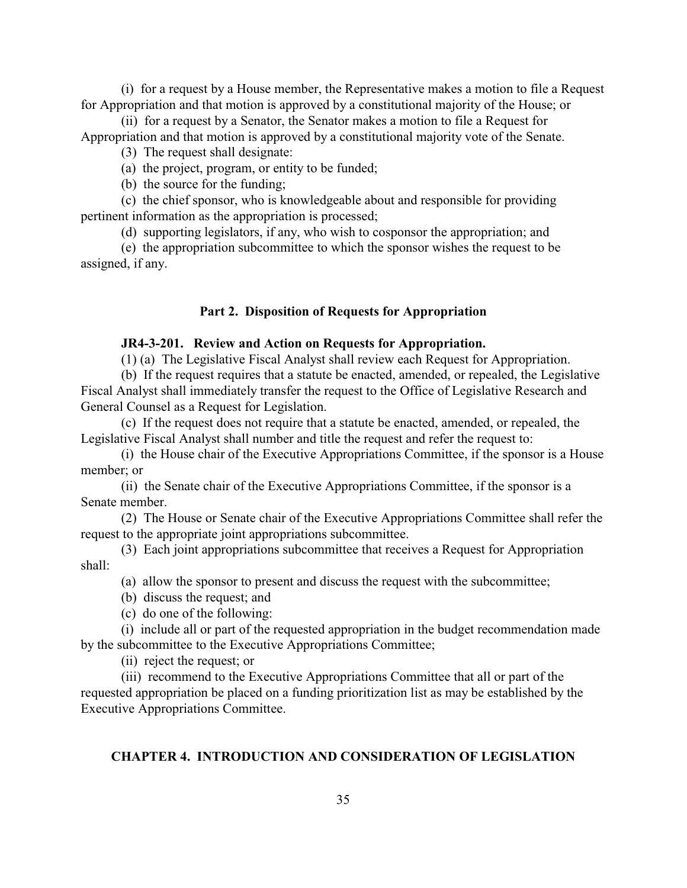(i) for a request by a House member, the Representative makes a motion to file a Request for Appropriation and that motion is approved by a constitutional majority of the House; or

(ii) for a request by a Senator, the Senator makes a motion to file a Request for Appropriation and that motion is approved by a constitutional majority vote of the Senate.

- (3) The request shall designate:
- (a) the project, program, or entity to be funded;
- (b) the source for the funding;

(c) the chief sponsor, who is knowledgeable about and responsible for providing pertinent information as the appropriation is processed;

(d) supporting legislators, if any, who wish to cosponsor the appropriation; and

(e) the appropriation subcommittee to which the sponsor wishes the request to be assigned, if any.

#### **Part 2. Disposition of Requests for Appropriation**

#### <span id="page-35-0"></span>**JR4-3-201. Review and Action on Requests for Appropriation.**

(1) (a) The Legislative Fiscal Analyst shall review each Request for Appropriation.

(b) If the request requires that a statute be enacted, amended, or repealed, the Legislative Fiscal Analyst shall immediately transfer the request to the Office of Legislative Research and General Counsel as a Request for Legislation.

(c) If the request does not require that a statute be enacted, amended, or repealed, the Legislative Fiscal Analyst shall number and title the request and refer the request to:

(i) the House chair of the Executive Appropriations Committee, if the sponsor is a House member; or

(ii) the Senate chair of the Executive Appropriations Committee, if the sponsor is a Senate member.

(2) The House or Senate chair of the Executive Appropriations Committee shall refer the request to the appropriate joint appropriations subcommittee.

- (3) Each joint appropriations subcommittee that receives a Request for Appropriation shall:
	- (a) allow the sponsor to present and discuss the request with the subcommittee;
	- (b) discuss the request; and
	- (c) do one of the following:

(i) include all or part of the requested appropriation in the budget recommendation made by the subcommittee to the Executive Appropriations Committee;

(ii) reject the request; or

(iii) recommend to the Executive Appropriations Committee that all or part of the requested appropriation be placed on a funding prioritization list as may be established by the Executive Appropriations Committee.

#### **CHAPTER 4. INTRODUCTION AND CONSIDERATION OF LEGISLATION**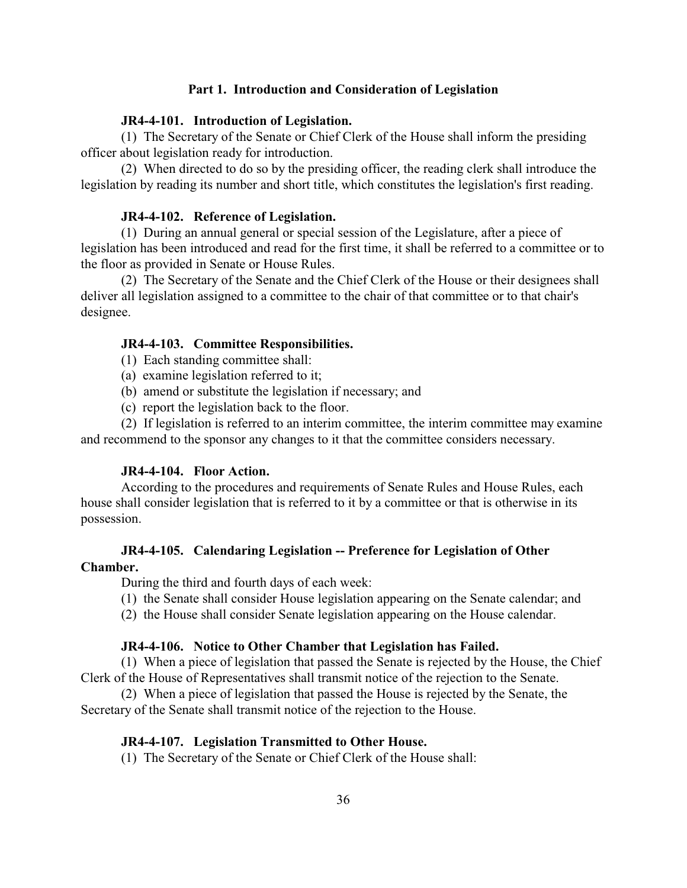## **Part 1. Introduction and Consideration of Legislation**

#### **JR4-4-101. Introduction of Legislation.**

(1) The Secretary of the Senate or Chief Clerk of the House shall inform the presiding officer about legislation ready for introduction.

(2) When directed to do so by the presiding officer, the reading clerk shall introduce the legislation by reading its number and short title, which constitutes the legislation's first reading.

#### **JR4-4-102. Reference of Legislation.**

(1) During an annual general or special session of the Legislature, after a piece of legislation has been introduced and read for the first time, it shall be referred to a committee or to the floor as provided in Senate or House Rules.

(2) The Secretary of the Senate and the Chief Clerk of the House or their designees shall deliver all legislation assigned to a committee to the chair of that committee or to that chair's designee.

#### **JR4-4-103. Committee Responsibilities.**

- (1) Each standing committee shall:
- (a) examine legislation referred to it;
- (b) amend or substitute the legislation if necessary; and
- (c) report the legislation back to the floor.

(2) If legislation is referred to an interim committee, the interim committee may examine and recommend to the sponsor any changes to it that the committee considers necessary.

## **JR4-4-104. Floor Action.**

According to the procedures and requirements of Senate Rules and House Rules, each house shall consider legislation that is referred to it by a committee or that is otherwise in its possession.

## **JR4-4-105. Calendaring Legislation -- Preference for Legislation of Other Chamber.**

During the third and fourth days of each week:

- (1) the Senate shall consider House legislation appearing on the Senate calendar; and
- (2) the House shall consider Senate legislation appearing on the House calendar.

### **JR4-4-106. Notice to Other Chamber that Legislation has Failed.**

(1) When a piece of legislation that passed the Senate is rejected by the House, the Chief Clerk of the House of Representatives shall transmit notice of the rejection to the Senate.

(2) When a piece of legislation that passed the House is rejected by the Senate, the Secretary of the Senate shall transmit notice of the rejection to the House.

#### **JR4-4-107. Legislation Transmitted to Other House.**

(1) The Secretary of the Senate or Chief Clerk of the House shall: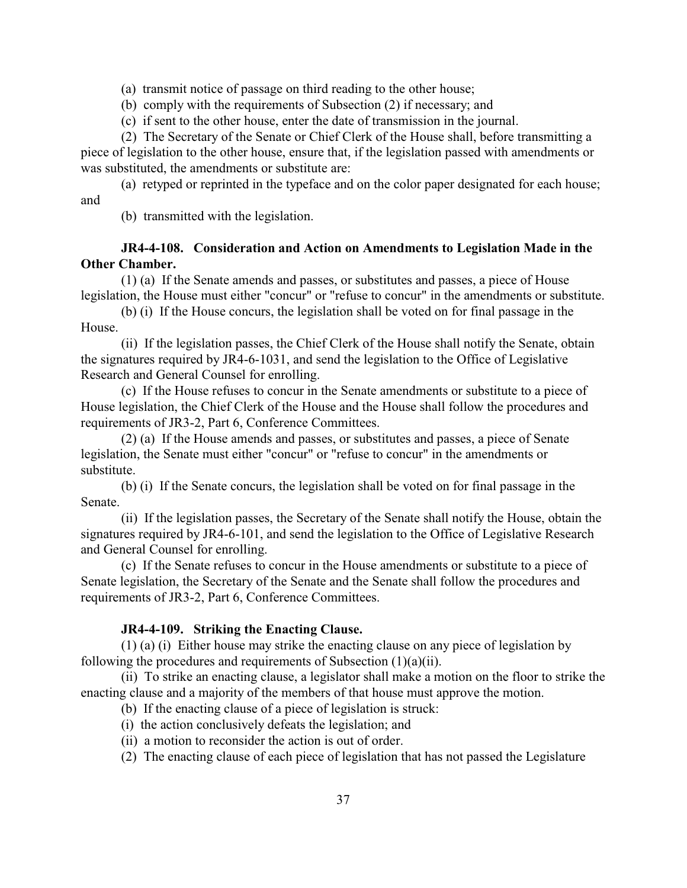(a) transmit notice of passage on third reading to the other house;

(b) comply with the requirements of Subsection (2) if necessary; and

(c) if sent to the other house, enter the date of transmission in the journal.

(2) The Secretary of the Senate or Chief Clerk of the House shall, before transmitting a

piece of legislation to the other house, ensure that, if the legislation passed with amendments or was substituted, the amendments or substitute are:

(a) retyped or reprinted in the typeface and on the color paper designated for each house; and

(b) transmitted with the legislation.

# **JR4-4-108. Consideration and Action on Amendments to Legislation Made in the Other Chamber.**

(1) (a) If the Senate amends and passes, or substitutes and passes, a piece of House legislation, the House must either "concur" or "refuse to concur" in the amendments or substitute.

(b) (i) If the House concurs, the legislation shall be voted on for final passage in the House.

(ii) If the legislation passes, the Chief Clerk of the House shall notify the Senate, obtain the signatures required by JR4-6-1031, and send the legislation to the Office of Legislative Research and General Counsel for enrolling.

(c) If the House refuses to concur in the Senate amendments or substitute to a piece of House legislation, the Chief Clerk of the House and the House shall follow the procedures and requirements of JR3-2, Part 6, Conference Committees.

(2) (a) If the House amends and passes, or substitutes and passes, a piece of Senate legislation, the Senate must either "concur" or "refuse to concur" in the amendments or substitute.

(b) (i) If the Senate concurs, the legislation shall be voted on for final passage in the Senate.

(ii) If the legislation passes, the Secretary of the Senate shall notify the House, obtain the signatures required by JR4-6-101, and send the legislation to the Office of Legislative Research and General Counsel for enrolling.

(c) If the Senate refuses to concur in the House amendments or substitute to a piece of Senate legislation, the Secretary of the Senate and the Senate shall follow the procedures and requirements of JR3-2, Part 6, Conference Committees.

## **JR4-4-109. Striking the Enacting Clause.**

(1) (a) (i) Either house may strike the enacting clause on any piece of legislation by following the procedures and requirements of Subsection (1)(a)(ii).

(ii) To strike an enacting clause, a legislator shall make a motion on the floor to strike the enacting clause and a majority of the members of that house must approve the motion.

(b) If the enacting clause of a piece of legislation is struck:

(i) the action conclusively defeats the legislation; and

- (ii) a motion to reconsider the action is out of order.
- (2) The enacting clause of each piece of legislation that has not passed the Legislature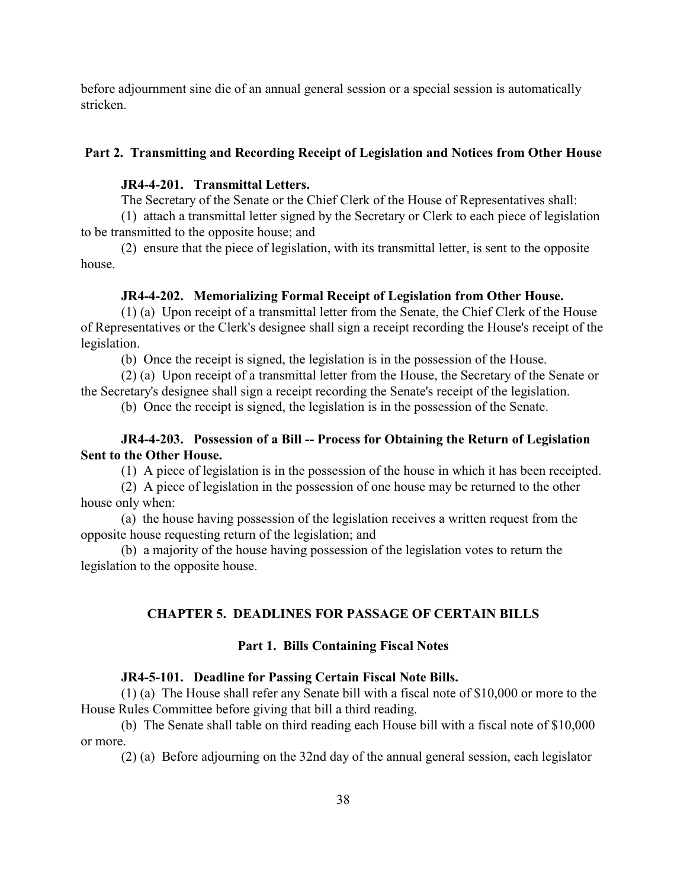before adjournment sine die of an annual general session or a special session is automatically stricken.

## **Part 2. Transmitting and Recording Receipt of Legislation and Notices from Other House**

## **JR4-4-201. Transmittal Letters.**

The Secretary of the Senate or the Chief Clerk of the House of Representatives shall:

(1) attach a transmittal letter signed by the Secretary or Clerk to each piece of legislation to be transmitted to the opposite house; and

(2) ensure that the piece of legislation, with its transmittal letter, is sent to the opposite house.

### **JR4-4-202. Memorializing Formal Receipt of Legislation from Other House.**

(1) (a) Upon receipt of a transmittal letter from the Senate, the Chief Clerk of the House of Representatives or the Clerk's designee shall sign a receipt recording the House's receipt of the legislation.

(b) Once the receipt is signed, the legislation is in the possession of the House.

(2) (a) Upon receipt of a transmittal letter from the House, the Secretary of the Senate or the Secretary's designee shall sign a receipt recording the Senate's receipt of the legislation.

(b) Once the receipt is signed, the legislation is in the possession of the Senate.

## **JR4-4-203. Possession of a Bill -- Process for Obtaining the Return of Legislation Sent to the Other House.**

(1) A piece of legislation is in the possession of the house in which it has been receipted.

(2) A piece of legislation in the possession of one house may be returned to the other house only when:

(a) the house having possession of the legislation receives a written request from the opposite house requesting return of the legislation; and

(b) a majority of the house having possession of the legislation votes to return the legislation to the opposite house.

## **CHAPTER 5. DEADLINES FOR PASSAGE OF CERTAIN BILLS**

#### **Part 1. Bills Containing Fiscal Notes**

#### **JR4-5-101. Deadline for Passing Certain Fiscal Note Bills.**

(1) (a) The House shall refer any Senate bill with a fiscal note of \$10,000 or more to the House Rules Committee before giving that bill a third reading.

(b) The Senate shall table on third reading each House bill with a fiscal note of \$10,000 or more.

(2) (a) Before adjourning on the 32nd day of the annual general session, each legislator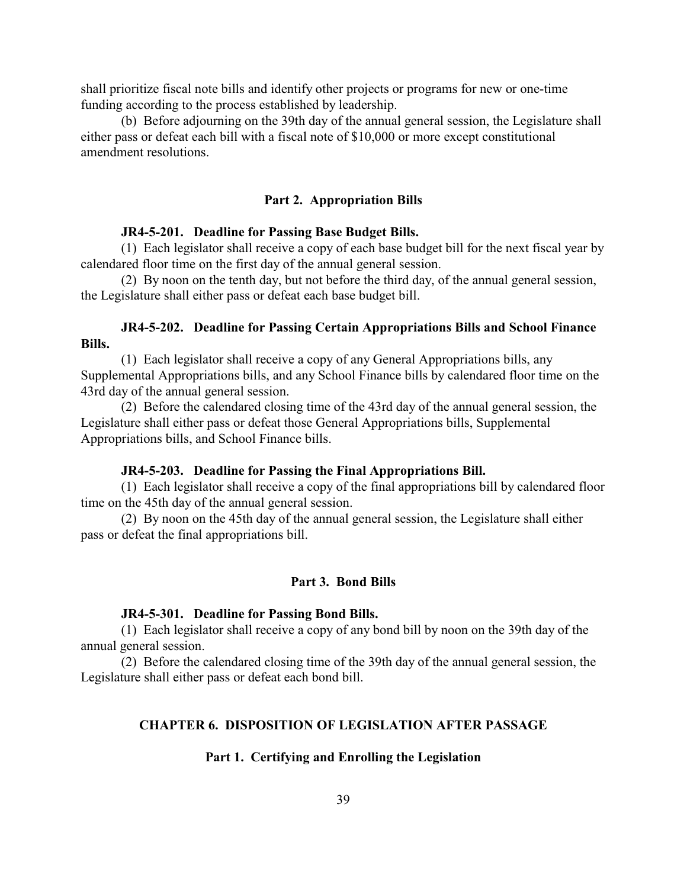shall prioritize fiscal note bills and identify other projects or programs for new or one-time funding according to the process established by leadership.

(b) Before adjourning on the 39th day of the annual general session, the Legislature shall either pass or defeat each bill with a fiscal note of \$10,000 or more except constitutional amendment resolutions.

#### **Part 2. Appropriation Bills**

#### **JR4-5-201. Deadline for Passing Base Budget Bills.**

(1) Each legislator shall receive a copy of each base budget bill for the next fiscal year by calendared floor time on the first day of the annual general session.

(2) By noon on the tenth day, but not before the third day, of the annual general session, the Legislature shall either pass or defeat each base budget bill.

## **JR4-5-202. Deadline for Passing Certain Appropriations Bills and School Finance Bills.**

(1) Each legislator shall receive a copy of any General Appropriations bills, any Supplemental Appropriations bills, and any School Finance bills by calendared floor time on the 43rd day of the annual general session.

(2) Before the calendared closing time of the 43rd day of the annual general session, the Legislature shall either pass or defeat those General Appropriations bills, Supplemental Appropriations bills, and School Finance bills.

### **JR4-5-203. Deadline for Passing the Final Appropriations Bill.**

(1) Each legislator shall receive a copy of the final appropriations bill by calendared floor time on the 45th day of the annual general session.

(2) By noon on the 45th day of the annual general session, the Legislature shall either pass or defeat the final appropriations bill.

#### **Part 3. Bond Bills**

### **JR4-5-301. Deadline for Passing Bond Bills.**

(1) Each legislator shall receive a copy of any bond bill by noon on the 39th day of the annual general session.

(2) Before the calendared closing time of the 39th day of the annual general session, the Legislature shall either pass or defeat each bond bill.

### **CHAPTER 6. DISPOSITION OF LEGISLATION AFTER PASSAGE**

#### **Part 1. Certifying and Enrolling the Legislation**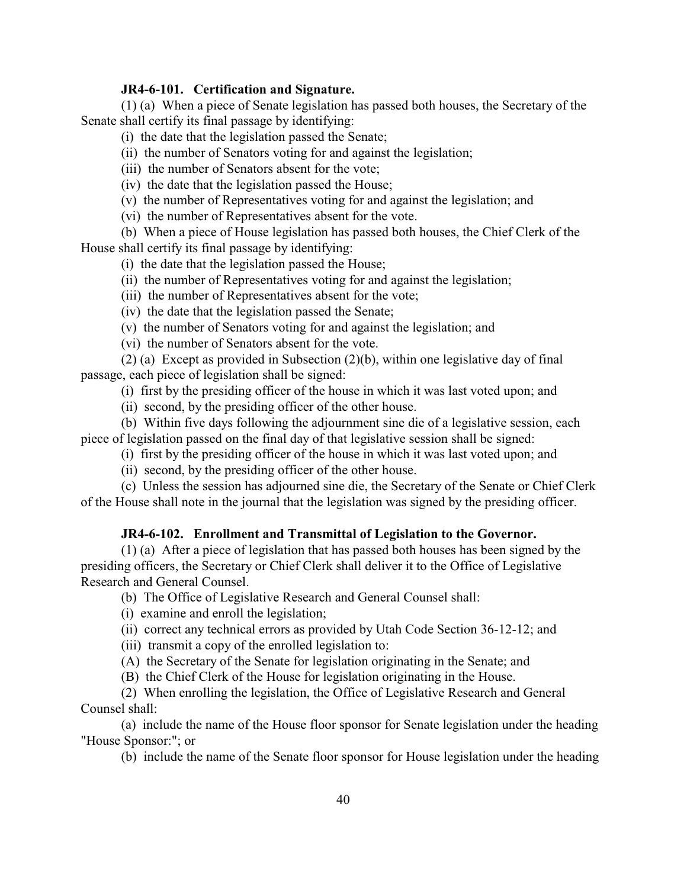## **JR4-6-101. Certification and Signature.**

(1) (a) When a piece of Senate legislation has passed both houses, the Secretary of the Senate shall certify its final passage by identifying:

(i) the date that the legislation passed the Senate;

(ii) the number of Senators voting for and against the legislation;

(iii) the number of Senators absent for the vote;

(iv) the date that the legislation passed the House;

(v) the number of Representatives voting for and against the legislation; and

(vi) the number of Representatives absent for the vote.

(b) When a piece of House legislation has passed both houses, the Chief Clerk of the House shall certify its final passage by identifying:

(i) the date that the legislation passed the House;

(ii) the number of Representatives voting for and against the legislation;

(iii) the number of Representatives absent for the vote;

(iv) the date that the legislation passed the Senate;

(v) the number of Senators voting for and against the legislation; and

(vi) the number of Senators absent for the vote.

(2) (a) Except as provided in Subsection (2)(b), within one legislative day of final passage, each piece of legislation shall be signed:

(i) first by the presiding officer of the house in which it was last voted upon; and

(ii) second, by the presiding officer of the other house.

(b) Within five days following the adjournment sine die of a legislative session, each piece of legislation passed on the final day of that legislative session shall be signed:

(i) first by the presiding officer of the house in which it was last voted upon; and

(ii) second, by the presiding officer of the other house.

(c) Unless the session has adjourned sine die, the Secretary of the Senate or Chief Clerk of the House shall note in the journal that the legislation was signed by the presiding officer.

## **JR4-6-102. Enrollment and Transmittal of Legislation to the Governor.**

(1) (a) After a piece of legislation that has passed both houses has been signed by the presiding officers, the Secretary or Chief Clerk shall deliver it to the Office of Legislative Research and General Counsel.

(b) The Office of Legislative Research and General Counsel shall:

(i) examine and enroll the legislation;

(ii) correct any technical errors as provided by Utah Code Section 36-12-12; and

(iii) transmit a copy of the enrolled legislation to:

(A) the Secretary of the Senate for legislation originating in the Senate; and

(B) the Chief Clerk of the House for legislation originating in the House.

(2) When enrolling the legislation, the Office of Legislative Research and General Counsel shall:

(a) include the name of the House floor sponsor for Senate legislation under the heading "House Sponsor:"; or

(b) include the name of the Senate floor sponsor for House legislation under the heading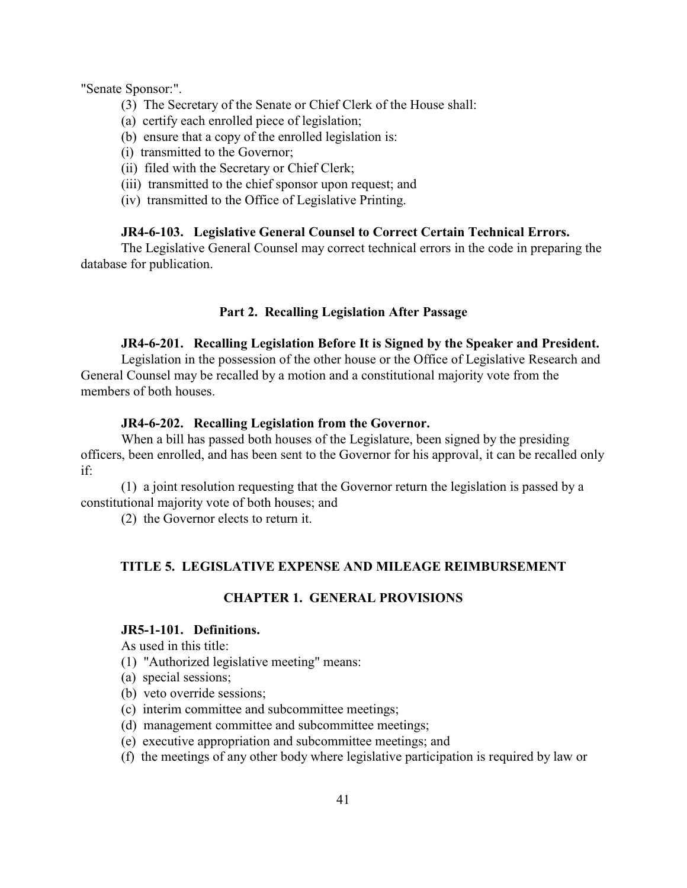"Senate Sponsor:".

- (3) The Secretary of the Senate or Chief Clerk of the House shall:
- (a) certify each enrolled piece of legislation;
- (b) ensure that a copy of the enrolled legislation is:
- (i) transmitted to the Governor;
- (ii) filed with the Secretary or Chief Clerk;
- (iii) transmitted to the chief sponsor upon request; and
- (iv) transmitted to the Office of Legislative Printing.

## **JR4-6-103. Legislative General Counsel to Correct Certain Technical Errors.**

The Legislative General Counsel may correct technical errors in the code in preparing the database for publication.

## **Part 2. Recalling Legislation After Passage**

## **JR4-6-201. Recalling Legislation Before It is Signed by the Speaker and President.**

Legislation in the possession of the other house or the Office of Legislative Research and General Counsel may be recalled by a motion and a constitutional majority vote from the members of both houses.

## **JR4-6-202. Recalling Legislation from the Governor.**

When a bill has passed both houses of the Legislature, been signed by the presiding officers, been enrolled, and has been sent to the Governor for his approval, it can be recalled only if:

(1) a joint resolution requesting that the Governor return the legislation is passed by a constitutional majority vote of both houses; and

(2) the Governor elects to return it.

## **TITLE 5. LEGISLATIVE EXPENSE AND MILEAGE REIMBURSEMENT**

## **CHAPTER 1. GENERAL PROVISIONS**

# **JR5-1-101. Definitions.**

As used in this title:

- (1) "Authorized legislative meeting" means:
- (a) special sessions;
- (b) veto override sessions;
- (c) interim committee and subcommittee meetings;
- (d) management committee and subcommittee meetings;
- (e) executive appropriation and subcommittee meetings; and
- (f) the meetings of any other body where legislative participation is required by law or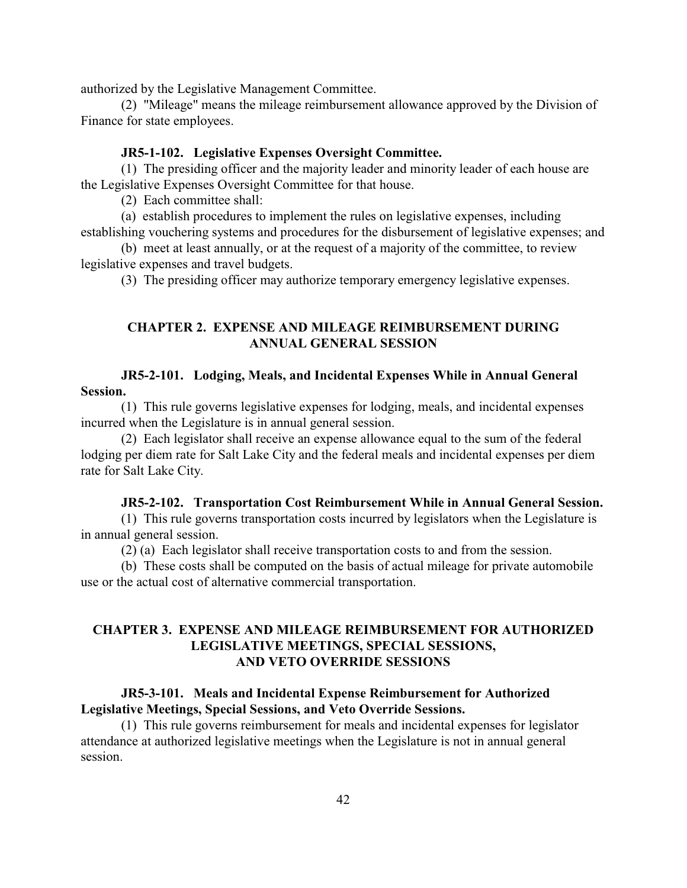authorized by the Legislative Management Committee.

(2) "Mileage" means the mileage reimbursement allowance approved by the Division of Finance for state employees.

### **JR5-1-102. Legislative Expenses Oversight Committee.**

(1) The presiding officer and the majority leader and minority leader of each house are the Legislative Expenses Oversight Committee for that house.

(2) Each committee shall:

(a) establish procedures to implement the rules on legislative expenses, including establishing vouchering systems and procedures for the disbursement of legislative expenses; and

(b) meet at least annually, or at the request of a majority of the committee, to review legislative expenses and travel budgets.

(3) The presiding officer may authorize temporary emergency legislative expenses.

# **CHAPTER 2. EXPENSE AND MILEAGE REIMBURSEMENT DURING ANNUAL GENERAL SESSION**

## **JR5-2-101. Lodging, Meals, and Incidental Expenses While in Annual General Session.**

(1) This rule governs legislative expenses for lodging, meals, and incidental expenses incurred when the Legislature is in annual general session.

(2) Each legislator shall receive an expense allowance equal to the sum of the federal lodging per diem rate for Salt Lake City and the federal meals and incidental expenses per diem rate for Salt Lake City.

## **JR5-2-102. Transportation Cost Reimbursement While in Annual General Session.**

(1) This rule governs transportation costs incurred by legislators when the Legislature is in annual general session.

(2) (a) Each legislator shall receive transportation costs to and from the session.

(b) These costs shall be computed on the basis of actual mileage for private automobile use or the actual cost of alternative commercial transportation.

# **CHAPTER 3. EXPENSE AND MILEAGE REIMBURSEMENT FOR AUTHORIZED LEGISLATIVE MEETINGS, SPECIAL SESSIONS, AND VETO OVERRIDE SESSIONS**

# **JR5-3-101. Meals and Incidental Expense Reimbursement for Authorized Legislative Meetings, Special Sessions, and Veto Override Sessions.**

(1) This rule governs reimbursement for meals and incidental expenses for legislator attendance at authorized legislative meetings when the Legislature is not in annual general session.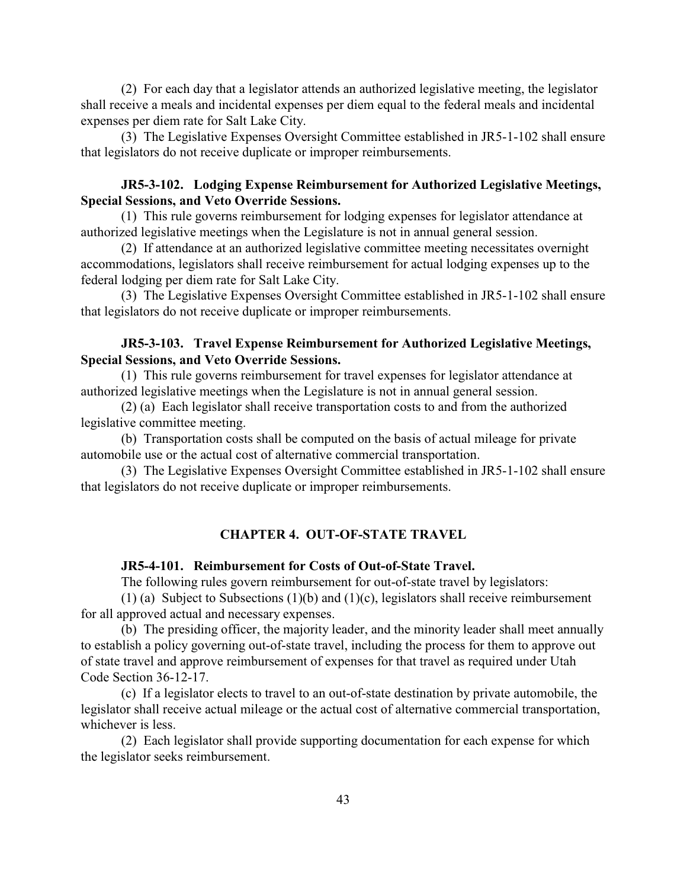(2) For each day that a legislator attends an authorized legislative meeting, the legislator shall receive a meals and incidental expenses per diem equal to the federal meals and incidental expenses per diem rate for Salt Lake City.

(3) The Legislative Expenses Oversight Committee established in JR5-1-102 shall ensure that legislators do not receive duplicate or improper reimbursements.

# **JR5-3-102. Lodging Expense Reimbursement for Authorized Legislative Meetings, Special Sessions, and Veto Override Sessions.**

(1) This rule governs reimbursement for lodging expenses for legislator attendance at authorized legislative meetings when the Legislature is not in annual general session.

(2) If attendance at an authorized legislative committee meeting necessitates overnight accommodations, legislators shall receive reimbursement for actual lodging expenses up to the federal lodging per diem rate for Salt Lake City.

(3) The Legislative Expenses Oversight Committee established in JR5-1-102 shall ensure that legislators do not receive duplicate or improper reimbursements.

## **JR5-3-103. Travel Expense Reimbursement for Authorized Legislative Meetings, Special Sessions, and Veto Override Sessions.**

(1) This rule governs reimbursement for travel expenses for legislator attendance at authorized legislative meetings when the Legislature is not in annual general session.

(2) (a) Each legislator shall receive transportation costs to and from the authorized legislative committee meeting.

(b) Transportation costs shall be computed on the basis of actual mileage for private automobile use or the actual cost of alternative commercial transportation.

(3) The Legislative Expenses Oversight Committee established in JR5-1-102 shall ensure that legislators do not receive duplicate or improper reimbursements.

## **CHAPTER 4. OUT-OF-STATE TRAVEL**

#### **JR5-4-101. Reimbursement for Costs of Out-of-State Travel.**

The following rules govern reimbursement for out-of-state travel by legislators:

(1) (a) Subject to Subsections (1)(b) and (1)(c), legislators shall receive reimbursement for all approved actual and necessary expenses.

(b) The presiding officer, the majority leader, and the minority leader shall meet annually to establish a policy governing out-of-state travel, including the process for them to approve out of state travel and approve reimbursement of expenses for that travel as required under Utah Code Section 36-12-17.

(c) If a legislator elects to travel to an out-of-state destination by private automobile, the legislator shall receive actual mileage or the actual cost of alternative commercial transportation, whichever is less.

(2) Each legislator shall provide supporting documentation for each expense for which the legislator seeks reimbursement.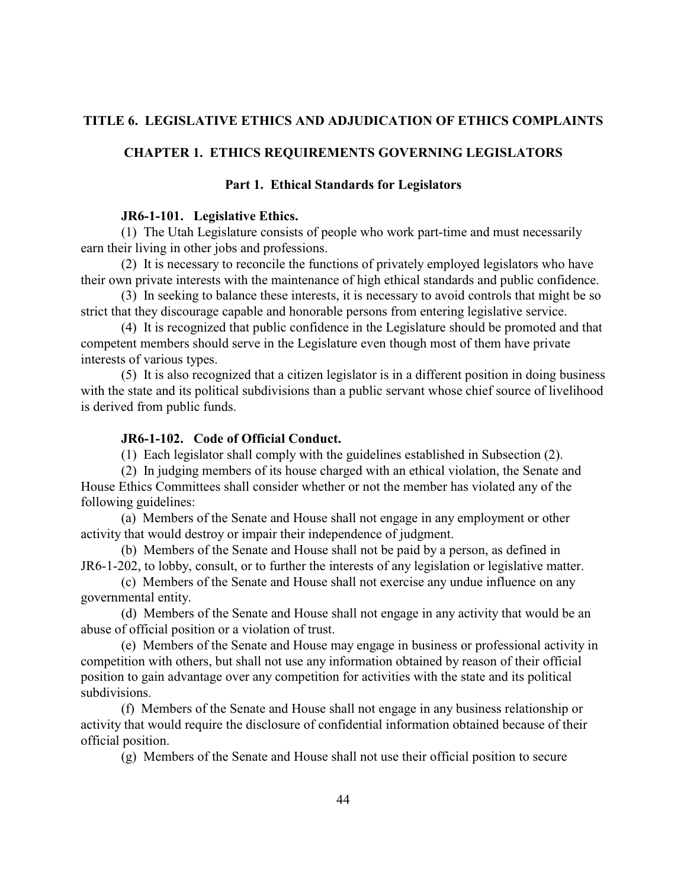## **TITLE 6. LEGISLATIVE ETHICS AND ADJUDICATION OF ETHICS COMPLAINTS**

## **CHAPTER 1. ETHICS REQUIREMENTS GOVERNING LEGISLATORS**

## **Part 1. Ethical Standards for Legislators**

### **JR6-1-101. Legislative Ethics.**

(1) The Utah Legislature consists of people who work part-time and must necessarily earn their living in other jobs and professions.

(2) It is necessary to reconcile the functions of privately employed legislators who have their own private interests with the maintenance of high ethical standards and public confidence.

(3) In seeking to balance these interests, it is necessary to avoid controls that might be so strict that they discourage capable and honorable persons from entering legislative service.

(4) It is recognized that public confidence in the Legislature should be promoted and that competent members should serve in the Legislature even though most of them have private interests of various types.

(5) It is also recognized that a citizen legislator is in a different position in doing business with the state and its political subdivisions than a public servant whose chief source of livelihood is derived from public funds.

## **JR6-1-102. Code of Official Conduct.**

(1) Each legislator shall comply with the guidelines established in Subsection (2).

(2) In judging members of its house charged with an ethical violation, the Senate and House Ethics Committees shall consider whether or not the member has violated any of the following guidelines:

(a) Members of the Senate and House shall not engage in any employment or other activity that would destroy or impair their independence of judgment.

(b) Members of the Senate and House shall not be paid by a person, as defined in JR6-1-202, to lobby, consult, or to further the interests of any legislation or legislative matter.

(c) Members of the Senate and House shall not exercise any undue influence on any governmental entity.

(d) Members of the Senate and House shall not engage in any activity that would be an abuse of official position or a violation of trust.

(e) Members of the Senate and House may engage in business or professional activity in competition with others, but shall not use any information obtained by reason of their official position to gain advantage over any competition for activities with the state and its political subdivisions.

(f) Members of the Senate and House shall not engage in any business relationship or activity that would require the disclosure of confidential information obtained because of their official position.

(g) Members of the Senate and House shall not use their official position to secure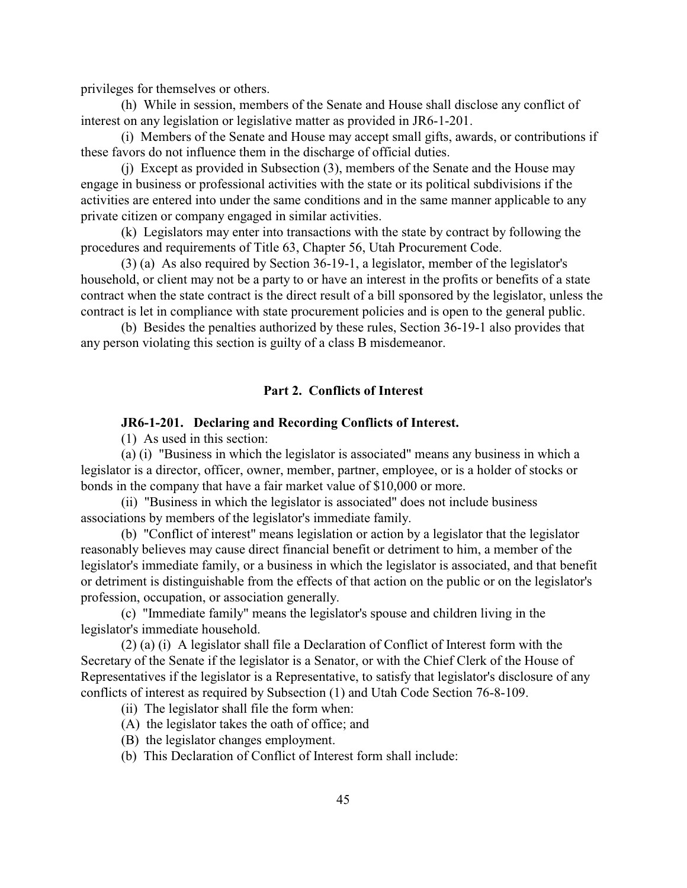privileges for themselves or others.

(h) While in session, members of the Senate and House shall disclose any conflict of interest on any legislation or legislative matter as provided in JR6-1-201.

(i) Members of the Senate and House may accept small gifts, awards, or contributions if these favors do not influence them in the discharge of official duties.

(j) Except as provided in Subsection (3), members of the Senate and the House may engage in business or professional activities with the state or its political subdivisions if the activities are entered into under the same conditions and in the same manner applicable to any private citizen or company engaged in similar activities.

(k) Legislators may enter into transactions with the state by contract by following the procedures and requirements of Title 63, Chapter 56, Utah Procurement Code.

(3) (a) As also required by Section 36-19-1, a legislator, member of the legislator's household, or client may not be a party to or have an interest in the profits or benefits of a state contract when the state contract is the direct result of a bill sponsored by the legislator, unless the contract is let in compliance with state procurement policies and is open to the general public.

(b) Besides the penalties authorized by these rules, Section 36-19-1 also provides that any person violating this section is guilty of a class B misdemeanor.

## **Part 2. Conflicts of Interest**

### **JR6-1-201. Declaring and Recording Conflicts of Interest.**

(1) As used in this section:

(a) (i) "Business in which the legislator is associated" means any business in which a legislator is a director, officer, owner, member, partner, employee, or is a holder of stocks or bonds in the company that have a fair market value of \$10,000 or more.

(ii) "Business in which the legislator is associated" does not include business associations by members of the legislator's immediate family.

(b) "Conflict of interest" means legislation or action by a legislator that the legislator reasonably believes may cause direct financial benefit or detriment to him, a member of the legislator's immediate family, or a business in which the legislator is associated, and that benefit or detriment is distinguishable from the effects of that action on the public or on the legislator's profession, occupation, or association generally.

(c) "Immediate family" means the legislator's spouse and children living in the legislator's immediate household.

(2) (a) (i) A legislator shall file a Declaration of Conflict of Interest form with the Secretary of the Senate if the legislator is a Senator, or with the Chief Clerk of the House of Representatives if the legislator is a Representative, to satisfy that legislator's disclosure of any conflicts of interest as required by Subsection (1) and Utah Code Section 76-8-109.

- (ii) The legislator shall file the form when:
- (A) the legislator takes the oath of office; and
- (B) the legislator changes employment.
- (b) This Declaration of Conflict of Interest form shall include: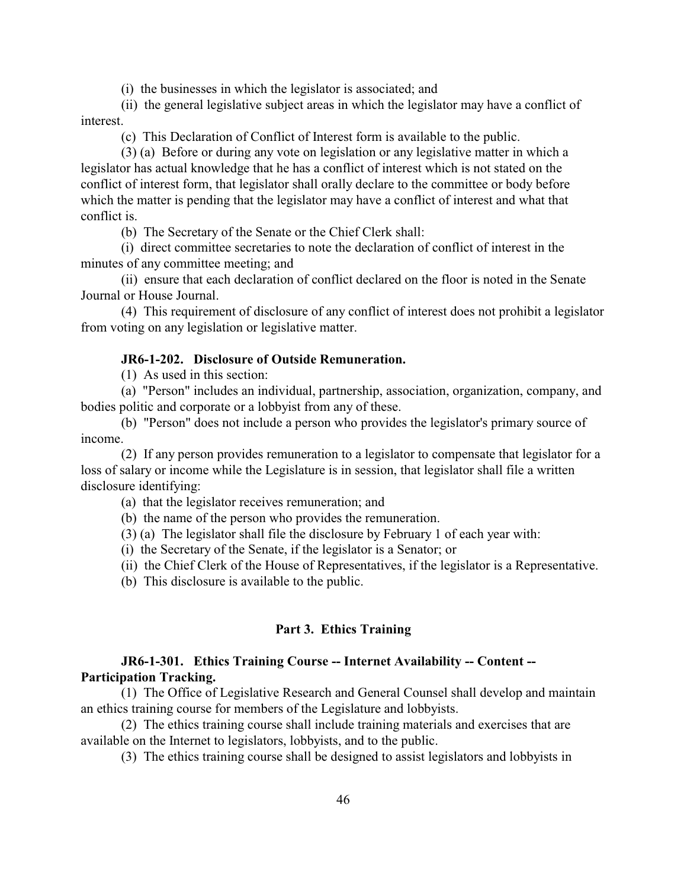(i) the businesses in which the legislator is associated; and

(ii) the general legislative subject areas in which the legislator may have a conflict of interest.

(c) This Declaration of Conflict of Interest form is available to the public.

(3) (a) Before or during any vote on legislation or any legislative matter in which a legislator has actual knowledge that he has a conflict of interest which is not stated on the conflict of interest form, that legislator shall orally declare to the committee or body before which the matter is pending that the legislator may have a conflict of interest and what that conflict is.

(b) The Secretary of the Senate or the Chief Clerk shall:

(i) direct committee secretaries to note the declaration of conflict of interest in the minutes of any committee meeting; and

(ii) ensure that each declaration of conflict declared on the floor is noted in the Senate Journal or House Journal.

(4) This requirement of disclosure of any conflict of interest does not prohibit a legislator from voting on any legislation or legislative matter.

## **JR6-1-202. Disclosure of Outside Remuneration.**

(1) As used in this section:

(a) "Person" includes an individual, partnership, association, organization, company, and bodies politic and corporate or a lobbyist from any of these.

(b) "Person" does not include a person who provides the legislator's primary source of income.

(2) If any person provides remuneration to a legislator to compensate that legislator for a loss of salary or income while the Legislature is in session, that legislator shall file a written disclosure identifying:

(a) that the legislator receives remuneration; and

(b) the name of the person who provides the remuneration.

(3) (a) The legislator shall file the disclosure by February 1 of each year with:

(i) the Secretary of the Senate, if the legislator is a Senator; or

(ii) the Chief Clerk of the House of Representatives, if the legislator is a Representative.

(b) This disclosure is available to the public.

## **Part 3. Ethics Training**

## **JR6-1-301. Ethics Training Course -- Internet Availability -- Content -- Participation Tracking.**

(1) The Office of Legislative Research and General Counsel shall develop and maintain an ethics training course for members of the Legislature and lobbyists.

(2) The ethics training course shall include training materials and exercises that are available on the Internet to legislators, lobbyists, and to the public.

(3) The ethics training course shall be designed to assist legislators and lobbyists in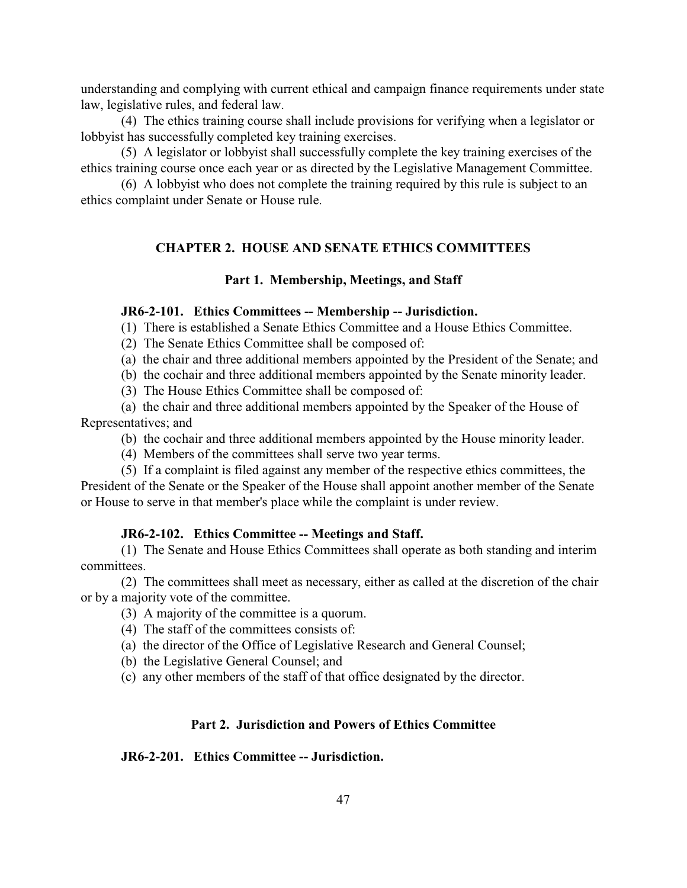understanding and complying with current ethical and campaign finance requirements under state law, legislative rules, and federal law.

(4) The ethics training course shall include provisions for verifying when a legislator or lobbyist has successfully completed key training exercises.

(5) A legislator or lobbyist shall successfully complete the key training exercises of the ethics training course once each year or as directed by the Legislative Management Committee.

(6) A lobbyist who does not complete the training required by this rule is subject to an ethics complaint under Senate or House rule.

# **CHAPTER 2. HOUSE AND SENATE ETHICS COMMITTEES**

## **Part 1. Membership, Meetings, and Staff**

### **JR6-2-101. Ethics Committees -- Membership -- Jurisdiction.**

(1) There is established a Senate Ethics Committee and a House Ethics Committee.

(2) The Senate Ethics Committee shall be composed of:

(a) the chair and three additional members appointed by the President of the Senate; and

(b) the cochair and three additional members appointed by the Senate minority leader.

(3) The House Ethics Committee shall be composed of:

(a) the chair and three additional members appointed by the Speaker of the House of Representatives; and

(b) the cochair and three additional members appointed by the House minority leader.

(4) Members of the committees shall serve two year terms.

(5) If a complaint is filed against any member of the respective ethics committees, the President of the Senate or the Speaker of the House shall appoint another member of the Senate or House to serve in that member's place while the complaint is under review.

## **JR6-2-102. Ethics Committee -- Meetings and Staff.**

(1) The Senate and House Ethics Committees shall operate as both standing and interim committees.

(2) The committees shall meet as necessary, either as called at the discretion of the chair or by a majority vote of the committee.

(3) A majority of the committee is a quorum.

- (4) The staff of the committees consists of:
- (a) the director of the Office of Legislative Research and General Counsel;
- (b) the Legislative General Counsel; and

(c) any other members of the staff of that office designated by the director.

## **Part 2. Jurisdiction and Powers of Ethics Committee**

### **JR6-2-201. Ethics Committee -- Jurisdiction.**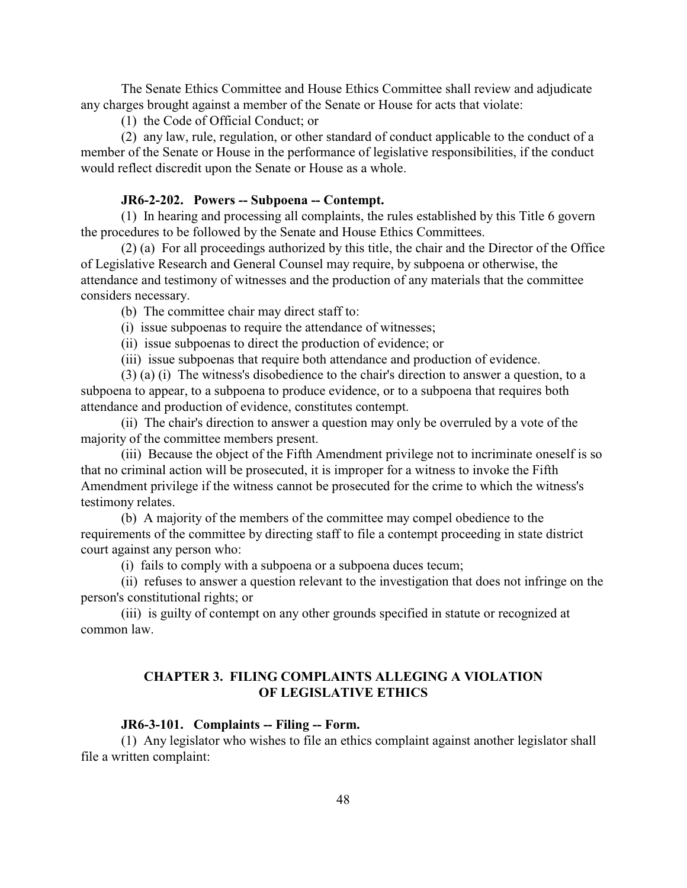The Senate Ethics Committee and House Ethics Committee shall review and adjudicate any charges brought against a member of the Senate or House for acts that violate:

(1) the Code of Official Conduct; or

(2) any law, rule, regulation, or other standard of conduct applicable to the conduct of a member of the Senate or House in the performance of legislative responsibilities, if the conduct would reflect discredit upon the Senate or House as a whole.

### **JR6-2-202. Powers -- Subpoena -- Contempt.**

(1) In hearing and processing all complaints, the rules established by this Title 6 govern the procedures to be followed by the Senate and House Ethics Committees.

(2) (a) For all proceedings authorized by this title, the chair and the Director of the Office of Legislative Research and General Counsel may require, by subpoena or otherwise, the attendance and testimony of witnesses and the production of any materials that the committee considers necessary.

(b) The committee chair may direct staff to:

- (i) issue subpoenas to require the attendance of witnesses;
- (ii) issue subpoenas to direct the production of evidence; or
- (iii) issue subpoenas that require both attendance and production of evidence.

(3) (a) (i) The witness's disobedience to the chair's direction to answer a question, to a subpoena to appear, to a subpoena to produce evidence, or to a subpoena that requires both attendance and production of evidence, constitutes contempt.

(ii) The chair's direction to answer a question may only be overruled by a vote of the majority of the committee members present.

(iii) Because the object of the Fifth Amendment privilege not to incriminate oneself is so that no criminal action will be prosecuted, it is improper for a witness to invoke the Fifth Amendment privilege if the witness cannot be prosecuted for the crime to which the witness's testimony relates.

(b) A majority of the members of the committee may compel obedience to the requirements of the committee by directing staff to file a contempt proceeding in state district court against any person who:

(i) fails to comply with a subpoena or a subpoena duces tecum;

(ii) refuses to answer a question relevant to the investigation that does not infringe on the person's constitutional rights; or

(iii) is guilty of contempt on any other grounds specified in statute or recognized at common law.

## **CHAPTER 3. FILING COMPLAINTS ALLEGING A VIOLATION OF LEGISLATIVE ETHICS**

#### **JR6-3-101. Complaints -- Filing -- Form.**

(1) Any legislator who wishes to file an ethics complaint against another legislator shall file a written complaint: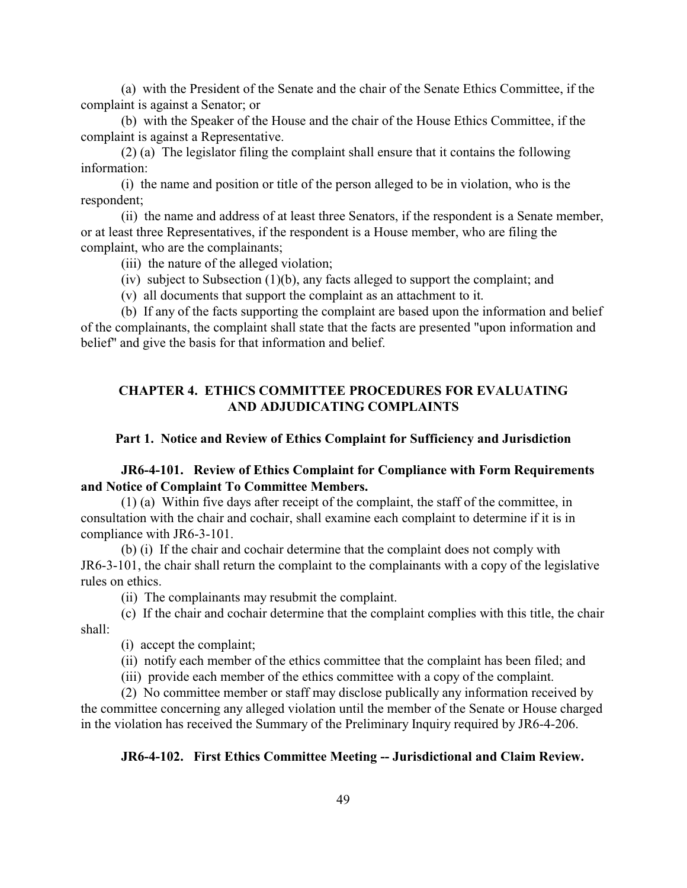(a) with the President of the Senate and the chair of the Senate Ethics Committee, if the complaint is against a Senator; or

(b) with the Speaker of the House and the chair of the House Ethics Committee, if the complaint is against a Representative.

(2) (a) The legislator filing the complaint shall ensure that it contains the following information:

(i) the name and position or title of the person alleged to be in violation, who is the respondent;

(ii) the name and address of at least three Senators, if the respondent is a Senate member, or at least three Representatives, if the respondent is a House member, who are filing the complaint, who are the complainants;

(iii) the nature of the alleged violation;

- (iv) subject to Subsection (1)(b), any facts alleged to support the complaint; and
- (v) all documents that support the complaint as an attachment to it.

(b) If any of the facts supporting the complaint are based upon the information and belief of the complainants, the complaint shall state that the facts are presented "upon information and belief" and give the basis for that information and belief.

# **CHAPTER 4. ETHICS COMMITTEE PROCEDURES FOR EVALUATING AND ADJUDICATING COMPLAINTS**

### **Part 1. Notice and Review of Ethics Complaint for Sufficiency and Jurisdiction**

## **JR6-4-101. Review of Ethics Complaint for Compliance with Form Requirements and Notice of Complaint To Committee Members.**

(1) (a) Within five days after receipt of the complaint, the staff of the committee, in consultation with the chair and cochair, shall examine each complaint to determine if it is in compliance with JR6-3-101.

(b) (i) If the chair and cochair determine that the complaint does not comply with JR6-3-101, the chair shall return the complaint to the complainants with a copy of the legislative rules on ethics.

(ii) The complainants may resubmit the complaint.

(c) If the chair and cochair determine that the complaint complies with this title, the chair shall:

(i) accept the complaint;

(ii) notify each member of the ethics committee that the complaint has been filed; and

(iii) provide each member of the ethics committee with a copy of the complaint.

(2) No committee member or staff may disclose publically any information received by the committee concerning any alleged violation until the member of the Senate or House charged in the violation has received the Summary of the Preliminary Inquiry required by JR6-4-206.

#### **JR6-4-102. First Ethics Committee Meeting -- Jurisdictional and Claim Review.**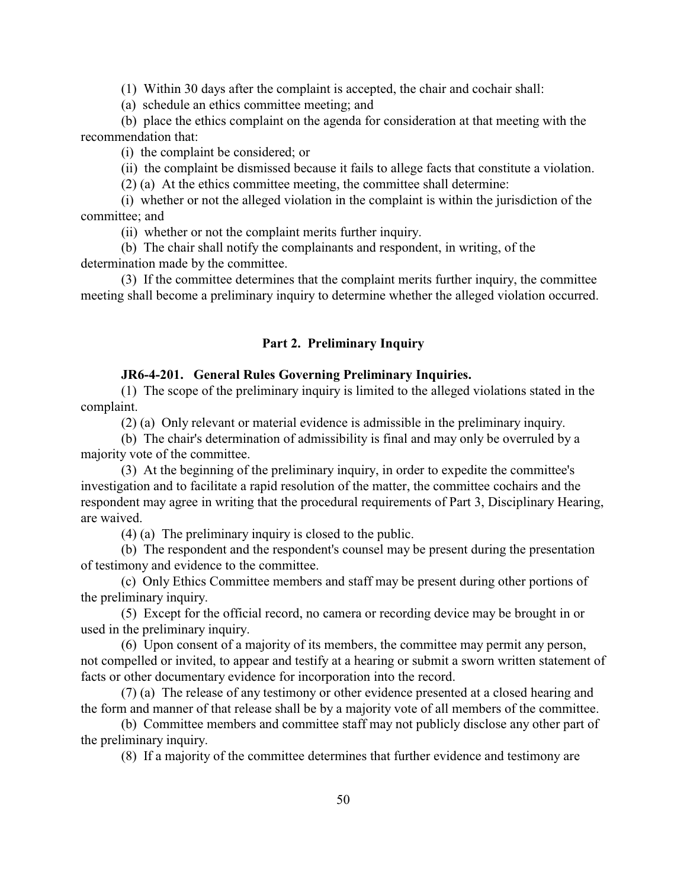(1) Within 30 days after the complaint is accepted, the chair and cochair shall:

(a) schedule an ethics committee meeting; and

(b) place the ethics complaint on the agenda for consideration at that meeting with the recommendation that:

(i) the complaint be considered; or

(ii) the complaint be dismissed because it fails to allege facts that constitute a violation.

(2) (a) At the ethics committee meeting, the committee shall determine:

(i) whether or not the alleged violation in the complaint is within the jurisdiction of the committee; and

(ii) whether or not the complaint merits further inquiry.

(b) The chair shall notify the complainants and respondent, in writing, of the determination made by the committee.

(3) If the committee determines that the complaint merits further inquiry, the committee meeting shall become a preliminary inquiry to determine whether the alleged violation occurred.

## **Part 2. Preliminary Inquiry**

### **JR6-4-201. General Rules Governing Preliminary Inquiries.**

(1) The scope of the preliminary inquiry is limited to the alleged violations stated in the complaint.

(2) (a) Only relevant or material evidence is admissible in the preliminary inquiry.

(b) The chair's determination of admissibility is final and may only be overruled by a majority vote of the committee.

(3) At the beginning of the preliminary inquiry, in order to expedite the committee's investigation and to facilitate a rapid resolution of the matter, the committee cochairs and the respondent may agree in writing that the procedural requirements of Part 3, Disciplinary Hearing, are waived.

(4) (a) The preliminary inquiry is closed to the public.

(b) The respondent and the respondent's counsel may be present during the presentation of testimony and evidence to the committee.

(c) Only Ethics Committee members and staff may be present during other portions of the preliminary inquiry.

(5) Except for the official record, no camera or recording device may be brought in or used in the preliminary inquiry.

(6) Upon consent of a majority of its members, the committee may permit any person, not compelled or invited, to appear and testify at a hearing or submit a sworn written statement of facts or other documentary evidence for incorporation into the record.

(7) (a) The release of any testimony or other evidence presented at a closed hearing and the form and manner of that release shall be by a majority vote of all members of the committee.

(b) Committee members and committee staff may not publicly disclose any other part of the preliminary inquiry.

(8) If a majority of the committee determines that further evidence and testimony are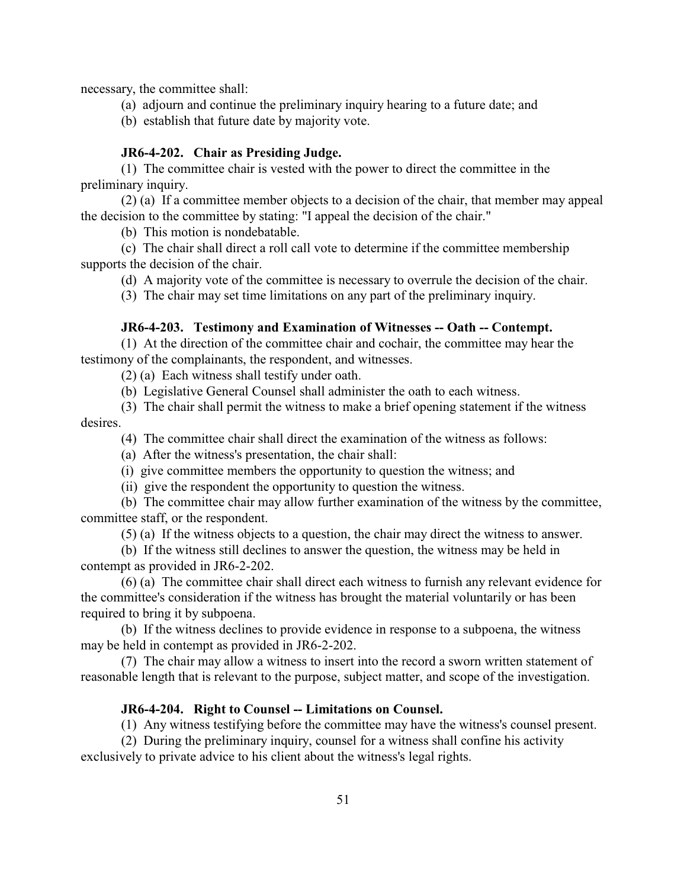necessary, the committee shall:

- (a) adjourn and continue the preliminary inquiry hearing to a future date; and
- (b) establish that future date by majority vote.

### **JR6-4-202. Chair as Presiding Judge.**

(1) The committee chair is vested with the power to direct the committee in the preliminary inquiry.

(2) (a) If a committee member objects to a decision of the chair, that member may appeal the decision to the committee by stating: "I appeal the decision of the chair."

(b) This motion is nondebatable.

(c) The chair shall direct a roll call vote to determine if the committee membership supports the decision of the chair.

(d) A majority vote of the committee is necessary to overrule the decision of the chair.

(3) The chair may set time limitations on any part of the preliminary inquiry.

#### **JR6-4-203. Testimony and Examination of Witnesses -- Oath -- Contempt.**

(1) At the direction of the committee chair and cochair, the committee may hear the testimony of the complainants, the respondent, and witnesses.

(2) (a) Each witness shall testify under oath.

(b) Legislative General Counsel shall administer the oath to each witness.

- (3) The chair shall permit the witness to make a brief opening statement if the witness desires.
	- (4) The committee chair shall direct the examination of the witness as follows:
	- (a) After the witness's presentation, the chair shall:
	- (i) give committee members the opportunity to question the witness; and

(ii) give the respondent the opportunity to question the witness.

(b) The committee chair may allow further examination of the witness by the committee, committee staff, or the respondent.

(5) (a) If the witness objects to a question, the chair may direct the witness to answer.

(b) If the witness still declines to answer the question, the witness may be held in contempt as provided in JR6-2-202.

(6) (a) The committee chair shall direct each witness to furnish any relevant evidence for the committee's consideration if the witness has brought the material voluntarily or has been required to bring it by subpoena.

(b) If the witness declines to provide evidence in response to a subpoena, the witness may be held in contempt as provided in JR6-2-202.

(7) The chair may allow a witness to insert into the record a sworn written statement of reasonable length that is relevant to the purpose, subject matter, and scope of the investigation.

#### **JR6-4-204. Right to Counsel -- Limitations on Counsel.**

(1) Any witness testifying before the committee may have the witness's counsel present.

(2) During the preliminary inquiry, counsel for a witness shall confine his activity exclusively to private advice to his client about the witness's legal rights.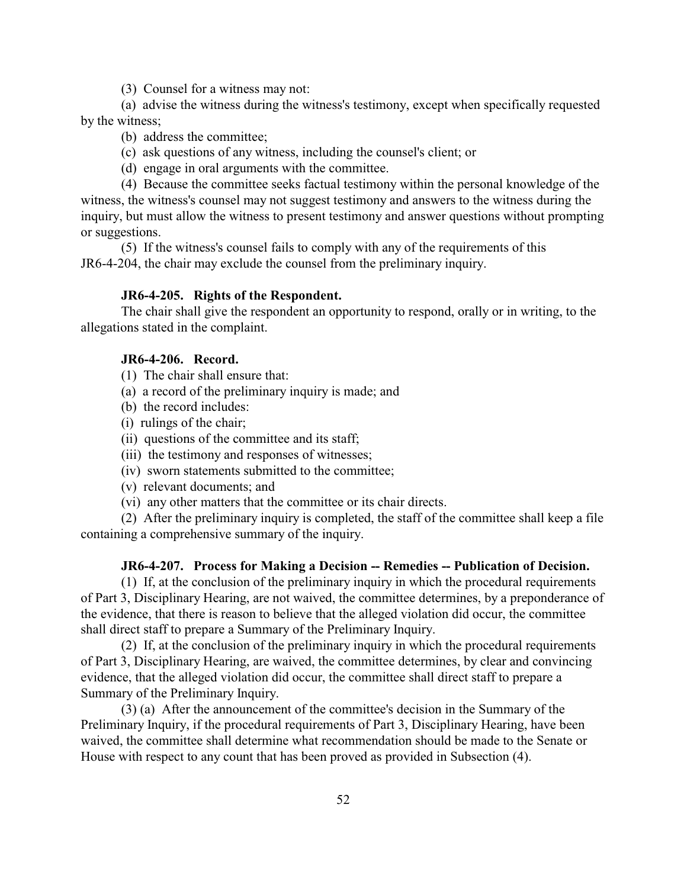(3) Counsel for a witness may not:

(a) advise the witness during the witness's testimony, except when specifically requested by the witness;

- (b) address the committee;
- (c) ask questions of any witness, including the counsel's client; or
- (d) engage in oral arguments with the committee.

(4) Because the committee seeks factual testimony within the personal knowledge of the witness, the witness's counsel may not suggest testimony and answers to the witness during the inquiry, but must allow the witness to present testimony and answer questions without prompting or suggestions.

(5) If the witness's counsel fails to comply with any of the requirements of this JR6-4-204, the chair may exclude the counsel from the preliminary inquiry.

## **JR6-4-205. Rights of the Respondent.**

The chair shall give the respondent an opportunity to respond, orally or in writing, to the allegations stated in the complaint.

## **JR6-4-206. Record.**

- (1) The chair shall ensure that:
- (a) a record of the preliminary inquiry is made; and
- (b) the record includes:
- (i) rulings of the chair;
- (ii) questions of the committee and its staff;
- (iii) the testimony and responses of witnesses;
- (iv) sworn statements submitted to the committee;
- (v) relevant documents; and
- (vi) any other matters that the committee or its chair directs.

(2) After the preliminary inquiry is completed, the staff of the committee shall keep a file containing a comprehensive summary of the inquiry.

#### **JR6-4-207. Process for Making a Decision -- Remedies -- Publication of Decision.**

(1) If, at the conclusion of the preliminary inquiry in which the procedural requirements of Part 3, Disciplinary Hearing, are not waived, the committee determines, by a preponderance of the evidence, that there is reason to believe that the alleged violation did occur, the committee shall direct staff to prepare a Summary of the Preliminary Inquiry.

(2) If, at the conclusion of the preliminary inquiry in which the procedural requirements of Part 3, Disciplinary Hearing, are waived, the committee determines, by clear and convincing evidence, that the alleged violation did occur, the committee shall direct staff to prepare a Summary of the Preliminary Inquiry.

(3) (a) After the announcement of the committee's decision in the Summary of the Preliminary Inquiry, if the procedural requirements of Part 3, Disciplinary Hearing, have been waived, the committee shall determine what recommendation should be made to the Senate or House with respect to any count that has been proved as provided in Subsection (4).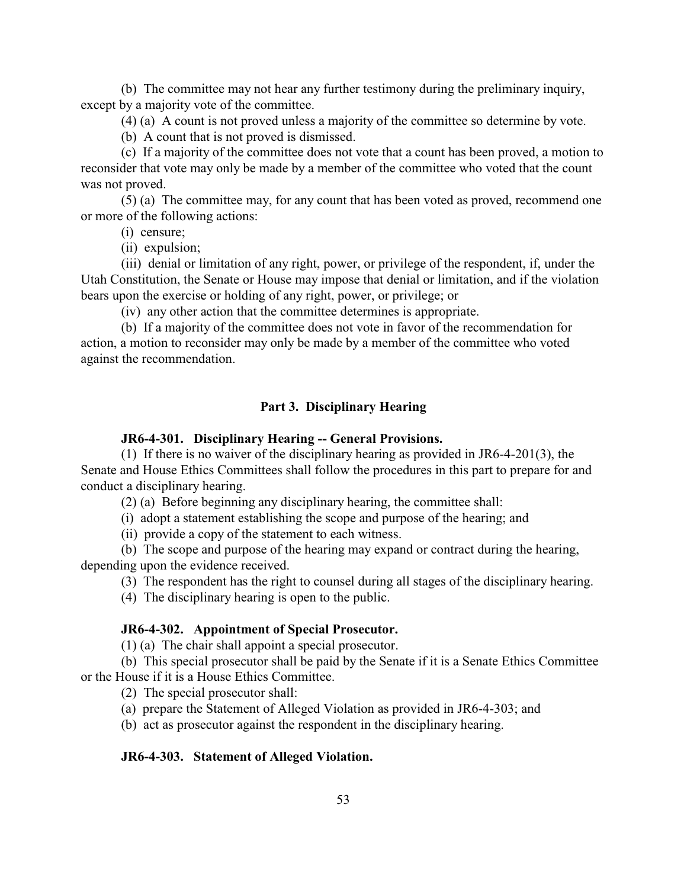(b) The committee may not hear any further testimony during the preliminary inquiry, except by a majority vote of the committee.

(4) (a) A count is not proved unless a majority of the committee so determine by vote.

(b) A count that is not proved is dismissed.

(c) If a majority of the committee does not vote that a count has been proved, a motion to reconsider that vote may only be made by a member of the committee who voted that the count was not proved.

(5) (a) The committee may, for any count that has been voted as proved, recommend one or more of the following actions:

(i) censure;

(ii) expulsion;

(iii) denial or limitation of any right, power, or privilege of the respondent, if, under the Utah Constitution, the Senate or House may impose that denial or limitation, and if the violation bears upon the exercise or holding of any right, power, or privilege; or

(iv) any other action that the committee determines is appropriate.

(b) If a majority of the committee does not vote in favor of the recommendation for action, a motion to reconsider may only be made by a member of the committee who voted against the recommendation.

# **Part 3. Disciplinary Hearing**

### **JR6-4-301. Disciplinary Hearing -- General Provisions.**

(1) If there is no waiver of the disciplinary hearing as provided in JR6-4-201(3), the Senate and House Ethics Committees shall follow the procedures in this part to prepare for and conduct a disciplinary hearing.

(2) (a) Before beginning any disciplinary hearing, the committee shall:

(i) adopt a statement establishing the scope and purpose of the hearing; and

(ii) provide a copy of the statement to each witness.

(b) The scope and purpose of the hearing may expand or contract during the hearing, depending upon the evidence received.

(3) The respondent has the right to counsel during all stages of the disciplinary hearing.

(4) The disciplinary hearing is open to the public.

## **JR6-4-302. Appointment of Special Prosecutor.**

(1) (a) The chair shall appoint a special prosecutor.

(b) This special prosecutor shall be paid by the Senate if it is a Senate Ethics Committee or the House if it is a House Ethics Committee.

(2) The special prosecutor shall:

(a) prepare the Statement of Alleged Violation as provided in JR6-4-303; and

(b) act as prosecutor against the respondent in the disciplinary hearing.

### **JR6-4-303. Statement of Alleged Violation.**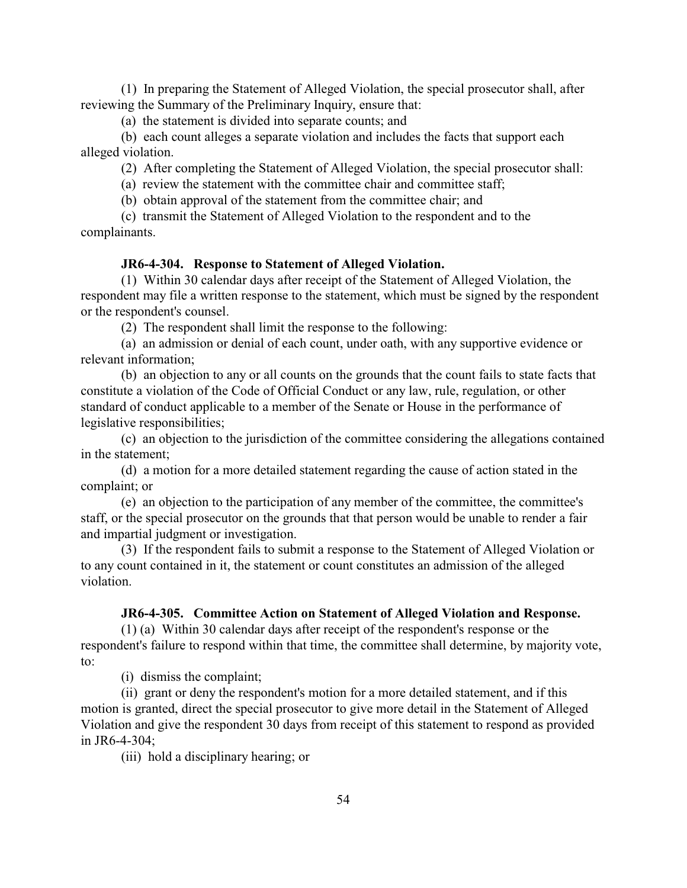(1) In preparing the Statement of Alleged Violation, the special prosecutor shall, after reviewing the Summary of the Preliminary Inquiry, ensure that:

(a) the statement is divided into separate counts; and

(b) each count alleges a separate violation and includes the facts that support each alleged violation.

(2) After completing the Statement of Alleged Violation, the special prosecutor shall:

(a) review the statement with the committee chair and committee staff;

(b) obtain approval of the statement from the committee chair; and

(c) transmit the Statement of Alleged Violation to the respondent and to the complainants.

#### **JR6-4-304. Response to Statement of Alleged Violation.**

(1) Within 30 calendar days after receipt of the Statement of Alleged Violation, the respondent may file a written response to the statement, which must be signed by the respondent or the respondent's counsel.

(2) The respondent shall limit the response to the following:

(a) an admission or denial of each count, under oath, with any supportive evidence or relevant information;

(b) an objection to any or all counts on the grounds that the count fails to state facts that constitute a violation of the Code of Official Conduct or any law, rule, regulation, or other standard of conduct applicable to a member of the Senate or House in the performance of legislative responsibilities;

(c) an objection to the jurisdiction of the committee considering the allegations contained in the statement;

(d) a motion for a more detailed statement regarding the cause of action stated in the complaint; or

(e) an objection to the participation of any member of the committee, the committee's staff, or the special prosecutor on the grounds that that person would be unable to render a fair and impartial judgment or investigation.

(3) If the respondent fails to submit a response to the Statement of Alleged Violation or to any count contained in it, the statement or count constitutes an admission of the alleged violation.

## **JR6-4-305. Committee Action on Statement of Alleged Violation and Response.**

(1) (a) Within 30 calendar days after receipt of the respondent's response or the respondent's failure to respond within that time, the committee shall determine, by majority vote, to:

(i) dismiss the complaint;

(ii) grant or deny the respondent's motion for a more detailed statement, and if this motion is granted, direct the special prosecutor to give more detail in the Statement of Alleged Violation and give the respondent 30 days from receipt of this statement to respond as provided in JR6-4-304;

(iii) hold a disciplinary hearing; or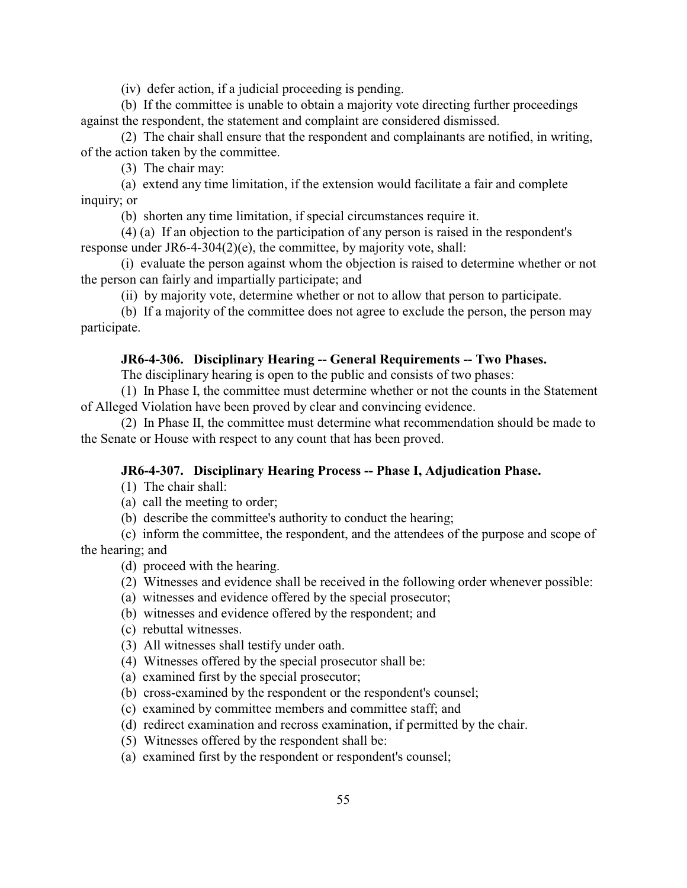(iv) defer action, if a judicial proceeding is pending.

(b) If the committee is unable to obtain a majority vote directing further proceedings against the respondent, the statement and complaint are considered dismissed.

(2) The chair shall ensure that the respondent and complainants are notified, in writing, of the action taken by the committee.

(3) The chair may:

(a) extend any time limitation, if the extension would facilitate a fair and complete inquiry; or

(b) shorten any time limitation, if special circumstances require it.

(4) (a) If an objection to the participation of any person is raised in the respondent's response under JR6-4-304(2)(e), the committee, by majority vote, shall:

(i) evaluate the person against whom the objection is raised to determine whether or not the person can fairly and impartially participate; and

(ii) by majority vote, determine whether or not to allow that person to participate.

(b) If a majority of the committee does not agree to exclude the person, the person may participate.

### **JR6-4-306. Disciplinary Hearing -- General Requirements -- Two Phases.**

The disciplinary hearing is open to the public and consists of two phases:

(1) In Phase I, the committee must determine whether or not the counts in the Statement of Alleged Violation have been proved by clear and convincing evidence.

(2) In Phase II, the committee must determine what recommendation should be made to the Senate or House with respect to any count that has been proved.

### **JR6-4-307. Disciplinary Hearing Process -- Phase I, Adjudication Phase.**

(1) The chair shall:

(a) call the meeting to order;

(b) describe the committee's authority to conduct the hearing;

(c) inform the committee, the respondent, and the attendees of the purpose and scope of the hearing; and

(d) proceed with the hearing.

- (2) Witnesses and evidence shall be received in the following order whenever possible:
- (a) witnesses and evidence offered by the special prosecutor;
- (b) witnesses and evidence offered by the respondent; and
- (c) rebuttal witnesses.
- (3) All witnesses shall testify under oath.
- (4) Witnesses offered by the special prosecutor shall be:
- (a) examined first by the special prosecutor;
- (b) cross-examined by the respondent or the respondent's counsel;
- (c) examined by committee members and committee staff; and
- (d) redirect examination and recross examination, if permitted by the chair.
- (5) Witnesses offered by the respondent shall be:
- (a) examined first by the respondent or respondent's counsel;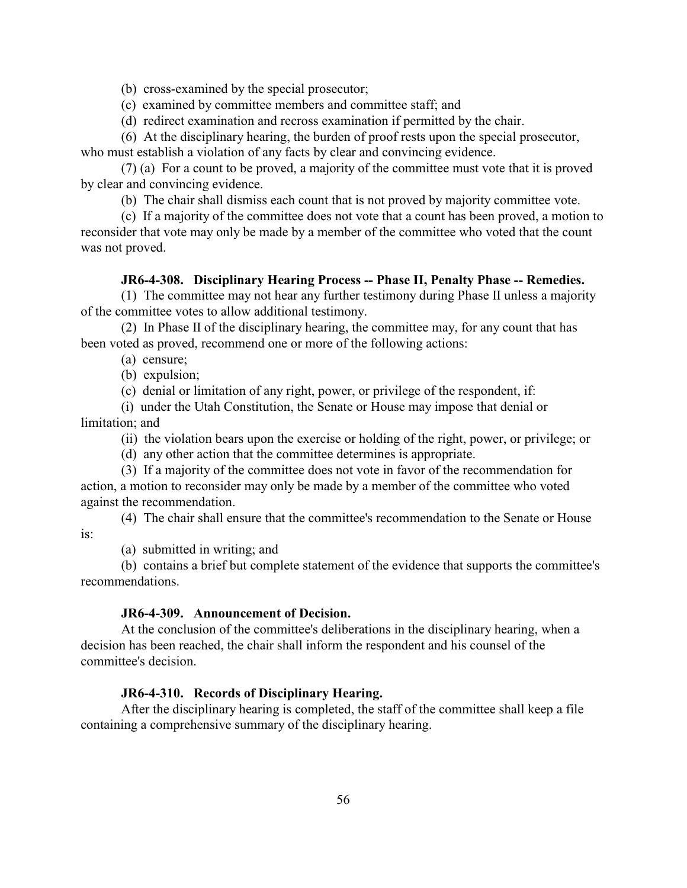(b) cross-examined by the special prosecutor;

- (c) examined by committee members and committee staff; and
- (d) redirect examination and recross examination if permitted by the chair.

(6) At the disciplinary hearing, the burden of proof rests upon the special prosecutor, who must establish a violation of any facts by clear and convincing evidence.

(7) (a) For a count to be proved, a majority of the committee must vote that it is proved by clear and convincing evidence.

(b) The chair shall dismiss each count that is not proved by majority committee vote.

(c) If a majority of the committee does not vote that a count has been proved, a motion to reconsider that vote may only be made by a member of the committee who voted that the count was not proved.

### **JR6-4-308. Disciplinary Hearing Process -- Phase II, Penalty Phase -- Remedies.**

(1) The committee may not hear any further testimony during Phase II unless a majority of the committee votes to allow additional testimony.

(2) In Phase II of the disciplinary hearing, the committee may, for any count that has been voted as proved, recommend one or more of the following actions:

- (a) censure;
- (b) expulsion;

(c) denial or limitation of any right, power, or privilege of the respondent, if:

(i) under the Utah Constitution, the Senate or House may impose that denial or limitation; and

(ii) the violation bears upon the exercise or holding of the right, power, or privilege; or

(d) any other action that the committee determines is appropriate.

(3) If a majority of the committee does not vote in favor of the recommendation for action, a motion to reconsider may only be made by a member of the committee who voted against the recommendation.

(4) The chair shall ensure that the committee's recommendation to the Senate or House is:

(a) submitted in writing; and

(b) contains a brief but complete statement of the evidence that supports the committee's recommendations.

### **JR6-4-309. Announcement of Decision.**

At the conclusion of the committee's deliberations in the disciplinary hearing, when a decision has been reached, the chair shall inform the respondent and his counsel of the committee's decision.

#### **JR6-4-310. Records of Disciplinary Hearing.**

After the disciplinary hearing is completed, the staff of the committee shall keep a file containing a comprehensive summary of the disciplinary hearing.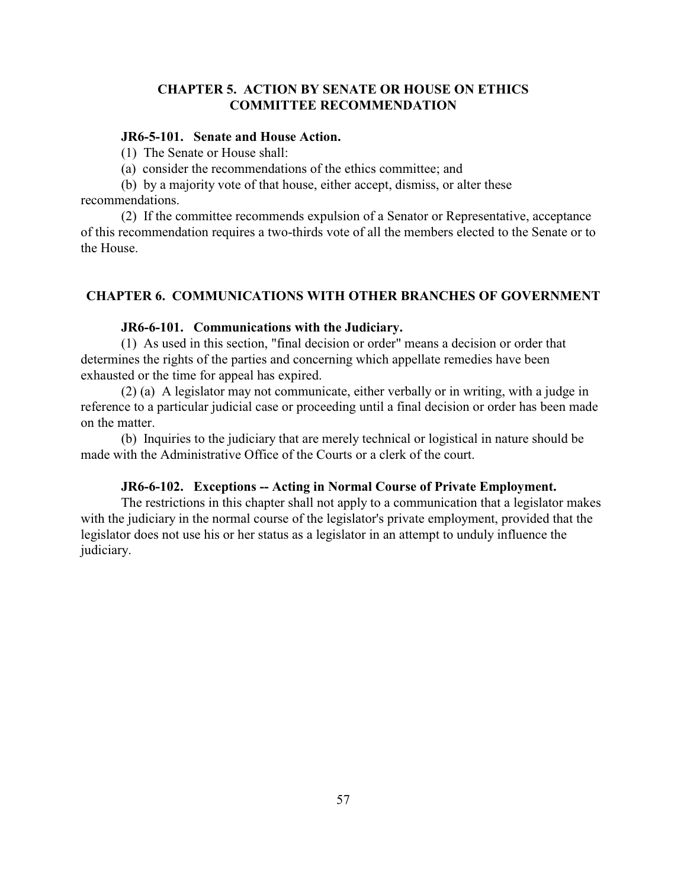# **CHAPTER 5. ACTION BY SENATE OR HOUSE ON ETHICS COMMITTEE RECOMMENDATION**

## **JR6-5-101. Senate and House Action.**

(1) The Senate or House shall:

(a) consider the recommendations of the ethics committee; and

(b) by a majority vote of that house, either accept, dismiss, or alter these recommendations.

(2) If the committee recommends expulsion of a Senator or Representative, acceptance of this recommendation requires a two-thirds vote of all the members elected to the Senate or to the House.

## **CHAPTER 6. COMMUNICATIONS WITH OTHER BRANCHES OF GOVERNMENT**

### **JR6-6-101. Communications with the Judiciary.**

(1) As used in this section, "final decision or order" means a decision or order that determines the rights of the parties and concerning which appellate remedies have been exhausted or the time for appeal has expired.

(2) (a) A legislator may not communicate, either verbally or in writing, with a judge in reference to a particular judicial case or proceeding until a final decision or order has been made on the matter.

(b) Inquiries to the judiciary that are merely technical or logistical in nature should be made with the Administrative Office of the Courts or a clerk of the court.

### **JR6-6-102. Exceptions -- Acting in Normal Course of Private Employment.**

The restrictions in this chapter shall not apply to a communication that a legislator makes with the judiciary in the normal course of the legislator's private employment, provided that the legislator does not use his or her status as a legislator in an attempt to unduly influence the judiciary.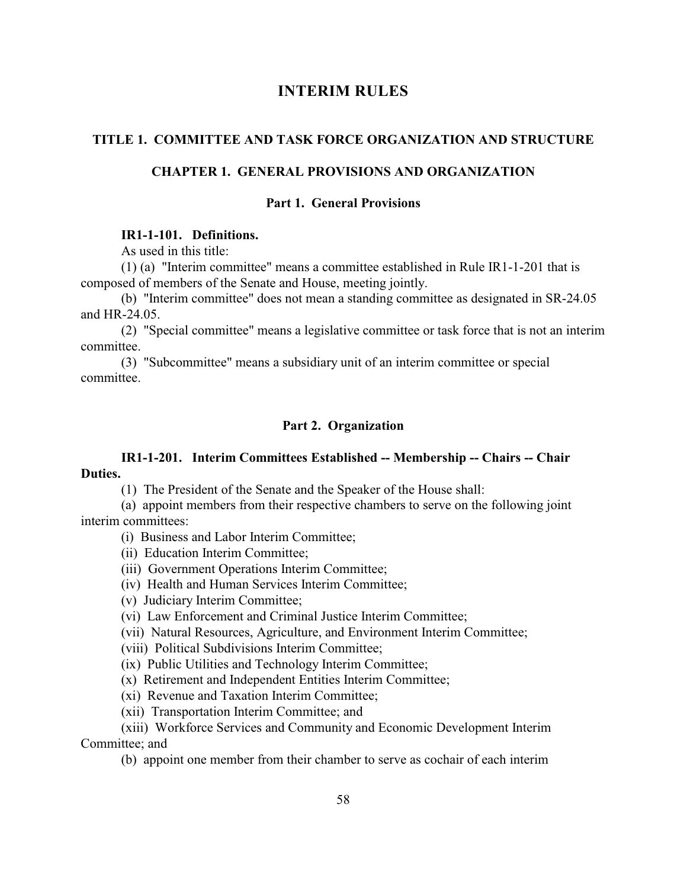# **INTERIM RULES**

### **TITLE 1. COMMITTEE AND TASK FORCE ORGANIZATION AND STRUCTURE**

## **CHAPTER 1. GENERAL PROVISIONS AND ORGANIZATION**

## **Part 1. General Provisions**

## **IR1-1-101. Definitions.**

As used in this title:

(1) (a) "Interim committee" means a committee established in Rule IR1-1-201 that is composed of members of the Senate and House, meeting jointly.

(b) "Interim committee" does not mean a standing committee as designated in SR-24.05 and HR-24.05.

(2) "Special committee" means a legislative committee or task force that is not an interim committee.

(3) "Subcommittee" means a subsidiary unit of an interim committee or special committee.

### **Part 2. Organization**

## **IR1-1-201. Interim Committees Established -- Membership -- Chairs -- Chair Duties.**

(1) The President of the Senate and the Speaker of the House shall:

(a) appoint members from their respective chambers to serve on the following joint interim committees:

- (i) Business and Labor Interim Committee;
- (ii) Education Interim Committee;
- (iii) Government Operations Interim Committee;
- (iv) Health and Human Services Interim Committee;
- (v) Judiciary Interim Committee;
- (vi) Law Enforcement and Criminal Justice Interim Committee;
- (vii) Natural Resources, Agriculture, and Environment Interim Committee;
- (viii) Political Subdivisions Interim Committee;
- (ix) Public Utilities and Technology Interim Committee;
- (x) Retirement and Independent Entities Interim Committee;
- (xi) Revenue and Taxation Interim Committee;
- (xii) Transportation Interim Committee; and

(xiii) Workforce Services and Community and Economic Development Interim Committee; and

(b) appoint one member from their chamber to serve as cochair of each interim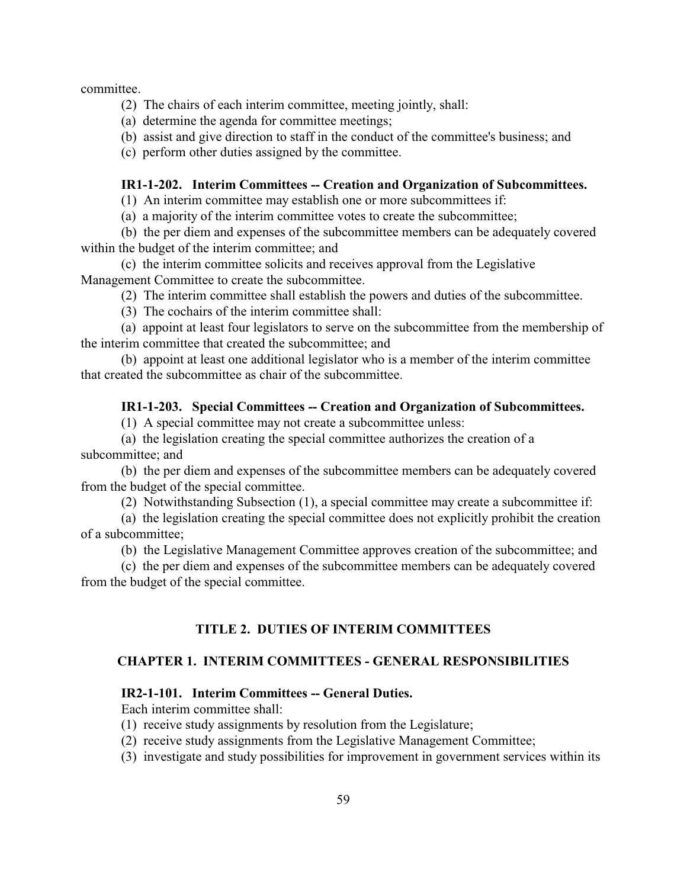committee.

(2) The chairs of each interim committee, meeting jointly, shall:

(a) determine the agenda for committee meetings;

(b) assist and give direction to staff in the conduct of the committee's business; and

(c) perform other duties assigned by the committee.

## **IR1-1-202. Interim Committees -- Creation and Organization of Subcommittees.**

(1) An interim committee may establish one or more subcommittees if:

(a) a majority of the interim committee votes to create the subcommittee;

(b) the per diem and expenses of the subcommittee members can be adequately covered within the budget of the interim committee; and

(c) the interim committee solicits and receives approval from the Legislative Management Committee to create the subcommittee.

(2) The interim committee shall establish the powers and duties of the subcommittee.

(3) The cochairs of the interim committee shall:

(a) appoint at least four legislators to serve on the subcommittee from the membership of the interim committee that created the subcommittee; and

(b) appoint at least one additional legislator who is a member of the interim committee that created the subcommittee as chair of the subcommittee.

## **IR1-1-203. Special Committees -- Creation and Organization of Subcommittees.**

(1) A special committee may not create a subcommittee unless:

(a) the legislation creating the special committee authorizes the creation of a subcommittee; and

(b) the per diem and expenses of the subcommittee members can be adequately covered from the budget of the special committee.

(2) Notwithstanding Subsection (1), a special committee may create a subcommittee if:

(a) the legislation creating the special committee does not explicitly prohibit the creation of a subcommittee;

(b) the Legislative Management Committee approves creation of the subcommittee; and

(c) the per diem and expenses of the subcommittee members can be adequately covered from the budget of the special committee.

## **TITLE 2. DUTIES OF INTERIM COMMITTEES**

## **CHAPTER 1. INTERIM COMMITTEES - GENERAL RESPONSIBILITIES**

# **IR2-1-101. Interim Committees -- General Duties.**

Each interim committee shall:

- (1) receive study assignments by resolution from the Legislature;
- (2) receive study assignments from the Legislative Management Committee;
- (3) investigate and study possibilities for improvement in government services within its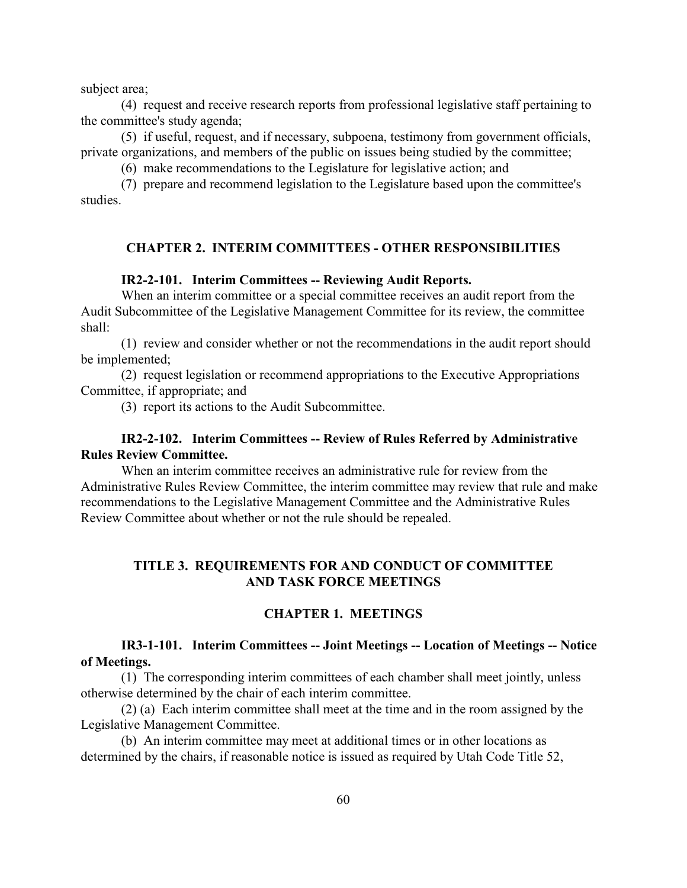subject area;

(4) request and receive research reports from professional legislative staff pertaining to the committee's study agenda;

(5) if useful, request, and if necessary, subpoena, testimony from government officials, private organizations, and members of the public on issues being studied by the committee;

(6) make recommendations to the Legislature for legislative action; and

(7) prepare and recommend legislation to the Legislature based upon the committee's studies.

## **CHAPTER 2. INTERIM COMMITTEES - OTHER RESPONSIBILITIES**

#### **IR2-2-101. Interim Committees -- Reviewing Audit Reports.**

When an interim committee or a special committee receives an audit report from the Audit Subcommittee of the Legislative Management Committee for its review, the committee shall:

(1) review and consider whether or not the recommendations in the audit report should be implemented;

(2) request legislation or recommend appropriations to the Executive Appropriations Committee, if appropriate; and

(3) report its actions to the Audit Subcommittee.

## **IR2-2-102. Interim Committees -- Review of Rules Referred by Administrative Rules Review Committee.**

When an interim committee receives an administrative rule for review from the Administrative Rules Review Committee, the interim committee may review that rule and make recommendations to the Legislative Management Committee and the Administrative Rules Review Committee about whether or not the rule should be repealed.

## **TITLE 3. REQUIREMENTS FOR AND CONDUCT OF COMMITTEE AND TASK FORCE MEETINGS**

## **CHAPTER 1. MEETINGS**

### **IR3-1-101. Interim Committees -- Joint Meetings -- Location of Meetings -- Notice of Meetings.**

(1) The corresponding interim committees of each chamber shall meet jointly, unless otherwise determined by the chair of each interim committee.

(2) (a) Each interim committee shall meet at the time and in the room assigned by the Legislative Management Committee.

(b) An interim committee may meet at additional times or in other locations as determined by the chairs, if reasonable notice is issued as required by Utah Code Title 52,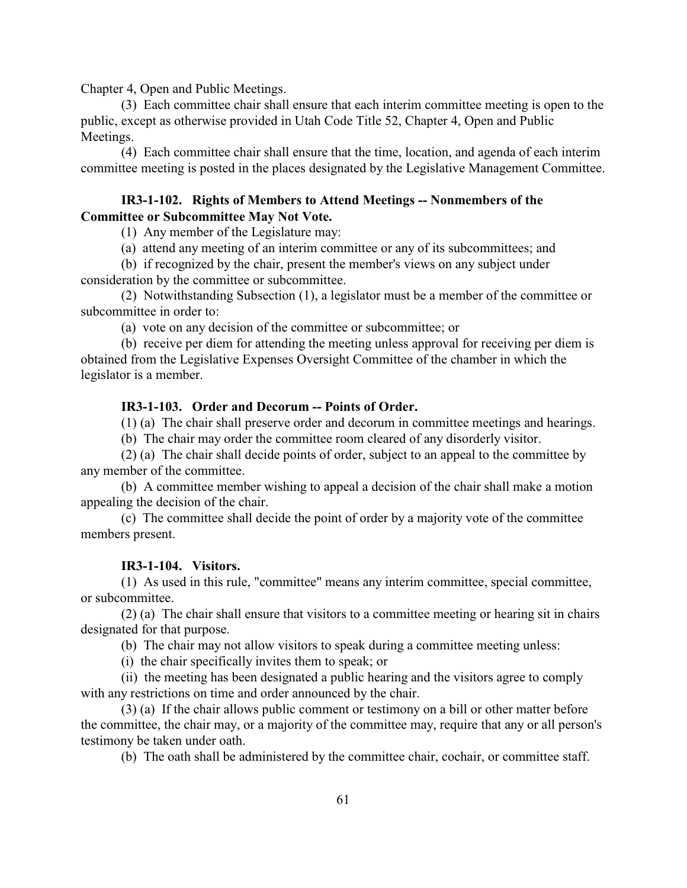Chapter 4, Open and Public Meetings.

(3) Each committee chair shall ensure that each interim committee meeting is open to the public, except as otherwise provided in Utah Code Title 52, Chapter 4, Open and Public Meetings.

(4) Each committee chair shall ensure that the time, location, and agenda of each interim committee meeting is posted in the places designated by the Legislative Management Committee.

## **IR3-1-102. Rights of Members to Attend Meetings -- Nonmembers of the Committee or Subcommittee May Not Vote.**

(1) Any member of the Legislature may:

(a) attend any meeting of an interim committee or any of its subcommittees; and

(b) if recognized by the chair, present the member's views on any subject under consideration by the committee or subcommittee.

(2) Notwithstanding Subsection (1), a legislator must be a member of the committee or subcommittee in order to:

(a) vote on any decision of the committee or subcommittee; or

(b) receive per diem for attending the meeting unless approval for receiving per diem is obtained from the Legislative Expenses Oversight Committee of the chamber in which the legislator is a member.

# **IR3-1-103. Order and Decorum -- Points of Order.**

(1) (a) The chair shall preserve order and decorum in committee meetings and hearings.

(b) The chair may order the committee room cleared of any disorderly visitor.

(2) (a) The chair shall decide points of order, subject to an appeal to the committee by any member of the committee.

(b) A committee member wishing to appeal a decision of the chair shall make a motion appealing the decision of the chair.

(c) The committee shall decide the point of order by a majority vote of the committee members present.

## **IR3-1-104. Visitors.**

(1) As used in this rule, "committee" means any interim committee, special committee, or subcommittee.

(2) (a) The chair shall ensure that visitors to a committee meeting or hearing sit in chairs designated for that purpose.

(b) The chair may not allow visitors to speak during a committee meeting unless:

(i) the chair specifically invites them to speak; or

(ii) the meeting has been designated a public hearing and the visitors agree to comply with any restrictions on time and order announced by the chair.

(3) (a) If the chair allows public comment or testimony on a bill or other matter before the committee, the chair may, or a majority of the committee may, require that any or all person's testimony be taken under oath.

(b) The oath shall be administered by the committee chair, cochair, or committee staff.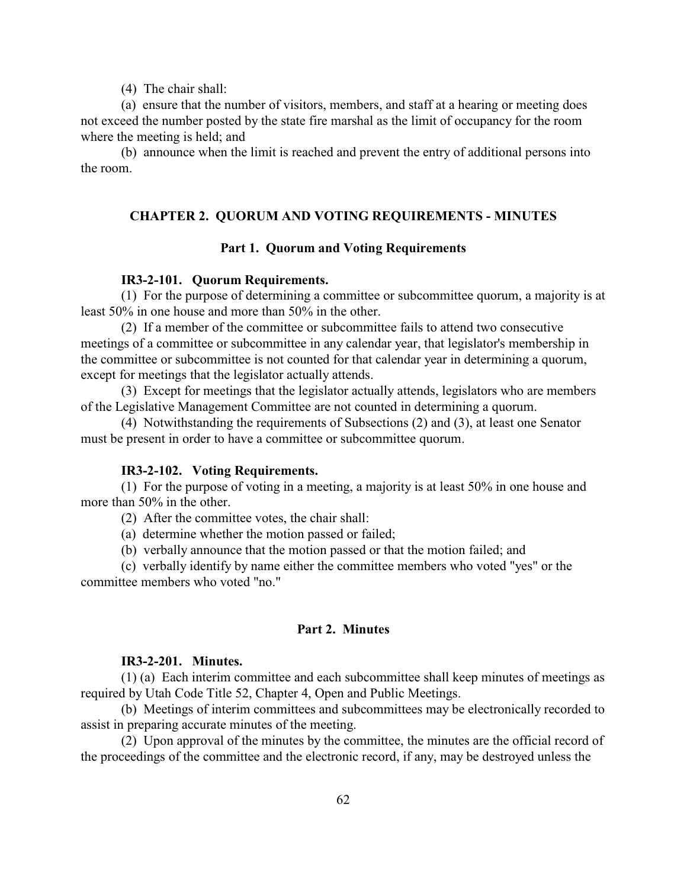(4) The chair shall:

(a) ensure that the number of visitors, members, and staff at a hearing or meeting does not exceed the number posted by the state fire marshal as the limit of occupancy for the room where the meeting is held; and

(b) announce when the limit is reached and prevent the entry of additional persons into the room.

## **CHAPTER 2. QUORUM AND VOTING REQUIREMENTS - MINUTES**

### **Part 1. Quorum and Voting Requirements**

### **IR3-2-101. Quorum Requirements.**

(1) For the purpose of determining a committee or subcommittee quorum, a majority is at least 50% in one house and more than 50% in the other.

(2) If a member of the committee or subcommittee fails to attend two consecutive meetings of a committee or subcommittee in any calendar year, that legislator's membership in the committee or subcommittee is not counted for that calendar year in determining a quorum, except for meetings that the legislator actually attends.

(3) Except for meetings that the legislator actually attends, legislators who are members of the Legislative Management Committee are not counted in determining a quorum.

(4) Notwithstanding the requirements of Subsections (2) and (3), at least one Senator must be present in order to have a committee or subcommittee quorum.

#### **IR3-2-102. Voting Requirements.**

(1) For the purpose of voting in a meeting, a majority is at least 50% in one house and more than 50% in the other.

(2) After the committee votes, the chair shall:

(a) determine whether the motion passed or failed;

(b) verbally announce that the motion passed or that the motion failed; and

(c) verbally identify by name either the committee members who voted "yes" or the committee members who voted "no."

## **Part 2. Minutes**

## **IR3-2-201. Minutes.**

(1) (a) Each interim committee and each subcommittee shall keep minutes of meetings as required by Utah Code Title 52, Chapter 4, Open and Public Meetings.

(b) Meetings of interim committees and subcommittees may be electronically recorded to assist in preparing accurate minutes of the meeting.

(2) Upon approval of the minutes by the committee, the minutes are the official record of the proceedings of the committee and the electronic record, if any, may be destroyed unless the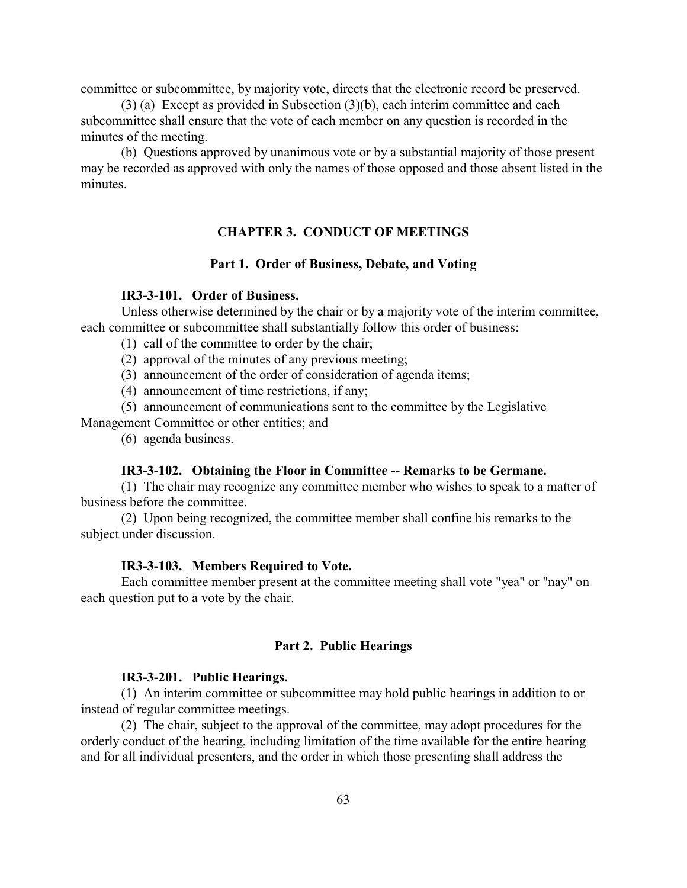committee or subcommittee, by majority vote, directs that the electronic record be preserved.

(3) (a) Except as provided in Subsection (3)(b), each interim committee and each subcommittee shall ensure that the vote of each member on any question is recorded in the minutes of the meeting.

(b) Questions approved by unanimous vote or by a substantial majority of those present may be recorded as approved with only the names of those opposed and those absent listed in the minutes.

## **CHAPTER 3. CONDUCT OF MEETINGS**

### **Part 1. Order of Business, Debate, and Voting**

## **IR3-3-101. Order of Business.**

Unless otherwise determined by the chair or by a majority vote of the interim committee, each committee or subcommittee shall substantially follow this order of business:

- (1) call of the committee to order by the chair;
- (2) approval of the minutes of any previous meeting;
- (3) announcement of the order of consideration of agenda items;
- (4) announcement of time restrictions, if any;

(5) announcement of communications sent to the committee by the Legislative

- Management Committee or other entities; and
	- (6) agenda business.

### **IR3-3-102. Obtaining the Floor in Committee -- Remarks to be Germane.**

(1) The chair may recognize any committee member who wishes to speak to a matter of business before the committee.

(2) Upon being recognized, the committee member shall confine his remarks to the subject under discussion.

#### **IR3-3-103. Members Required to Vote.**

Each committee member present at the committee meeting shall vote "yea" or "nay" on each question put to a vote by the chair.

### **Part 2. Public Hearings**

### **IR3-3-201. Public Hearings.**

(1) An interim committee or subcommittee may hold public hearings in addition to or instead of regular committee meetings.

(2) The chair, subject to the approval of the committee, may adopt procedures for the orderly conduct of the hearing, including limitation of the time available for the entire hearing and for all individual presenters, and the order in which those presenting shall address the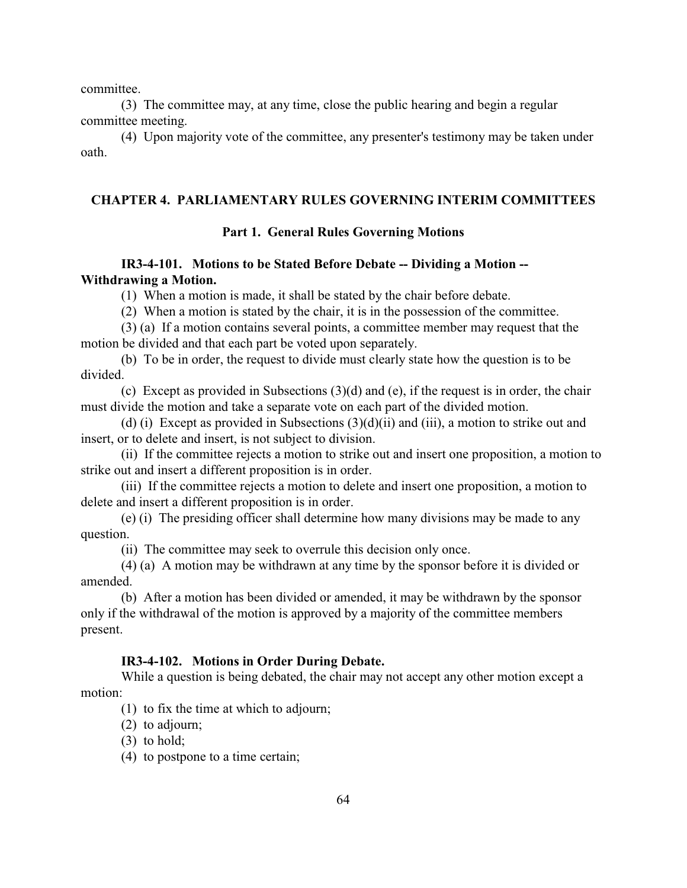committee.

(3) The committee may, at any time, close the public hearing and begin a regular committee meeting.

(4) Upon majority vote of the committee, any presenter's testimony may be taken under oath.

## **CHAPTER 4. PARLIAMENTARY RULES GOVERNING INTERIM COMMITTEES**

## **Part 1. General Rules Governing Motions**

# **IR3-4-101. Motions to be Stated Before Debate -- Dividing a Motion -- Withdrawing a Motion.**

(1) When a motion is made, it shall be stated by the chair before debate.

(2) When a motion is stated by the chair, it is in the possession of the committee.

(3) (a) If a motion contains several points, a committee member may request that the motion be divided and that each part be voted upon separately.

(b) To be in order, the request to divide must clearly state how the question is to be divided.

(c) Except as provided in Subsections (3)(d) and (e), if the request is in order, the chair must divide the motion and take a separate vote on each part of the divided motion.

(d) (i) Except as provided in Subsections  $(3)(d)(ii)$  and (iii), a motion to strike out and insert, or to delete and insert, is not subject to division.

(ii) If the committee rejects a motion to strike out and insert one proposition, a motion to strike out and insert a different proposition is in order.

(iii) If the committee rejects a motion to delete and insert one proposition, a motion to delete and insert a different proposition is in order.

(e) (i) The presiding officer shall determine how many divisions may be made to any question.

(ii) The committee may seek to overrule this decision only once.

(4) (a) A motion may be withdrawn at any time by the sponsor before it is divided or amended.

(b) After a motion has been divided or amended, it may be withdrawn by the sponsor only if the withdrawal of the motion is approved by a majority of the committee members present.

#### **IR3-4-102. Motions in Order During Debate.**

While a question is being debated, the chair may not accept any other motion except a motion:

(1) to fix the time at which to adjourn;

- (2) to adjourn;
- (3) to hold;
- (4) to postpone to a time certain;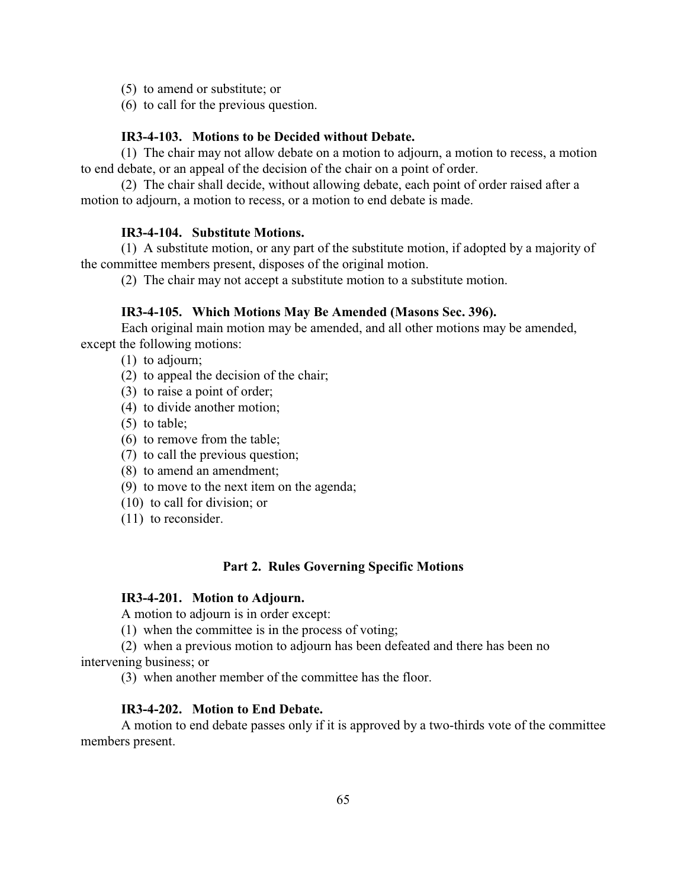- (5) to amend or substitute; or
- (6) to call for the previous question.

### **IR3-4-103. Motions to be Decided without Debate.**

(1) The chair may not allow debate on a motion to adjourn, a motion to recess, a motion to end debate, or an appeal of the decision of the chair on a point of order.

(2) The chair shall decide, without allowing debate, each point of order raised after a motion to adjourn, a motion to recess, or a motion to end debate is made.

#### **IR3-4-104. Substitute Motions.**

(1) A substitute motion, or any part of the substitute motion, if adopted by a majority of the committee members present, disposes of the original motion.

(2) The chair may not accept a substitute motion to a substitute motion.

#### **IR3-4-105. Which Motions May Be Amended (Masons Sec. 396).**

Each original main motion may be amended, and all other motions may be amended, except the following motions:

- (1) to adjourn;
- (2) to appeal the decision of the chair;
- (3) to raise a point of order;
- (4) to divide another motion;
- (5) to table;
- (6) to remove from the table;
- (7) to call the previous question;
- (8) to amend an amendment;
- (9) to move to the next item on the agenda;
- (10) to call for division; or
- (11) to reconsider.

## **Part 2. Rules Governing Specific Motions**

### **IR3-4-201. Motion to Adjourn.**

A motion to adjourn is in order except:

(1) when the committee is in the process of voting;

(2) when a previous motion to adjourn has been defeated and there has been no intervening business; or

(3) when another member of the committee has the floor.

### **IR3-4-202. Motion to End Debate.**

A motion to end debate passes only if it is approved by a two-thirds vote of the committee members present.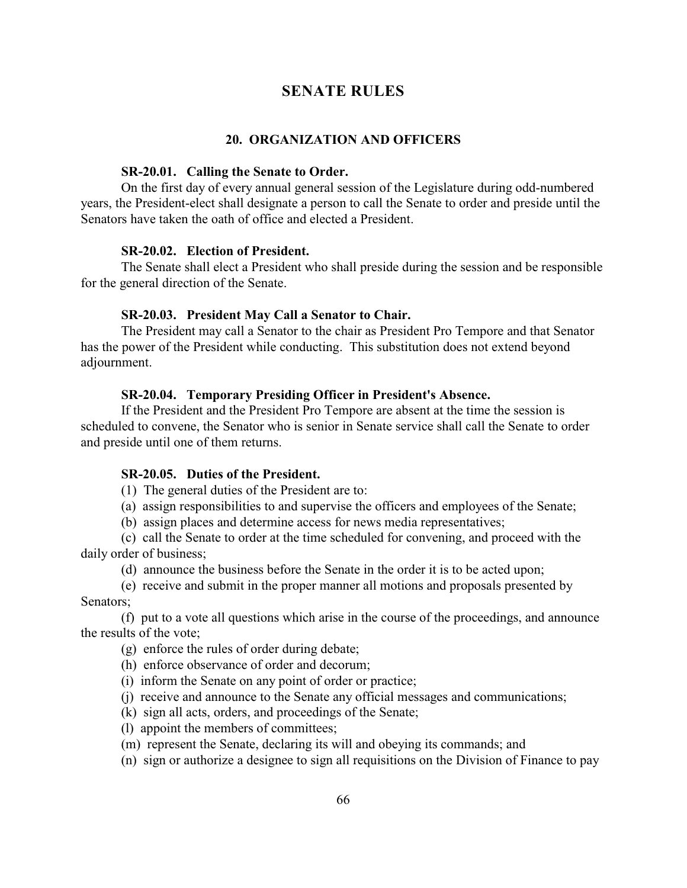# **SENATE RULES**

### **20. ORGANIZATION AND OFFICERS**

#### **SR-20.01. Calling the Senate to Order.**

On the first day of every annual general session of the Legislature during odd-numbered years, the President-elect shall designate a person to call the Senate to order and preside until the Senators have taken the oath of office and elected a President.

#### **SR-20.02. Election of President.**

The Senate shall elect a President who shall preside during the session and be responsible for the general direction of the Senate.

### **SR-20.03. President May Call a Senator to Chair.**

The President may call a Senator to the chair as President Pro Tempore and that Senator has the power of the President while conducting. This substitution does not extend beyond adjournment.

### **SR-20.04. Temporary Presiding Officer in President's Absence.**

If the President and the President Pro Tempore are absent at the time the session is scheduled to convene, the Senator who is senior in Senate service shall call the Senate to order and preside until one of them returns.

#### **SR-20.05. Duties of the President.**

(1) The general duties of the President are to:

(a) assign responsibilities to and supervise the officers and employees of the Senate;

(b) assign places and determine access for news media representatives;

(c) call the Senate to order at the time scheduled for convening, and proceed with the daily order of business;

(d) announce the business before the Senate in the order it is to be acted upon;

(e) receive and submit in the proper manner all motions and proposals presented by Senators;

(f) put to a vote all questions which arise in the course of the proceedings, and announce the results of the vote;

- (g) enforce the rules of order during debate;
- (h) enforce observance of order and decorum;
- (i) inform the Senate on any point of order or practice;
- (j) receive and announce to the Senate any official messages and communications;
- (k) sign all acts, orders, and proceedings of the Senate;
- (l) appoint the members of committees;
- (m) represent the Senate, declaring its will and obeying its commands; and
- (n) sign or authorize a designee to sign all requisitions on the Division of Finance to pay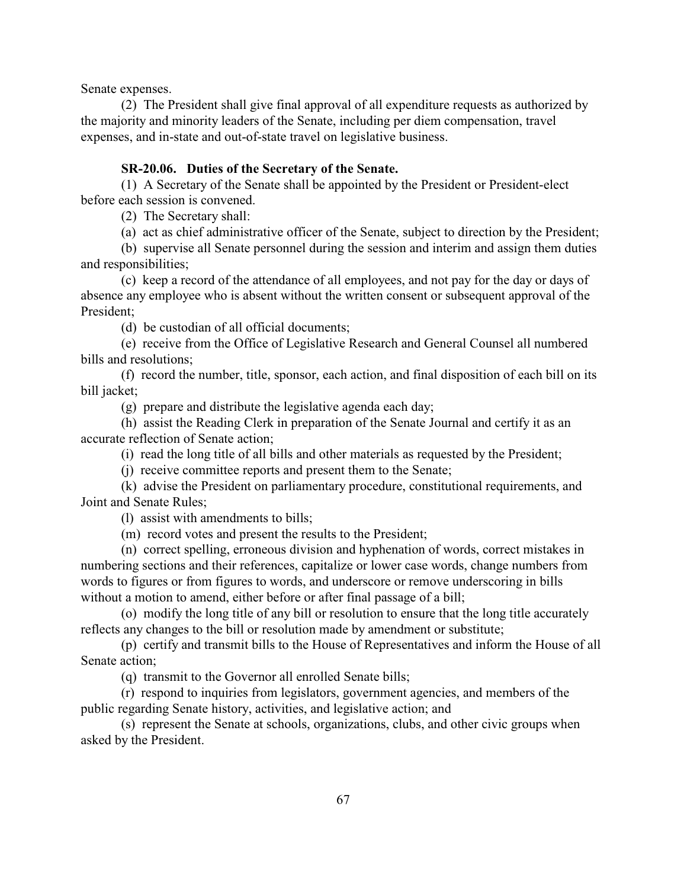Senate expenses.

(2) The President shall give final approval of all expenditure requests as authorized by the majority and minority leaders of the Senate, including per diem compensation, travel expenses, and in-state and out-of-state travel on legislative business.

# **SR-20.06. Duties of the Secretary of the Senate.**

(1) A Secretary of the Senate shall be appointed by the President or President-elect before each session is convened.

(2) The Secretary shall:

(a) act as chief administrative officer of the Senate, subject to direction by the President;

(b) supervise all Senate personnel during the session and interim and assign them duties and responsibilities;

(c) keep a record of the attendance of all employees, and not pay for the day or days of absence any employee who is absent without the written consent or subsequent approval of the President;

(d) be custodian of all official documents;

(e) receive from the Office of Legislative Research and General Counsel all numbered bills and resolutions;

(f) record the number, title, sponsor, each action, and final disposition of each bill on its bill jacket;

(g) prepare and distribute the legislative agenda each day;

(h) assist the Reading Clerk in preparation of the Senate Journal and certify it as an accurate reflection of Senate action;

(i) read the long title of all bills and other materials as requested by the President;

(j) receive committee reports and present them to the Senate;

(k) advise the President on parliamentary procedure, constitutional requirements, and Joint and Senate Rules;

(l) assist with amendments to bills;

(m) record votes and present the results to the President;

(n) correct spelling, erroneous division and hyphenation of words, correct mistakes in numbering sections and their references, capitalize or lower case words, change numbers from words to figures or from figures to words, and underscore or remove underscoring in bills without a motion to amend, either before or after final passage of a bill;

(o) modify the long title of any bill or resolution to ensure that the long title accurately reflects any changes to the bill or resolution made by amendment or substitute;

(p) certify and transmit bills to the House of Representatives and inform the House of all Senate action;

(q) transmit to the Governor all enrolled Senate bills;

(r) respond to inquiries from legislators, government agencies, and members of the public regarding Senate history, activities, and legislative action; and

(s) represent the Senate at schools, organizations, clubs, and other civic groups when asked by the President.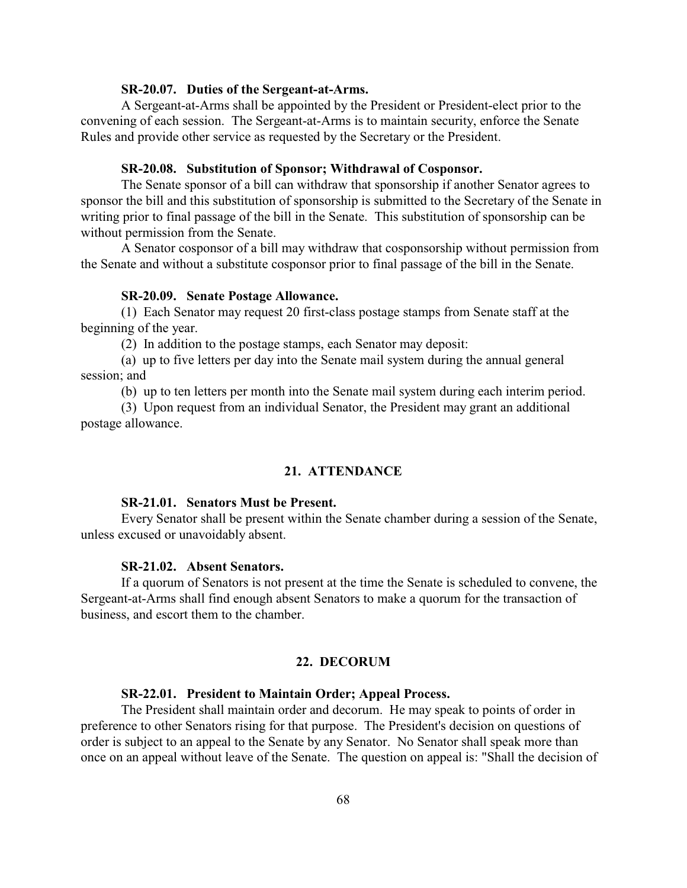#### **SR-20.07. Duties of the Sergeant-at-Arms.**

A Sergeant-at-Arms shall be appointed by the President or President-elect prior to the convening of each session. The Sergeant-at-Arms is to maintain security, enforce the Senate Rules and provide other service as requested by the Secretary or the President.

## **SR-20.08. Substitution of Sponsor; Withdrawal of Cosponsor.**

The Senate sponsor of a bill can withdraw that sponsorship if another Senator agrees to sponsor the bill and this substitution of sponsorship is submitted to the Secretary of the Senate in writing prior to final passage of the bill in the Senate. This substitution of sponsorship can be without permission from the Senate.

A Senator cosponsor of a bill may withdraw that cosponsorship without permission from the Senate and without a substitute cosponsor prior to final passage of the bill in the Senate.

### **SR-20.09. Senate Postage Allowance.**

(1) Each Senator may request 20 first-class postage stamps from Senate staff at the beginning of the year.

(2) In addition to the postage stamps, each Senator may deposit:

(a) up to five letters per day into the Senate mail system during the annual general session; and

(b) up to ten letters per month into the Senate mail system during each interim period.

(3) Upon request from an individual Senator, the President may grant an additional postage allowance.

#### **21. ATTENDANCE**

#### **SR-21.01. Senators Must be Present.**

Every Senator shall be present within the Senate chamber during a session of the Senate, unless excused or unavoidably absent.

#### **SR-21.02. Absent Senators.**

If a quorum of Senators is not present at the time the Senate is scheduled to convene, the Sergeant-at-Arms shall find enough absent Senators to make a quorum for the transaction of business, and escort them to the chamber.

### **22. DECORUM**

### **SR-22.01. President to Maintain Order; Appeal Process.**

The President shall maintain order and decorum. He may speak to points of order in preference to other Senators rising for that purpose. The President's decision on questions of order is subject to an appeal to the Senate by any Senator. No Senator shall speak more than once on an appeal without leave of the Senate. The question on appeal is: "Shall the decision of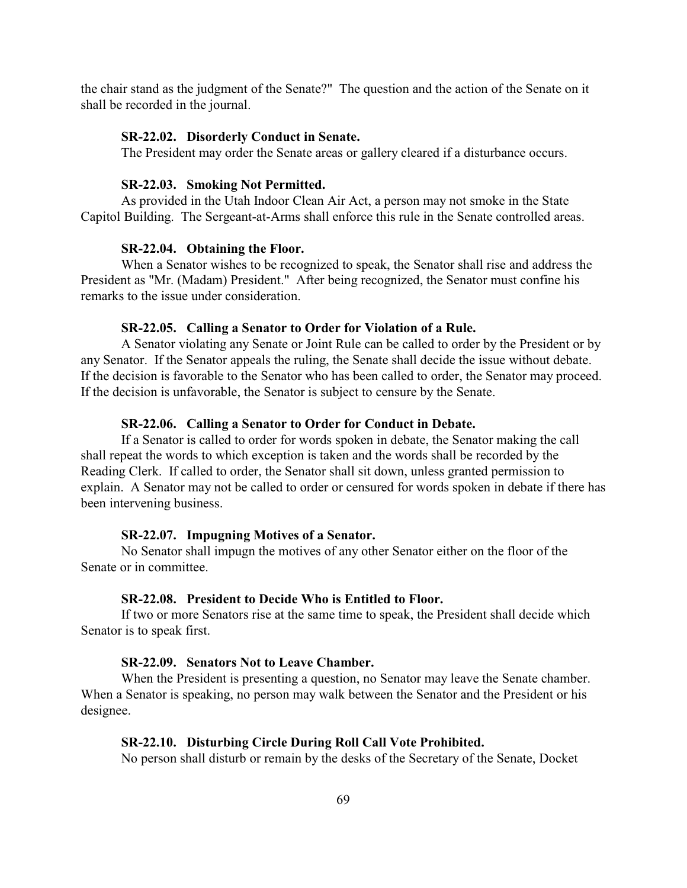the chair stand as the judgment of the Senate?" The question and the action of the Senate on it shall be recorded in the journal.

### **SR-22.02. Disorderly Conduct in Senate.**

The President may order the Senate areas or gallery cleared if a disturbance occurs.

### **SR-22.03. Smoking Not Permitted.**

As provided in the Utah Indoor Clean Air Act, a person may not smoke in the State Capitol Building. The Sergeant-at-Arms shall enforce this rule in the Senate controlled areas.

#### **SR-22.04. Obtaining the Floor.**

When a Senator wishes to be recognized to speak, the Senator shall rise and address the President as "Mr. (Madam) President." After being recognized, the Senator must confine his remarks to the issue under consideration.

### **SR-22.05. Calling a Senator to Order for Violation of a Rule.**

A Senator violating any Senate or Joint Rule can be called to order by the President or by any Senator. If the Senator appeals the ruling, the Senate shall decide the issue without debate. If the decision is favorable to the Senator who has been called to order, the Senator may proceed. If the decision is unfavorable, the Senator is subject to censure by the Senate.

#### **SR-22.06. Calling a Senator to Order for Conduct in Debate.**

If a Senator is called to order for words spoken in debate, the Senator making the call shall repeat the words to which exception is taken and the words shall be recorded by the Reading Clerk. If called to order, the Senator shall sit down, unless granted permission to explain. A Senator may not be called to order or censured for words spoken in debate if there has been intervening business.

### **SR-22.07. Impugning Motives of a Senator.**

No Senator shall impugn the motives of any other Senator either on the floor of the Senate or in committee.

#### **SR-22.08. President to Decide Who is Entitled to Floor.**

If two or more Senators rise at the same time to speak, the President shall decide which Senator is to speak first.

### **SR-22.09. Senators Not to Leave Chamber.**

When the President is presenting a question, no Senator may leave the Senate chamber. When a Senator is speaking, no person may walk between the Senator and the President or his designee.

### **SR-22.10. Disturbing Circle During Roll Call Vote Prohibited.**

No person shall disturb or remain by the desks of the Secretary of the Senate, Docket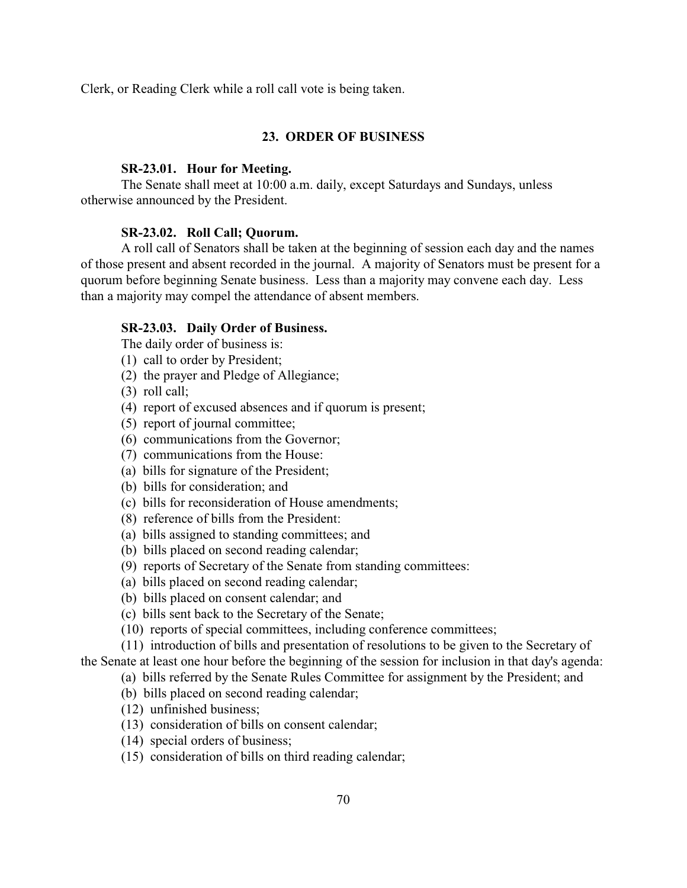Clerk, or Reading Clerk while a roll call vote is being taken.

### **23. ORDER OF BUSINESS**

#### **SR-23.01. Hour for Meeting.**

The Senate shall meet at 10:00 a.m. daily, except Saturdays and Sundays, unless otherwise announced by the President.

#### **SR-23.02. Roll Call; Quorum.**

A roll call of Senators shall be taken at the beginning of session each day and the names of those present and absent recorded in the journal. A majority of Senators must be present for a quorum before beginning Senate business. Less than a majority may convene each day. Less than a majority may compel the attendance of absent members.

#### **SR-23.03. Daily Order of Business.**

The daily order of business is:

- (1) call to order by President;
- (2) the prayer and Pledge of Allegiance;
- (3) roll call;
- (4) report of excused absences and if quorum is present;
- (5) report of journal committee;
- (6) communications from the Governor;
- (7) communications from the House:
- (a) bills for signature of the President;
- (b) bills for consideration; and
- (c) bills for reconsideration of House amendments;
- (8) reference of bills from the President:
- (a) bills assigned to standing committees; and
- (b) bills placed on second reading calendar;
- (9) reports of Secretary of the Senate from standing committees:
- (a) bills placed on second reading calendar;
- (b) bills placed on consent calendar; and
- (c) bills sent back to the Secretary of the Senate;
- (10) reports of special committees, including conference committees;

(11) introduction of bills and presentation of resolutions to be given to the Secretary of the Senate at least one hour before the beginning of the session for inclusion in that day's agenda:

(a) bills referred by the Senate Rules Committee for assignment by the President; and

- (b) bills placed on second reading calendar;
- (12) unfinished business;
- (13) consideration of bills on consent calendar;
- (14) special orders of business;
- (15) consideration of bills on third reading calendar;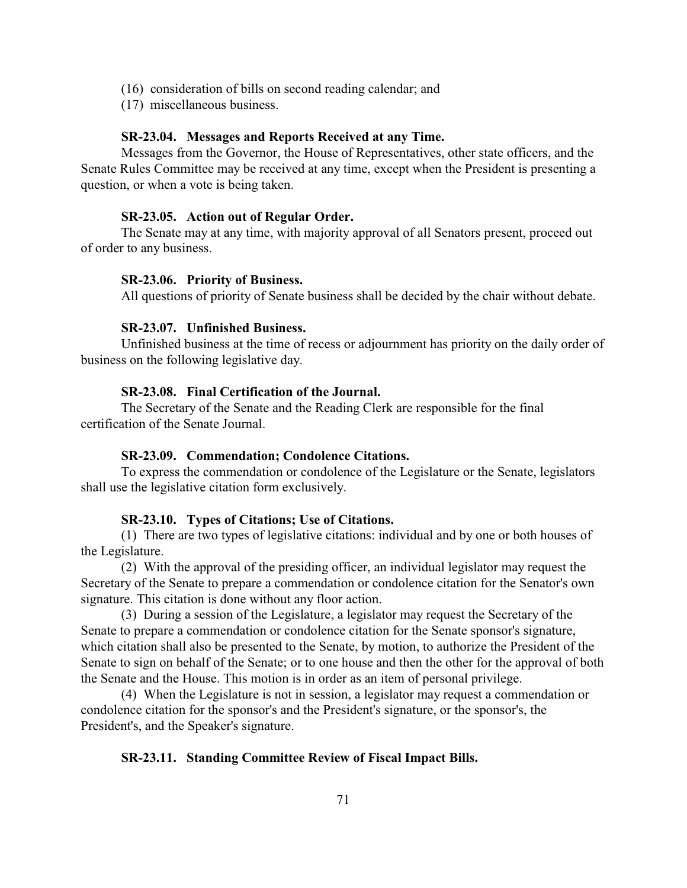- (16) consideration of bills on second reading calendar; and
- (17) miscellaneous business.

### **SR-23.04. Messages and Reports Received at any Time.**

Messages from the Governor, the House of Representatives, other state officers, and the Senate Rules Committee may be received at any time, except when the President is presenting a question, or when a vote is being taken.

#### **SR-23.05. Action out of Regular Order.**

The Senate may at any time, with majority approval of all Senators present, proceed out of order to any business.

#### **SR-23.06. Priority of Business.**

All questions of priority of Senate business shall be decided by the chair without debate.

### **SR-23.07. Unfinished Business.**

Unfinished business at the time of recess or adjournment has priority on the daily order of business on the following legislative day.

### **SR-23.08. Final Certification of the Journal.**

The Secretary of the Senate and the Reading Clerk are responsible for the final certification of the Senate Journal.

### **SR-23.09. Commendation; Condolence Citations.**

To express the commendation or condolence of the Legislature or the Senate, legislators shall use the legislative citation form exclusively.

### **SR-23.10. Types of Citations; Use of Citations.**

(1) There are two types of legislative citations: individual and by one or both houses of the Legislature.

(2) With the approval of the presiding officer, an individual legislator may request the Secretary of the Senate to prepare a commendation or condolence citation for the Senator's own signature. This citation is done without any floor action.

(3) During a session of the Legislature, a legislator may request the Secretary of the Senate to prepare a commendation or condolence citation for the Senate sponsor's signature, which citation shall also be presented to the Senate, by motion, to authorize the President of the Senate to sign on behalf of the Senate; or to one house and then the other for the approval of both the Senate and the House. This motion is in order as an item of personal privilege.

(4) When the Legislature is not in session, a legislator may request a commendation or condolence citation for the sponsor's and the President's signature, or the sponsor's, the President's, and the Speaker's signature.

### **SR-23.11. Standing Committee Review of Fiscal Impact Bills.**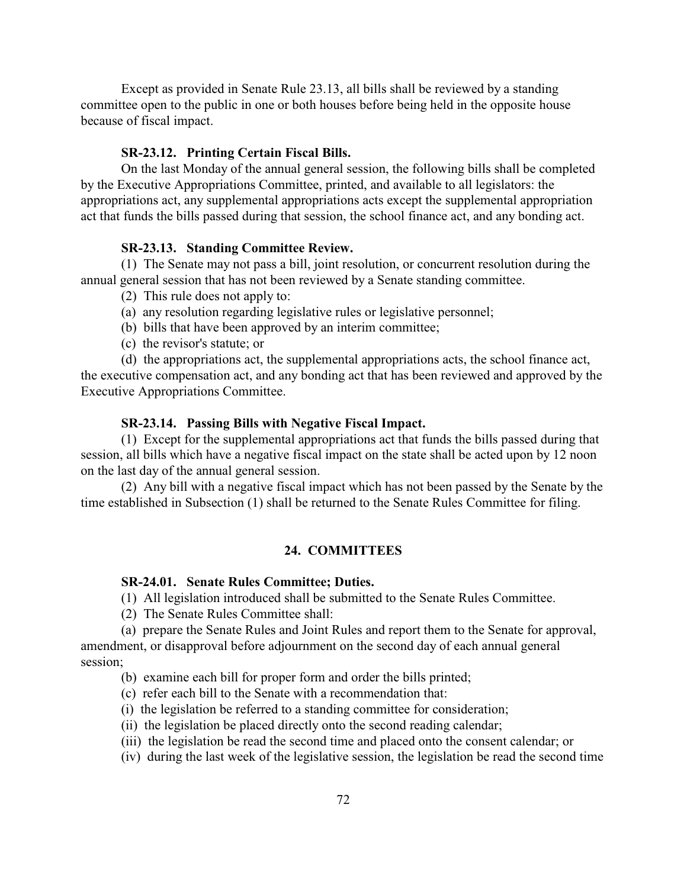Except as provided in Senate Rule 23.13, all bills shall be reviewed by a standing committee open to the public in one or both houses before being held in the opposite house because of fiscal impact.

#### **SR-23.12. Printing Certain Fiscal Bills.**

On the last Monday of the annual general session, the following bills shall be completed by the Executive Appropriations Committee, printed, and available to all legislators: the appropriations act, any supplemental appropriations acts except the supplemental appropriation act that funds the bills passed during that session, the school finance act, and any bonding act.

## **SR-23.13. Standing Committee Review.**

(1) The Senate may not pass a bill, joint resolution, or concurrent resolution during the annual general session that has not been reviewed by a Senate standing committee.

- (2) This rule does not apply to:
- (a) any resolution regarding legislative rules or legislative personnel;
- (b) bills that have been approved by an interim committee;
- (c) the revisor's statute; or

(d) the appropriations act, the supplemental appropriations acts, the school finance act, the executive compensation act, and any bonding act that has been reviewed and approved by the Executive Appropriations Committee.

#### **SR-23.14. Passing Bills with Negative Fiscal Impact.**

(1) Except for the supplemental appropriations act that funds the bills passed during that session, all bills which have a negative fiscal impact on the state shall be acted upon by 12 noon on the last day of the annual general session.

(2) Any bill with a negative fiscal impact which has not been passed by the Senate by the time established in Subsection (1) shall be returned to the Senate Rules Committee for filing.

# **24. COMMITTEES**

# **SR-24.01. Senate Rules Committee; Duties.**

(1) All legislation introduced shall be submitted to the Senate Rules Committee.

(2) The Senate Rules Committee shall:

(a) prepare the Senate Rules and Joint Rules and report them to the Senate for approval, amendment, or disapproval before adjournment on the second day of each annual general session;

- (b) examine each bill for proper form and order the bills printed;
- (c) refer each bill to the Senate with a recommendation that:
- (i) the legislation be referred to a standing committee for consideration;
- (ii) the legislation be placed directly onto the second reading calendar;
- (iii) the legislation be read the second time and placed onto the consent calendar; or
- (iv) during the last week of the legislative session, the legislation be read the second time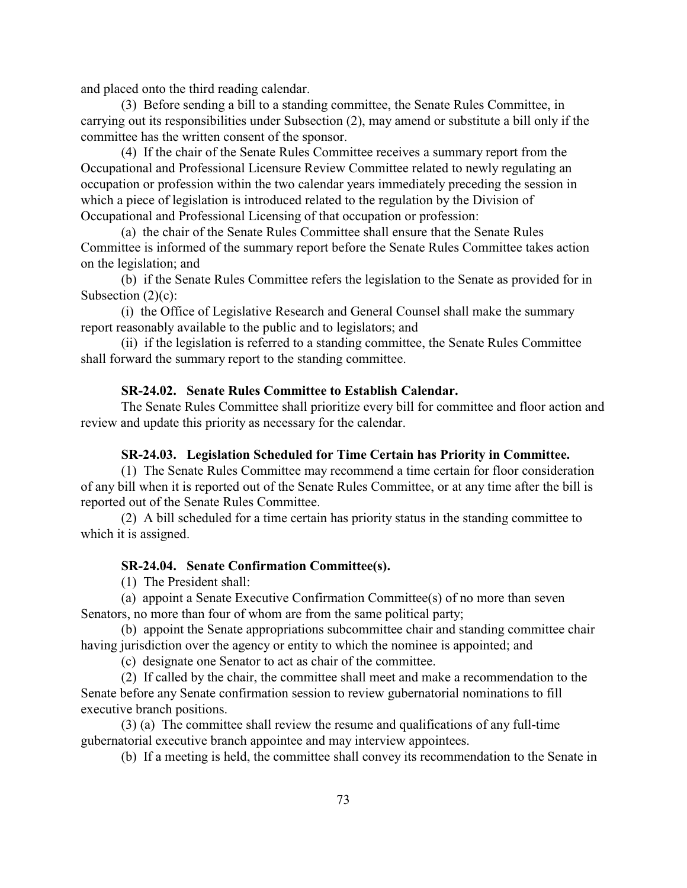and placed onto the third reading calendar.

(3) Before sending a bill to a standing committee, the Senate Rules Committee, in carrying out its responsibilities under Subsection (2), may amend or substitute a bill only if the committee has the written consent of the sponsor.

(4) If the chair of the Senate Rules Committee receives a summary report from the Occupational and Professional Licensure Review Committee related to newly regulating an occupation or profession within the two calendar years immediately preceding the session in which a piece of legislation is introduced related to the regulation by the Division of Occupational and Professional Licensing of that occupation or profession:

(a) the chair of the Senate Rules Committee shall ensure that the Senate Rules Committee is informed of the summary report before the Senate Rules Committee takes action on the legislation; and

(b) if the Senate Rules Committee refers the legislation to the Senate as provided for in Subsection  $(2)(c)$ :

(i) the Office of Legislative Research and General Counsel shall make the summary report reasonably available to the public and to legislators; and

(ii) if the legislation is referred to a standing committee, the Senate Rules Committee shall forward the summary report to the standing committee.

# **SR-24.02. Senate Rules Committee to Establish Calendar.**

The Senate Rules Committee shall prioritize every bill for committee and floor action and review and update this priority as necessary for the calendar.

#### **SR-24.03. Legislation Scheduled for Time Certain has Priority in Committee.**

(1) The Senate Rules Committee may recommend a time certain for floor consideration of any bill when it is reported out of the Senate Rules Committee, or at any time after the bill is reported out of the Senate Rules Committee.

(2) A bill scheduled for a time certain has priority status in the standing committee to which it is assigned.

# **SR-24.04. Senate Confirmation Committee(s).**

(1) The President shall:

(a) appoint a Senate Executive Confirmation Committee(s) of no more than seven Senators, no more than four of whom are from the same political party;

(b) appoint the Senate appropriations subcommittee chair and standing committee chair having jurisdiction over the agency or entity to which the nominee is appointed; and

(c) designate one Senator to act as chair of the committee.

(2) If called by the chair, the committee shall meet and make a recommendation to the Senate before any Senate confirmation session to review gubernatorial nominations to fill executive branch positions.

(3) (a) The committee shall review the resume and qualifications of any full-time gubernatorial executive branch appointee and may interview appointees.

(b) If a meeting is held, the committee shall convey its recommendation to the Senate in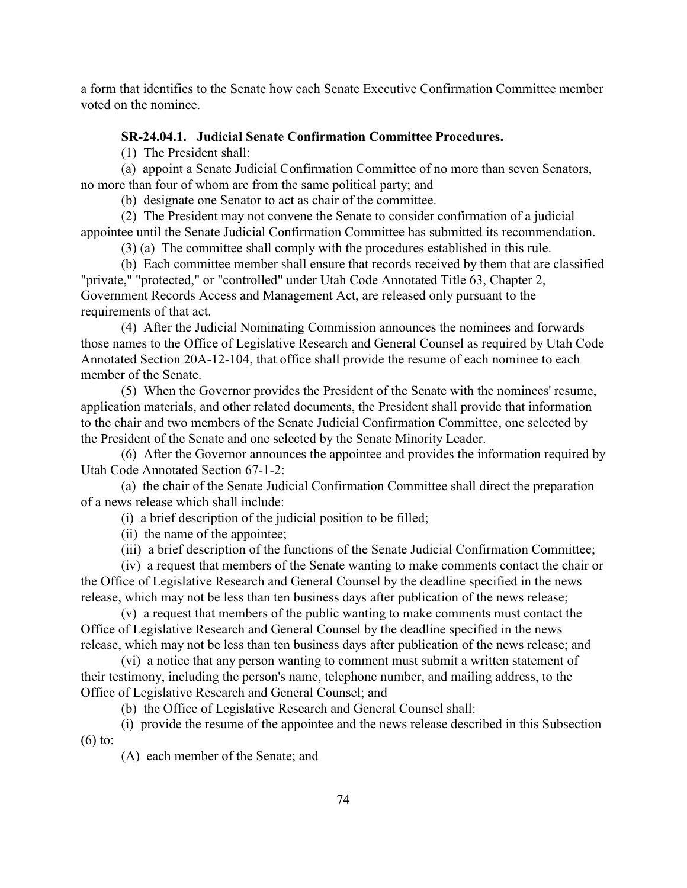a form that identifies to the Senate how each Senate Executive Confirmation Committee member voted on the nominee.

# **SR-24.04.1. Judicial Senate Confirmation Committee Procedures.**

(1) The President shall:

(a) appoint a Senate Judicial Confirmation Committee of no more than seven Senators, no more than four of whom are from the same political party; and

(b) designate one Senator to act as chair of the committee.

(2) The President may not convene the Senate to consider confirmation of a judicial appointee until the Senate Judicial Confirmation Committee has submitted its recommendation.

(3) (a) The committee shall comply with the procedures established in this rule.

(b) Each committee member shall ensure that records received by them that are classified "private," "protected," or "controlled" under Utah Code Annotated Title 63, Chapter 2, Government Records Access and Management Act, are released only pursuant to the requirements of that act.

(4) After the Judicial Nominating Commission announces the nominees and forwards those names to the Office of Legislative Research and General Counsel as required by Utah Code Annotated Section 20A-12-104, that office shall provide the resume of each nominee to each member of the Senate.

(5) When the Governor provides the President of the Senate with the nominees' resume, application materials, and other related documents, the President shall provide that information to the chair and two members of the Senate Judicial Confirmation Committee, one selected by the President of the Senate and one selected by the Senate Minority Leader.

(6) After the Governor announces the appointee and provides the information required by Utah Code Annotated Section 67-1-2:

(a) the chair of the Senate Judicial Confirmation Committee shall direct the preparation of a news release which shall include:

(i) a brief description of the judicial position to be filled;

(ii) the name of the appointee;

(iii) a brief description of the functions of the Senate Judicial Confirmation Committee;

(iv) a request that members of the Senate wanting to make comments contact the chair or the Office of Legislative Research and General Counsel by the deadline specified in the news release, which may not be less than ten business days after publication of the news release;

(v) a request that members of the public wanting to make comments must contact the Office of Legislative Research and General Counsel by the deadline specified in the news release, which may not be less than ten business days after publication of the news release; and

(vi) a notice that any person wanting to comment must submit a written statement of their testimony, including the person's name, telephone number, and mailing address, to the Office of Legislative Research and General Counsel; and

(b) the Office of Legislative Research and General Counsel shall:

(i) provide the resume of the appointee and the news release described in this Subsection (6) to:

(A) each member of the Senate; and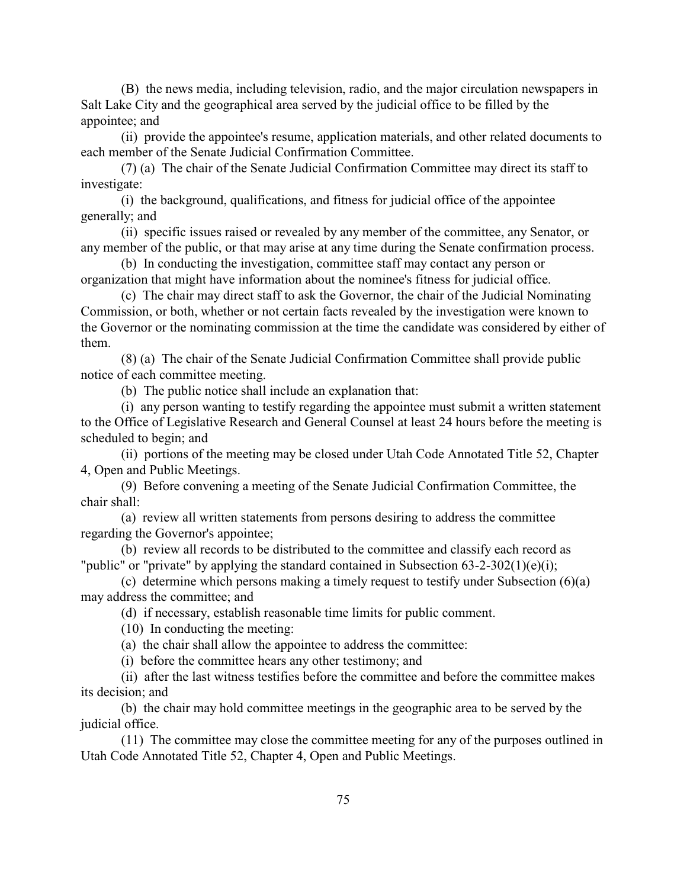(B) the news media, including television, radio, and the major circulation newspapers in Salt Lake City and the geographical area served by the judicial office to be filled by the appointee; and

(ii) provide the appointee's resume, application materials, and other related documents to each member of the Senate Judicial Confirmation Committee.

(7) (a) The chair of the Senate Judicial Confirmation Committee may direct its staff to investigate:

(i) the background, qualifications, and fitness for judicial office of the appointee generally; and

(ii) specific issues raised or revealed by any member of the committee, any Senator, or any member of the public, or that may arise at any time during the Senate confirmation process.

(b) In conducting the investigation, committee staff may contact any person or organization that might have information about the nominee's fitness for judicial office.

(c) The chair may direct staff to ask the Governor, the chair of the Judicial Nominating Commission, or both, whether or not certain facts revealed by the investigation were known to the Governor or the nominating commission at the time the candidate was considered by either of them.

(8) (a) The chair of the Senate Judicial Confirmation Committee shall provide public notice of each committee meeting.

(b) The public notice shall include an explanation that:

(i) any person wanting to testify regarding the appointee must submit a written statement to the Office of Legislative Research and General Counsel at least 24 hours before the meeting is scheduled to begin; and

(ii) portions of the meeting may be closed under Utah Code Annotated Title 52, Chapter 4, Open and Public Meetings.

(9) Before convening a meeting of the Senate Judicial Confirmation Committee, the chair shall:

(a) review all written statements from persons desiring to address the committee regarding the Governor's appointee;

(b) review all records to be distributed to the committee and classify each record as "public" or "private" by applying the standard contained in Subsection 63-2-302(1)(e)(i);

(c) determine which persons making a timely request to testify under Subsection (6)(a) may address the committee; and

(d) if necessary, establish reasonable time limits for public comment.

(10) In conducting the meeting:

(a) the chair shall allow the appointee to address the committee:

(i) before the committee hears any other testimony; and

(ii) after the last witness testifies before the committee and before the committee makes its decision; and

(b) the chair may hold committee meetings in the geographic area to be served by the judicial office.

(11) The committee may close the committee meeting for any of the purposes outlined in Utah Code Annotated Title 52, Chapter 4, Open and Public Meetings.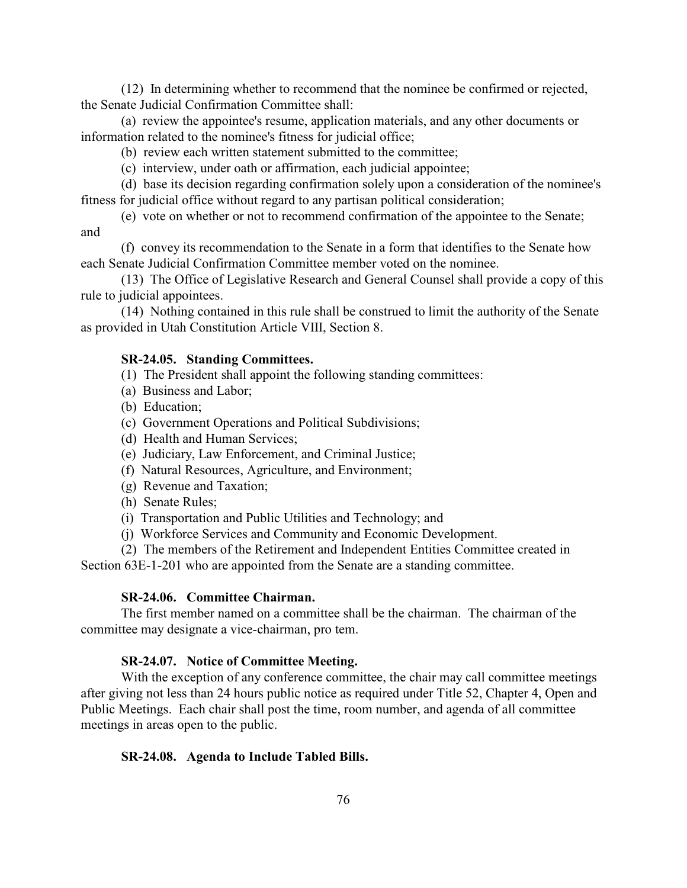(12) In determining whether to recommend that the nominee be confirmed or rejected, the Senate Judicial Confirmation Committee shall:

(a) review the appointee's resume, application materials, and any other documents or information related to the nominee's fitness for judicial office;

- (b) review each written statement submitted to the committee;
- (c) interview, under oath or affirmation, each judicial appointee;

(d) base its decision regarding confirmation solely upon a consideration of the nominee's fitness for judicial office without regard to any partisan political consideration;

(e) vote on whether or not to recommend confirmation of the appointee to the Senate; and

(f) convey its recommendation to the Senate in a form that identifies to the Senate how each Senate Judicial Confirmation Committee member voted on the nominee.

(13) The Office of Legislative Research and General Counsel shall provide a copy of this rule to judicial appointees.

(14) Nothing contained in this rule shall be construed to limit the authority of the Senate as provided in Utah Constitution Article VIII, Section 8.

# **SR-24.05. Standing Committees.**

- (1) The President shall appoint the following standing committees:
- (a) Business and Labor;
- (b) Education;
- (c) Government Operations and Political Subdivisions;
- (d) Health and Human Services;
- (e) Judiciary, Law Enforcement, and Criminal Justice;
- (f) Natural Resources, Agriculture, and Environment;
- (g) Revenue and Taxation;
- (h) Senate Rules;
- (i) Transportation and Public Utilities and Technology; and
- (j) Workforce Services and Community and Economic Development.
- (2) The members of the Retirement and Independent Entities Committee created in

Section 63E-1-201 who are appointed from the Senate are a standing committee.

## **SR-24.06. Committee Chairman.**

The first member named on a committee shall be the chairman. The chairman of the committee may designate a vice-chairman, pro tem.

# **SR-24.07. Notice of Committee Meeting.**

With the exception of any conference committee, the chair may call committee meetings after giving not less than 24 hours public notice as required under Title 52, Chapter 4, Open and Public Meetings. Each chair shall post the time, room number, and agenda of all committee meetings in areas open to the public.

#### **SR-24.08. Agenda to Include Tabled Bills.**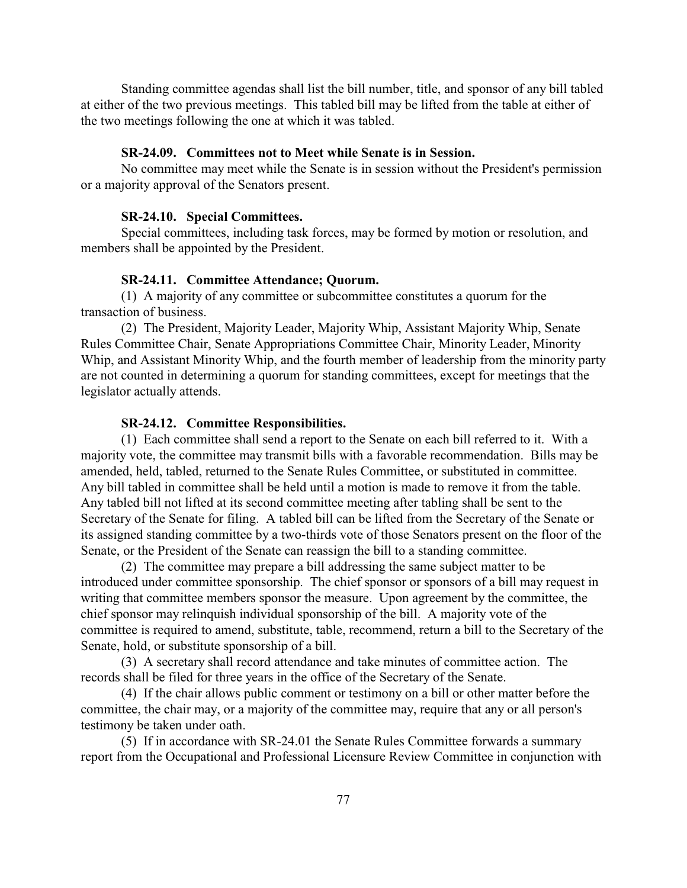Standing committee agendas shall list the bill number, title, and sponsor of any bill tabled at either of the two previous meetings. This tabled bill may be lifted from the table at either of the two meetings following the one at which it was tabled.

# **SR-24.09. Committees not to Meet while Senate is in Session.**

No committee may meet while the Senate is in session without the President's permission or a majority approval of the Senators present.

### **SR-24.10. Special Committees.**

Special committees, including task forces, may be formed by motion or resolution, and members shall be appointed by the President.

## **SR-24.11. Committee Attendance; Quorum.**

(1) A majority of any committee or subcommittee constitutes a quorum for the transaction of business.

(2) The President, Majority Leader, Majority Whip, Assistant Majority Whip, Senate Rules Committee Chair, Senate Appropriations Committee Chair, Minority Leader, Minority Whip, and Assistant Minority Whip, and the fourth member of leadership from the minority party are not counted in determining a quorum for standing committees, except for meetings that the legislator actually attends.

#### **SR-24.12. Committee Responsibilities.**

(1) Each committee shall send a report to the Senate on each bill referred to it. With a majority vote, the committee may transmit bills with a favorable recommendation. Bills may be amended, held, tabled, returned to the Senate Rules Committee, or substituted in committee. Any bill tabled in committee shall be held until a motion is made to remove it from the table. Any tabled bill not lifted at its second committee meeting after tabling shall be sent to the Secretary of the Senate for filing. A tabled bill can be lifted from the Secretary of the Senate or its assigned standing committee by a two-thirds vote of those Senators present on the floor of the Senate, or the President of the Senate can reassign the bill to a standing committee.

(2) The committee may prepare a bill addressing the same subject matter to be introduced under committee sponsorship. The chief sponsor or sponsors of a bill may request in writing that committee members sponsor the measure. Upon agreement by the committee, the chief sponsor may relinquish individual sponsorship of the bill. A majority vote of the committee is required to amend, substitute, table, recommend, return a bill to the Secretary of the Senate, hold, or substitute sponsorship of a bill.

(3) A secretary shall record attendance and take minutes of committee action. The records shall be filed for three years in the office of the Secretary of the Senate.

(4) If the chair allows public comment or testimony on a bill or other matter before the committee, the chair may, or a majority of the committee may, require that any or all person's testimony be taken under oath.

(5) If in accordance with SR-24.01 the Senate Rules Committee forwards a summary report from the Occupational and Professional Licensure Review Committee in conjunction with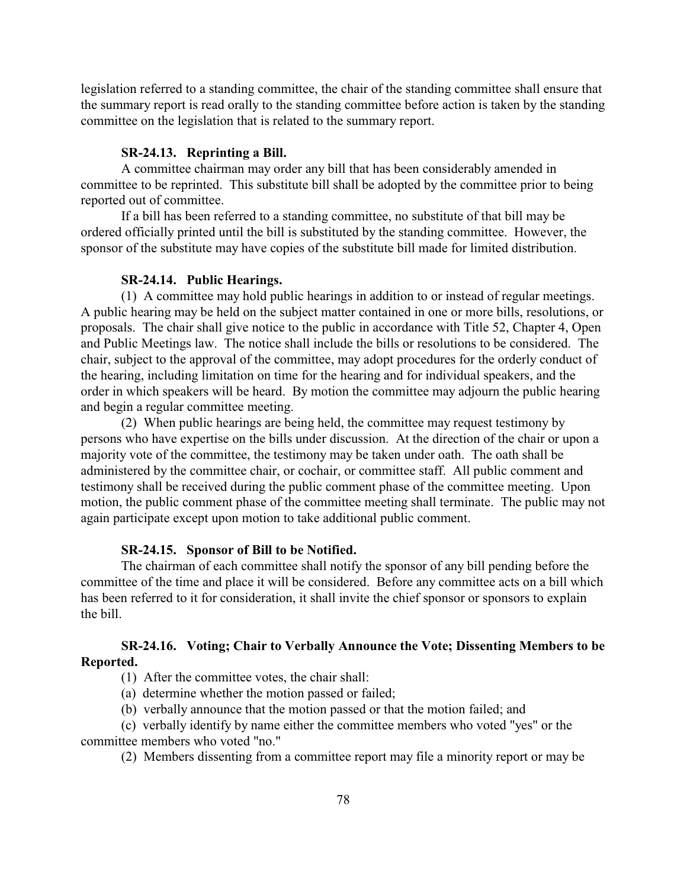legislation referred to a standing committee, the chair of the standing committee shall ensure that the summary report is read orally to the standing committee before action is taken by the standing committee on the legislation that is related to the summary report.

#### **SR-24.13. Reprinting a Bill.**

A committee chairman may order any bill that has been considerably amended in committee to be reprinted. This substitute bill shall be adopted by the committee prior to being reported out of committee.

If a bill has been referred to a standing committee, no substitute of that bill may be ordered officially printed until the bill is substituted by the standing committee. However, the sponsor of the substitute may have copies of the substitute bill made for limited distribution.

# **SR-24.14. Public Hearings.**

(1) A committee may hold public hearings in addition to or instead of regular meetings. A public hearing may be held on the subject matter contained in one or more bills, resolutions, or proposals. The chair shall give notice to the public in accordance with Title 52, Chapter 4, Open and Public Meetings law. The notice shall include the bills or resolutions to be considered. The chair, subject to the approval of the committee, may adopt procedures for the orderly conduct of the hearing, including limitation on time for the hearing and for individual speakers, and the order in which speakers will be heard. By motion the committee may adjourn the public hearing and begin a regular committee meeting.

(2) When public hearings are being held, the committee may request testimony by persons who have expertise on the bills under discussion. At the direction of the chair or upon a majority vote of the committee, the testimony may be taken under oath. The oath shall be administered by the committee chair, or cochair, or committee staff. All public comment and testimony shall be received during the public comment phase of the committee meeting. Upon motion, the public comment phase of the committee meeting shall terminate. The public may not again participate except upon motion to take additional public comment.

# **SR-24.15. Sponsor of Bill to be Notified.**

The chairman of each committee shall notify the sponsor of any bill pending before the committee of the time and place it will be considered. Before any committee acts on a bill which has been referred to it for consideration, it shall invite the chief sponsor or sponsors to explain the bill.

# **SR-24.16. Voting; Chair to Verbally Announce the Vote; Dissenting Members to be Reported.**

(1) After the committee votes, the chair shall:

(a) determine whether the motion passed or failed;

(b) verbally announce that the motion passed or that the motion failed; and

(c) verbally identify by name either the committee members who voted "yes" or the committee members who voted "no."

(2) Members dissenting from a committee report may file a minority report or may be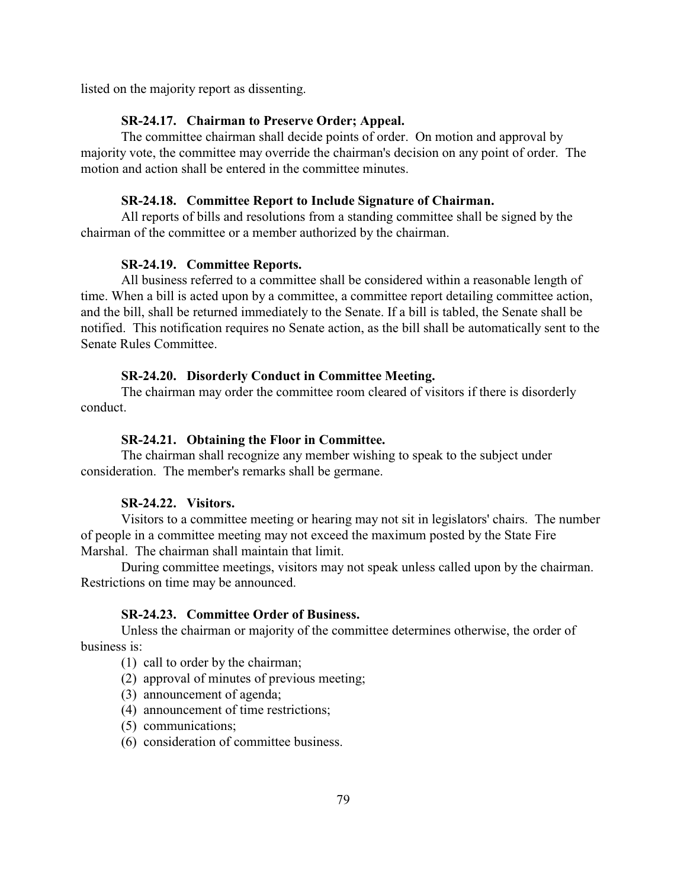listed on the majority report as dissenting.

#### **SR-24.17. Chairman to Preserve Order; Appeal.**

The committee chairman shall decide points of order. On motion and approval by majority vote, the committee may override the chairman's decision on any point of order. The motion and action shall be entered in the committee minutes.

#### **SR-24.18. Committee Report to Include Signature of Chairman.**

All reports of bills and resolutions from a standing committee shall be signed by the chairman of the committee or a member authorized by the chairman.

# **SR-24.19. Committee Reports.**

All business referred to a committee shall be considered within a reasonable length of time. When a bill is acted upon by a committee, a committee report detailing committee action, and the bill, shall be returned immediately to the Senate. If a bill is tabled, the Senate shall be notified. This notification requires no Senate action, as the bill shall be automatically sent to the Senate Rules Committee.

# **SR-24.20. Disorderly Conduct in Committee Meeting.**

The chairman may order the committee room cleared of visitors if there is disorderly conduct.

# **SR-24.21. Obtaining the Floor in Committee.**

The chairman shall recognize any member wishing to speak to the subject under consideration. The member's remarks shall be germane.

# **SR-24.22. Visitors.**

Visitors to a committee meeting or hearing may not sit in legislators' chairs. The number of people in a committee meeting may not exceed the maximum posted by the State Fire Marshal. The chairman shall maintain that limit.

During committee meetings, visitors may not speak unless called upon by the chairman. Restrictions on time may be announced.

## **SR-24.23. Committee Order of Business.**

Unless the chairman or majority of the committee determines otherwise, the order of business is:

(1) call to order by the chairman;

- (2) approval of minutes of previous meeting;
- (3) announcement of agenda;
- (4) announcement of time restrictions;
- (5) communications;
- (6) consideration of committee business.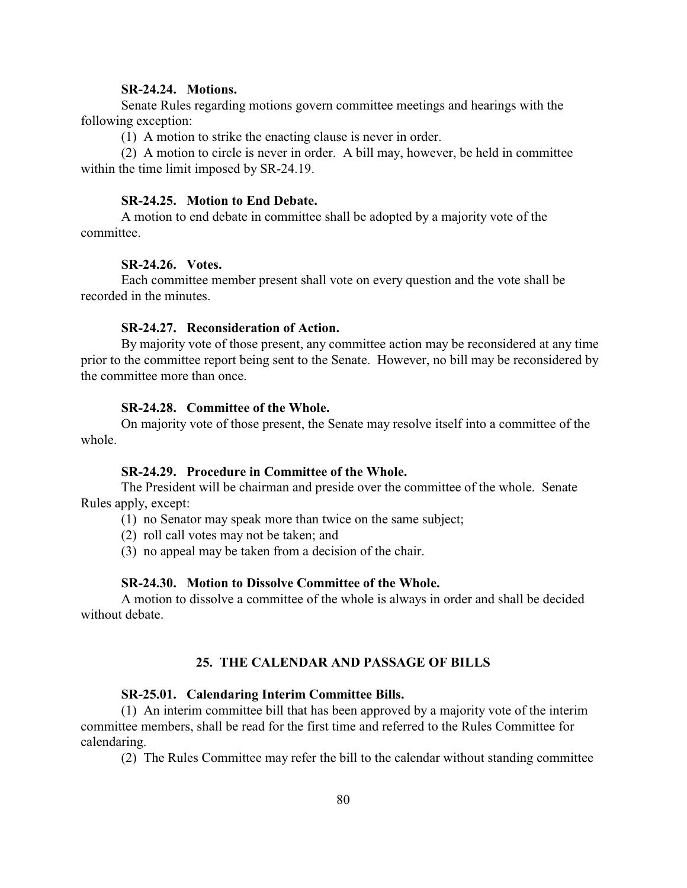# **SR-24.24. Motions.**

Senate Rules regarding motions govern committee meetings and hearings with the following exception:

(1) A motion to strike the enacting clause is never in order.

(2) A motion to circle is never in order. A bill may, however, be held in committee within the time limit imposed by SR-24.19.

# **SR-24.25. Motion to End Debate.**

A motion to end debate in committee shall be adopted by a majority vote of the committee.

### **SR-24.26. Votes.**

Each committee member present shall vote on every question and the vote shall be recorded in the minutes.

# **SR-24.27. Reconsideration of Action.**

By majority vote of those present, any committee action may be reconsidered at any time prior to the committee report being sent to the Senate. However, no bill may be reconsidered by the committee more than once.

# **SR-24.28. Committee of the Whole.**

On majority vote of those present, the Senate may resolve itself into a committee of the whole.

## **SR-24.29. Procedure in Committee of the Whole.**

The President will be chairman and preside over the committee of the whole. Senate Rules apply, except:

(1) no Senator may speak more than twice on the same subject;

(2) roll call votes may not be taken; and

(3) no appeal may be taken from a decision of the chair.

# **SR-24.30. Motion to Dissolve Committee of the Whole.**

A motion to dissolve a committee of the whole is always in order and shall be decided without debate.

# **25. THE CALENDAR AND PASSAGE OF BILLS**

#### **SR-25.01. Calendaring Interim Committee Bills.**

(1) An interim committee bill that has been approved by a majority vote of the interim committee members, shall be read for the first time and referred to the Rules Committee for calendaring.

(2) The Rules Committee may refer the bill to the calendar without standing committee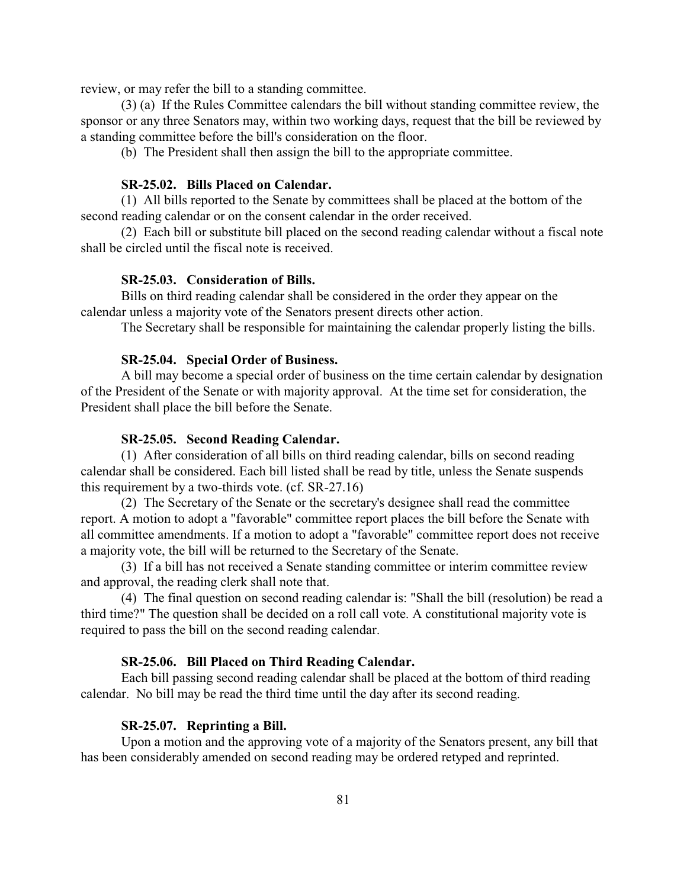review, or may refer the bill to a standing committee.

(3) (a) If the Rules Committee calendars the bill without standing committee review, the sponsor or any three Senators may, within two working days, request that the bill be reviewed by a standing committee before the bill's consideration on the floor.

(b) The President shall then assign the bill to the appropriate committee.

# **SR-25.02. Bills Placed on Calendar.**

(1) All bills reported to the Senate by committees shall be placed at the bottom of the second reading calendar or on the consent calendar in the order received.

(2) Each bill or substitute bill placed on the second reading calendar without a fiscal note shall be circled until the fiscal note is received.

### **SR-25.03. Consideration of Bills.**

Bills on third reading calendar shall be considered in the order they appear on the calendar unless a majority vote of the Senators present directs other action.

The Secretary shall be responsible for maintaining the calendar properly listing the bills.

# **SR-25.04. Special Order of Business.**

A bill may become a special order of business on the time certain calendar by designation of the President of the Senate or with majority approval. At the time set for consideration, the President shall place the bill before the Senate.

# **SR-25.05. Second Reading Calendar.**

(1) After consideration of all bills on third reading calendar, bills on second reading calendar shall be considered. Each bill listed shall be read by title, unless the Senate suspends this requirement by a two-thirds vote. (cf. SR-27.16)

(2) The Secretary of the Senate or the secretary's designee shall read the committee report. A motion to adopt a "favorable" committee report places the bill before the Senate with all committee amendments. If a motion to adopt a "favorable" committee report does not receive a majority vote, the bill will be returned to the Secretary of the Senate.

(3) If a bill has not received a Senate standing committee or interim committee review and approval, the reading clerk shall note that.

(4) The final question on second reading calendar is: "Shall the bill (resolution) be read a third time?" The question shall be decided on a roll call vote. A constitutional majority vote is required to pass the bill on the second reading calendar.

# **SR-25.06. Bill Placed on Third Reading Calendar.**

Each bill passing second reading calendar shall be placed at the bottom of third reading calendar. No bill may be read the third time until the day after its second reading.

#### **SR-25.07. Reprinting a Bill.**

Upon a motion and the approving vote of a majority of the Senators present, any bill that has been considerably amended on second reading may be ordered retyped and reprinted.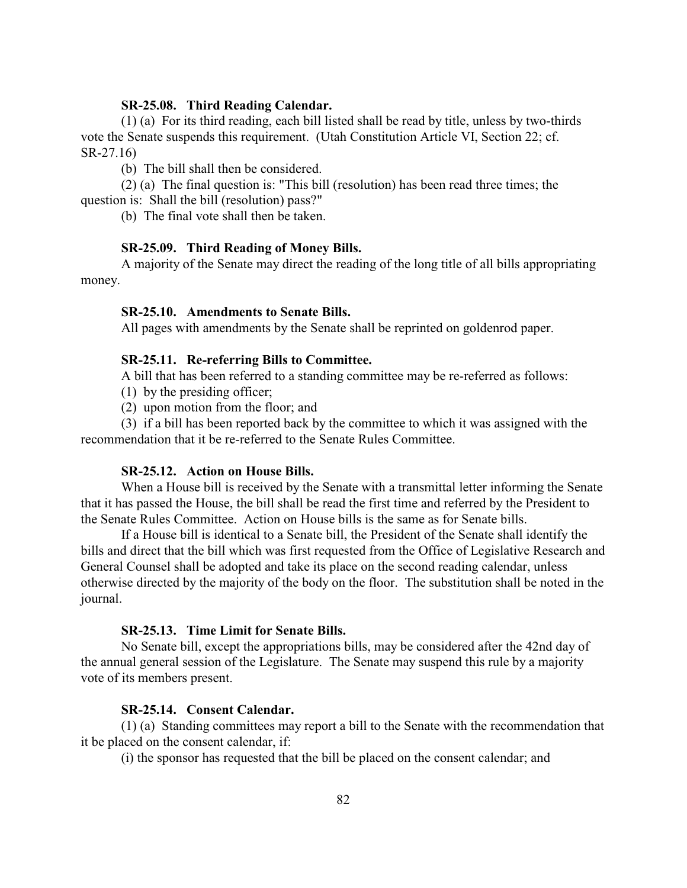# **SR-25.08. Third Reading Calendar.**

(1) (a) For its third reading, each bill listed shall be read by title, unless by two-thirds vote the Senate suspends this requirement. (Utah Constitution Article VI, Section 22; cf. SR-27.16)

(b) The bill shall then be considered.

(2) (a) The final question is: "This bill (resolution) has been read three times; the question is: Shall the bill (resolution) pass?"

(b) The final vote shall then be taken.

# **SR-25.09. Third Reading of Money Bills.**

A majority of the Senate may direct the reading of the long title of all bills appropriating money.

### **SR-25.10. Amendments to Senate Bills.**

All pages with amendments by the Senate shall be reprinted on goldenrod paper.

# **SR-25.11. Re-referring Bills to Committee.**

A bill that has been referred to a standing committee may be re-referred as follows:

- (1) by the presiding officer;
- (2) upon motion from the floor; and

(3) if a bill has been reported back by the committee to which it was assigned with the recommendation that it be re-referred to the Senate Rules Committee.

## **SR-25.12. Action on House Bills.**

When a House bill is received by the Senate with a transmittal letter informing the Senate that it has passed the House, the bill shall be read the first time and referred by the President to the Senate Rules Committee. Action on House bills is the same as for Senate bills.

If a House bill is identical to a Senate bill, the President of the Senate shall identify the bills and direct that the bill which was first requested from the Office of Legislative Research and General Counsel shall be adopted and take its place on the second reading calendar, unless otherwise directed by the majority of the body on the floor. The substitution shall be noted in the journal.

# **SR-25.13. Time Limit for Senate Bills.**

No Senate bill, except the appropriations bills, may be considered after the 42nd day of the annual general session of the Legislature. The Senate may suspend this rule by a majority vote of its members present.

## **SR-25.14. Consent Calendar.**

(1) (a) Standing committees may report a bill to the Senate with the recommendation that it be placed on the consent calendar, if:

(i) the sponsor has requested that the bill be placed on the consent calendar; and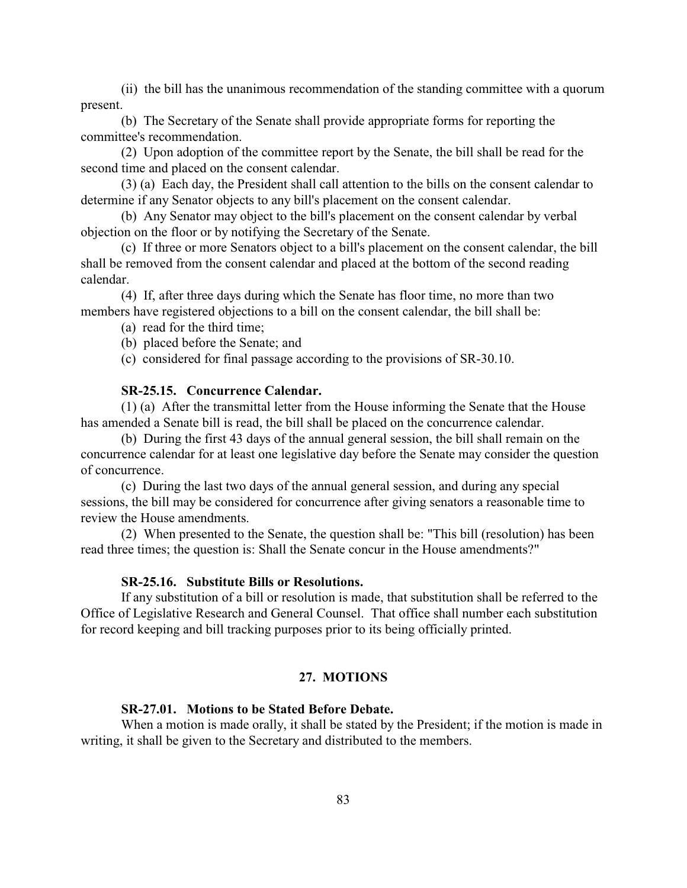(ii) the bill has the unanimous recommendation of the standing committee with a quorum present.

(b) The Secretary of the Senate shall provide appropriate forms for reporting the committee's recommendation.

(2) Upon adoption of the committee report by the Senate, the bill shall be read for the second time and placed on the consent calendar.

(3) (a) Each day, the President shall call attention to the bills on the consent calendar to determine if any Senator objects to any bill's placement on the consent calendar.

(b) Any Senator may object to the bill's placement on the consent calendar by verbal objection on the floor or by notifying the Secretary of the Senate.

(c) If three or more Senators object to a bill's placement on the consent calendar, the bill shall be removed from the consent calendar and placed at the bottom of the second reading calendar.

(4) If, after three days during which the Senate has floor time, no more than two members have registered objections to a bill on the consent calendar, the bill shall be:

(a) read for the third time;

(b) placed before the Senate; and

(c) considered for final passage according to the provisions of SR-30.10.

# **SR-25.15. Concurrence Calendar.**

(1) (a) After the transmittal letter from the House informing the Senate that the House has amended a Senate bill is read, the bill shall be placed on the concurrence calendar.

(b) During the first 43 days of the annual general session, the bill shall remain on the concurrence calendar for at least one legislative day before the Senate may consider the question of concurrence.

(c) During the last two days of the annual general session, and during any special sessions, the bill may be considered for concurrence after giving senators a reasonable time to review the House amendments.

(2) When presented to the Senate, the question shall be: "This bill (resolution) has been read three times; the question is: Shall the Senate concur in the House amendments?"

# **SR-25.16. Substitute Bills or Resolutions.**

If any substitution of a bill or resolution is made, that substitution shall be referred to the Office of Legislative Research and General Counsel. That office shall number each substitution for record keeping and bill tracking purposes prior to its being officially printed.

# **27. MOTIONS**

# **SR-27.01. Motions to be Stated Before Debate.**

When a motion is made orally, it shall be stated by the President; if the motion is made in writing, it shall be given to the Secretary and distributed to the members.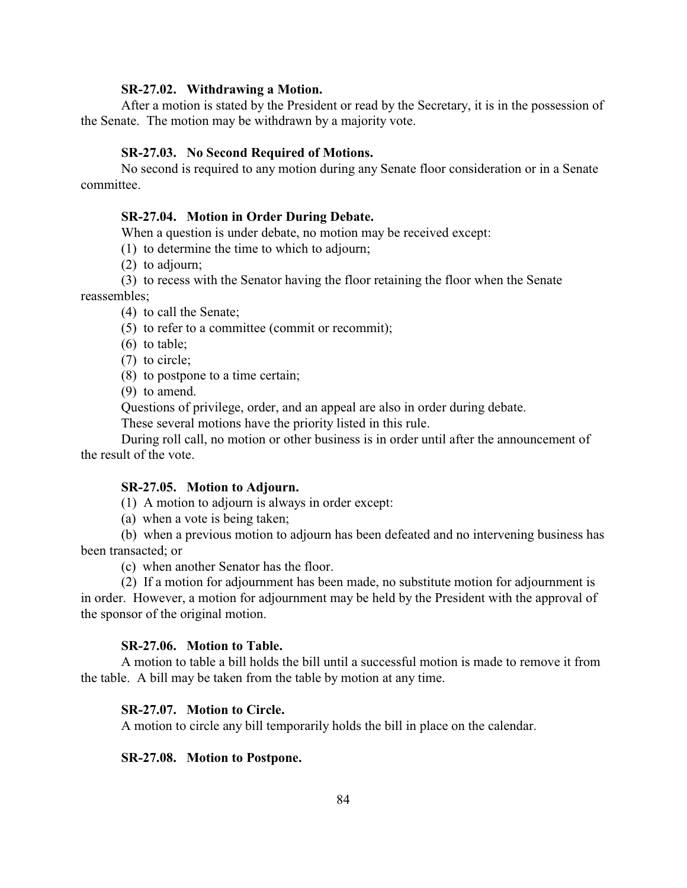#### **SR-27.02. Withdrawing a Motion.**

After a motion is stated by the President or read by the Secretary, it is in the possession of the Senate. The motion may be withdrawn by a majority vote.

## **SR-27.03. No Second Required of Motions.**

No second is required to any motion during any Senate floor consideration or in a Senate committee.

# **SR-27.04. Motion in Order During Debate.**

When a question is under debate, no motion may be received except:

(1) to determine the time to which to adjourn;

(2) to adjourn;

(3) to recess with the Senator having the floor retaining the floor when the Senate reassembles;

(4) to call the Senate;

(5) to refer to a committee (commit or recommit);

(6) to table;

- (7) to circle;
- (8) to postpone to a time certain;

(9) to amend.

Questions of privilege, order, and an appeal are also in order during debate.

These several motions have the priority listed in this rule.

During roll call, no motion or other business is in order until after the announcement of the result of the vote.

#### **SR-27.05. Motion to Adjourn.**

(1) A motion to adjourn is always in order except:

(a) when a vote is being taken;

(b) when a previous motion to adjourn has been defeated and no intervening business has been transacted; or

(c) when another Senator has the floor.

(2) If a motion for adjournment has been made, no substitute motion for adjournment is in order. However, a motion for adjournment may be held by the President with the approval of the sponsor of the original motion.

# **SR-27.06. Motion to Table.**

A motion to table a bill holds the bill until a successful motion is made to remove it from the table. A bill may be taken from the table by motion at any time.

# **SR-27.07. Motion to Circle.**

A motion to circle any bill temporarily holds the bill in place on the calendar.

### **SR-27.08. Motion to Postpone.**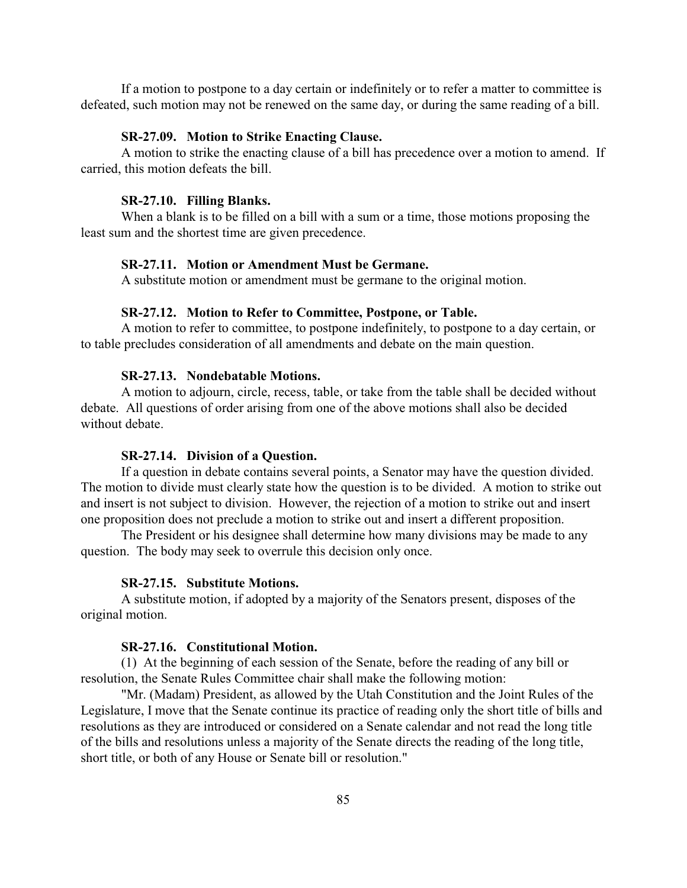If a motion to postpone to a day certain or indefinitely or to refer a matter to committee is defeated, such motion may not be renewed on the same day, or during the same reading of a bill.

# **SR-27.09. Motion to Strike Enacting Clause.**

A motion to strike the enacting clause of a bill has precedence over a motion to amend. If carried, this motion defeats the bill.

# **SR-27.10. Filling Blanks.**

When a blank is to be filled on a bill with a sum or a time, those motions proposing the least sum and the shortest time are given precedence.

# **SR-27.11. Motion or Amendment Must be Germane.**

A substitute motion or amendment must be germane to the original motion.

# **SR-27.12. Motion to Refer to Committee, Postpone, or Table.**

A motion to refer to committee, to postpone indefinitely, to postpone to a day certain, or to table precludes consideration of all amendments and debate on the main question.

### **SR-27.13. Nondebatable Motions.**

A motion to adjourn, circle, recess, table, or take from the table shall be decided without debate. All questions of order arising from one of the above motions shall also be decided without debate.

# **SR-27.14. Division of a Question.**

If a question in debate contains several points, a Senator may have the question divided. The motion to divide must clearly state how the question is to be divided. A motion to strike out and insert is not subject to division. However, the rejection of a motion to strike out and insert one proposition does not preclude a motion to strike out and insert a different proposition.

The President or his designee shall determine how many divisions may be made to any question. The body may seek to overrule this decision only once.

#### **SR-27.15. Substitute Motions.**

A substitute motion, if adopted by a majority of the Senators present, disposes of the original motion.

### **SR-27.16. Constitutional Motion.**

(1) At the beginning of each session of the Senate, before the reading of any bill or resolution, the Senate Rules Committee chair shall make the following motion:

"Mr. (Madam) President, as allowed by the Utah Constitution and the Joint Rules of the Legislature, I move that the Senate continue its practice of reading only the short title of bills and resolutions as they are introduced or considered on a Senate calendar and not read the long title of the bills and resolutions unless a majority of the Senate directs the reading of the long title, short title, or both of any House or Senate bill or resolution."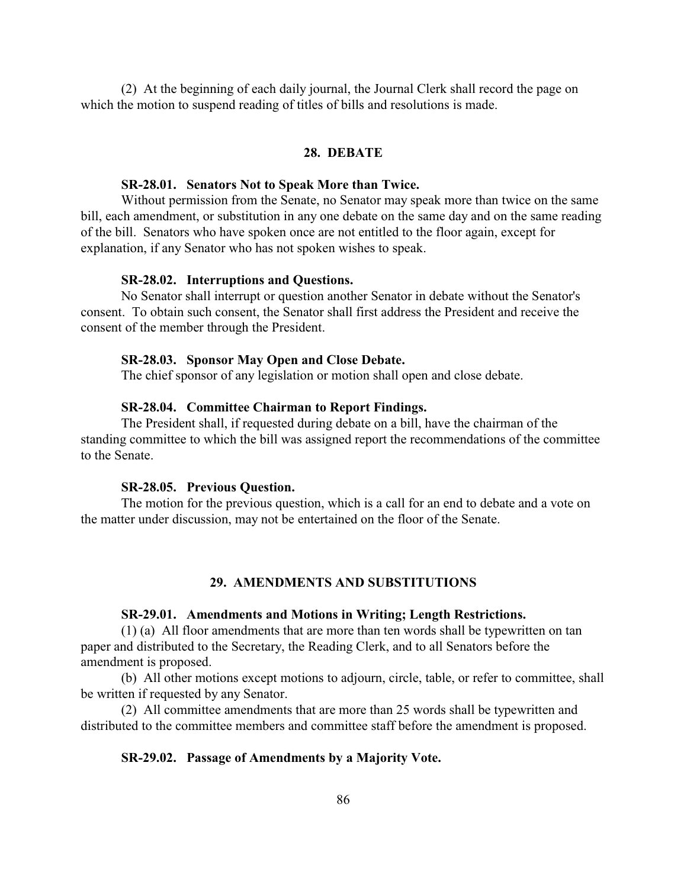(2) At the beginning of each daily journal, the Journal Clerk shall record the page on which the motion to suspend reading of titles of bills and resolutions is made.

# **28. DEBATE**

### **SR-28.01. Senators Not to Speak More than Twice.**

Without permission from the Senate, no Senator may speak more than twice on the same bill, each amendment, or substitution in any one debate on the same day and on the same reading of the bill. Senators who have spoken once are not entitled to the floor again, except for explanation, if any Senator who has not spoken wishes to speak.

## **SR-28.02. Interruptions and Questions.**

No Senator shall interrupt or question another Senator in debate without the Senator's consent. To obtain such consent, the Senator shall first address the President and receive the consent of the member through the President.

# **SR-28.03. Sponsor May Open and Close Debate.**

The chief sponsor of any legislation or motion shall open and close debate.

# **SR-28.04. Committee Chairman to Report Findings.**

The President shall, if requested during debate on a bill, have the chairman of the standing committee to which the bill was assigned report the recommendations of the committee to the Senate.

#### **SR-28.05. Previous Question.**

The motion for the previous question, which is a call for an end to debate and a vote on the matter under discussion, may not be entertained on the floor of the Senate.

# **29. AMENDMENTS AND SUBSTITUTIONS**

#### **SR-29.01. Amendments and Motions in Writing; Length Restrictions.**

(1) (a) All floor amendments that are more than ten words shall be typewritten on tan paper and distributed to the Secretary, the Reading Clerk, and to all Senators before the amendment is proposed.

(b) All other motions except motions to adjourn, circle, table, or refer to committee, shall be written if requested by any Senator.

(2) All committee amendments that are more than 25 words shall be typewritten and distributed to the committee members and committee staff before the amendment is proposed.

### **SR-29.02. Passage of Amendments by a Majority Vote.**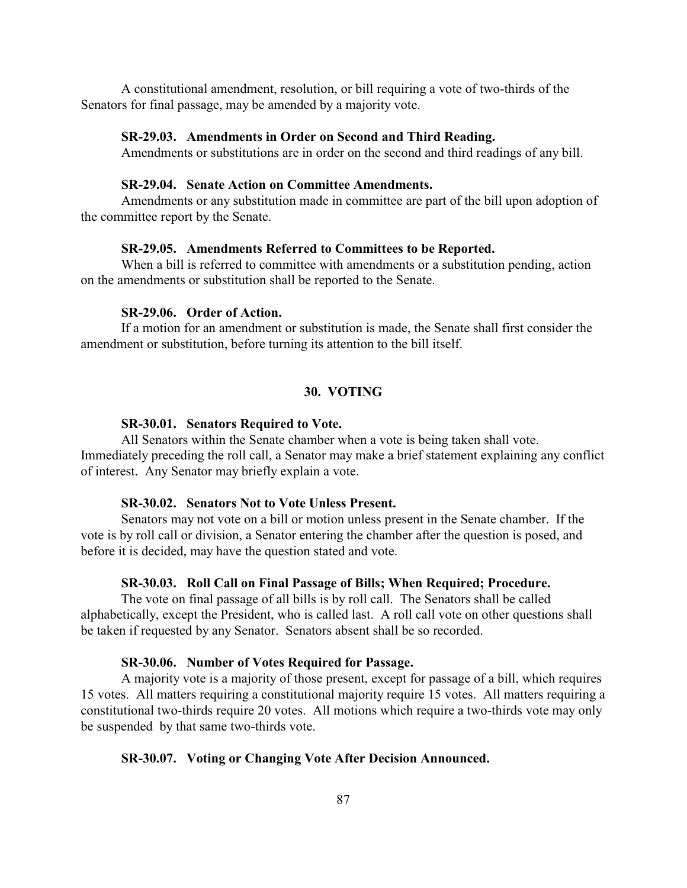A constitutional amendment, resolution, or bill requiring a vote of two-thirds of the Senators for final passage, may be amended by a majority vote.

### **SR-29.03. Amendments in Order on Second and Third Reading.**

Amendments or substitutions are in order on the second and third readings of any bill.

# **SR-29.04. Senate Action on Committee Amendments.**

Amendments or any substitution made in committee are part of the bill upon adoption of the committee report by the Senate.

### **SR-29.05. Amendments Referred to Committees to be Reported.**

When a bill is referred to committee with amendments or a substitution pending, action on the amendments or substitution shall be reported to the Senate.

# **SR-29.06. Order of Action.**

If a motion for an amendment or substitution is made, the Senate shall first consider the amendment or substitution, before turning its attention to the bill itself.

# **30. VOTING**

#### **SR-30.01. Senators Required to Vote.**

All Senators within the Senate chamber when a vote is being taken shall vote. Immediately preceding the roll call, a Senator may make a brief statement explaining any conflict of interest. Any Senator may briefly explain a vote.

#### **SR-30.02. Senators Not to Vote Unless Present.**

Senators may not vote on a bill or motion unless present in the Senate chamber. If the vote is by roll call or division, a Senator entering the chamber after the question is posed, and before it is decided, may have the question stated and vote.

## **SR-30.03. Roll Call on Final Passage of Bills; When Required; Procedure.**

The vote on final passage of all bills is by roll call. The Senators shall be called alphabetically, except the President, who is called last. A roll call vote on other questions shall be taken if requested by any Senator. Senators absent shall be so recorded.

# **SR-30.06. Number of Votes Required for Passage.**

A majority vote is a majority of those present, except for passage of a bill, which requires 15 votes. All matters requiring a constitutional majority require 15 votes. All matters requiring a constitutional two-thirds require 20 votes. All motions which require a two-thirds vote may only be suspended by that same two-thirds vote.

# **SR-30.07. Voting or Changing Vote After Decision Announced.**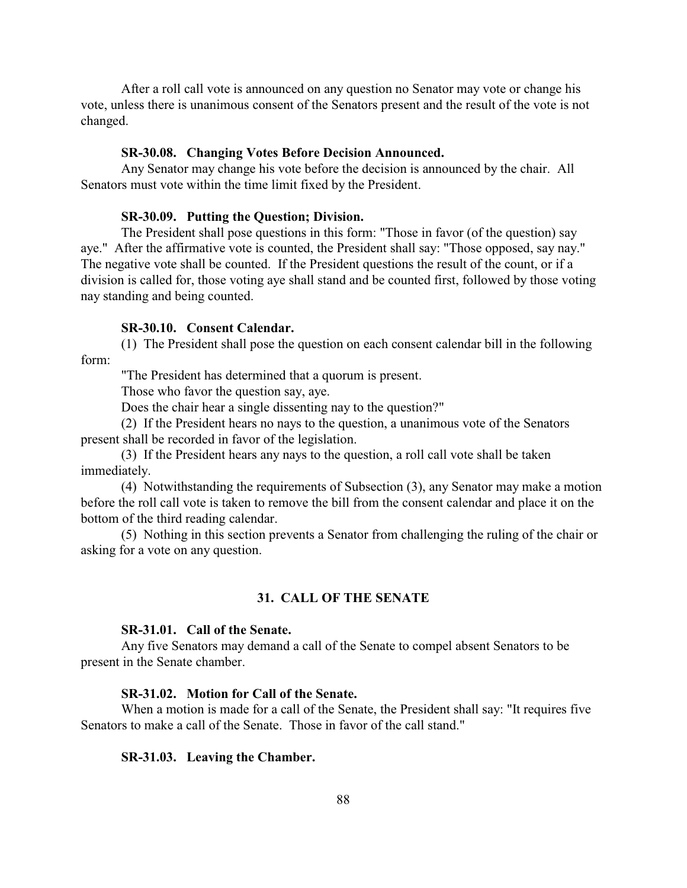After a roll call vote is announced on any question no Senator may vote or change his vote, unless there is unanimous consent of the Senators present and the result of the vote is not changed.

## **SR-30.08. Changing Votes Before Decision Announced.**

Any Senator may change his vote before the decision is announced by the chair. All Senators must vote within the time limit fixed by the President.

### **SR-30.09. Putting the Question; Division.**

The President shall pose questions in this form: "Those in favor (of the question) say aye." After the affirmative vote is counted, the President shall say: "Those opposed, say nay." The negative vote shall be counted. If the President questions the result of the count, or if a division is called for, those voting aye shall stand and be counted first, followed by those voting nay standing and being counted.

## **SR-30.10. Consent Calendar.**

(1) The President shall pose the question on each consent calendar bill in the following form:

"The President has determined that a quorum is present.

Those who favor the question say, aye.

Does the chair hear a single dissenting nay to the question?"

(2) If the President hears no nays to the question, a unanimous vote of the Senators present shall be recorded in favor of the legislation.

(3) If the President hears any nays to the question, a roll call vote shall be taken immediately.

(4) Notwithstanding the requirements of Subsection (3), any Senator may make a motion before the roll call vote is taken to remove the bill from the consent calendar and place it on the bottom of the third reading calendar.

(5) Nothing in this section prevents a Senator from challenging the ruling of the chair or asking for a vote on any question.

# **31. CALL OF THE SENATE**

# **SR-31.01. Call of the Senate.**

Any five Senators may demand a call of the Senate to compel absent Senators to be present in the Senate chamber.

## **SR-31.02. Motion for Call of the Senate.**

When a motion is made for a call of the Senate, the President shall say: "It requires five Senators to make a call of the Senate. Those in favor of the call stand."

### **SR-31.03. Leaving the Chamber.**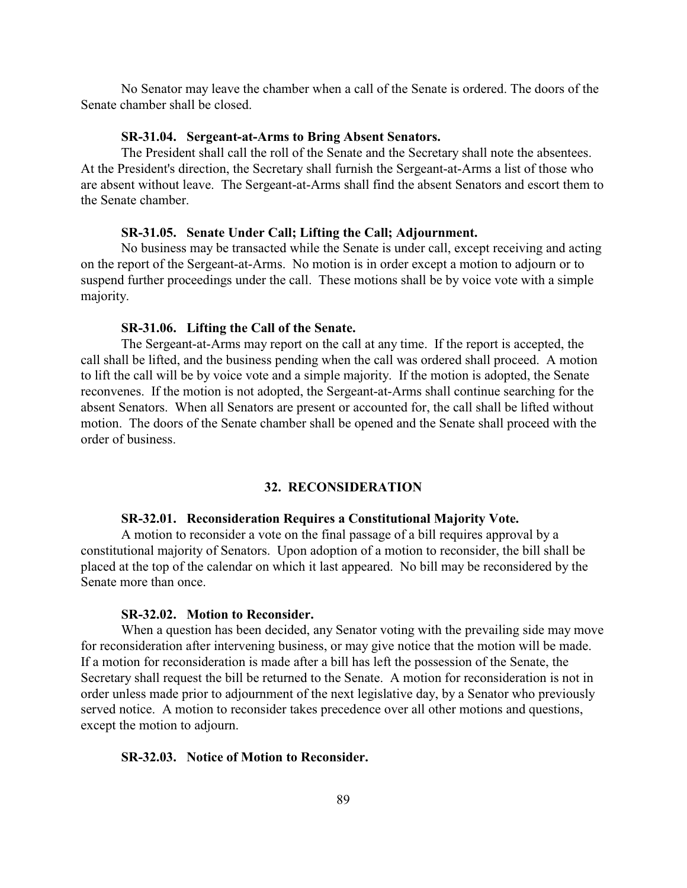No Senator may leave the chamber when a call of the Senate is ordered. The doors of the Senate chamber shall be closed.

### **SR-31.04. Sergeant-at-Arms to Bring Absent Senators.**

The President shall call the roll of the Senate and the Secretary shall note the absentees. At the President's direction, the Secretary shall furnish the Sergeant-at-Arms a list of those who are absent without leave. The Sergeant-at-Arms shall find the absent Senators and escort them to the Senate chamber.

### **SR-31.05. Senate Under Call; Lifting the Call; Adjournment.**

No business may be transacted while the Senate is under call, except receiving and acting on the report of the Sergeant-at-Arms. No motion is in order except a motion to adjourn or to suspend further proceedings under the call. These motions shall be by voice vote with a simple majority.

## **SR-31.06. Lifting the Call of the Senate.**

The Sergeant-at-Arms may report on the call at any time. If the report is accepted, the call shall be lifted, and the business pending when the call was ordered shall proceed. A motion to lift the call will be by voice vote and a simple majority. If the motion is adopted, the Senate reconvenes. If the motion is not adopted, the Sergeant-at-Arms shall continue searching for the absent Senators. When all Senators are present or accounted for, the call shall be lifted without motion. The doors of the Senate chamber shall be opened and the Senate shall proceed with the order of business.

# **32. RECONSIDERATION**

# **SR-32.01. Reconsideration Requires a Constitutional Majority Vote.**

A motion to reconsider a vote on the final passage of a bill requires approval by a constitutional majority of Senators. Upon adoption of a motion to reconsider, the bill shall be placed at the top of the calendar on which it last appeared. No bill may be reconsidered by the Senate more than once.

#### **SR-32.02. Motion to Reconsider.**

When a question has been decided, any Senator voting with the prevailing side may move for reconsideration after intervening business, or may give notice that the motion will be made. If a motion for reconsideration is made after a bill has left the possession of the Senate, the Secretary shall request the bill be returned to the Senate. A motion for reconsideration is not in order unless made prior to adjournment of the next legislative day, by a Senator who previously served notice. A motion to reconsider takes precedence over all other motions and questions, except the motion to adjourn.

### **SR-32.03. Notice of Motion to Reconsider.**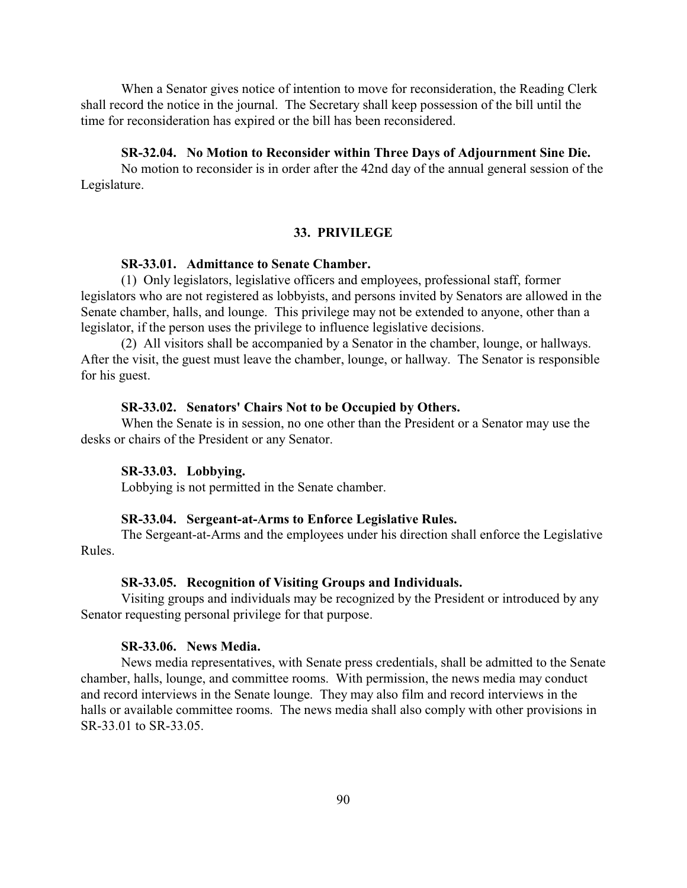When a Senator gives notice of intention to move for reconsideration, the Reading Clerk shall record the notice in the journal. The Secretary shall keep possession of the bill until the time for reconsideration has expired or the bill has been reconsidered.

## **SR-32.04. No Motion to Reconsider within Three Days of Adjournment Sine Die.**

No motion to reconsider is in order after the 42nd day of the annual general session of the Legislature.

#### **33. PRIVILEGE**

## **SR-33.01. Admittance to Senate Chamber.**

(1) Only legislators, legislative officers and employees, professional staff, former legislators who are not registered as lobbyists, and persons invited by Senators are allowed in the Senate chamber, halls, and lounge. This privilege may not be extended to anyone, other than a legislator, if the person uses the privilege to influence legislative decisions.

(2) All visitors shall be accompanied by a Senator in the chamber, lounge, or hallways. After the visit, the guest must leave the chamber, lounge, or hallway. The Senator is responsible for his guest.

### **SR-33.02. Senators' Chairs Not to be Occupied by Others.**

When the Senate is in session, no one other than the President or a Senator may use the desks or chairs of the President or any Senator.

### **SR-33.03. Lobbying.**

Lobbying is not permitted in the Senate chamber.

#### **SR-33.04. Sergeant-at-Arms to Enforce Legislative Rules.**

The Sergeant-at-Arms and the employees under his direction shall enforce the Legislative Rules.

# **SR-33.05. Recognition of Visiting Groups and Individuals.**

Visiting groups and individuals may be recognized by the President or introduced by any Senator requesting personal privilege for that purpose.

### **SR-33.06. News Media.**

News media representatives, with Senate press credentials, shall be admitted to the Senate chamber, halls, lounge, and committee rooms. With permission, the news media may conduct and record interviews in the Senate lounge. They may also film and record interviews in the halls or available committee rooms. The news media shall also comply with other provisions in SR-33.01 to SR-33.05.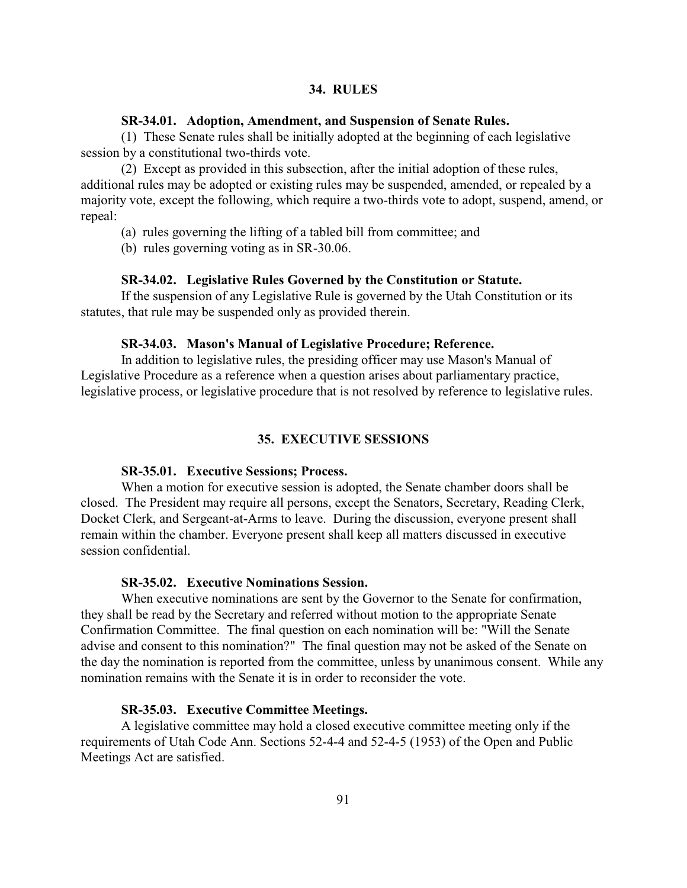# **34. RULES**

#### **SR-34.01. Adoption, Amendment, and Suspension of Senate Rules.**

(1) These Senate rules shall be initially adopted at the beginning of each legislative session by a constitutional two-thirds vote.

(2) Except as provided in this subsection, after the initial adoption of these rules, additional rules may be adopted or existing rules may be suspended, amended, or repealed by a majority vote, except the following, which require a two-thirds vote to adopt, suspend, amend, or repeal:

(a) rules governing the lifting of a tabled bill from committee; and

(b) rules governing voting as in SR-30.06.

# **SR-34.02. Legislative Rules Governed by the Constitution or Statute.**

If the suspension of any Legislative Rule is governed by the Utah Constitution or its statutes, that rule may be suspended only as provided therein.

#### **SR-34.03. Mason's Manual of Legislative Procedure; Reference.**

In addition to legislative rules, the presiding officer may use Mason's Manual of Legislative Procedure as a reference when a question arises about parliamentary practice, legislative process, or legislative procedure that is not resolved by reference to legislative rules.

# **35. EXECUTIVE SESSIONS**

# **SR-35.01. Executive Sessions; Process.**

When a motion for executive session is adopted, the Senate chamber doors shall be closed. The President may require all persons, except the Senators, Secretary, Reading Clerk, Docket Clerk, and Sergeant-at-Arms to leave. During the discussion, everyone present shall remain within the chamber. Everyone present shall keep all matters discussed in executive session confidential.

# **SR-35.02. Executive Nominations Session.**

When executive nominations are sent by the Governor to the Senate for confirmation, they shall be read by the Secretary and referred without motion to the appropriate Senate Confirmation Committee. The final question on each nomination will be: "Will the Senate advise and consent to this nomination?" The final question may not be asked of the Senate on the day the nomination is reported from the committee, unless by unanimous consent. While any nomination remains with the Senate it is in order to reconsider the vote.

## **SR-35.03. Executive Committee Meetings.**

A legislative committee may hold a closed executive committee meeting only if the requirements of Utah Code Ann. Sections 52-4-4 and 52-4-5 (1953) of the Open and Public Meetings Act are satisfied.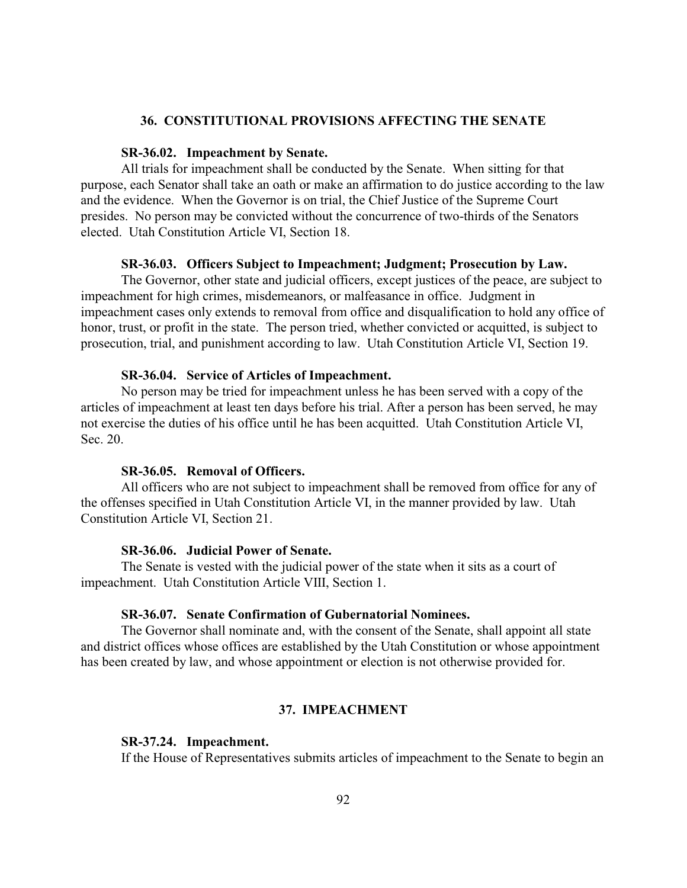### **36. CONSTITUTIONAL PROVISIONS AFFECTING THE SENATE**

#### **SR-36.02. Impeachment by Senate.**

All trials for impeachment shall be conducted by the Senate. When sitting for that purpose, each Senator shall take an oath or make an affirmation to do justice according to the law and the evidence. When the Governor is on trial, the Chief Justice of the Supreme Court presides. No person may be convicted without the concurrence of two-thirds of the Senators elected. Utah Constitution Article VI, Section 18.

#### **SR-36.03. Officers Subject to Impeachment; Judgment; Prosecution by Law.**

The Governor, other state and judicial officers, except justices of the peace, are subject to impeachment for high crimes, misdemeanors, or malfeasance in office. Judgment in impeachment cases only extends to removal from office and disqualification to hold any office of honor, trust, or profit in the state. The person tried, whether convicted or acquitted, is subject to prosecution, trial, and punishment according to law. Utah Constitution Article VI, Section 19.

## **SR-36.04. Service of Articles of Impeachment.**

No person may be tried for impeachment unless he has been served with a copy of the articles of impeachment at least ten days before his trial. After a person has been served, he may not exercise the duties of his office until he has been acquitted. Utah Constitution Article VI, Sec. 20.

# **SR-36.05. Removal of Officers.**

All officers who are not subject to impeachment shall be removed from office for any of the offenses specified in Utah Constitution Article VI, in the manner provided by law. Utah Constitution Article VI, Section 21.

# **SR-36.06. Judicial Power of Senate.**

The Senate is vested with the judicial power of the state when it sits as a court of impeachment. Utah Constitution Article VIII, Section 1.

#### **SR-36.07. Senate Confirmation of Gubernatorial Nominees.**

The Governor shall nominate and, with the consent of the Senate, shall appoint all state and district offices whose offices are established by the Utah Constitution or whose appointment has been created by law, and whose appointment or election is not otherwise provided for.

## **37. IMPEACHMENT**

#### **SR-37.24. Impeachment.**

If the House of Representatives submits articles of impeachment to the Senate to begin an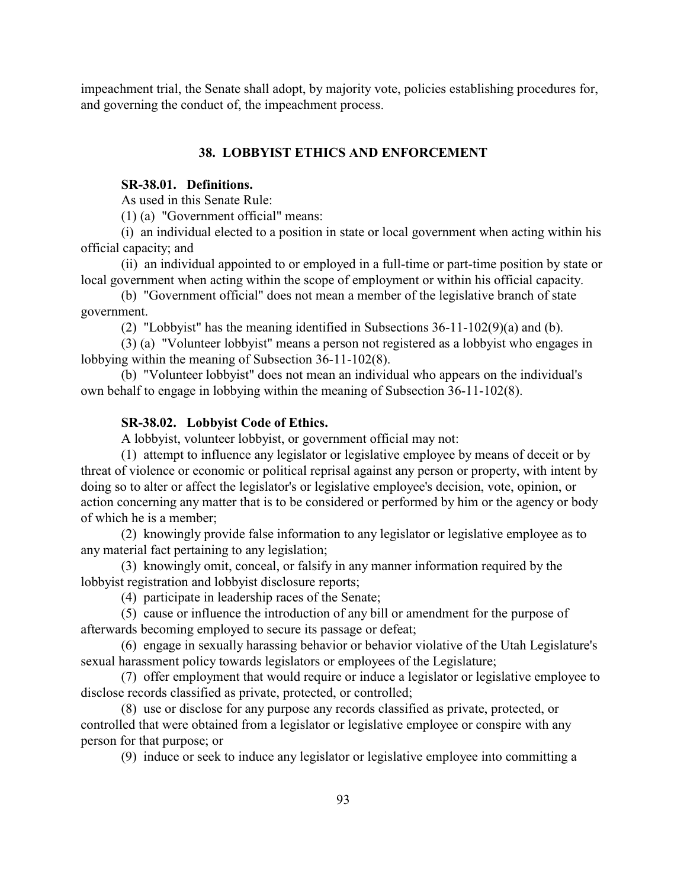impeachment trial, the Senate shall adopt, by majority vote, policies establishing procedures for, and governing the conduct of, the impeachment process.

# **38. LOBBYIST ETHICS AND ENFORCEMENT**

# **SR-38.01. Definitions.**

As used in this Senate Rule:

(1) (a) "Government official" means:

(i) an individual elected to a position in state or local government when acting within his official capacity; and

(ii) an individual appointed to or employed in a full-time or part-time position by state or local government when acting within the scope of employment or within his official capacity.

(b) "Government official" does not mean a member of the legislative branch of state government.

(2) "Lobbyist" has the meaning identified in Subsections 36-11-102(9)(a) and (b).

(3) (a) "Volunteer lobbyist" means a person not registered as a lobbyist who engages in lobbying within the meaning of Subsection 36-11-102(8).

(b) "Volunteer lobbyist" does not mean an individual who appears on the individual's own behalf to engage in lobbying within the meaning of Subsection 36-11-102(8).

# **SR-38.02. Lobbyist Code of Ethics.**

A lobbyist, volunteer lobbyist, or government official may not:

(1) attempt to influence any legislator or legislative employee by means of deceit or by threat of violence or economic or political reprisal against any person or property, with intent by doing so to alter or affect the legislator's or legislative employee's decision, vote, opinion, or action concerning any matter that is to be considered or performed by him or the agency or body of which he is a member;

(2) knowingly provide false information to any legislator or legislative employee as to any material fact pertaining to any legislation;

(3) knowingly omit, conceal, or falsify in any manner information required by the lobbyist registration and lobbyist disclosure reports;

(4) participate in leadership races of the Senate;

(5) cause or influence the introduction of any bill or amendment for the purpose of afterwards becoming employed to secure its passage or defeat;

(6) engage in sexually harassing behavior or behavior violative of the Utah Legislature's sexual harassment policy towards legislators or employees of the Legislature;

(7) offer employment that would require or induce a legislator or legislative employee to disclose records classified as private, protected, or controlled;

(8) use or disclose for any purpose any records classified as private, protected, or controlled that were obtained from a legislator or legislative employee or conspire with any person for that purpose; or

(9) induce or seek to induce any legislator or legislative employee into committing a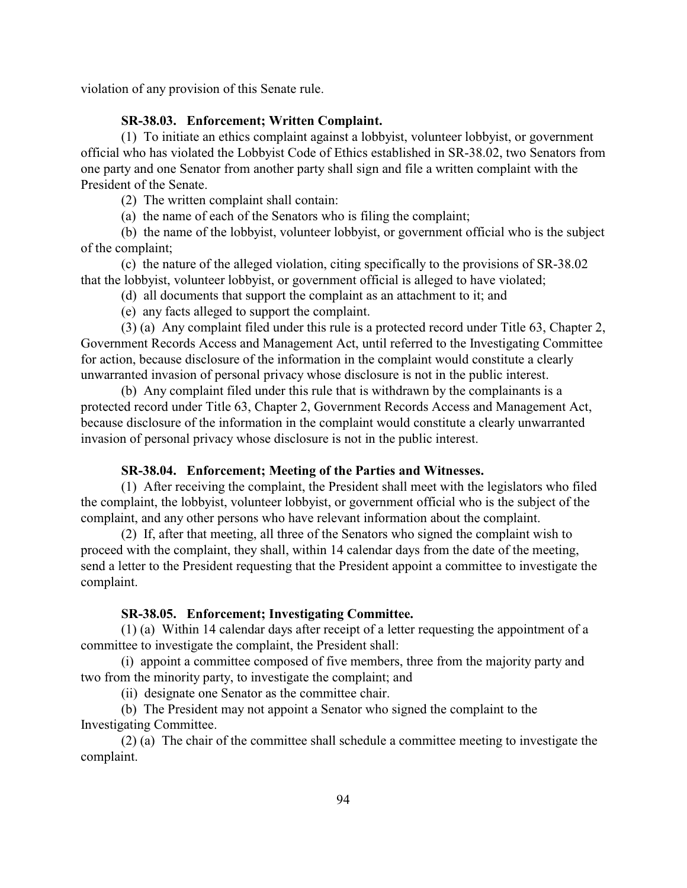violation of any provision of this Senate rule.

# **SR-38.03. Enforcement; Written Complaint.**

(1) To initiate an ethics complaint against a lobbyist, volunteer lobbyist, or government official who has violated the Lobbyist Code of Ethics established in SR-38.02, two Senators from one party and one Senator from another party shall sign and file a written complaint with the President of the Senate.

(2) The written complaint shall contain:

(a) the name of each of the Senators who is filing the complaint;

(b) the name of the lobbyist, volunteer lobbyist, or government official who is the subject of the complaint;

(c) the nature of the alleged violation, citing specifically to the provisions of SR-38.02 that the lobbyist, volunteer lobbyist, or government official is alleged to have violated;

(d) all documents that support the complaint as an attachment to it; and

(e) any facts alleged to support the complaint.

(3) (a) Any complaint filed under this rule is a protected record under Title 63, Chapter 2, Government Records Access and Management Act, until referred to the Investigating Committee for action, because disclosure of the information in the complaint would constitute a clearly unwarranted invasion of personal privacy whose disclosure is not in the public interest.

(b) Any complaint filed under this rule that is withdrawn by the complainants is a protected record under Title 63, Chapter 2, Government Records Access and Management Act, because disclosure of the information in the complaint would constitute a clearly unwarranted invasion of personal privacy whose disclosure is not in the public interest.

# **SR-38.04. Enforcement; Meeting of the Parties and Witnesses.**

(1) After receiving the complaint, the President shall meet with the legislators who filed the complaint, the lobbyist, volunteer lobbyist, or government official who is the subject of the complaint, and any other persons who have relevant information about the complaint.

(2) If, after that meeting, all three of the Senators who signed the complaint wish to proceed with the complaint, they shall, within 14 calendar days from the date of the meeting, send a letter to the President requesting that the President appoint a committee to investigate the complaint.

#### **SR-38.05. Enforcement; Investigating Committee.**

(1) (a) Within 14 calendar days after receipt of a letter requesting the appointment of a committee to investigate the complaint, the President shall:

(i) appoint a committee composed of five members, three from the majority party and two from the minority party, to investigate the complaint; and

(ii) designate one Senator as the committee chair.

(b) The President may not appoint a Senator who signed the complaint to the Investigating Committee.

(2) (a) The chair of the committee shall schedule a committee meeting to investigate the complaint.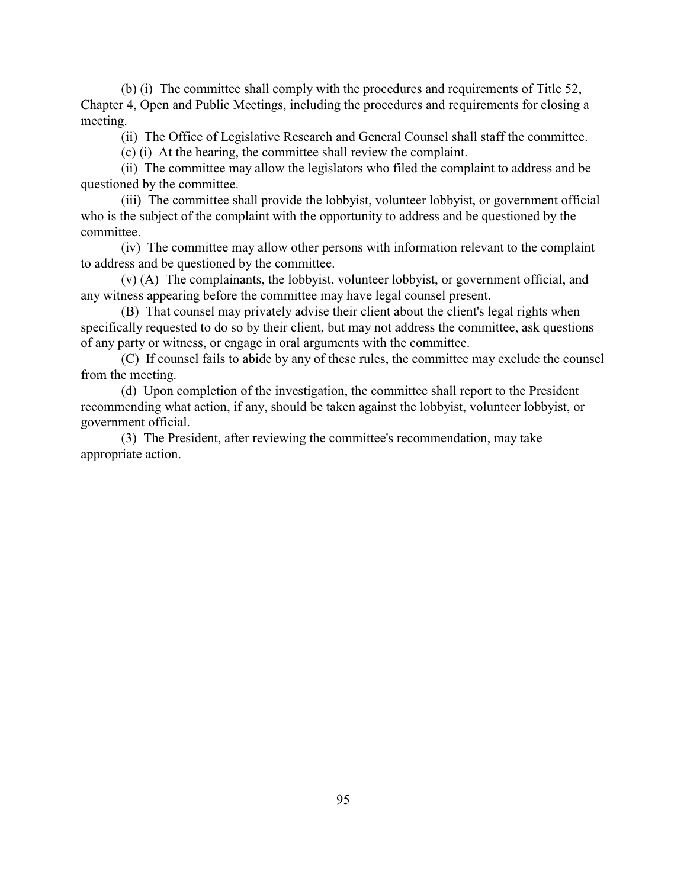(b) (i) The committee shall comply with the procedures and requirements of Title 52, Chapter 4, Open and Public Meetings, including the procedures and requirements for closing a meeting.

(ii) The Office of Legislative Research and General Counsel shall staff the committee.

(c) (i) At the hearing, the committee shall review the complaint.

(ii) The committee may allow the legislators who filed the complaint to address and be questioned by the committee.

(iii) The committee shall provide the lobbyist, volunteer lobbyist, or government official who is the subject of the complaint with the opportunity to address and be questioned by the committee.

(iv) The committee may allow other persons with information relevant to the complaint to address and be questioned by the committee.

(v) (A) The complainants, the lobbyist, volunteer lobbyist, or government official, and any witness appearing before the committee may have legal counsel present.

(B) That counsel may privately advise their client about the client's legal rights when specifically requested to do so by their client, but may not address the committee, ask questions of any party or witness, or engage in oral arguments with the committee.

(C) If counsel fails to abide by any of these rules, the committee may exclude the counsel from the meeting.

(d) Upon completion of the investigation, the committee shall report to the President recommending what action, if any, should be taken against the lobbyist, volunteer lobbyist, or government official.

(3) The President, after reviewing the committee's recommendation, may take appropriate action.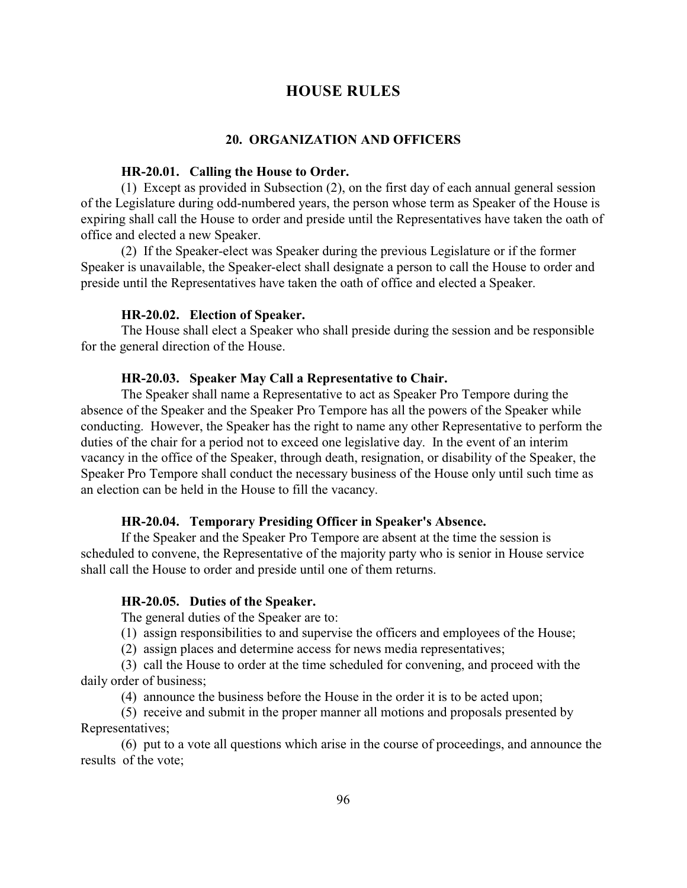# **HOUSE RULES**

#### **20. ORGANIZATION AND OFFICERS**

#### **HR-20.01. Calling the House to Order.**

(1) Except as provided in Subsection (2), on the first day of each annual general session of the Legislature during odd-numbered years, the person whose term as Speaker of the House is expiring shall call the House to order and preside until the Representatives have taken the oath of office and elected a new Speaker.

(2) If the Speaker-elect was Speaker during the previous Legislature or if the former Speaker is unavailable, the Speaker-elect shall designate a person to call the House to order and preside until the Representatives have taken the oath of office and elected a Speaker.

## **HR-20.02. Election of Speaker.**

The House shall elect a Speaker who shall preside during the session and be responsible for the general direction of the House.

## **HR-20.03. Speaker May Call a Representative to Chair.**

The Speaker shall name a Representative to act as Speaker Pro Tempore during the absence of the Speaker and the Speaker Pro Tempore has all the powers of the Speaker while conducting. However, the Speaker has the right to name any other Representative to perform the duties of the chair for a period not to exceed one legislative day. In the event of an interim vacancy in the office of the Speaker, through death, resignation, or disability of the Speaker, the Speaker Pro Tempore shall conduct the necessary business of the House only until such time as an election can be held in the House to fill the vacancy.

### **HR-20.04. Temporary Presiding Officer in Speaker's Absence.**

If the Speaker and the Speaker Pro Tempore are absent at the time the session is scheduled to convene, the Representative of the majority party who is senior in House service shall call the House to order and preside until one of them returns.

#### **HR-20.05. Duties of the Speaker.**

The general duties of the Speaker are to:

- (1) assign responsibilities to and supervise the officers and employees of the House;
- (2) assign places and determine access for news media representatives;

(3) call the House to order at the time scheduled for convening, and proceed with the daily order of business;

(4) announce the business before the House in the order it is to be acted upon;

(5) receive and submit in the proper manner all motions and proposals presented by Representatives;

(6) put to a vote all questions which arise in the course of proceedings, and announce the results of the vote;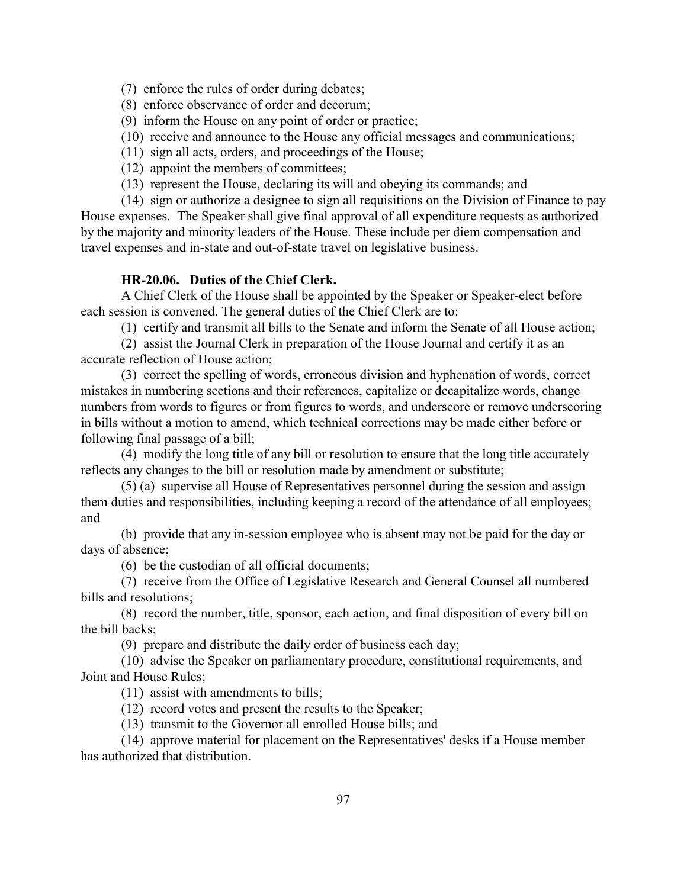(7) enforce the rules of order during debates;

(8) enforce observance of order and decorum;

- (9) inform the House on any point of order or practice;
- (10) receive and announce to the House any official messages and communications;
- (11) sign all acts, orders, and proceedings of the House;
- (12) appoint the members of committees;
- (13) represent the House, declaring its will and obeying its commands; and

(14) sign or authorize a designee to sign all requisitions on the Division of Finance to pay House expenses. The Speaker shall give final approval of all expenditure requests as authorized by the majority and minority leaders of the House. These include per diem compensation and travel expenses and in-state and out-of-state travel on legislative business.

# **HR-20.06. Duties of the Chief Clerk.**

A Chief Clerk of the House shall be appointed by the Speaker or Speaker-elect before each session is convened. The general duties of the Chief Clerk are to:

(1) certify and transmit all bills to the Senate and inform the Senate of all House action;

(2) assist the Journal Clerk in preparation of the House Journal and certify it as an accurate reflection of House action;

(3) correct the spelling of words, erroneous division and hyphenation of words, correct mistakes in numbering sections and their references, capitalize or decapitalize words, change numbers from words to figures or from figures to words, and underscore or remove underscoring in bills without a motion to amend, which technical corrections may be made either before or following final passage of a bill;

(4) modify the long title of any bill or resolution to ensure that the long title accurately reflects any changes to the bill or resolution made by amendment or substitute;

(5) (a) supervise all House of Representatives personnel during the session and assign them duties and responsibilities, including keeping a record of the attendance of all employees; and

(b) provide that any in-session employee who is absent may not be paid for the day or days of absence;

(6) be the custodian of all official documents;

(7) receive from the Office of Legislative Research and General Counsel all numbered bills and resolutions;

(8) record the number, title, sponsor, each action, and final disposition of every bill on the bill backs;

(9) prepare and distribute the daily order of business each day;

(10) advise the Speaker on parliamentary procedure, constitutional requirements, and Joint and House Rules;

(11) assist with amendments to bills;

(12) record votes and present the results to the Speaker;

(13) transmit to the Governor all enrolled House bills; and

(14) approve material for placement on the Representatives' desks if a House member has authorized that distribution.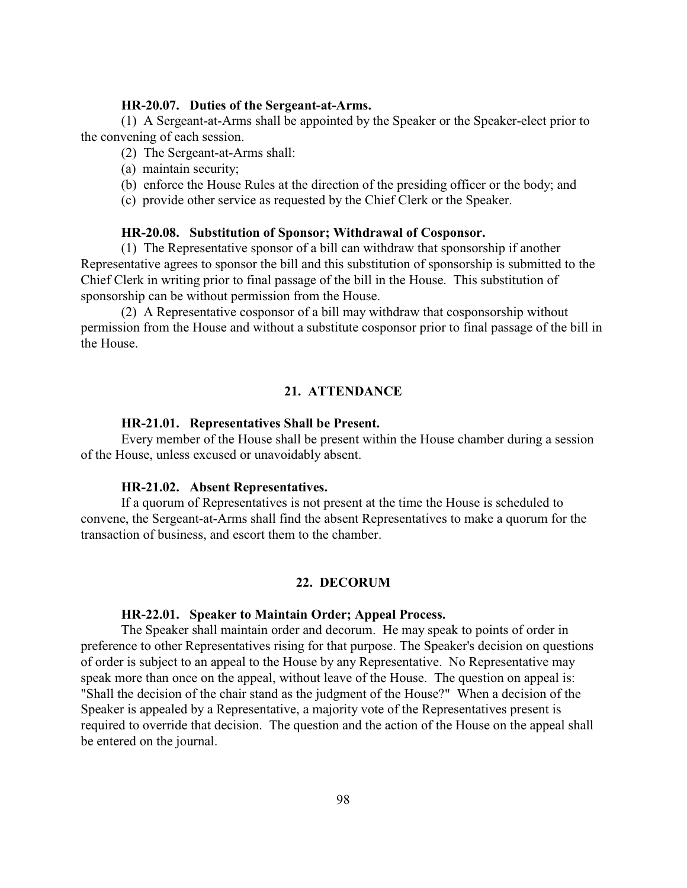# **HR-20.07. Duties of the Sergeant-at-Arms.**

(1) A Sergeant-at-Arms shall be appointed by the Speaker or the Speaker-elect prior to the convening of each session.

- (2) The Sergeant-at-Arms shall:
- (a) maintain security;
- (b) enforce the House Rules at the direction of the presiding officer or the body; and
- (c) provide other service as requested by the Chief Clerk or the Speaker.

#### **HR-20.08. Substitution of Sponsor; Withdrawal of Cosponsor.**

(1) The Representative sponsor of a bill can withdraw that sponsorship if another Representative agrees to sponsor the bill and this substitution of sponsorship is submitted to the Chief Clerk in writing prior to final passage of the bill in the House. This substitution of sponsorship can be without permission from the House.

(2) A Representative cosponsor of a bill may withdraw that cosponsorship without permission from the House and without a substitute cosponsor prior to final passage of the bill in the House.

# **21. ATTENDANCE**

#### **HR-21.01. Representatives Shall be Present.**

Every member of the House shall be present within the House chamber during a session of the House, unless excused or unavoidably absent.

#### **HR-21.02. Absent Representatives.**

If a quorum of Representatives is not present at the time the House is scheduled to convene, the Sergeant-at-Arms shall find the absent Representatives to make a quorum for the transaction of business, and escort them to the chamber.

# **22. DECORUM**

#### **HR-22.01. Speaker to Maintain Order; Appeal Process.**

The Speaker shall maintain order and decorum. He may speak to points of order in preference to other Representatives rising for that purpose. The Speaker's decision on questions of order is subject to an appeal to the House by any Representative. No Representative may speak more than once on the appeal, without leave of the House. The question on appeal is: "Shall the decision of the chair stand as the judgment of the House?" When a decision of the Speaker is appealed by a Representative, a majority vote of the Representatives present is required to override that decision. The question and the action of the House on the appeal shall be entered on the journal.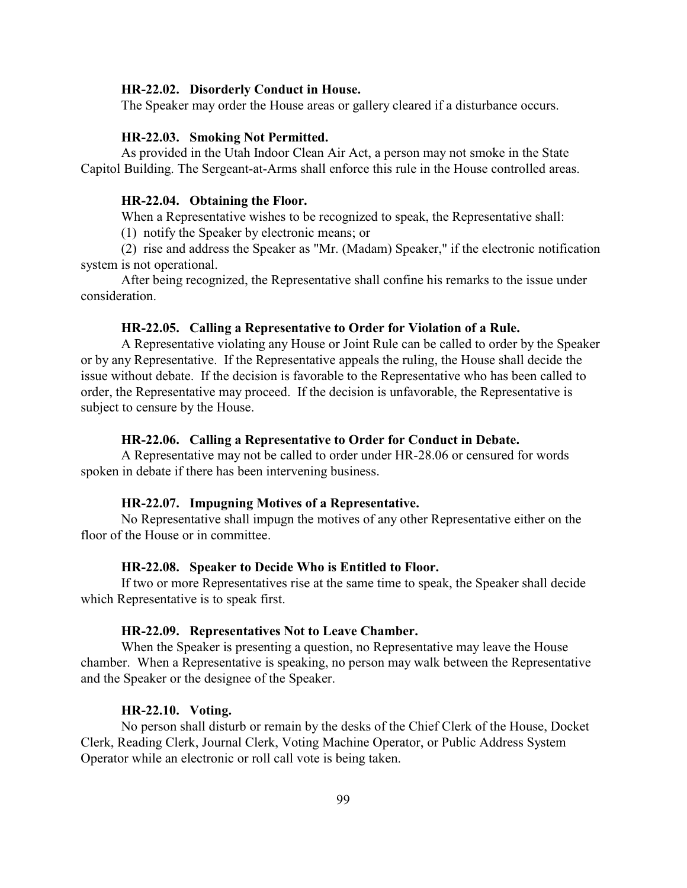#### **HR-22.02. Disorderly Conduct in House.**

The Speaker may order the House areas or gallery cleared if a disturbance occurs.

# **HR-22.03. Smoking Not Permitted.**

As provided in the Utah Indoor Clean Air Act, a person may not smoke in the State Capitol Building. The Sergeant-at-Arms shall enforce this rule in the House controlled areas.

#### **HR-22.04. Obtaining the Floor.**

When a Representative wishes to be recognized to speak, the Representative shall:

(1) notify the Speaker by electronic means; or

(2) rise and address the Speaker as "Mr. (Madam) Speaker," if the electronic notification system is not operational.

After being recognized, the Representative shall confine his remarks to the issue under consideration.

# **HR-22.05. Calling a Representative to Order for Violation of a Rule.**

A Representative violating any House or Joint Rule can be called to order by the Speaker or by any Representative. If the Representative appeals the ruling, the House shall decide the issue without debate. If the decision is favorable to the Representative who has been called to order, the Representative may proceed. If the decision is unfavorable, the Representative is subject to censure by the House.

# **HR-22.06. Calling a Representative to Order for Conduct in Debate.**

A Representative may not be called to order under HR-28.06 or censured for words spoken in debate if there has been intervening business.

#### **HR-22.07. Impugning Motives of a Representative.**

No Representative shall impugn the motives of any other Representative either on the floor of the House or in committee.

### **HR-22.08. Speaker to Decide Who is Entitled to Floor.**

If two or more Representatives rise at the same time to speak, the Speaker shall decide which Representative is to speak first.

#### **HR-22.09. Representatives Not to Leave Chamber.**

When the Speaker is presenting a question, no Representative may leave the House chamber. When a Representative is speaking, no person may walk between the Representative and the Speaker or the designee of the Speaker.

# **HR-22.10. Voting.**

No person shall disturb or remain by the desks of the Chief Clerk of the House, Docket Clerk, Reading Clerk, Journal Clerk, Voting Machine Operator, or Public Address System Operator while an electronic or roll call vote is being taken.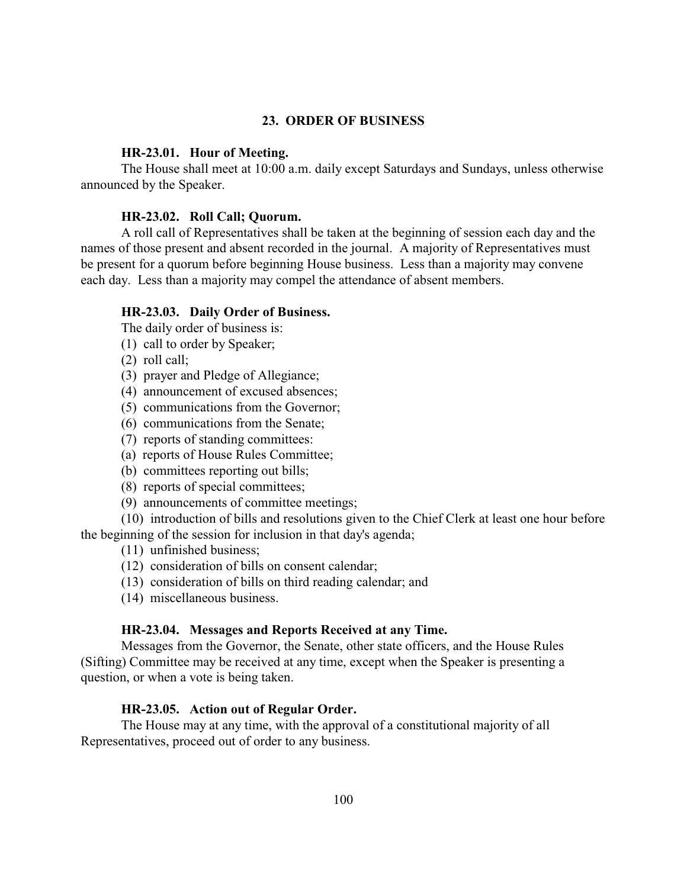# **23. ORDER OF BUSINESS**

#### **HR-23.01. Hour of Meeting.**

The House shall meet at 10:00 a.m. daily except Saturdays and Sundays, unless otherwise announced by the Speaker.

# **HR-23.02. Roll Call; Quorum.**

A roll call of Representatives shall be taken at the beginning of session each day and the names of those present and absent recorded in the journal. A majority of Representatives must be present for a quorum before beginning House business. Less than a majority may convene each day. Less than a majority may compel the attendance of absent members.

# **HR-23.03. Daily Order of Business.**

The daily order of business is:

- (1) call to order by Speaker;
- (2) roll call;
- (3) prayer and Pledge of Allegiance;
- (4) announcement of excused absences;
- (5) communications from the Governor;
- (6) communications from the Senate;
- (7) reports of standing committees:
- (a) reports of House Rules Committee;
- (b) committees reporting out bills;
- (8) reports of special committees;
- (9) announcements of committee meetings;

(10) introduction of bills and resolutions given to the Chief Clerk at least one hour before the beginning of the session for inclusion in that day's agenda;

(11) unfinished business;

- (12) consideration of bills on consent calendar;
- (13) consideration of bills on third reading calendar; and
- (14) miscellaneous business.

# **HR-23.04. Messages and Reports Received at any Time.**

Messages from the Governor, the Senate, other state officers, and the House Rules (Sifting) Committee may be received at any time, except when the Speaker is presenting a question, or when a vote is being taken.

# **HR-23.05. Action out of Regular Order.**

The House may at any time, with the approval of a constitutional majority of all Representatives, proceed out of order to any business.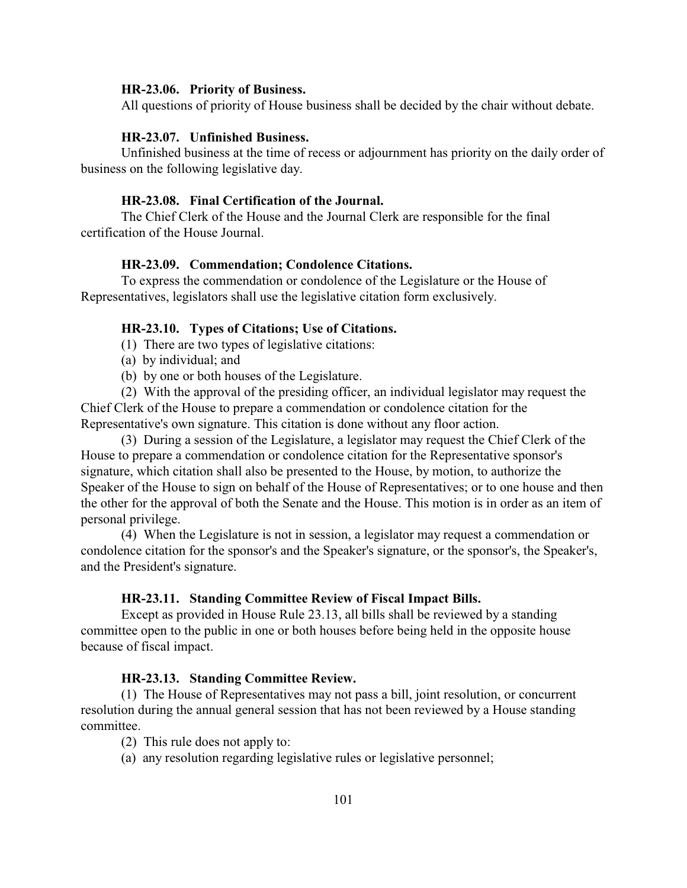#### **HR-23.06. Priority of Business.**

All questions of priority of House business shall be decided by the chair without debate.

# **HR-23.07. Unfinished Business.**

Unfinished business at the time of recess or adjournment has priority on the daily order of business on the following legislative day.

# **HR-23.08. Final Certification of the Journal.**

The Chief Clerk of the House and the Journal Clerk are responsible for the final certification of the House Journal.

# **HR-23.09. Commendation; Condolence Citations.**

To express the commendation or condolence of the Legislature or the House of Representatives, legislators shall use the legislative citation form exclusively.

# **HR-23.10. Types of Citations; Use of Citations.**

- (1) There are two types of legislative citations:
- (a) by individual; and
- (b) by one or both houses of the Legislature.

(2) With the approval of the presiding officer, an individual legislator may request the Chief Clerk of the House to prepare a commendation or condolence citation for the Representative's own signature. This citation is done without any floor action.

(3) During a session of the Legislature, a legislator may request the Chief Clerk of the House to prepare a commendation or condolence citation for the Representative sponsor's signature, which citation shall also be presented to the House, by motion, to authorize the Speaker of the House to sign on behalf of the House of Representatives; or to one house and then the other for the approval of both the Senate and the House. This motion is in order as an item of personal privilege.

(4) When the Legislature is not in session, a legislator may request a commendation or condolence citation for the sponsor's and the Speaker's signature, or the sponsor's, the Speaker's, and the President's signature.

## **HR-23.11. Standing Committee Review of Fiscal Impact Bills.**

Except as provided in House Rule 23.13, all bills shall be reviewed by a standing committee open to the public in one or both houses before being held in the opposite house because of fiscal impact.

# **HR-23.13. Standing Committee Review.**

(1) The House of Representatives may not pass a bill, joint resolution, or concurrent resolution during the annual general session that has not been reviewed by a House standing committee.

- (2) This rule does not apply to:
- (a) any resolution regarding legislative rules or legislative personnel;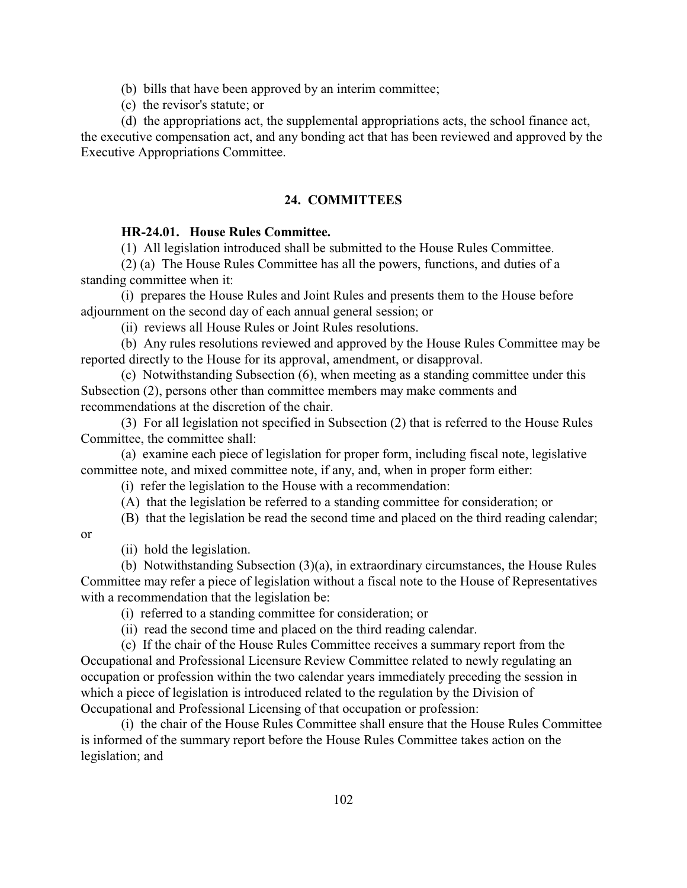(b) bills that have been approved by an interim committee;

(c) the revisor's statute; or

(d) the appropriations act, the supplemental appropriations acts, the school finance act, the executive compensation act, and any bonding act that has been reviewed and approved by the Executive Appropriations Committee.

# **24. COMMITTEES**

# **HR-24.01. House Rules Committee.**

(1) All legislation introduced shall be submitted to the House Rules Committee.

(2) (a) The House Rules Committee has all the powers, functions, and duties of a standing committee when it:

(i) prepares the House Rules and Joint Rules and presents them to the House before adjournment on the second day of each annual general session; or

(ii) reviews all House Rules or Joint Rules resolutions.

(b) Any rules resolutions reviewed and approved by the House Rules Committee may be reported directly to the House for its approval, amendment, or disapproval.

(c) Notwithstanding Subsection (6), when meeting as a standing committee under this Subsection (2), persons other than committee members may make comments and recommendations at the discretion of the chair.

(3) For all legislation not specified in Subsection (2) that is referred to the House Rules Committee, the committee shall:

(a) examine each piece of legislation for proper form, including fiscal note, legislative committee note, and mixed committee note, if any, and, when in proper form either:

(i) refer the legislation to the House with a recommendation:

(A) that the legislation be referred to a standing committee for consideration; or

(B) that the legislation be read the second time and placed on the third reading calendar;

or

(ii) hold the legislation.

(b) Notwithstanding Subsection (3)(a), in extraordinary circumstances, the House Rules Committee may refer a piece of legislation without a fiscal note to the House of Representatives with a recommendation that the legislation be:

(i) referred to a standing committee for consideration; or

(ii) read the second time and placed on the third reading calendar.

(c) If the chair of the House Rules Committee receives a summary report from the Occupational and Professional Licensure Review Committee related to newly regulating an occupation or profession within the two calendar years immediately preceding the session in which a piece of legislation is introduced related to the regulation by the Division of Occupational and Professional Licensing of that occupation or profession:

(i) the chair of the House Rules Committee shall ensure that the House Rules Committee is informed of the summary report before the House Rules Committee takes action on the legislation; and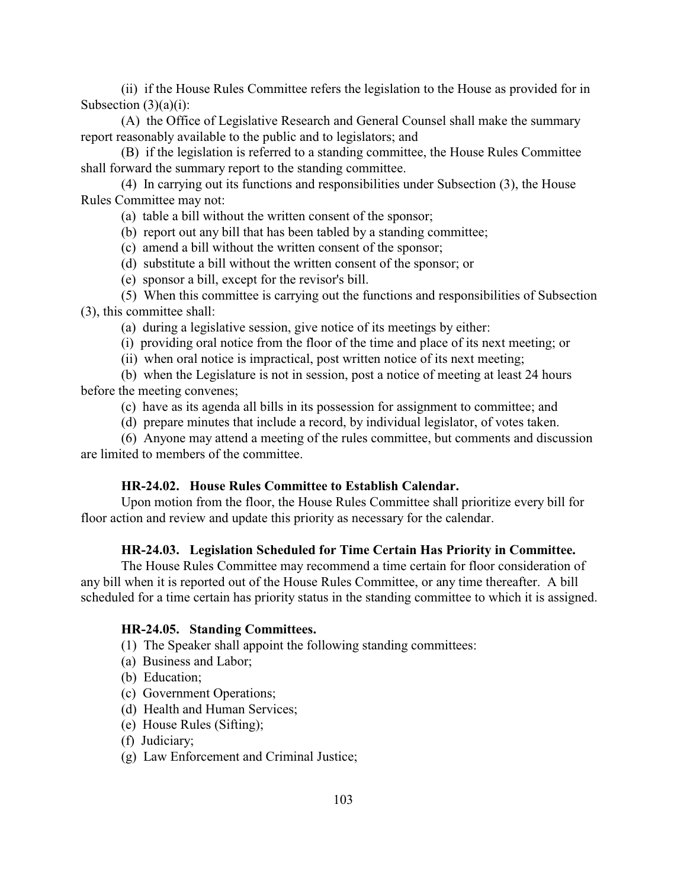(ii) if the House Rules Committee refers the legislation to the House as provided for in Subsection  $(3)(a)(i)$ :

(A) the Office of Legislative Research and General Counsel shall make the summary report reasonably available to the public and to legislators; and

(B) if the legislation is referred to a standing committee, the House Rules Committee shall forward the summary report to the standing committee.

(4) In carrying out its functions and responsibilities under Subsection (3), the House Rules Committee may not:

(a) table a bill without the written consent of the sponsor;

(b) report out any bill that has been tabled by a standing committee;

(c) amend a bill without the written consent of the sponsor;

- (d) substitute a bill without the written consent of the sponsor; or
- (e) sponsor a bill, except for the revisor's bill.

(5) When this committee is carrying out the functions and responsibilities of Subsection (3), this committee shall:

(a) during a legislative session, give notice of its meetings by either:

(i) providing oral notice from the floor of the time and place of its next meeting; or

(ii) when oral notice is impractical, post written notice of its next meeting;

(b) when the Legislature is not in session, post a notice of meeting at least 24 hours before the meeting convenes;

(c) have as its agenda all bills in its possession for assignment to committee; and

(d) prepare minutes that include a record, by individual legislator, of votes taken.

(6) Anyone may attend a meeting of the rules committee, but comments and discussion are limited to members of the committee.

## **HR-24.02. House Rules Committee to Establish Calendar.**

Upon motion from the floor, the House Rules Committee shall prioritize every bill for floor action and review and update this priority as necessary for the calendar.

# **HR-24.03. Legislation Scheduled for Time Certain Has Priority in Committee.**

The House Rules Committee may recommend a time certain for floor consideration of any bill when it is reported out of the House Rules Committee, or any time thereafter. A bill scheduled for a time certain has priority status in the standing committee to which it is assigned.

# **HR-24.05. Standing Committees.**

(1) The Speaker shall appoint the following standing committees:

- (a) Business and Labor;
- (b) Education;
- (c) Government Operations;
- (d) Health and Human Services;
- (e) House Rules (Sifting);
- (f) Judiciary;

(g) Law Enforcement and Criminal Justice;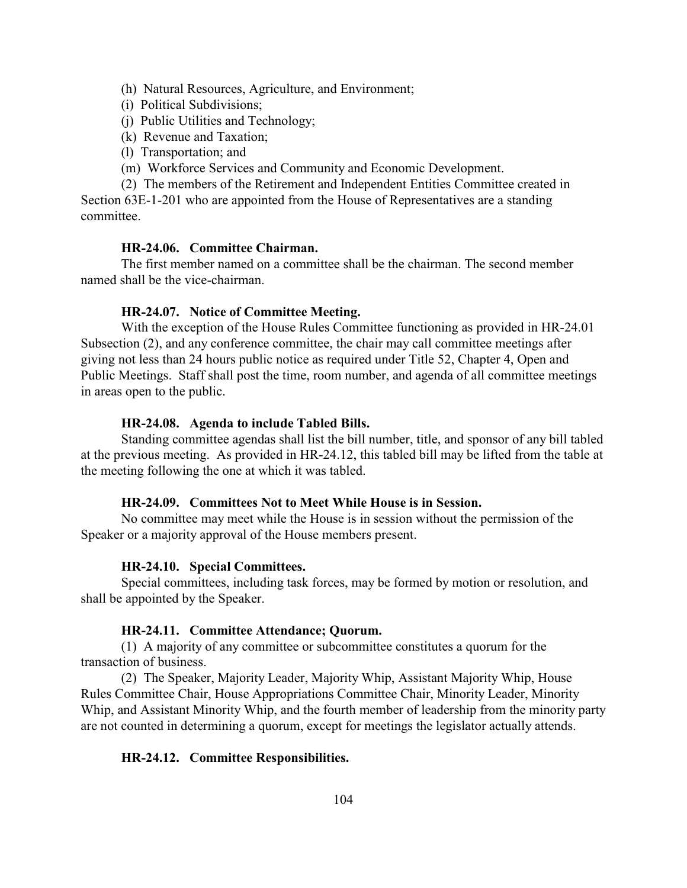(h) Natural Resources, Agriculture, and Environment;

(i) Political Subdivisions;

(j) Public Utilities and Technology;

- (k) Revenue and Taxation;
- (l) Transportation; and
- (m) Workforce Services and Community and Economic Development.

(2) The members of the Retirement and Independent Entities Committee created in Section 63E-1-201 who are appointed from the House of Representatives are a standing committee.

# **HR-24.06. Committee Chairman.**

The first member named on a committee shall be the chairman. The second member named shall be the vice-chairman.

# **HR-24.07. Notice of Committee Meeting.**

With the exception of the House Rules Committee functioning as provided in HR-24.01 Subsection (2), and any conference committee, the chair may call committee meetings after giving not less than 24 hours public notice as required under Title 52, Chapter 4, Open and Public Meetings. Staff shall post the time, room number, and agenda of all committee meetings in areas open to the public.

#### **HR-24.08. Agenda to include Tabled Bills.**

Standing committee agendas shall list the bill number, title, and sponsor of any bill tabled at the previous meeting. As provided in HR-24.12, this tabled bill may be lifted from the table at the meeting following the one at which it was tabled.

## **HR-24.09. Committees Not to Meet While House is in Session.**

No committee may meet while the House is in session without the permission of the Speaker or a majority approval of the House members present.

### **HR-24.10. Special Committees.**

Special committees, including task forces, may be formed by motion or resolution, and shall be appointed by the Speaker.

# **HR-24.11. Committee Attendance; Quorum.**

(1) A majority of any committee or subcommittee constitutes a quorum for the transaction of business.

(2) The Speaker, Majority Leader, Majority Whip, Assistant Majority Whip, House Rules Committee Chair, House Appropriations Committee Chair, Minority Leader, Minority Whip, and Assistant Minority Whip, and the fourth member of leadership from the minority party are not counted in determining a quorum, except for meetings the legislator actually attends.

# **HR-24.12. Committee Responsibilities.**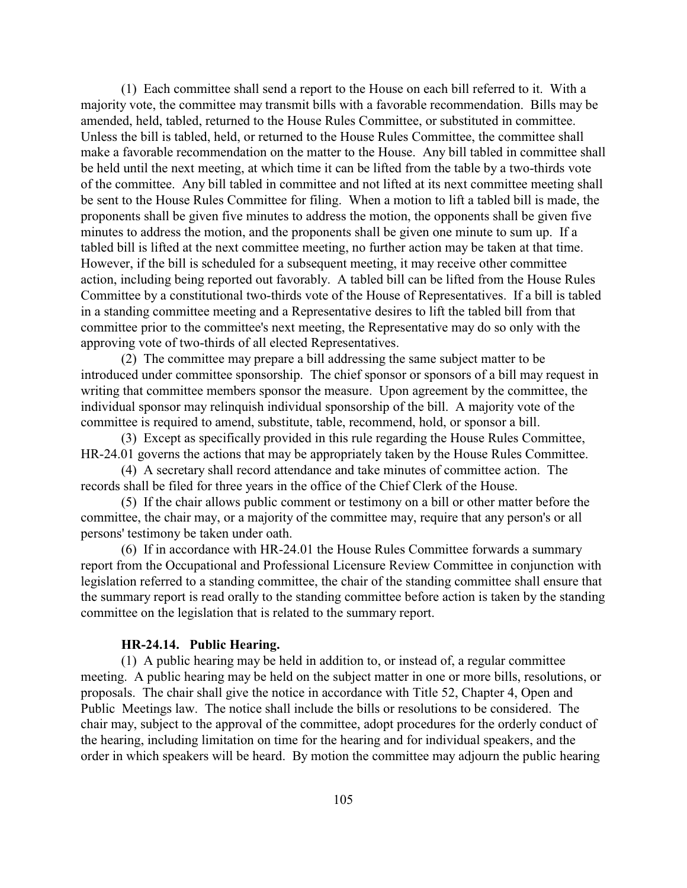(1) Each committee shall send a report to the House on each bill referred to it. With a majority vote, the committee may transmit bills with a favorable recommendation. Bills may be amended, held, tabled, returned to the House Rules Committee, or substituted in committee. Unless the bill is tabled, held, or returned to the House Rules Committee, the committee shall make a favorable recommendation on the matter to the House. Any bill tabled in committee shall be held until the next meeting, at which time it can be lifted from the table by a two-thirds vote of the committee. Any bill tabled in committee and not lifted at its next committee meeting shall be sent to the House Rules Committee for filing. When a motion to lift a tabled bill is made, the proponents shall be given five minutes to address the motion, the opponents shall be given five minutes to address the motion, and the proponents shall be given one minute to sum up. If a tabled bill is lifted at the next committee meeting, no further action may be taken at that time. However, if the bill is scheduled for a subsequent meeting, it may receive other committee action, including being reported out favorably. A tabled bill can be lifted from the House Rules Committee by a constitutional two-thirds vote of the House of Representatives. If a bill is tabled in a standing committee meeting and a Representative desires to lift the tabled bill from that committee prior to the committee's next meeting, the Representative may do so only with the approving vote of two-thirds of all elected Representatives.

(2) The committee may prepare a bill addressing the same subject matter to be introduced under committee sponsorship. The chief sponsor or sponsors of a bill may request in writing that committee members sponsor the measure. Upon agreement by the committee, the individual sponsor may relinquish individual sponsorship of the bill. A majority vote of the committee is required to amend, substitute, table, recommend, hold, or sponsor a bill.

(3) Except as specifically provided in this rule regarding the House Rules Committee, HR-24.01 governs the actions that may be appropriately taken by the House Rules Committee.

(4) A secretary shall record attendance and take minutes of committee action. The records shall be filed for three years in the office of the Chief Clerk of the House.

(5) If the chair allows public comment or testimony on a bill or other matter before the committee, the chair may, or a majority of the committee may, require that any person's or all persons' testimony be taken under oath.

(6) If in accordance with HR-24.01 the House Rules Committee forwards a summary report from the Occupational and Professional Licensure Review Committee in conjunction with legislation referred to a standing committee, the chair of the standing committee shall ensure that the summary report is read orally to the standing committee before action is taken by the standing committee on the legislation that is related to the summary report.

# **HR-24.14. Public Hearing.**

(1) A public hearing may be held in addition to, or instead of, a regular committee meeting. A public hearing may be held on the subject matter in one or more bills, resolutions, or proposals. The chair shall give the notice in accordance with Title 52, Chapter 4, Open and Public Meetings law. The notice shall include the bills or resolutions to be considered. The chair may, subject to the approval of the committee, adopt procedures for the orderly conduct of the hearing, including limitation on time for the hearing and for individual speakers, and the order in which speakers will be heard. By motion the committee may adjourn the public hearing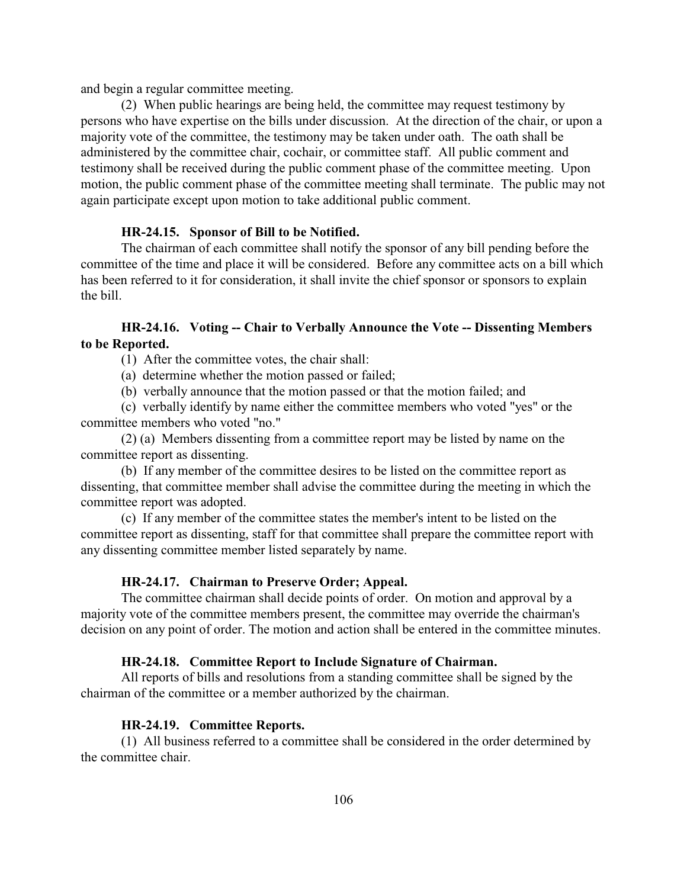and begin a regular committee meeting.

(2) When public hearings are being held, the committee may request testimony by persons who have expertise on the bills under discussion. At the direction of the chair, or upon a majority vote of the committee, the testimony may be taken under oath. The oath shall be administered by the committee chair, cochair, or committee staff. All public comment and testimony shall be received during the public comment phase of the committee meeting. Upon motion, the public comment phase of the committee meeting shall terminate. The public may not again participate except upon motion to take additional public comment.

### **HR-24.15. Sponsor of Bill to be Notified.**

The chairman of each committee shall notify the sponsor of any bill pending before the committee of the time and place it will be considered. Before any committee acts on a bill which has been referred to it for consideration, it shall invite the chief sponsor or sponsors to explain the bill.

# **HR-24.16. Voting -- Chair to Verbally Announce the Vote -- Dissenting Members to be Reported.**

- (1) After the committee votes, the chair shall:
- (a) determine whether the motion passed or failed;
- (b) verbally announce that the motion passed or that the motion failed; and

(c) verbally identify by name either the committee members who voted "yes" or the committee members who voted "no."

(2) (a) Members dissenting from a committee report may be listed by name on the committee report as dissenting.

(b) If any member of the committee desires to be listed on the committee report as dissenting, that committee member shall advise the committee during the meeting in which the committee report was adopted.

(c) If any member of the committee states the member's intent to be listed on the committee report as dissenting, staff for that committee shall prepare the committee report with any dissenting committee member listed separately by name.

# **HR-24.17. Chairman to Preserve Order; Appeal.**

The committee chairman shall decide points of order. On motion and approval by a majority vote of the committee members present, the committee may override the chairman's decision on any point of order. The motion and action shall be entered in the committee minutes.

# **HR-24.18. Committee Report to Include Signature of Chairman.**

All reports of bills and resolutions from a standing committee shall be signed by the chairman of the committee or a member authorized by the chairman.

#### **HR-24.19. Committee Reports.**

(1) All business referred to a committee shall be considered in the order determined by the committee chair.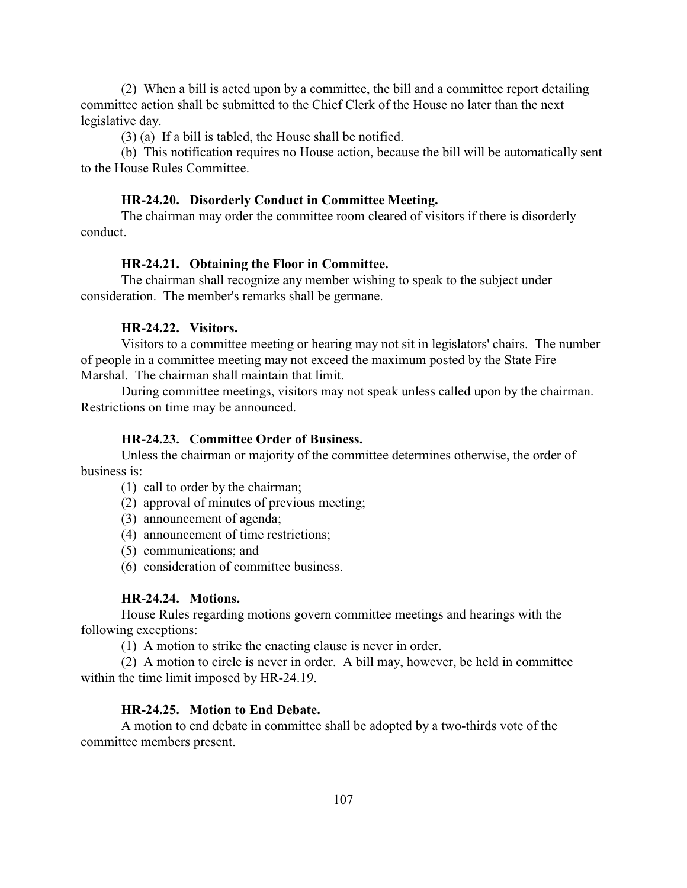(2) When a bill is acted upon by a committee, the bill and a committee report detailing committee action shall be submitted to the Chief Clerk of the House no later than the next legislative day.

(3) (a) If a bill is tabled, the House shall be notified.

(b) This notification requires no House action, because the bill will be automatically sent to the House Rules Committee.

#### **HR-24.20. Disorderly Conduct in Committee Meeting.**

The chairman may order the committee room cleared of visitors if there is disorderly conduct.

# **HR-24.21. Obtaining the Floor in Committee.**

The chairman shall recognize any member wishing to speak to the subject under consideration. The member's remarks shall be germane.

# **HR-24.22. Visitors.**

Visitors to a committee meeting or hearing may not sit in legislators' chairs. The number of people in a committee meeting may not exceed the maximum posted by the State Fire Marshal. The chairman shall maintain that limit.

During committee meetings, visitors may not speak unless called upon by the chairman. Restrictions on time may be announced.

# **HR-24.23. Committee Order of Business.**

Unless the chairman or majority of the committee determines otherwise, the order of business is:

- (1) call to order by the chairman;
- (2) approval of minutes of previous meeting;
- (3) announcement of agenda;
- (4) announcement of time restrictions;
- (5) communications; and
- (6) consideration of committee business.

## **HR-24.24. Motions.**

House Rules regarding motions govern committee meetings and hearings with the following exceptions:

(1) A motion to strike the enacting clause is never in order.

(2) A motion to circle is never in order. A bill may, however, be held in committee within the time limit imposed by HR-24.19.

# **HR-24.25. Motion to End Debate.**

A motion to end debate in committee shall be adopted by a two-thirds vote of the committee members present.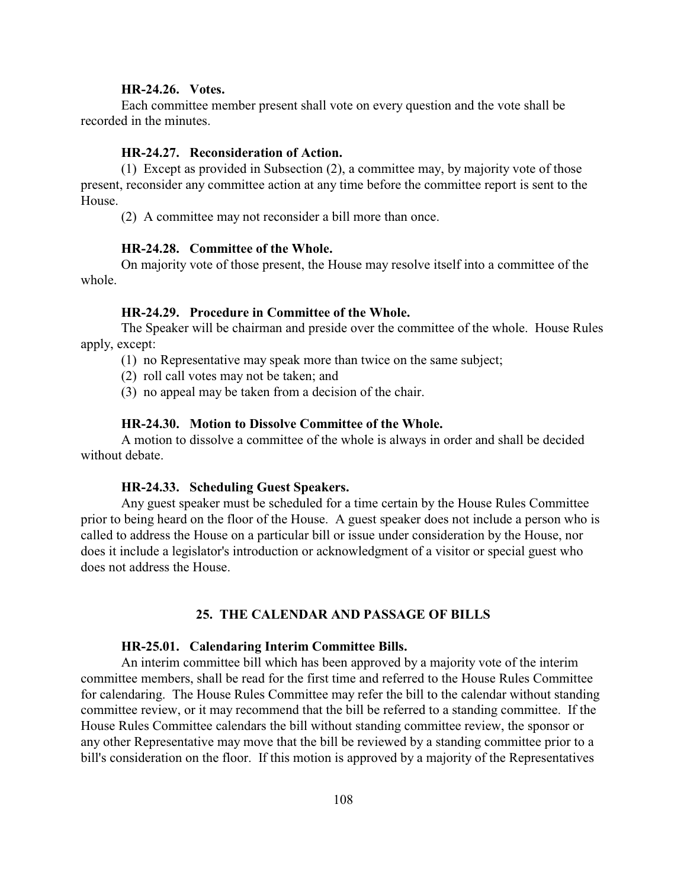## <span id="page-108-7"></span>**HR-24.26. Votes.**

Each committee member present shall vote on every question and the vote shall be recorded in the minutes.

#### <span id="page-108-4"></span>**HR-24.27. Reconsideration of Action.**

(1) Except as provided in Subsection (2), a committee may, by majority vote of those present, reconsider any committee action at any time before the committee report is sent to the House.

(2) A committee may not reconsider a bill more than once.

# <span id="page-108-1"></span>**HR-24.28. Committee of the Whole.**

On majority vote of those present, the House may resolve itself into a committee of the whole.

#### <span id="page-108-3"></span>**HR-24.29. Procedure in Committee of the Whole.**

The Speaker will be chairman and preside over the committee of the whole. House Rules apply, except:

(1) no Representative may speak more than twice on the same subject;

(2) roll call votes may not be taken; and

(3) no appeal may be taken from a decision of the chair.

#### <span id="page-108-2"></span>**HR-24.30. Motion to Dissolve Committee of the Whole.**

A motion to dissolve a committee of the whole is always in order and shall be decided without debate.

#### <span id="page-108-5"></span>**HR-24.33. Scheduling Guest Speakers.**

Any guest speaker must be scheduled for a time certain by the House Rules Committee prior to being heard on the floor of the House. A guest speaker does not include a person who is called to address the House on a particular bill or issue under consideration by the House, nor does it include a legislator's introduction or acknowledgment of a visitor or special guest who does not address the House.

#### <span id="page-108-6"></span><span id="page-108-0"></span>**25. THE CALENDAR AND PASSAGE OF BILLS**

#### **HR-25.01. Calendaring Interim Committee Bills.**

An interim committee bill which has been approved by a majority vote of the interim committee members, shall be read for the first time and referred to the House Rules Committee for calendaring. The House Rules Committee may refer the bill to the calendar without standing committee review, or it may recommend that the bill be referred to a standing committee. If the House Rules Committee calendars the bill without standing committee review, the sponsor or any other Representative may move that the bill be reviewed by a standing committee prior to a bill's consideration on the floor. If this motion is approved by a majority of the Representatives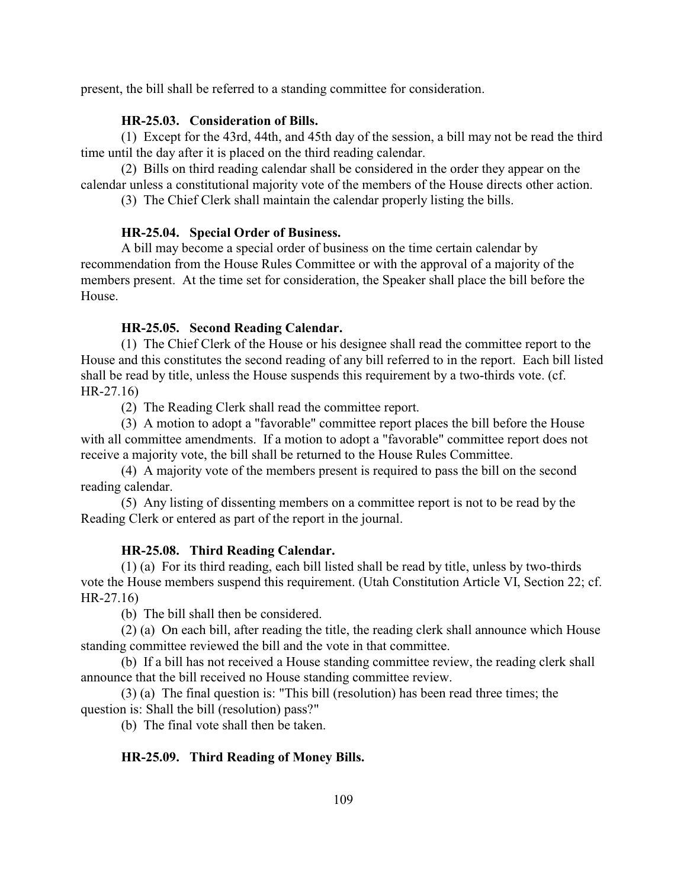present, the bill shall be referred to a standing committee for consideration.

# <span id="page-109-0"></span>**HR-25.03. Consideration of Bills.**

(1) Except for the 43rd, 44th, and 45th day of the session, a bill may not be read the third time until the day after it is placed on the third reading calendar.

(2) Bills on third reading calendar shall be considered in the order they appear on the calendar unless a constitutional majority vote of the members of the House directs other action.

(3) The Chief Clerk shall maintain the calendar properly listing the bills.

# <span id="page-109-2"></span>**HR-25.04. Special Order of Business.**

A bill may become a special order of business on the time certain calendar by recommendation from the House Rules Committee or with the approval of a majority of the members present. At the time set for consideration, the Speaker shall place the bill before the House.

# <span id="page-109-1"></span>**HR-25.05. Second Reading Calendar.**

(1) The Chief Clerk of the House or his designee shall read the committee report to the House and this constitutes the second reading of any bill referred to in the report. Each bill listed shall be read by title, unless the House suspends this requirement by a two-thirds vote. (cf. HR-27.16)

(2) The Reading Clerk shall read the committee report.

(3) A motion to adopt a "favorable" committee report places the bill before the House with all committee amendments. If a motion to adopt a "favorable" committee report does not receive a majority vote, the bill shall be returned to the House Rules Committee.

(4) A majority vote of the members present is required to pass the bill on the second reading calendar.

(5) Any listing of dissenting members on a committee report is not to be read by the Reading Clerk or entered as part of the report in the journal.

# <span id="page-109-3"></span>**HR-25.08. Third Reading Calendar.**

(1) (a) For its third reading, each bill listed shall be read by title, unless by two-thirds vote the House members suspend this requirement. (Utah Constitution Article VI, Section 22; cf. HR-27.16)

(b) The bill shall then be considered.

(2) (a) On each bill, after reading the title, the reading clerk shall announce which House standing committee reviewed the bill and the vote in that committee.

(b) If a bill has not received a House standing committee review, the reading clerk shall announce that the bill received no House standing committee review.

(3) (a) The final question is: "This bill (resolution) has been read three times; the question is: Shall the bill (resolution) pass?"

(b) The final vote shall then be taken.

# <span id="page-109-4"></span>**HR-25.09. Third Reading of Money Bills.**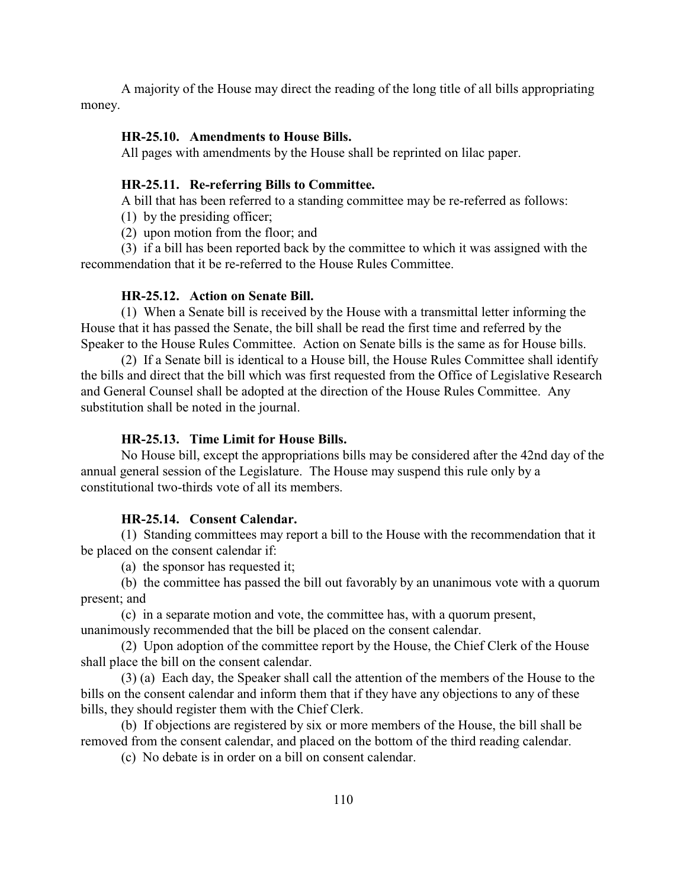<span id="page-110-0"></span>A majority of the House may direct the reading of the long title of all bills appropriating money.

#### **HR-25.10. Amendments to House Bills.**

All pages with amendments by the House shall be reprinted on lilac paper.

# <span id="page-110-3"></span>**HR-25.11. Re-referring Bills to Committee.**

A bill that has been referred to a standing committee may be re-referred as follows:

(1) by the presiding officer;

(2) upon motion from the floor; and

(3) if a bill has been reported back by the committee to which it was assigned with the recommendation that it be re-referred to the House Rules Committee.

# <span id="page-110-1"></span>**HR-25.12. Action on Senate Bill.**

(1) When a Senate bill is received by the House with a transmittal letter informing the House that it has passed the Senate, the bill shall be read the first time and referred by the Speaker to the House Rules Committee. Action on Senate bills is the same as for House bills.

(2) If a Senate bill is identical to a House bill, the House Rules Committee shall identify the bills and direct that the bill which was first requested from the Office of Legislative Research and General Counsel shall be adopted at the direction of the House Rules Committee. Any substitution shall be noted in the journal.

# <span id="page-110-5"></span><span id="page-110-4"></span>**HR-25.13. Time Limit for House Bills.**

No House bill, except the appropriations bills may be considered after the 42nd day of the annual general session of the Legislature. The House may suspend this rule only by a constitutional two-thirds vote of all its members.

# <span id="page-110-2"></span>**HR-25.14. Consent Calendar.**

(1) Standing committees may report a bill to the House with the recommendation that it be placed on the consent calendar if:

(a) the sponsor has requested it;

(b) the committee has passed the bill out favorably by an unanimous vote with a quorum present; and

(c) in a separate motion and vote, the committee has, with a quorum present, unanimously recommended that the bill be placed on the consent calendar.

(2) Upon adoption of the committee report by the House, the Chief Clerk of the House shall place the bill on the consent calendar.

(3) (a) Each day, the Speaker shall call the attention of the members of the House to the bills on the consent calendar and inform them that if they have any objections to any of these bills, they should register them with the Chief Clerk.

(b) If objections are registered by six or more members of the House, the bill shall be removed from the consent calendar, and placed on the bottom of the third reading calendar.

(c) No debate is in order on a bill on consent calendar.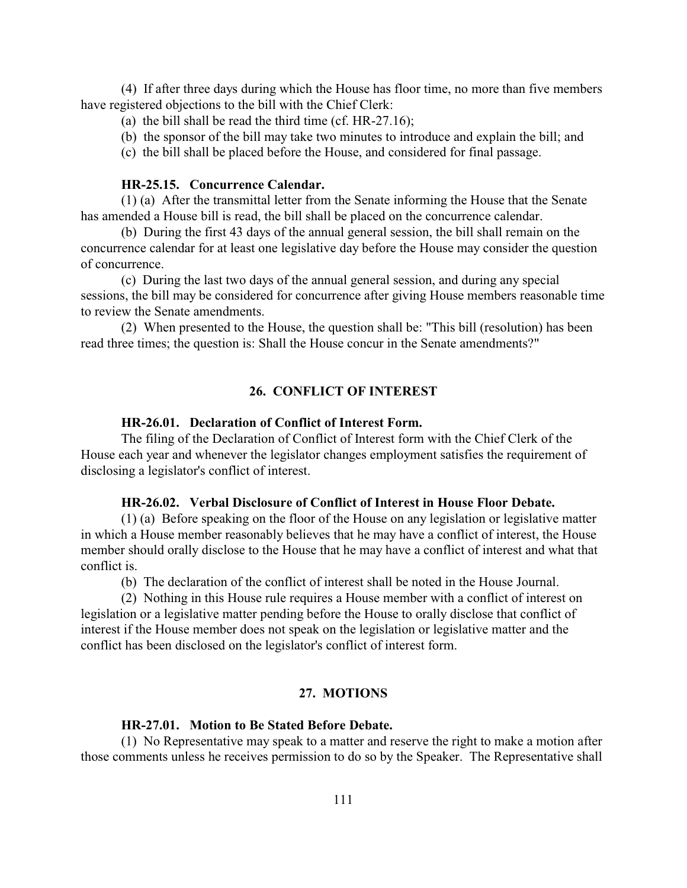(4) If after three days during which the House has floor time, no more than five members have registered objections to the bill with the Chief Clerk:

- (a) the bill shall be read the third time (cf. HR-27.16);
- (b) the sponsor of the bill may take two minutes to introduce and explain the bill; and
- (c) the bill shall be placed before the House, and considered for final passage.

# <span id="page-111-0"></span>**HR-25.15. Concurrence Calendar.**

(1) (a) After the transmittal letter from the Senate informing the House that the Senate has amended a House bill is read, the bill shall be placed on the concurrence calendar.

(b) During the first 43 days of the annual general session, the bill shall remain on the concurrence calendar for at least one legislative day before the House may consider the question of concurrence.

(c) During the last two days of the annual general session, and during any special sessions, the bill may be considered for concurrence after giving House members reasonable time to review the Senate amendments.

(2) When presented to the House, the question shall be: "This bill (resolution) has been read three times; the question is: Shall the House concur in the Senate amendments?"

# <span id="page-111-3"></span>**26. CONFLICT OF INTEREST**

#### <span id="page-111-1"></span>**HR-26.01. Declaration of Conflict of Interest Form.**

The filing of the Declaration of Conflict of Interest form with the Chief Clerk of the House each year and whenever the legislator changes employment satisfies the requirement of disclosing a legislator's conflict of interest.

#### <span id="page-111-2"></span>**HR-26.02. Verbal Disclosure of Conflict of Interest in House Floor Debate.**

(1) (a) Before speaking on the floor of the House on any legislation or legislative matter in which a House member reasonably believes that he may have a conflict of interest, the House member should orally disclose to the House that he may have a conflict of interest and what that conflict is.

(b) The declaration of the conflict of interest shall be noted in the House Journal.

(2) Nothing in this House rule requires a House member with a conflict of interest on legislation or a legislative matter pending before the House to orally disclose that conflict of interest if the House member does not speak on the legislation or legislative matter and the conflict has been disclosed on the legislator's conflict of interest form.

# <span id="page-111-4"></span>**27. MOTIONS**

# <span id="page-111-5"></span>**HR-27.01. Motion to Be Stated Before Debate.**

(1) No Representative may speak to a matter and reserve the right to make a motion after those comments unless he receives permission to do so by the Speaker. The Representative shall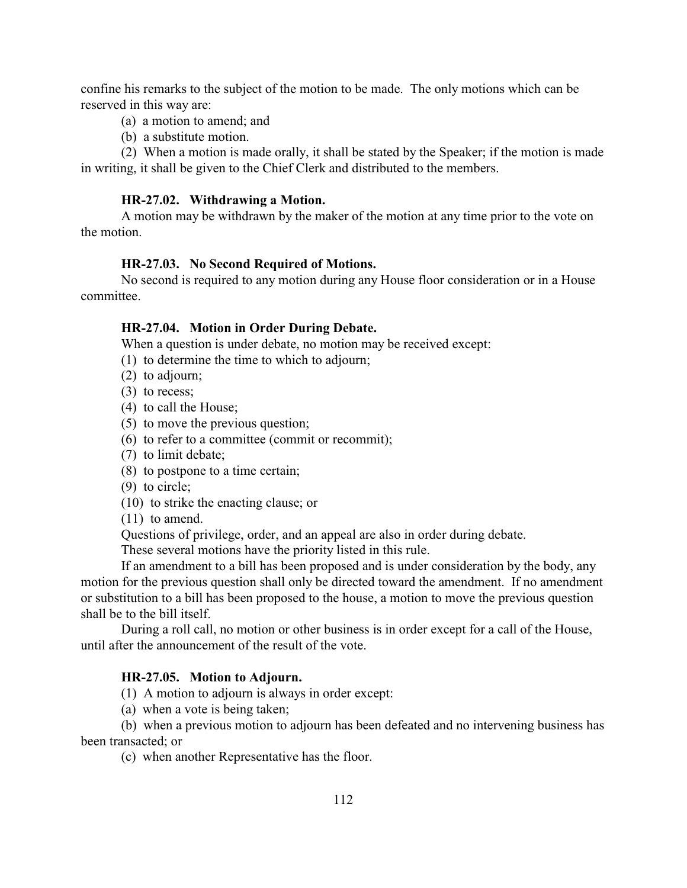confine his remarks to the subject of the motion to be made. The only motions which can be reserved in this way are:

- (a) a motion to amend; and
- (b) a substitute motion.

(2) When a motion is made orally, it shall be stated by the Speaker; if the motion is made in writing, it shall be given to the Chief Clerk and distributed to the members.

#### <span id="page-112-3"></span>**HR-27.02. Withdrawing a Motion.**

A motion may be withdrawn by the maker of the motion at any time prior to the vote on the motion.

#### <span id="page-112-2"></span>**HR-27.03. No Second Required of Motions.**

No second is required to any motion during any House floor consideration or in a House committee.

#### <span id="page-112-1"></span>**HR-27.04. Motion in Order During Debate.**

When a question is under debate, no motion may be received except:

- (1) to determine the time to which to adjourn;
- (2) to adjourn;
- (3) to recess;
- (4) to call the House;
- (5) to move the previous question;
- (6) to refer to a committee (commit or recommit);
- (7) to limit debate;
- (8) to postpone to a time certain;
- (9) to circle;
- (10) to strike the enacting clause; or
- (11) to amend.

Questions of privilege, order, and an appeal are also in order during debate.

These several motions have the priority listed in this rule.

If an amendment to a bill has been proposed and is under consideration by the body, any motion for the previous question shall only be directed toward the amendment. If no amendment or substitution to a bill has been proposed to the house, a motion to move the previous question shall be to the bill itself.

During a roll call, no motion or other business is in order except for a call of the House, until after the announcement of the result of the vote.

# <span id="page-112-0"></span>**HR-27.05. Motion to Adjourn.**

(1) A motion to adjourn is always in order except:

(a) when a vote is being taken;

(b) when a previous motion to adjourn has been defeated and no intervening business has been transacted; or

(c) when another Representative has the floor.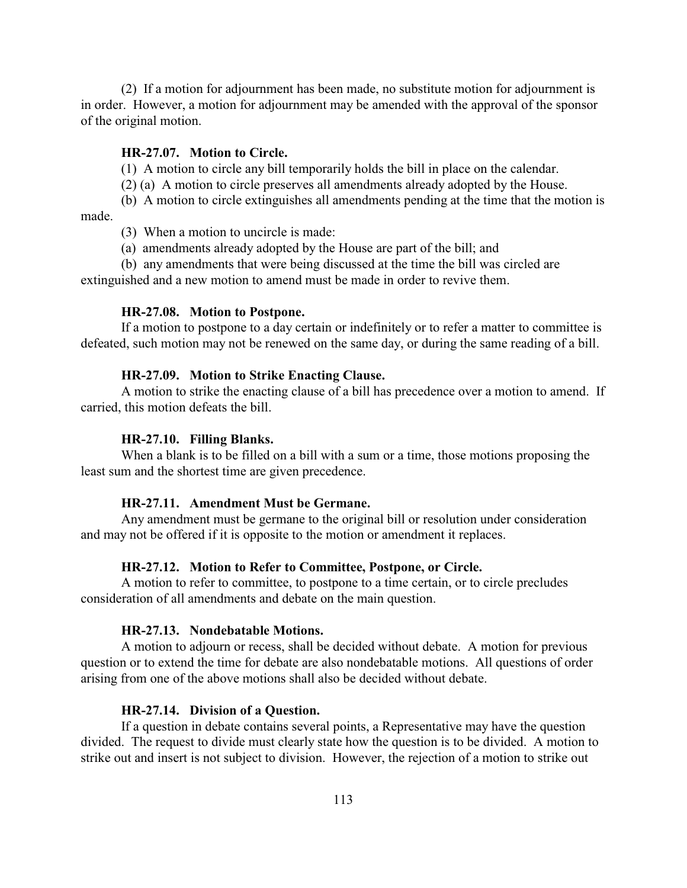(2) If a motion for adjournment has been made, no substitute motion for adjournment is in order. However, a motion for adjournment may be amended with the approval of the sponsor of the original motion.

#### <span id="page-113-3"></span>**HR-27.07. Motion to Circle.**

(1) A motion to circle any bill temporarily holds the bill in place on the calendar.

(2) (a) A motion to circle preserves all amendments already adopted by the House.

(b) A motion to circle extinguishes all amendments pending at the time that the motion is made.

(3) When a motion to uncircle is made:

(a) amendments already adopted by the House are part of the bill; and

(b) any amendments that were being discussed at the time the bill was circled are extinguished and a new motion to amend must be made in order to revive them.

## <span id="page-113-4"></span>**HR-27.08. Motion to Postpone.**

If a motion to postpone to a day certain or indefinitely or to refer a matter to committee is defeated, such motion may not be renewed on the same day, or during the same reading of a bill.

## <span id="page-113-5"></span>**HR-27.09. Motion to Strike Enacting Clause.**

A motion to strike the enacting clause of a bill has precedence over a motion to amend. If carried, this motion defeats the bill.

#### <span id="page-113-2"></span>**HR-27.10. Filling Blanks.**

When a blank is to be filled on a bill with a sum or a time, those motions proposing the least sum and the shortest time are given precedence.

#### <span id="page-113-0"></span>**HR-27.11. Amendment Must be Germane.**

Any amendment must be germane to the original bill or resolution under consideration and may not be offered if it is opposite to the motion or amendment it replaces.

## **HR-27.12. Motion to Refer to Committee, Postpone, or Circle.**

A motion to refer to committee, to postpone to a time certain, or to circle precludes consideration of all amendments and debate on the main question.

#### <span id="page-113-6"></span>**HR-27.13. Nondebatable Motions.**

A motion to adjourn or recess, shall be decided without debate. A motion for previous question or to extend the time for debate are also nondebatable motions. All questions of order arising from one of the above motions shall also be decided without debate.

#### <span id="page-113-1"></span>**HR-27.14. Division of a Question.**

If a question in debate contains several points, a Representative may have the question divided. The request to divide must clearly state how the question is to be divided. A motion to strike out and insert is not subject to division. However, the rejection of a motion to strike out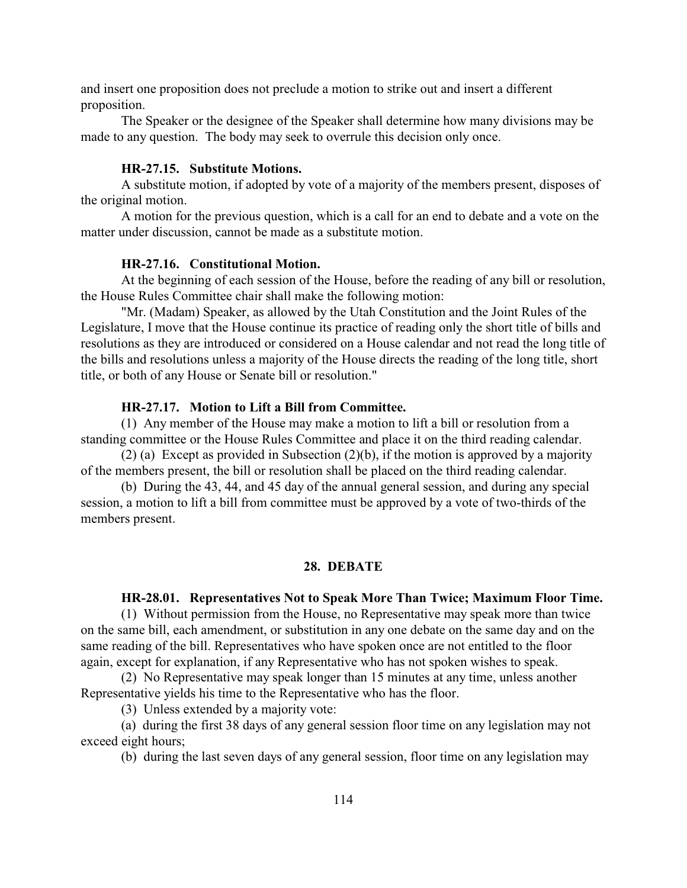and insert one proposition does not preclude a motion to strike out and insert a different proposition.

The Speaker or the designee of the Speaker shall determine how many divisions may be made to any question. The body may seek to overrule this decision only once.

## <span id="page-114-5"></span>**HR-27.15. Substitute Motions.**

A substitute motion, if adopted by vote of a majority of the members present, disposes of the original motion.

A motion for the previous question, which is a call for an end to debate and a vote on the matter under discussion, cannot be made as a substitute motion.

#### <span id="page-114-3"></span>**HR-27.16. Constitutional Motion.**

At the beginning of each session of the House, before the reading of any bill or resolution, the House Rules Committee chair shall make the following motion:

"Mr. (Madam) Speaker, as allowed by the Utah Constitution and the Joint Rules of the Legislature, I move that the House continue its practice of reading only the short title of bills and resolutions as they are introduced or considered on a House calendar and not read the long title of the bills and resolutions unless a majority of the House directs the reading of the long title, short title, or both of any House or Senate bill or resolution."

# <span id="page-114-4"></span>**HR-27.17. Motion to Lift a Bill from Committee.**

(1) Any member of the House may make a motion to lift a bill or resolution from a standing committee or the House Rules Committee and place it on the third reading calendar.

(2) (a) Except as provided in Subsection (2)(b), if the motion is approved by a majority of the members present, the bill or resolution shall be placed on the third reading calendar.

(b) During the 43, 44, and 45 day of the annual general session, and during any special session, a motion to lift a bill from committee must be approved by a vote of two-thirds of the members present.

#### <span id="page-114-2"></span><span id="page-114-0"></span>**28. DEBATE**

#### <span id="page-114-1"></span>**HR-28.01. Representatives Not to Speak More Than Twice; Maximum Floor Time.**

(1) Without permission from the House, no Representative may speak more than twice on the same bill, each amendment, or substitution in any one debate on the same day and on the same reading of the bill. Representatives who have spoken once are not entitled to the floor again, except for explanation, if any Representative who has not spoken wishes to speak.

(2) No Representative may speak longer than 15 minutes at any time, unless another Representative yields his time to the Representative who has the floor.

(3) Unless extended by a majority vote:

(a) during the first 38 days of any general session floor time on any legislation may not exceed eight hours;

(b) during the last seven days of any general session, floor time on any legislation may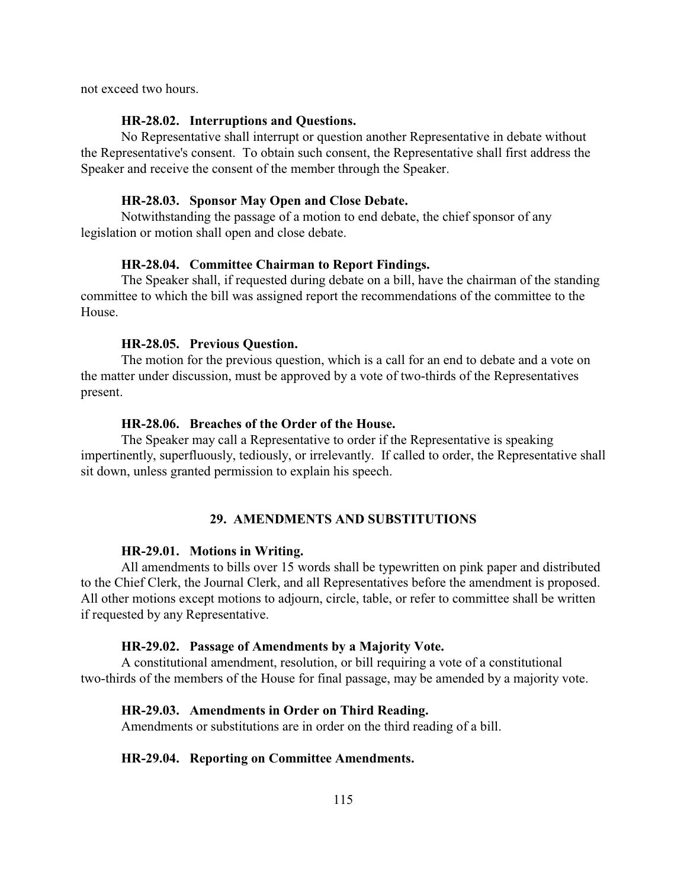not exceed two hours.

#### <span id="page-115-6"></span>**HR-28.02. Interruptions and Questions.**

No Representative shall interrupt or question another Representative in debate without the Representative's consent. To obtain such consent, the Representative shall first address the Speaker and receive the consent of the member through the Speaker.

#### <span id="page-115-8"></span>**HR-28.03. Sponsor May Open and Close Debate.**

Notwithstanding the passage of a motion to end debate, the chief sponsor of any legislation or motion shall open and close debate.

# <span id="page-115-5"></span>**HR-28.04. Committee Chairman to Report Findings.**

The Speaker shall, if requested during debate on a bill, have the chairman of the standing committee to which the bill was assigned report the recommendations of the committee to the House.

#### <span id="page-115-7"></span>**HR-28.05. Previous Question.**

The motion for the previous question, which is a call for an end to debate and a vote on the matter under discussion, must be approved by a vote of two-thirds of the Representatives present.

#### <span id="page-115-4"></span>**HR-28.06. Breaches of the Order of the House.**

The Speaker may call a Representative to order if the Representative is speaking impertinently, superfluously, tediously, or irrelevantly. If called to order, the Representative shall sit down, unless granted permission to explain his speech.

# <span id="page-115-1"></span>**29. AMENDMENTS AND SUBSTITUTIONS**

#### **HR-29.01. Motions in Writing.**

All amendments to bills over 15 words shall be typewritten on pink paper and distributed to the Chief Clerk, the Journal Clerk, and all Representatives before the amendment is proposed. All other motions except motions to adjourn, circle, table, or refer to committee shall be written if requested by any Representative.

#### <span id="page-115-2"></span>**HR-29.02. Passage of Amendments by a Majority Vote.**

A constitutional amendment, resolution, or bill requiring a vote of a constitutional two-thirds of the members of the House for final passage, may be amended by a majority vote.

## <span id="page-115-0"></span>**HR-29.03. Amendments in Order on Third Reading.**

Amendments or substitutions are in order on the third reading of a bill.

## <span id="page-115-3"></span>**HR-29.04. Reporting on Committee Amendments.**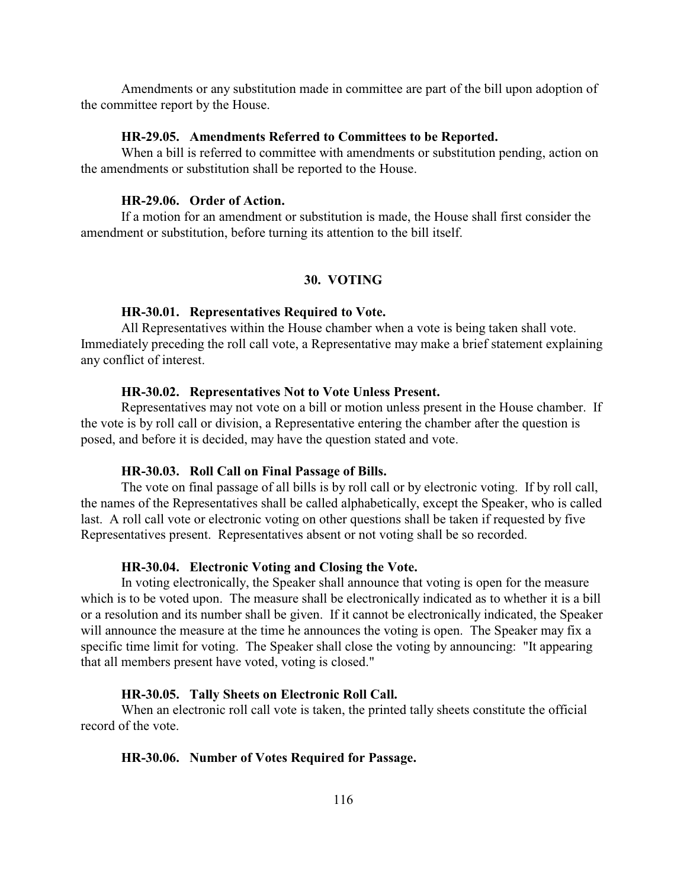Amendments or any substitution made in committee are part of the bill upon adoption of the committee report by the House.

#### <span id="page-116-1"></span>**HR-29.05. Amendments Referred to Committees to be Reported.**

When a bill is referred to committee with amendments or substitution pending, action on the amendments or substitution shall be reported to the House.

# <span id="page-116-0"></span>**HR-29.06. Order of Action.**

If a motion for an amendment or substitution is made, the House shall first consider the amendment or substitution, before turning its attention to the bill itself.

## <span id="page-116-3"></span>**30. VOTING**

#### <span id="page-116-2"></span>**HR-30.01. Representatives Required to Vote.**

All Representatives within the House chamber when a vote is being taken shall vote. Immediately preceding the roll call vote, a Representative may make a brief statement explaining any conflict of interest.

#### <span id="page-116-6"></span>**HR-30.02. Representatives Not to Vote Unless Present.**

Representatives may not vote on a bill or motion unless present in the House chamber. If the vote is by roll call or division, a Representative entering the chamber after the question is posed, and before it is decided, may have the question stated and vote.

## <span id="page-116-7"></span>**HR-30.03. Roll Call on Final Passage of Bills.**

The vote on final passage of all bills is by roll call or by electronic voting. If by roll call, the names of the Representatives shall be called alphabetically, except the Speaker, who is called last. A roll call vote or electronic voting on other questions shall be taken if requested by five Representatives present. Representatives absent or not voting shall be so recorded.

## <span id="page-116-4"></span>**HR-30.04. Electronic Voting and Closing the Vote.**

In voting electronically, the Speaker shall announce that voting is open for the measure which is to be voted upon. The measure shall be electronically indicated as to whether it is a bill or a resolution and its number shall be given. If it cannot be electronically indicated, the Speaker will announce the measure at the time he announces the voting is open. The Speaker may fix a specific time limit for voting. The Speaker shall close the voting by announcing: "It appearing that all members present have voted, voting is closed."

#### <span id="page-116-8"></span>**HR-30.05. Tally Sheets on Electronic Roll Call.**

When an electronic roll call vote is taken, the printed tally sheets constitute the official record of the vote.

#### <span id="page-116-5"></span>**HR-30.06. Number of Votes Required for Passage.**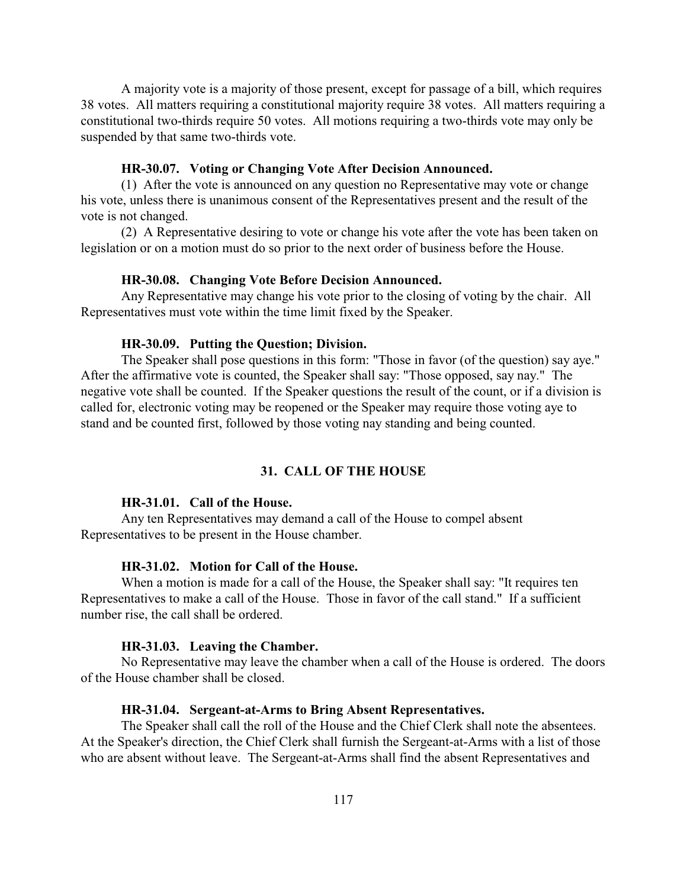A majority vote is a majority of those present, except for passage of a bill, which requires 38 votes. All matters requiring a constitutional majority require 38 votes. All matters requiring a constitutional two-thirds require 50 votes. All motions requiring a two-thirds vote may only be suspended by that same two-thirds vote.

## <span id="page-117-8"></span>**HR-30.07. Voting or Changing Vote After Decision Announced.**

(1) After the vote is announced on any question no Representative may vote or change his vote, unless there is unanimous consent of the Representatives present and the result of the vote is not changed.

(2) A Representative desiring to vote or change his vote after the vote has been taken on legislation or on a motion must do so prior to the next order of business before the House.

## <span id="page-117-5"></span>**HR-30.08. Changing Vote Before Decision Announced.**

Any Representative may change his vote prior to the closing of voting by the chair. All Representatives must vote within the time limit fixed by the Speaker.

#### <span id="page-117-7"></span>**HR-30.09. Putting the Question; Division.**

The Speaker shall pose questions in this form: "Those in favor (of the question) say aye." After the affirmative vote is counted, the Speaker shall say: "Those opposed, say nay." The negative vote shall be counted. If the Speaker questions the result of the count, or if a division is called for, electronic voting may be reopened or the Speaker may require those voting aye to stand and be counted first, followed by those voting nay standing and being counted.

## <span id="page-117-6"></span><span id="page-117-4"></span>**31. CALL OF THE HOUSE**

#### <span id="page-117-0"></span>**HR-31.01. Call of the House.**

Any ten Representatives may demand a call of the House to compel absent Representatives to be present in the House chamber.

## <span id="page-117-2"></span>**HR-31.02. Motion for Call of the House.**

When a motion is made for a call of the House, the Speaker shall say: "It requires ten Representatives to make a call of the House. Those in favor of the call stand." If a sufficient number rise, the call shall be ordered.

## <span id="page-117-1"></span>**HR-31.03. Leaving the Chamber.**

No Representative may leave the chamber when a call of the House is ordered. The doors of the House chamber shall be closed.

#### <span id="page-117-3"></span>**HR-31.04. Sergeant-at-Arms to Bring Absent Representatives.**

The Speaker shall call the roll of the House and the Chief Clerk shall note the absentees. At the Speaker's direction, the Chief Clerk shall furnish the Sergeant-at-Arms with a list of those who are absent without leave. The Sergeant-at-Arms shall find the absent Representatives and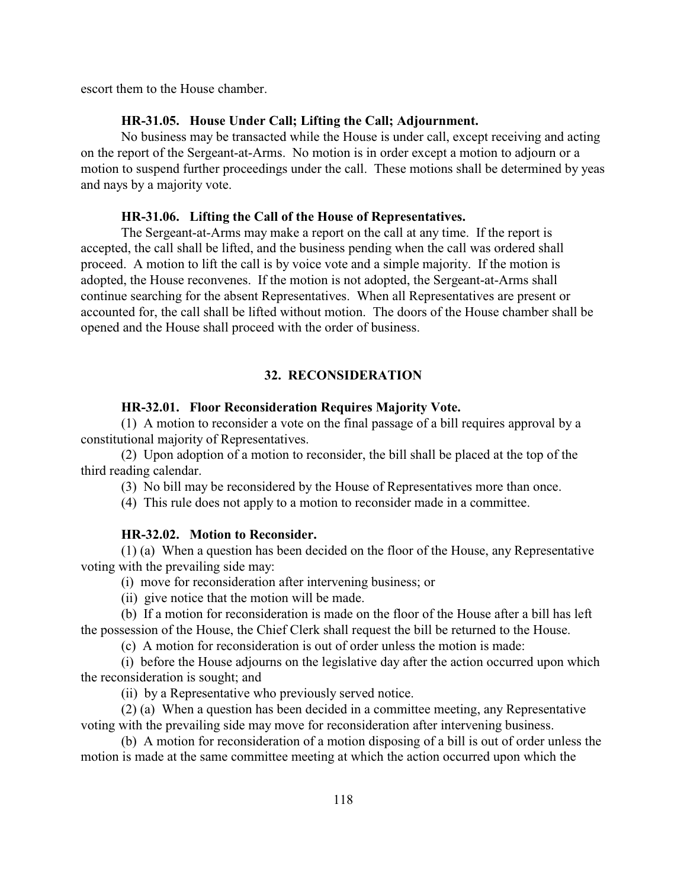escort them to the House chamber.

## <span id="page-118-3"></span><span id="page-118-1"></span><span id="page-118-0"></span>**HR-31.05. House Under Call; Lifting the Call; Adjournment.**

No business may be transacted while the House is under call, except receiving and acting on the report of the Sergeant-at-Arms. No motion is in order except a motion to adjourn or a motion to suspend further proceedings under the call. These motions shall be determined by yeas and nays by a majority vote.

## <span id="page-118-2"></span>**HR-31.06. Lifting the Call of the House of Representatives.**

The Sergeant-at-Arms may make a report on the call at any time. If the report is accepted, the call shall be lifted, and the business pending when the call was ordered shall proceed. A motion to lift the call is by voice vote and a simple majority. If the motion is adopted, the House reconvenes. If the motion is not adopted, the Sergeant-at-Arms shall continue searching for the absent Representatives. When all Representatives are present or accounted for, the call shall be lifted without motion. The doors of the House chamber shall be opened and the House shall proceed with the order of business.

# <span id="page-118-4"></span>**32. RECONSIDERATION**

# <span id="page-118-6"></span>**HR-32.01. Floor Reconsideration Requires Majority Vote.**

(1) A motion to reconsider a vote on the final passage of a bill requires approval by a constitutional majority of Representatives.

(2) Upon adoption of a motion to reconsider, the bill shall be placed at the top of the third reading calendar.

(3) No bill may be reconsidered by the House of Representatives more than once.

(4) This rule does not apply to a motion to reconsider made in a committee.

# <span id="page-118-5"></span>**HR-32.02. Motion to Reconsider.**

(1) (a) When a question has been decided on the floor of the House, any Representative voting with the prevailing side may:

(i) move for reconsideration after intervening business; or

(ii) give notice that the motion will be made.

(b) If a motion for reconsideration is made on the floor of the House after a bill has left the possession of the House, the Chief Clerk shall request the bill be returned to the House.

(c) A motion for reconsideration is out of order unless the motion is made:

(i) before the House adjourns on the legislative day after the action occurred upon which the reconsideration is sought; and

(ii) by a Representative who previously served notice.

(2) (a) When a question has been decided in a committee meeting, any Representative voting with the prevailing side may move for reconsideration after intervening business.

(b) A motion for reconsideration of a motion disposing of a bill is out of order unless the motion is made at the same committee meeting at which the action occurred upon which the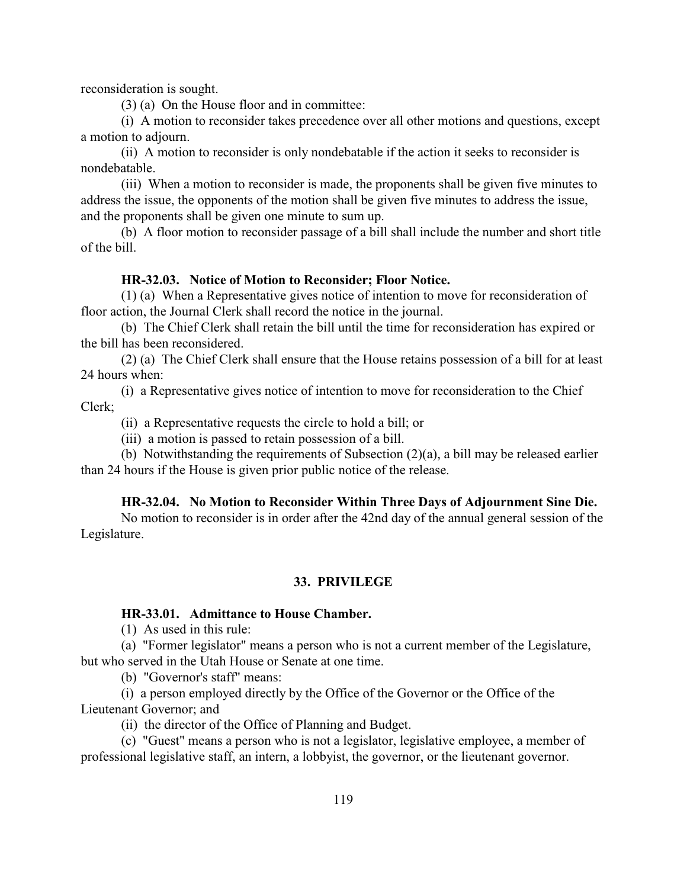reconsideration is sought.

(3) (a) On the House floor and in committee:

(i) A motion to reconsider takes precedence over all other motions and questions, except a motion to adjourn.

(ii) A motion to reconsider is only nondebatable if the action it seeks to reconsider is nondebatable.

(iii) When a motion to reconsider is made, the proponents shall be given five minutes to address the issue, the opponents of the motion shall be given five minutes to address the issue, and the proponents shall be given one minute to sum up.

(b) A floor motion to reconsider passage of a bill shall include the number and short title of the bill.

## <span id="page-119-5"></span><span id="page-119-3"></span>**HR-32.03. Notice of Motion to Reconsider; Floor Notice.**

(1) (a) When a Representative gives notice of intention to move for reconsideration of floor action, the Journal Clerk shall record the notice in the journal.

(b) The Chief Clerk shall retain the bill until the time for reconsideration has expired or the bill has been reconsidered.

(2) (a) The Chief Clerk shall ensure that the House retains possession of a bill for at least 24 hours when:

(i) a Representative gives notice of intention to move for reconsideration to the Chief Clerk;

(ii) a Representative requests the circle to hold a bill; or

(iii) a motion is passed to retain possession of a bill.

(b) Notwithstanding the requirements of Subsection (2)(a), a bill may be released earlier than 24 hours if the House is given prior public notice of the release.

## <span id="page-119-4"></span>**HR-32.04. No Motion to Reconsider Within Three Days of Adjournment Sine Die.**

No motion to reconsider is in order after the 42nd day of the annual general session of the Legislature.

## <span id="page-119-1"></span><span id="page-119-0"></span>**33. PRIVILEGE**

#### <span id="page-119-2"></span>**HR-33.01. Admittance to House Chamber.**

(1) As used in this rule:

(a) "Former legislator" means a person who is not a current member of the Legislature, but who served in the Utah House or Senate at one time.

(b) "Governor's staff" means:

(i) a person employed directly by the Office of the Governor or the Office of the Lieutenant Governor; and

(ii) the director of the Office of Planning and Budget.

(c) "Guest" means a person who is not a legislator, legislative employee, a member of professional legislative staff, an intern, a lobbyist, the governor, or the lieutenant governor.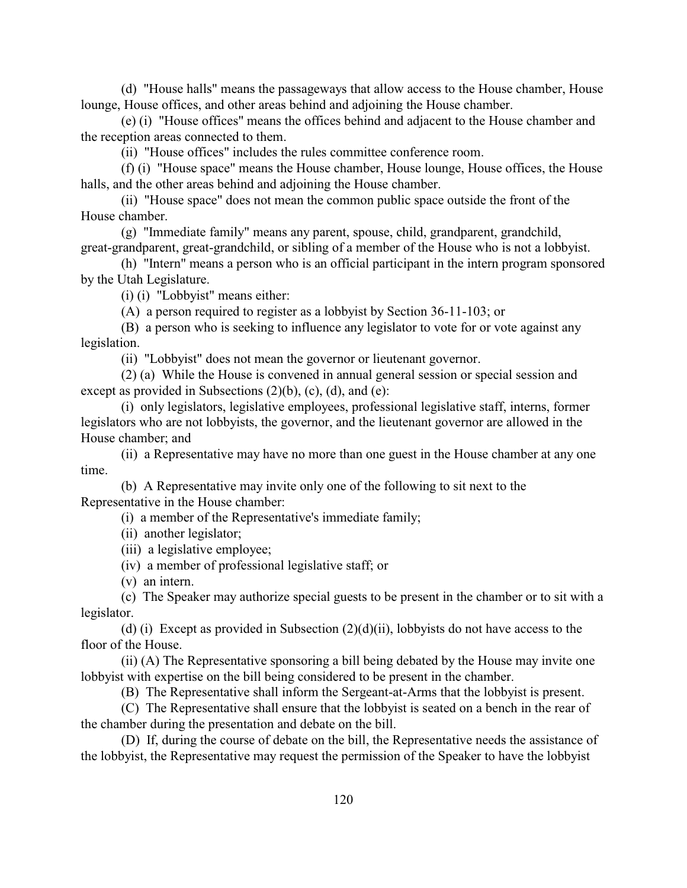(d) "House halls" means the passageways that allow access to the House chamber, House lounge, House offices, and other areas behind and adjoining the House chamber.

(e) (i) "House offices" means the offices behind and adjacent to the House chamber and the reception areas connected to them.

(ii) "House offices" includes the rules committee conference room.

(f) (i) "House space" means the House chamber, House lounge, House offices, the House halls, and the other areas behind and adjoining the House chamber.

(ii) "House space" does not mean the common public space outside the front of the House chamber.

(g) "Immediate family" means any parent, spouse, child, grandparent, grandchild, great-grandparent, great-grandchild, or sibling of a member of the House who is not a lobbyist.

(h) "Intern" means a person who is an official participant in the intern program sponsored by the Utah Legislature.

(i) (i) "Lobbyist" means either:

(A) a person required to register as a lobbyist by Section 36-11-103; or

(B) a person who is seeking to influence any legislator to vote for or vote against any legislation.

(ii) "Lobbyist" does not mean the governor or lieutenant governor.

(2) (a) While the House is convened in annual general session or special session and except as provided in Subsections  $(2)(b)$ ,  $(c)$ ,  $(d)$ , and  $(e)$ :

(i) only legislators, legislative employees, professional legislative staff, interns, former legislators who are not lobbyists, the governor, and the lieutenant governor are allowed in the House chamber; and

(ii) a Representative may have no more than one guest in the House chamber at any one time.

(b) A Representative may invite only one of the following to sit next to the Representative in the House chamber:

(i) a member of the Representative's immediate family;

(ii) another legislator;

(iii) a legislative employee;

(iv) a member of professional legislative staff; or

(v) an intern.

(c) The Speaker may authorize special guests to be present in the chamber or to sit with a legislator.

(d) (i) Except as provided in Subsection  $(2)(d)(ii)$ , lobbyists do not have access to the floor of the House.

(ii) (A) The Representative sponsoring a bill being debated by the House may invite one lobbyist with expertise on the bill being considered to be present in the chamber.

(B) The Representative shall inform the Sergeant-at-Arms that the lobbyist is present.

(C) The Representative shall ensure that the lobbyist is seated on a bench in the rear of the chamber during the presentation and debate on the bill.

(D) If, during the course of debate on the bill, the Representative needs the assistance of the lobbyist, the Representative may request the permission of the Speaker to have the lobbyist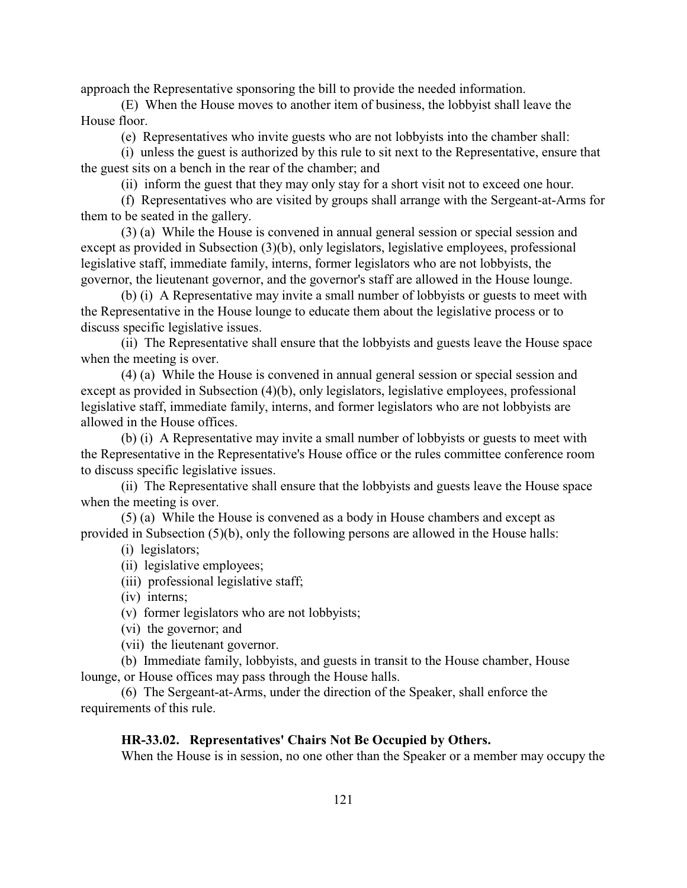approach the Representative sponsoring the bill to provide the needed information.

(E) When the House moves to another item of business, the lobbyist shall leave the House floor.

(e) Representatives who invite guests who are not lobbyists into the chamber shall:

(i) unless the guest is authorized by this rule to sit next to the Representative, ensure that the guest sits on a bench in the rear of the chamber; and

(ii) inform the guest that they may only stay for a short visit not to exceed one hour.

(f) Representatives who are visited by groups shall arrange with the Sergeant-at-Arms for them to be seated in the gallery.

(3) (a) While the House is convened in annual general session or special session and except as provided in Subsection (3)(b), only legislators, legislative employees, professional legislative staff, immediate family, interns, former legislators who are not lobbyists, the governor, the lieutenant governor, and the governor's staff are allowed in the House lounge.

(b) (i) A Representative may invite a small number of lobbyists or guests to meet with the Representative in the House lounge to educate them about the legislative process or to discuss specific legislative issues.

(ii) The Representative shall ensure that the lobbyists and guests leave the House space when the meeting is over.

(4) (a) While the House is convened in annual general session or special session and except as provided in Subsection (4)(b), only legislators, legislative employees, professional legislative staff, immediate family, interns, and former legislators who are not lobbyists are allowed in the House offices.

(b) (i) A Representative may invite a small number of lobbyists or guests to meet with the Representative in the Representative's House office or the rules committee conference room to discuss specific legislative issues.

(ii) The Representative shall ensure that the lobbyists and guests leave the House space when the meeting is over.

(5) (a) While the House is convened as a body in House chambers and except as provided in Subsection (5)(b), only the following persons are allowed in the House halls:

(i) legislators;

- (ii) legislative employees;
- (iii) professional legislative staff;

(iv) interns;

(v) former legislators who are not lobbyists;

(vi) the governor; and

(vii) the lieutenant governor.

(b) Immediate family, lobbyists, and guests in transit to the House chamber, House lounge, or House offices may pass through the House halls.

(6) The Sergeant-at-Arms, under the direction of the Speaker, shall enforce the requirements of this rule.

#### <span id="page-121-0"></span>**HR-33.02. Representatives' Chairs Not Be Occupied by Others.**

When the House is in session, no one other than the Speaker or a member may occupy the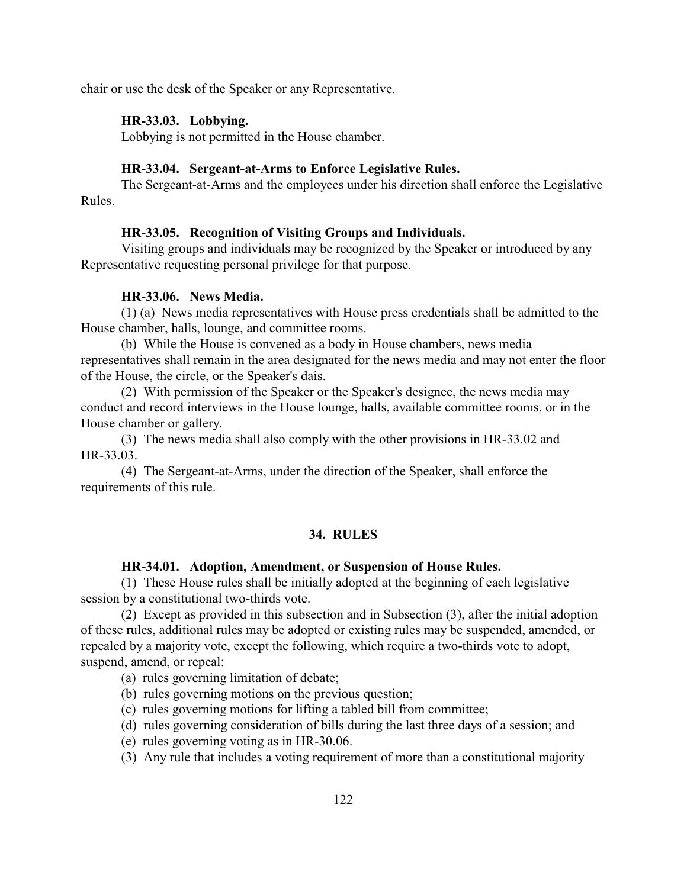chair or use the desk of the Speaker or any Representative.

## <span id="page-122-1"></span>**HR-33.03. Lobbying.**

Lobbying is not permitted in the House chamber.

# <span id="page-122-4"></span>**HR-33.04. Sergeant-at-Arms to Enforce Legislative Rules.**

The Sergeant-at-Arms and the employees under his direction shall enforce the Legislative Rules.

## <span id="page-122-3"></span>**HR-33.05. Recognition of Visiting Groups and Individuals.**

Visiting groups and individuals may be recognized by the Speaker or introduced by any Representative requesting personal privilege for that purpose.

# <span id="page-122-2"></span>**HR-33.06. News Media.**

(1) (a) News media representatives with House press credentials shall be admitted to the House chamber, halls, lounge, and committee rooms.

(b) While the House is convened as a body in House chambers, news media representatives shall remain in the area designated for the news media and may not enter the floor of the House, the circle, or the Speaker's dais.

(2) With permission of the Speaker or the Speaker's designee, the news media may conduct and record interviews in the House lounge, halls, available committee rooms, or in the House chamber or gallery.

(3) The news media shall also comply with the other provisions in HR-33.02 and HR-33.03.

(4) The Sergeant-at-Arms, under the direction of the Speaker, shall enforce the requirements of this rule.

## <span id="page-122-0"></span>**34. RULES**

## <span id="page-122-5"></span>**HR-34.01. Adoption, Amendment, or Suspension of House Rules.**

(1) These House rules shall be initially adopted at the beginning of each legislative session by a constitutional two-thirds vote.

(2) Except as provided in this subsection and in Subsection (3), after the initial adoption of these rules, additional rules may be adopted or existing rules may be suspended, amended, or repealed by a majority vote, except the following, which require a two-thirds vote to adopt, suspend, amend, or repeal:

- (a) rules governing limitation of debate;
- (b) rules governing motions on the previous question;
- (c) rules governing motions for lifting a tabled bill from committee;
- (d) rules governing consideration of bills during the last three days of a session; and
- (e) rules governing voting as in HR-30.06.
- (3) Any rule that includes a voting requirement of more than a constitutional majority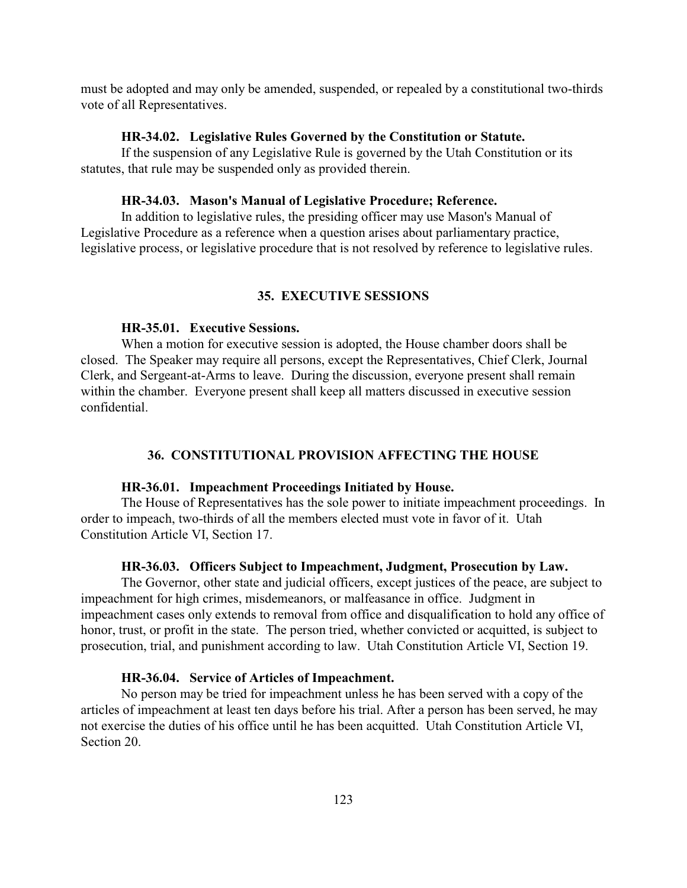must be adopted and may only be amended, suspended, or repealed by a constitutional two-thirds vote of all Representatives.

#### <span id="page-123-7"></span>**HR-34.02. Legislative Rules Governed by the Constitution or Statute.**

If the suspension of any Legislative Rule is governed by the Utah Constitution or its statutes, that rule may be suspended only as provided therein.

#### <span id="page-123-8"></span>**HR-34.03. Mason's Manual of Legislative Procedure; Reference.**

In addition to legislative rules, the presiding officer may use Mason's Manual of Legislative Procedure as a reference when a question arises about parliamentary practice, legislative process, or legislative procedure that is not resolved by reference to legislative rules.

#### <span id="page-123-9"></span><span id="page-123-4"></span>**35. EXECUTIVE SESSIONS**

# <span id="page-123-3"></span>**HR-35.01. Executive Sessions.**

When a motion for executive session is adopted, the House chamber doors shall be closed. The Speaker may require all persons, except the Representatives, Chief Clerk, Journal Clerk, and Sergeant-at-Arms to leave. During the discussion, everyone present shall remain within the chamber. Everyone present shall keep all matters discussed in executive session confidential.

## <span id="page-123-6"></span><span id="page-123-5"></span><span id="page-123-0"></span>**36. CONSTITUTIONAL PROVISION AFFECTING THE HOUSE**

#### **HR-36.01. Impeachment Proceedings Initiated by House.**

The House of Representatives has the sole power to initiate impeachment proceedings. In order to impeach, two-thirds of all the members elected must vote in favor of it. Utah Constitution Article VI, Section 17.

## <span id="page-123-1"></span>**HR-36.03. Officers Subject to Impeachment, Judgment, Prosecution by Law.**

The Governor, other state and judicial officers, except justices of the peace, are subject to impeachment for high crimes, misdemeanors, or malfeasance in office. Judgment in impeachment cases only extends to removal from office and disqualification to hold any office of honor, trust, or profit in the state. The person tried, whether convicted or acquitted, is subject to prosecution, trial, and punishment according to law. Utah Constitution Article VI, Section 19.

#### <span id="page-123-2"></span>**HR-36.04. Service of Articles of Impeachment.**

No person may be tried for impeachment unless he has been served with a copy of the articles of impeachment at least ten days before his trial. After a person has been served, he may not exercise the duties of his office until he has been acquitted. Utah Constitution Article VI, Section 20.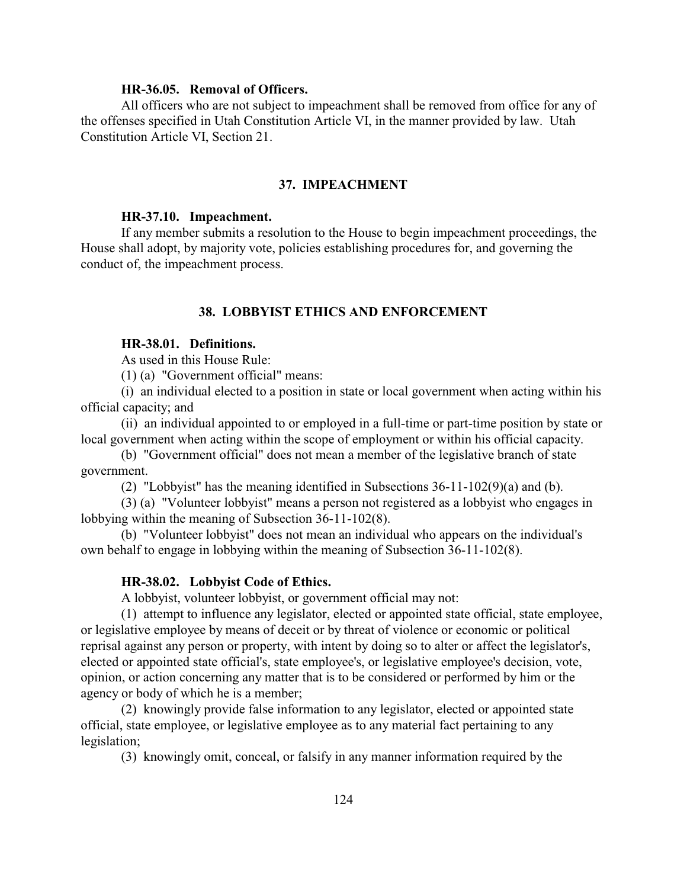## <span id="page-124-0"></span>**HR-36.05. Removal of Officers.**

All officers who are not subject to impeachment shall be removed from office for any of the offenses specified in Utah Constitution Article VI, in the manner provided by law. Utah Constitution Article VI, Section 21.

# <span id="page-124-1"></span>**37. IMPEACHMENT**

#### <span id="page-124-3"></span>**HR-37.10. Impeachment.**

If any member submits a resolution to the House to begin impeachment proceedings, the House shall adopt, by majority vote, policies establishing procedures for, and governing the conduct of, the impeachment process.

# <span id="page-124-4"></span><span id="page-124-2"></span>**38. LOBBYIST ETHICS AND ENFORCEMENT**

## **HR-38.01. Definitions.**

As used in this House Rule:

(1) (a) "Government official" means:

(i) an individual elected to a position in state or local government when acting within his official capacity; and

(ii) an individual appointed to or employed in a full-time or part-time position by state or local government when acting within the scope of employment or within his official capacity.

(b) "Government official" does not mean a member of the legislative branch of state government.

(2) "Lobbyist" has the meaning identified in Subsections 36-11-102(9)(a) and (b).

(3) (a) "Volunteer lobbyist" means a person not registered as a lobbyist who engages in lobbying within the meaning of Subsection 36-11-102(8).

(b) "Volunteer lobbyist" does not mean an individual who appears on the individual's own behalf to engage in lobbying within the meaning of Subsection 36-11-102(8).

#### <span id="page-124-5"></span>**HR-38.02. Lobbyist Code of Ethics.**

A lobbyist, volunteer lobbyist, or government official may not:

(1) attempt to influence any legislator, elected or appointed state official, state employee, or legislative employee by means of deceit or by threat of violence or economic or political reprisal against any person or property, with intent by doing so to alter or affect the legislator's, elected or appointed state official's, state employee's, or legislative employee's decision, vote, opinion, or action concerning any matter that is to be considered or performed by him or the agency or body of which he is a member;

(2) knowingly provide false information to any legislator, elected or appointed state official, state employee, or legislative employee as to any material fact pertaining to any legislation;

(3) knowingly omit, conceal, or falsify in any manner information required by the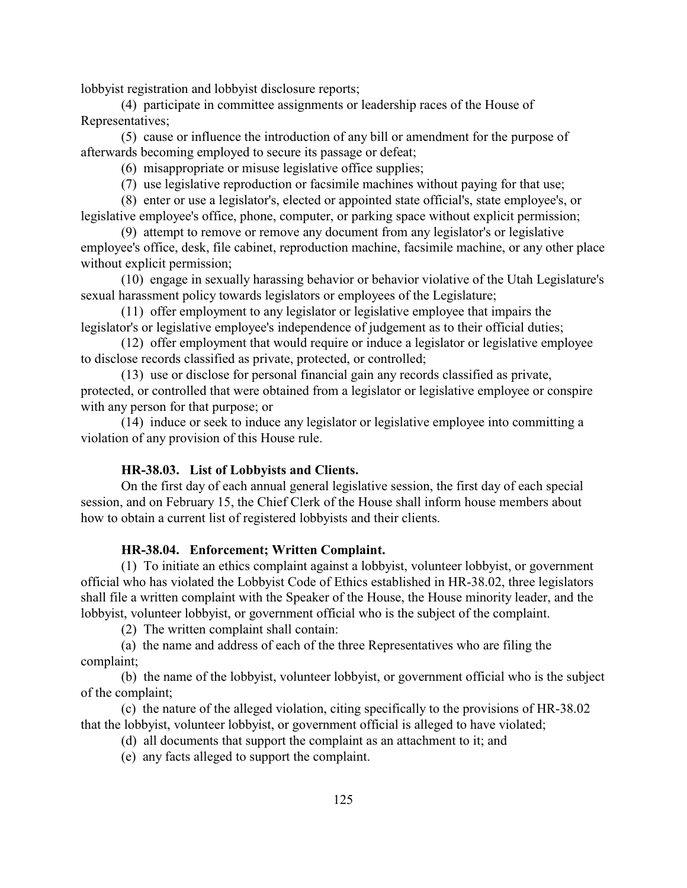lobbyist registration and lobbyist disclosure reports;

(4) participate in committee assignments or leadership races of the House of Representatives;

(5) cause or influence the introduction of any bill or amendment for the purpose of afterwards becoming employed to secure its passage or defeat;

(6) misappropriate or misuse legislative office supplies;

(7) use legislative reproduction or facsimile machines without paying for that use;

(8) enter or use a legislator's, elected or appointed state official's, state employee's, or legislative employee's office, phone, computer, or parking space without explicit permission;

(9) attempt to remove or remove any document from any legislator's or legislative employee's office, desk, file cabinet, reproduction machine, facsimile machine, or any other place without explicit permission;

(10) engage in sexually harassing behavior or behavior violative of the Utah Legislature's sexual harassment policy towards legislators or employees of the Legislature;

(11) offer employment to any legislator or legislative employee that impairs the legislator's or legislative employee's independence of judgement as to their official duties;

(12) offer employment that would require or induce a legislator or legislative employee to disclose records classified as private, protected, or controlled;

(13) use or disclose for personal financial gain any records classified as private, protected, or controlled that were obtained from a legislator or legislative employee or conspire with any person for that purpose; or

(14) induce or seek to induce any legislator or legislative employee into committing a violation of any provision of this House rule.

## <span id="page-125-1"></span>**HR-38.03. List of Lobbyists and Clients.**

On the first day of each annual general legislative session, the first day of each special session, and on February 15, the Chief Clerk of the House shall inform house members about how to obtain a current list of registered lobbyists and their clients.

# <span id="page-125-0"></span>**HR-38.04. Enforcement; Written Complaint.**

(1) To initiate an ethics complaint against a lobbyist, volunteer lobbyist, or government official who has violated the Lobbyist Code of Ethics established in HR-38.02, three legislators shall file a written complaint with the Speaker of the House, the House minority leader, and the lobbyist, volunteer lobbyist, or government official who is the subject of the complaint.

(2) The written complaint shall contain:

(a) the name and address of each of the three Representatives who are filing the complaint;

(b) the name of the lobbyist, volunteer lobbyist, or government official who is the subject of the complaint;

(c) the nature of the alleged violation, citing specifically to the provisions of HR-38.02 that the lobbyist, volunteer lobbyist, or government official is alleged to have violated;

(d) all documents that support the complaint as an attachment to it; and

(e) any facts alleged to support the complaint.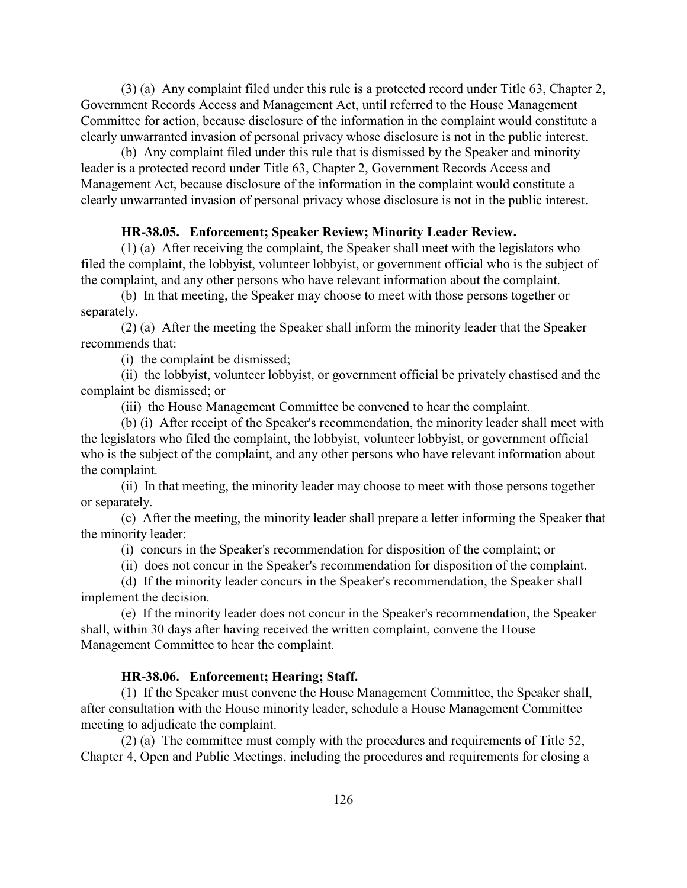(3) (a) Any complaint filed under this rule is a protected record under Title 63, Chapter 2, Government Records Access and Management Act, until referred to the House Management Committee for action, because disclosure of the information in the complaint would constitute a clearly unwarranted invasion of personal privacy whose disclosure is not in the public interest.

(b) Any complaint filed under this rule that is dismissed by the Speaker and minority leader is a protected record under Title 63, Chapter 2, Government Records Access and Management Act, because disclosure of the information in the complaint would constitute a clearly unwarranted invasion of personal privacy whose disclosure is not in the public interest.

#### <span id="page-126-1"></span>**HR-38.05. Enforcement; Speaker Review; Minority Leader Review.**

(1) (a) After receiving the complaint, the Speaker shall meet with the legislators who filed the complaint, the lobbyist, volunteer lobbyist, or government official who is the subject of the complaint, and any other persons who have relevant information about the complaint.

(b) In that meeting, the Speaker may choose to meet with those persons together or separately.

(2) (a) After the meeting the Speaker shall inform the minority leader that the Speaker recommends that:

(i) the complaint be dismissed;

(ii) the lobbyist, volunteer lobbyist, or government official be privately chastised and the complaint be dismissed; or

(iii) the House Management Committee be convened to hear the complaint.

(b) (i) After receipt of the Speaker's recommendation, the minority leader shall meet with the legislators who filed the complaint, the lobbyist, volunteer lobbyist, or government official who is the subject of the complaint, and any other persons who have relevant information about the complaint.

(ii) In that meeting, the minority leader may choose to meet with those persons together or separately.

(c) After the meeting, the minority leader shall prepare a letter informing the Speaker that the minority leader:

(i) concurs in the Speaker's recommendation for disposition of the complaint; or

(ii) does not concur in the Speaker's recommendation for disposition of the complaint.

(d) If the minority leader concurs in the Speaker's recommendation, the Speaker shall implement the decision.

(e) If the minority leader does not concur in the Speaker's recommendation, the Speaker shall, within 30 days after having received the written complaint, convene the House Management Committee to hear the complaint.

# <span id="page-126-0"></span>**HR-38.06. Enforcement; Hearing; Staff.**

(1) If the Speaker must convene the House Management Committee, the Speaker shall, after consultation with the House minority leader, schedule a House Management Committee meeting to adjudicate the complaint.

(2) (a) The committee must comply with the procedures and requirements of Title 52, Chapter 4, Open and Public Meetings, including the procedures and requirements for closing a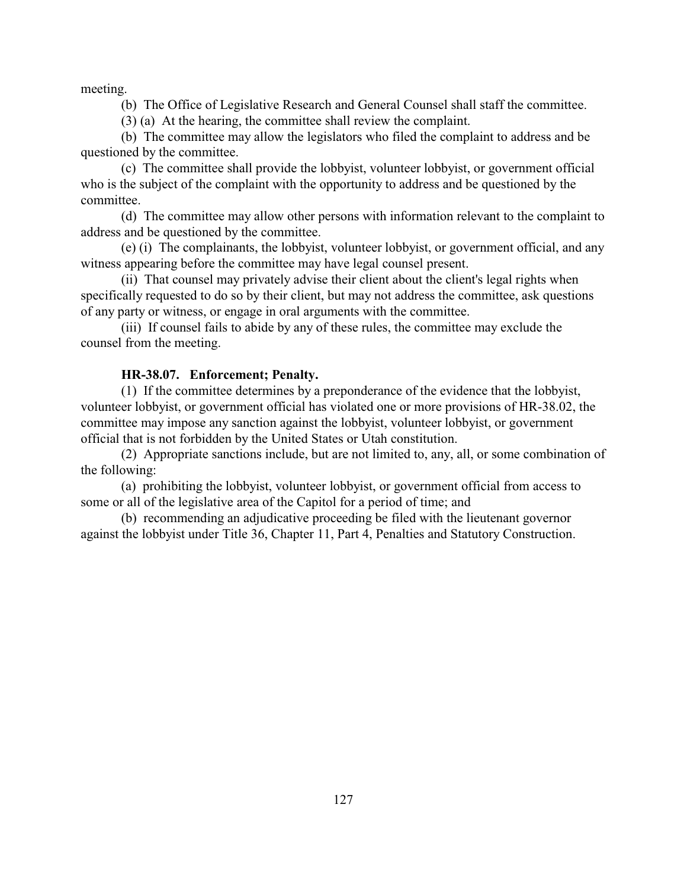meeting.

(b) The Office of Legislative Research and General Counsel shall staff the committee.

(3) (a) At the hearing, the committee shall review the complaint.

(b) The committee may allow the legislators who filed the complaint to address and be questioned by the committee.

(c) The committee shall provide the lobbyist, volunteer lobbyist, or government official who is the subject of the complaint with the opportunity to address and be questioned by the committee.

(d) The committee may allow other persons with information relevant to the complaint to address and be questioned by the committee.

(e) (i) The complainants, the lobbyist, volunteer lobbyist, or government official, and any witness appearing before the committee may have legal counsel present.

(ii) That counsel may privately advise their client about the client's legal rights when specifically requested to do so by their client, but may not address the committee, ask questions of any party or witness, or engage in oral arguments with the committee.

(iii) If counsel fails to abide by any of these rules, the committee may exclude the counsel from the meeting.

#### <span id="page-127-0"></span>**HR-38.07. Enforcement; Penalty.**

(1) If the committee determines by a preponderance of the evidence that the lobbyist, volunteer lobbyist, or government official has violated one or more provisions of HR-38.02, the committee may impose any sanction against the lobbyist, volunteer lobbyist, or government official that is not forbidden by the United States or Utah constitution.

(2) Appropriate sanctions include, but are not limited to, any, all, or some combination of the following:

(a) prohibiting the lobbyist, volunteer lobbyist, or government official from access to some or all of the legislative area of the Capitol for a period of time; and

(b) recommending an adjudicative proceeding be filed with the lieutenant governor against the lobbyist under Title 36, Chapter 11, Part 4, Penalties and Statutory Construction.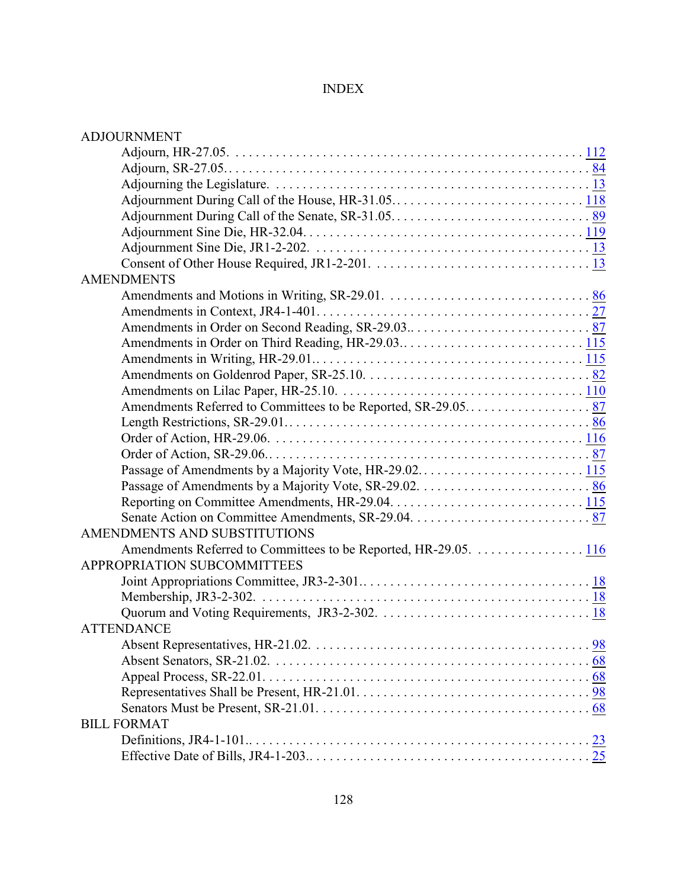# INDEX

| <b>ADJOURNMENT</b>                                              |
|-----------------------------------------------------------------|
|                                                                 |
|                                                                 |
|                                                                 |
|                                                                 |
|                                                                 |
|                                                                 |
|                                                                 |
|                                                                 |
| <b>AMENDMENTS</b>                                               |
|                                                                 |
|                                                                 |
|                                                                 |
|                                                                 |
|                                                                 |
|                                                                 |
|                                                                 |
|                                                                 |
|                                                                 |
|                                                                 |
|                                                                 |
|                                                                 |
|                                                                 |
|                                                                 |
|                                                                 |
| AMENDMENTS AND SUBSTITUTIONS                                    |
| Amendments Referred to Committees to be Reported, HR-29.05. 116 |
| APPROPRIATION SUBCOMMITTEES                                     |
|                                                                 |
|                                                                 |
|                                                                 |
| <b>ATTENDANCE</b>                                               |
|                                                                 |
|                                                                 |
|                                                                 |
|                                                                 |
|                                                                 |
| <b>BILL FORMAT</b>                                              |
|                                                                 |
|                                                                 |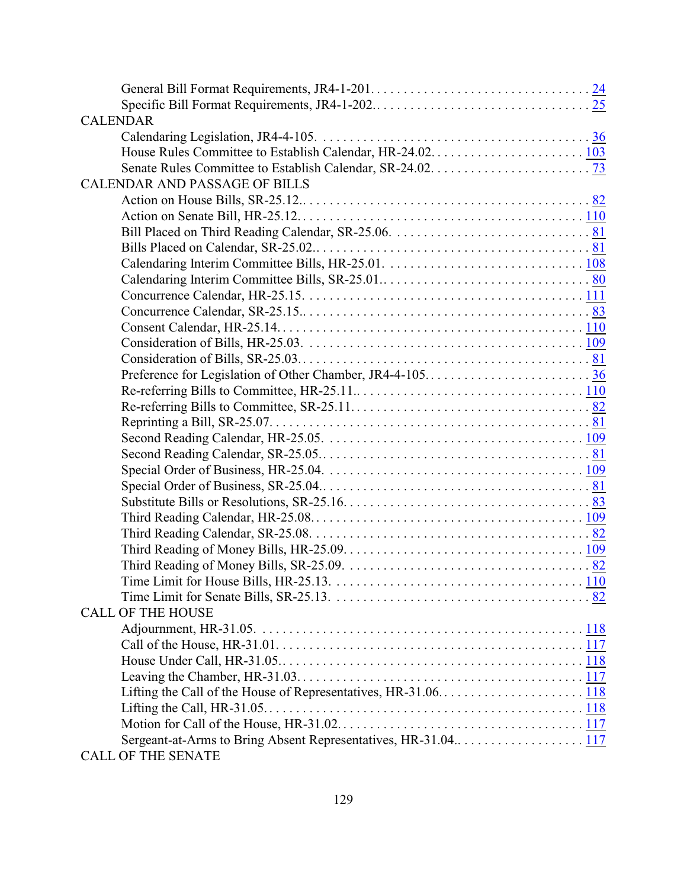| <b>CALENDAR</b>                                               |  |
|---------------------------------------------------------------|--|
|                                                               |  |
|                                                               |  |
|                                                               |  |
| <b>CALENDAR AND PASSAGE OF BILLS</b>                          |  |
|                                                               |  |
|                                                               |  |
|                                                               |  |
|                                                               |  |
|                                                               |  |
|                                                               |  |
|                                                               |  |
|                                                               |  |
|                                                               |  |
|                                                               |  |
|                                                               |  |
|                                                               |  |
|                                                               |  |
|                                                               |  |
|                                                               |  |
|                                                               |  |
|                                                               |  |
|                                                               |  |
|                                                               |  |
|                                                               |  |
|                                                               |  |
|                                                               |  |
|                                                               |  |
|                                                               |  |
|                                                               |  |
|                                                               |  |
| <b>CALL OF THE HOUSE</b>                                      |  |
|                                                               |  |
|                                                               |  |
|                                                               |  |
|                                                               |  |
|                                                               |  |
|                                                               |  |
|                                                               |  |
| Sergeant-at-Arms to Bring Absent Representatives, HR-31.04117 |  |
| <b>CALL OF THE SENATE</b>                                     |  |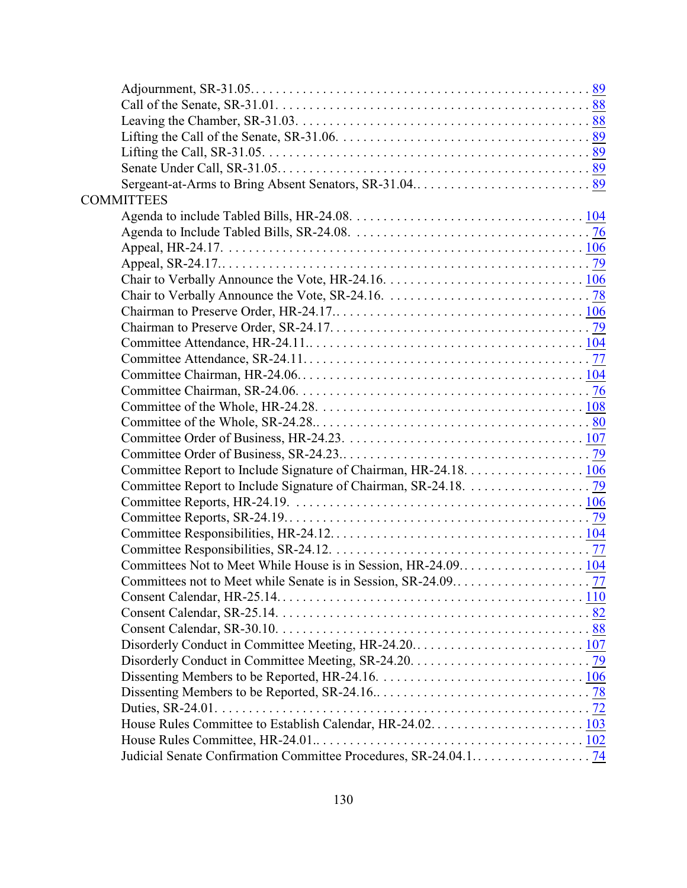| <b>COMMITTEES</b>                                                |  |
|------------------------------------------------------------------|--|
|                                                                  |  |
|                                                                  |  |
|                                                                  |  |
|                                                                  |  |
|                                                                  |  |
|                                                                  |  |
|                                                                  |  |
|                                                                  |  |
|                                                                  |  |
|                                                                  |  |
|                                                                  |  |
|                                                                  |  |
|                                                                  |  |
|                                                                  |  |
|                                                                  |  |
|                                                                  |  |
| Committee Report to Include Signature of Chairman, HR-24.18. 106 |  |
|                                                                  |  |
|                                                                  |  |
|                                                                  |  |
|                                                                  |  |
|                                                                  |  |
|                                                                  |  |
|                                                                  |  |
|                                                                  |  |
|                                                                  |  |
|                                                                  |  |
|                                                                  |  |
|                                                                  |  |
|                                                                  |  |
|                                                                  |  |
|                                                                  |  |
|                                                                  |  |
|                                                                  |  |
|                                                                  |  |
|                                                                  |  |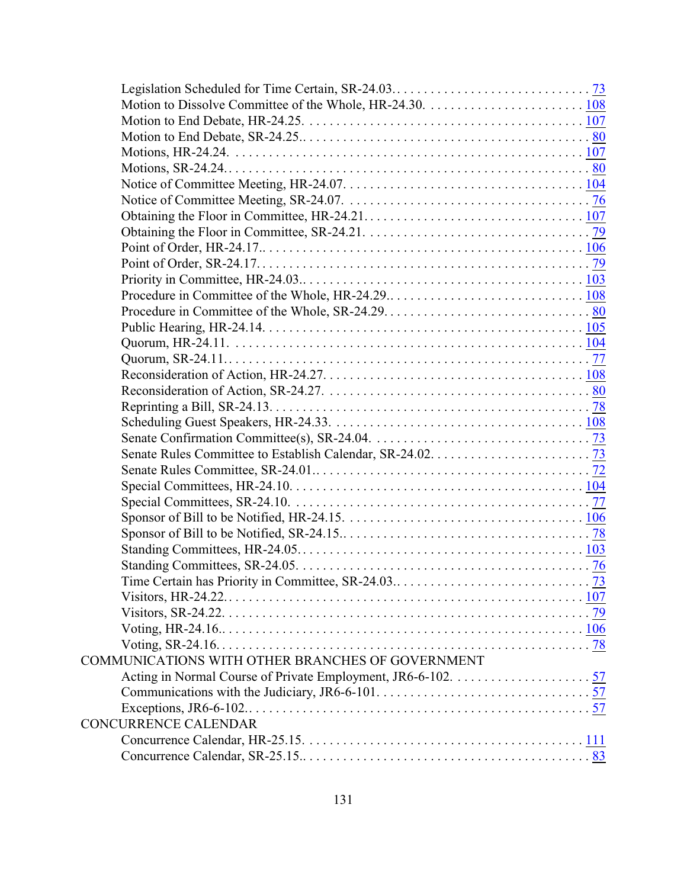| COMMUNICATIONS WITH OTHER BRANCHES OF GOVERNMENT |  |
|--------------------------------------------------|--|
|                                                  |  |
|                                                  |  |
|                                                  |  |
| <b>CONCURRENCE CALENDAR</b>                      |  |
|                                                  |  |
|                                                  |  |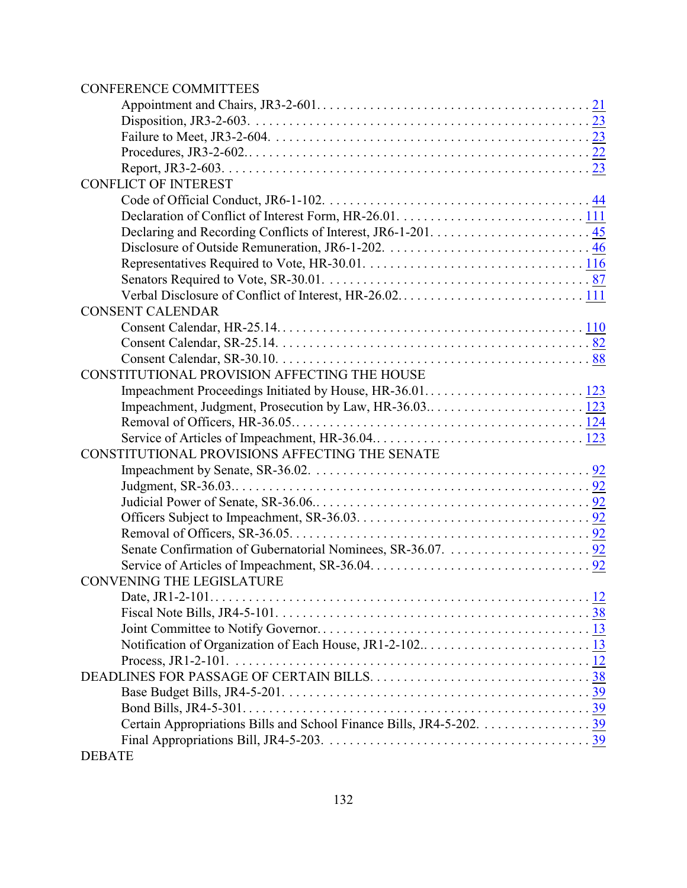# CONFERENCE COMMITTEES

| <b>CONFLICT OF INTEREST</b>                    |  |
|------------------------------------------------|--|
|                                                |  |
|                                                |  |
|                                                |  |
|                                                |  |
|                                                |  |
|                                                |  |
|                                                |  |
| <b>CONSENT CALENDAR</b>                        |  |
|                                                |  |
|                                                |  |
|                                                |  |
| CONSTITUTIONAL PROVISION AFFECTING THE HOUSE   |  |
|                                                |  |
|                                                |  |
|                                                |  |
|                                                |  |
| CONSTITUTIONAL PROVISIONS AFFECTING THE SENATE |  |
|                                                |  |
|                                                |  |
|                                                |  |
|                                                |  |
|                                                |  |
|                                                |  |
|                                                |  |
| <b>CONVENING THE LEGISLATURE</b>               |  |
| Date, JR1-2-101<br>. <u>12</u>                 |  |
|                                                |  |
|                                                |  |
|                                                |  |
|                                                |  |
|                                                |  |
|                                                |  |
|                                                |  |
|                                                |  |
|                                                |  |
| <b>DEBATE</b>                                  |  |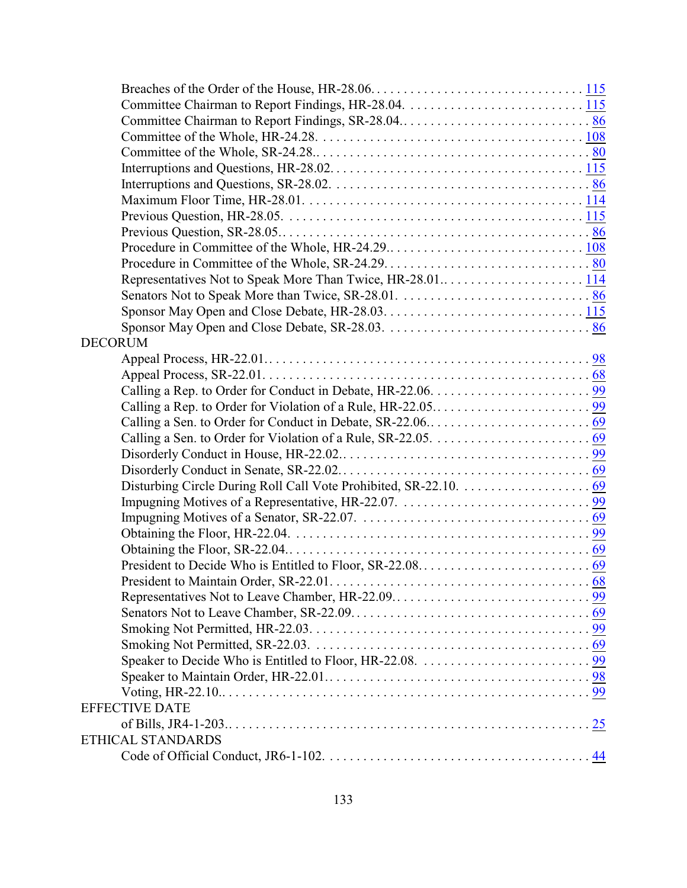| Representatives Not to Speak More Than Twice, HR-28.01114 |  |
|-----------------------------------------------------------|--|
|                                                           |  |
|                                                           |  |
|                                                           |  |
| <b>DECORUM</b>                                            |  |
|                                                           |  |
|                                                           |  |
|                                                           |  |
|                                                           |  |
|                                                           |  |
|                                                           |  |
|                                                           |  |
|                                                           |  |
|                                                           |  |
|                                                           |  |
|                                                           |  |
|                                                           |  |
|                                                           |  |
|                                                           |  |
|                                                           |  |
|                                                           |  |
|                                                           |  |
|                                                           |  |
|                                                           |  |
|                                                           |  |
|                                                           |  |
|                                                           |  |
| <b>EFFECTIVE DATE</b>                                     |  |
|                                                           |  |
| ETHICAL STANDARDS                                         |  |
|                                                           |  |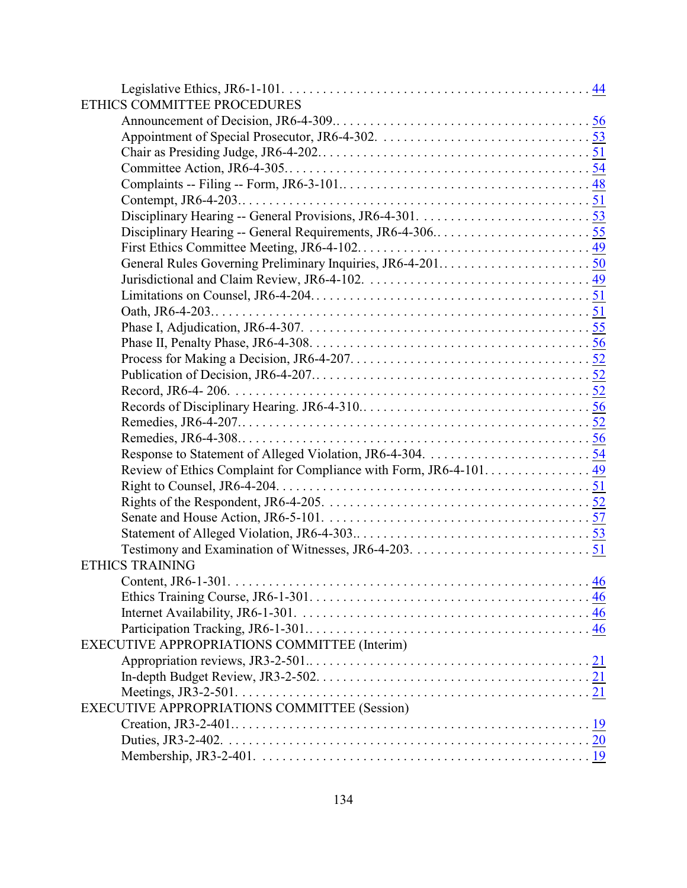| ETHICS COMMITTEE PROCEDURES                  |  |
|----------------------------------------------|--|
|                                              |  |
|                                              |  |
|                                              |  |
|                                              |  |
|                                              |  |
|                                              |  |
|                                              |  |
|                                              |  |
|                                              |  |
|                                              |  |
|                                              |  |
|                                              |  |
|                                              |  |
|                                              |  |
|                                              |  |
|                                              |  |
|                                              |  |
|                                              |  |
|                                              |  |
|                                              |  |
|                                              |  |
|                                              |  |
|                                              |  |
|                                              |  |
|                                              |  |
|                                              |  |
|                                              |  |
|                                              |  |
| <b>ETHICS TRAINING</b>                       |  |
|                                              |  |
|                                              |  |
|                                              |  |
|                                              |  |
| EXECUTIVE APPROPRIATIONS COMMITTEE (Interim) |  |
|                                              |  |
|                                              |  |
|                                              |  |
| EXECUTIVE APPROPRIATIONS COMMITTEE (Session) |  |
|                                              |  |
|                                              |  |
|                                              |  |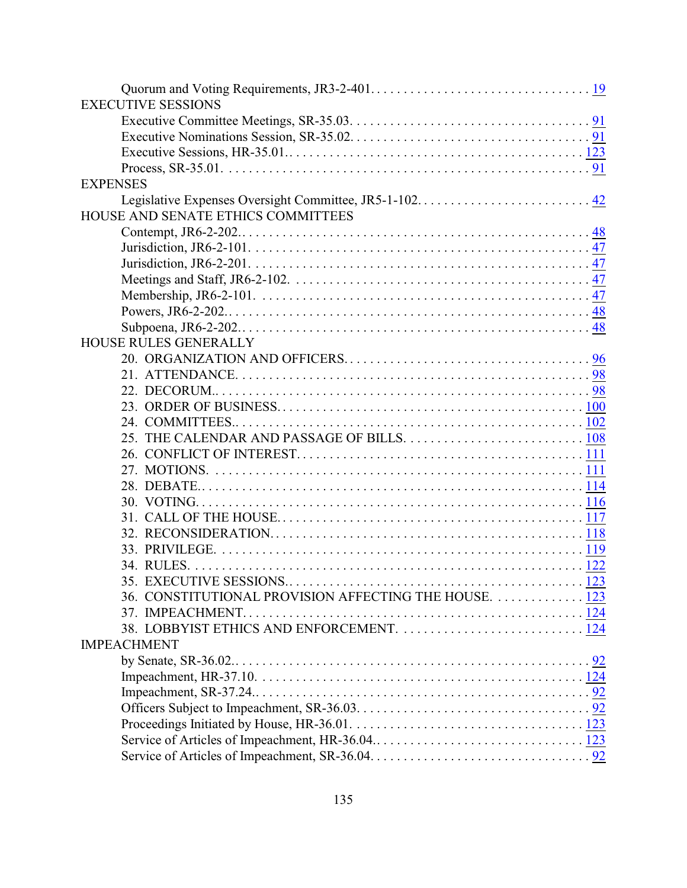| <b>EXECUTIVE SESSIONS</b>                             |  |
|-------------------------------------------------------|--|
|                                                       |  |
|                                                       |  |
|                                                       |  |
|                                                       |  |
| <b>EXPENSES</b>                                       |  |
|                                                       |  |
| HOUSE AND SENATE ETHICS COMMITTEES                    |  |
|                                                       |  |
|                                                       |  |
|                                                       |  |
|                                                       |  |
|                                                       |  |
|                                                       |  |
|                                                       |  |
| <b>HOUSE RULES GENERALLY</b>                          |  |
|                                                       |  |
|                                                       |  |
|                                                       |  |
|                                                       |  |
|                                                       |  |
|                                                       |  |
|                                                       |  |
|                                                       |  |
|                                                       |  |
|                                                       |  |
|                                                       |  |
|                                                       |  |
|                                                       |  |
|                                                       |  |
| 35. EXECUTIVE SESSIONS.                               |  |
| 36. CONSTITUTIONAL PROVISION AFFECTING THE HOUSE. 123 |  |
| 37. IMPEACHMENT.                                      |  |
| 38. LOBBYIST ETHICS AND ENFORCEMENT.  124             |  |
| <b>IMPEACHMENT</b>                                    |  |
|                                                       |  |
|                                                       |  |
|                                                       |  |
|                                                       |  |
|                                                       |  |
|                                                       |  |
|                                                       |  |
|                                                       |  |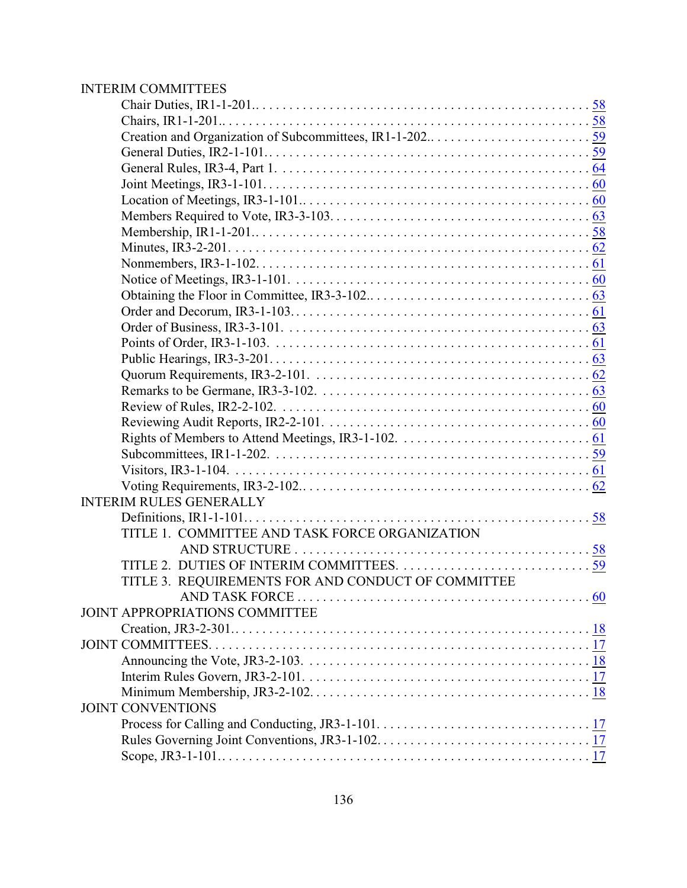# INTERIM COMMITTEES

| <b>INTERIM RULES GENERALLY</b>                     |  |
|----------------------------------------------------|--|
|                                                    |  |
| TITLE 1. COMMITTEE AND TASK FORCE ORGANIZATION     |  |
|                                                    |  |
|                                                    |  |
| TITLE 3. REQUIREMENTS FOR AND CONDUCT OF COMMITTEE |  |
|                                                    |  |
| JOINT APPROPRIATIONS COMMITTEE                     |  |
|                                                    |  |
|                                                    |  |
|                                                    |  |
|                                                    |  |
|                                                    |  |
| <b>JOINT CONVENTIONS</b>                           |  |
|                                                    |  |
|                                                    |  |
|                                                    |  |
|                                                    |  |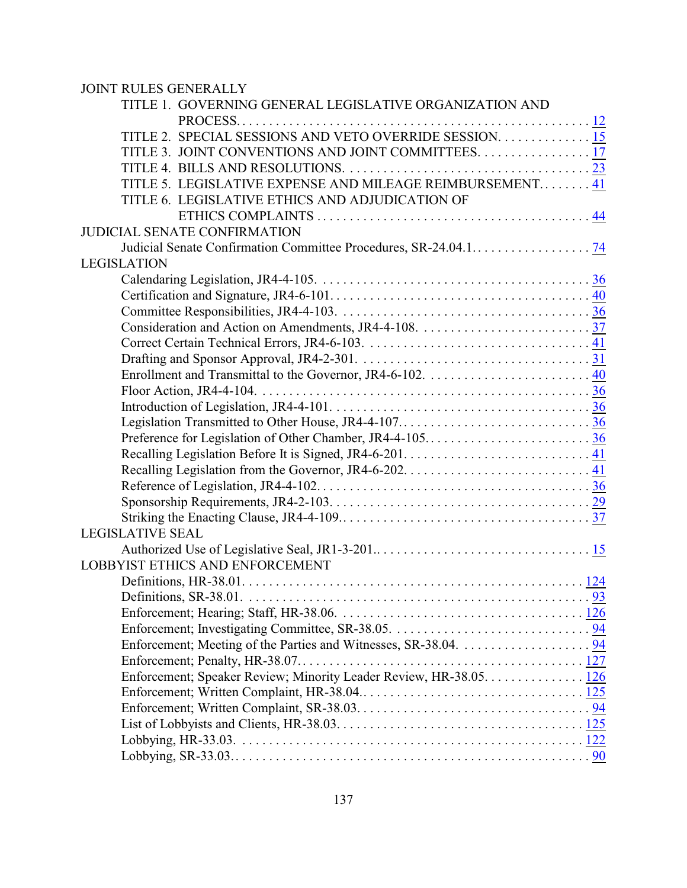| <b>JOINT RULES GENERALLY</b>                                       |              |
|--------------------------------------------------------------------|--------------|
| TITLE 1. GOVERNING GENERAL LEGISLATIVE ORGANIZATION AND            |              |
|                                                                    |              |
| TITLE 2. SPECIAL SESSIONS AND VETO OVERRIDE SESSION 15             |              |
| TITLE 3. JOINT CONVENTIONS AND JOINT COMMITTEES. 17                |              |
|                                                                    |              |
| TITLE 5. LEGISLATIVE EXPENSE AND MILEAGE REIMBURSEMENT 41          |              |
| TITLE 6. LEGISLATIVE ETHICS AND ADJUDICATION OF                    |              |
|                                                                    |              |
| <b>JUDICIAL SENATE CONFIRMATION</b>                                |              |
|                                                                    |              |
| <b>LEGISLATION</b>                                                 |              |
|                                                                    |              |
|                                                                    |              |
|                                                                    |              |
|                                                                    |              |
|                                                                    |              |
|                                                                    |              |
|                                                                    |              |
|                                                                    |              |
|                                                                    |              |
|                                                                    |              |
|                                                                    |              |
|                                                                    |              |
|                                                                    |              |
|                                                                    |              |
|                                                                    |              |
|                                                                    |              |
| <b>LEGISLATIVE SEAL</b>                                            |              |
|                                                                    |              |
| LOBBYIST ETHICS AND ENFORCEMENT                                    |              |
| Definitions, $HR-38.01$                                            | $\ldots$ 124 |
|                                                                    |              |
|                                                                    |              |
|                                                                    |              |
|                                                                    |              |
|                                                                    |              |
| Enforcement; Speaker Review; Minority Leader Review, HR-38.05. 126 |              |
|                                                                    |              |
|                                                                    |              |
|                                                                    |              |
|                                                                    |              |
|                                                                    |              |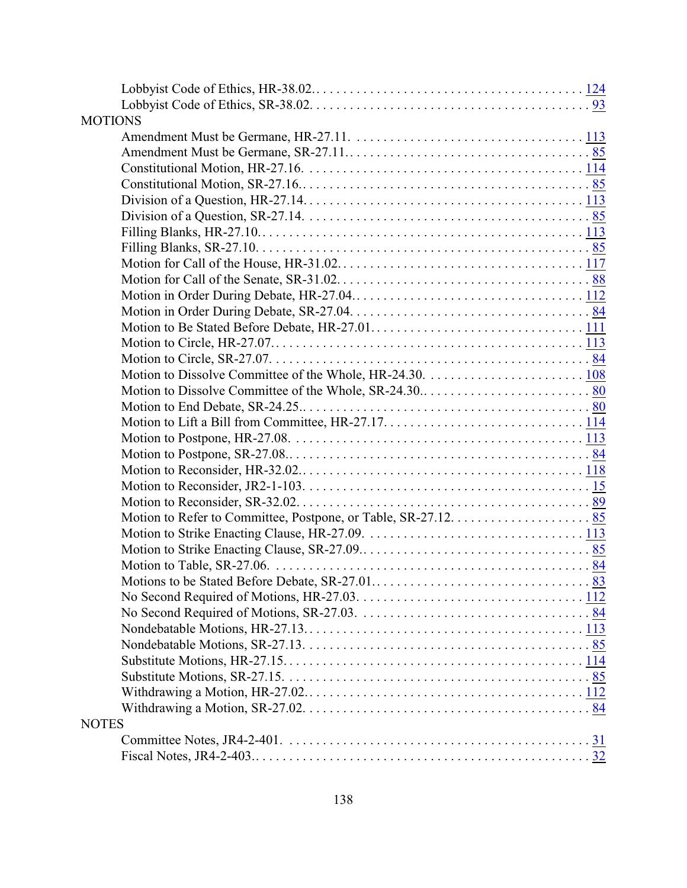| <b>MOTIONS</b>                                                                                                            |  |
|---------------------------------------------------------------------------------------------------------------------------|--|
|                                                                                                                           |  |
|                                                                                                                           |  |
|                                                                                                                           |  |
|                                                                                                                           |  |
| Division of a Question, HR-27.14. $\dots$ . $\dots$ . $\dots$ . $\dots$ . $\dots$ . $\dots$ . $\dots$ . $\dots$ . $\dots$ |  |
|                                                                                                                           |  |
|                                                                                                                           |  |
|                                                                                                                           |  |
|                                                                                                                           |  |
|                                                                                                                           |  |
|                                                                                                                           |  |
|                                                                                                                           |  |
|                                                                                                                           |  |
|                                                                                                                           |  |
|                                                                                                                           |  |
|                                                                                                                           |  |
|                                                                                                                           |  |
|                                                                                                                           |  |
|                                                                                                                           |  |
|                                                                                                                           |  |
|                                                                                                                           |  |
|                                                                                                                           |  |
|                                                                                                                           |  |
|                                                                                                                           |  |
|                                                                                                                           |  |
|                                                                                                                           |  |
|                                                                                                                           |  |
|                                                                                                                           |  |
| Motions to be Stated Before Debate, SR-27.01                                                                              |  |
|                                                                                                                           |  |
|                                                                                                                           |  |
|                                                                                                                           |  |
|                                                                                                                           |  |
|                                                                                                                           |  |
|                                                                                                                           |  |
|                                                                                                                           |  |
|                                                                                                                           |  |
| <b>NOTES</b>                                                                                                              |  |
|                                                                                                                           |  |
|                                                                                                                           |  |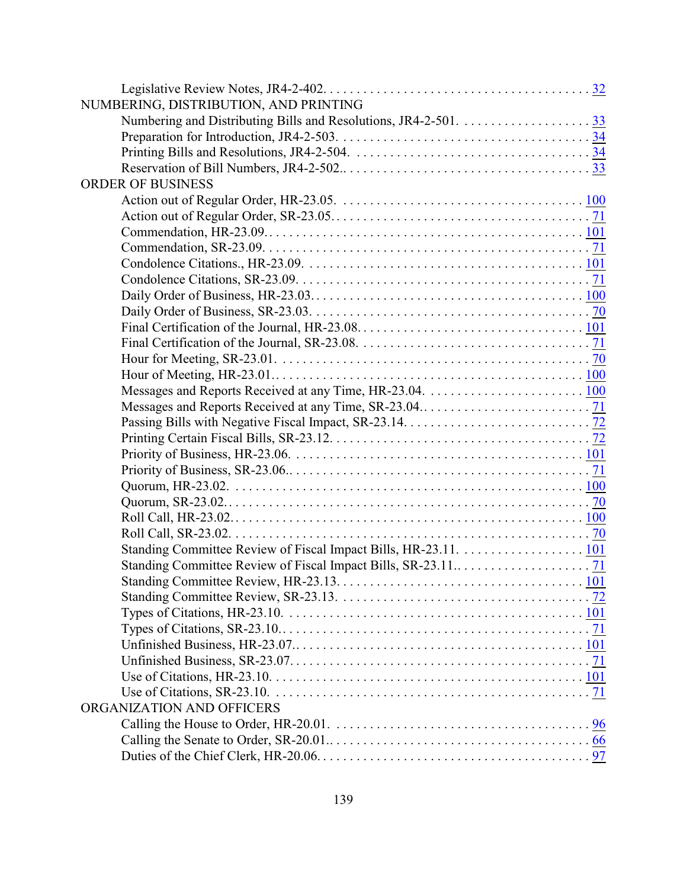| NUMBERING, DISTRIBUTION, AND PRINTING |  |
|---------------------------------------|--|
|                                       |  |
|                                       |  |
|                                       |  |
|                                       |  |
| <b>ORDER OF BUSINESS</b>              |  |
|                                       |  |
|                                       |  |
|                                       |  |
|                                       |  |
|                                       |  |
|                                       |  |
|                                       |  |
|                                       |  |
|                                       |  |
|                                       |  |
|                                       |  |
|                                       |  |
|                                       |  |
|                                       |  |
|                                       |  |
|                                       |  |
|                                       |  |
|                                       |  |
|                                       |  |
|                                       |  |
|                                       |  |
|                                       |  |
|                                       |  |
|                                       |  |
|                                       |  |
|                                       |  |
|                                       |  |
|                                       |  |
|                                       |  |
|                                       |  |
|                                       |  |
|                                       |  |
| ORGANIZATION AND OFFICERS             |  |
|                                       |  |
|                                       |  |
|                                       |  |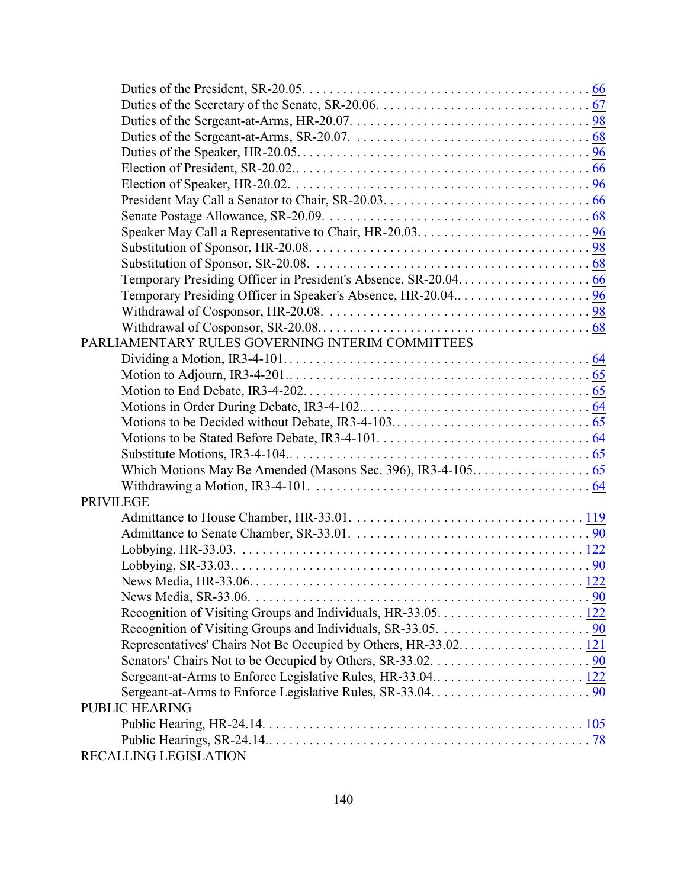| PARLIAMENTARY RULES GOVERNING INTERIM COMMITTEES |  |
|--------------------------------------------------|--|
|                                                  |  |
|                                                  |  |
|                                                  |  |
|                                                  |  |
|                                                  |  |
|                                                  |  |
|                                                  |  |
|                                                  |  |
|                                                  |  |
| <b>PRIVILEGE</b>                                 |  |
|                                                  |  |
|                                                  |  |
|                                                  |  |
|                                                  |  |
|                                                  |  |
|                                                  |  |
|                                                  |  |
|                                                  |  |
|                                                  |  |
|                                                  |  |
|                                                  |  |
|                                                  |  |
| <b>PUBLIC HEARING</b>                            |  |
|                                                  |  |
|                                                  |  |
| RECALLING LEGISLATION                            |  |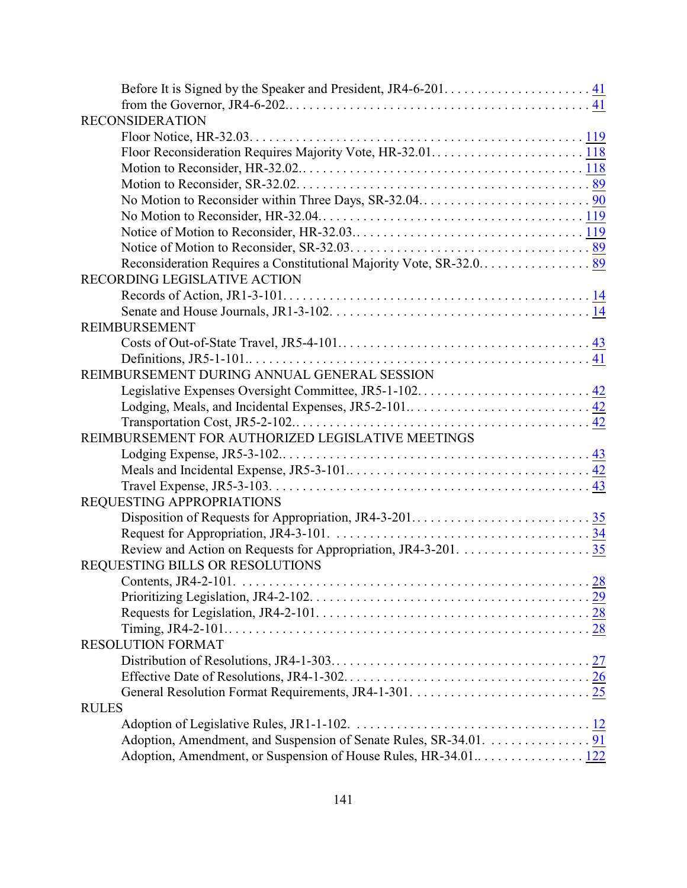| <b>RECONSIDERATION</b>                                            |             |
|-------------------------------------------------------------------|-------------|
|                                                                   |             |
|                                                                   |             |
|                                                                   |             |
|                                                                   |             |
|                                                                   |             |
|                                                                   |             |
|                                                                   |             |
|                                                                   |             |
|                                                                   |             |
| RECORDING LEGISLATIVE ACTION                                      |             |
|                                                                   |             |
|                                                                   |             |
| <b>REIMBURSEMENT</b>                                              |             |
|                                                                   |             |
|                                                                   |             |
| REIMBURSEMENT DURING ANNUAL GENERAL SESSION                       |             |
|                                                                   |             |
|                                                                   |             |
|                                                                   |             |
| REIMBURSEMENT FOR AUTHORIZED LEGISLATIVE MEETINGS                 |             |
|                                                                   |             |
|                                                                   |             |
|                                                                   |             |
| REQUESTING APPROPRIATIONS                                         |             |
|                                                                   |             |
|                                                                   |             |
|                                                                   |             |
| REQUESTING BILLS OR RESOLUTIONS                                   |             |
| Contents, JR4-2-101                                               | $\ldots$ 28 |
|                                                                   |             |
|                                                                   |             |
|                                                                   |             |
| <b>RESOLUTION FORMAT</b>                                          |             |
|                                                                   |             |
|                                                                   |             |
|                                                                   |             |
| <b>RULES</b>                                                      |             |
|                                                                   |             |
| Adoption, Amendment, and Suspension of Senate Rules, SR-34.01. 91 |             |
|                                                                   |             |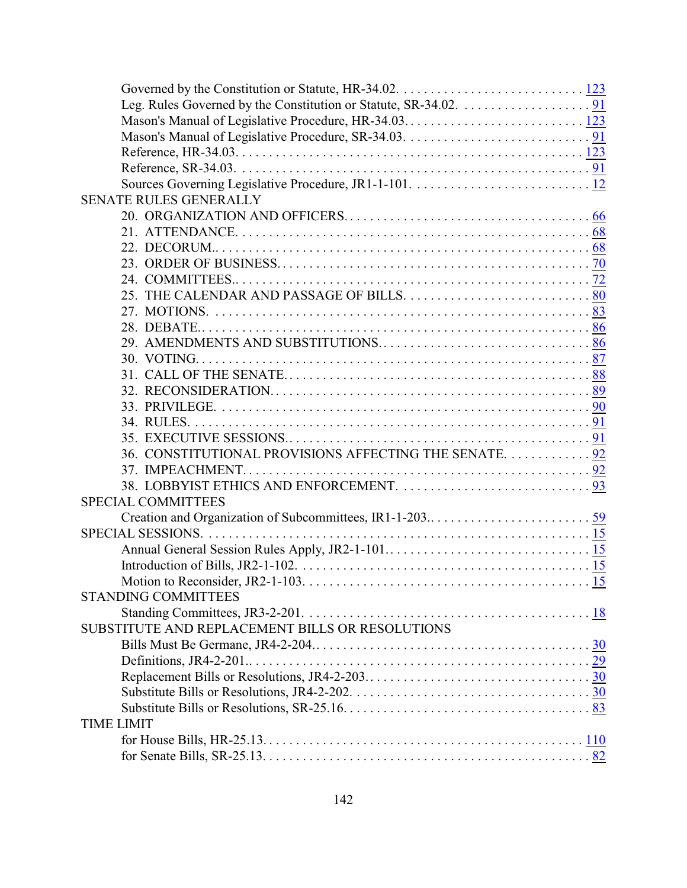| <b>SENATE RULES GENERALLY</b>                         |  |
|-------------------------------------------------------|--|
|                                                       |  |
|                                                       |  |
|                                                       |  |
|                                                       |  |
|                                                       |  |
|                                                       |  |
|                                                       |  |
|                                                       |  |
|                                                       |  |
|                                                       |  |
|                                                       |  |
|                                                       |  |
|                                                       |  |
|                                                       |  |
|                                                       |  |
| 36. CONSTITUTIONAL PROVISIONS AFFECTING THE SENATE 92 |  |
|                                                       |  |
|                                                       |  |
| <b>SPECIAL COMMITTEES</b>                             |  |
|                                                       |  |
|                                                       |  |
|                                                       |  |
|                                                       |  |
| Motion to Reconsider, JR2-1-103.                      |  |
| <b>STANDING COMMITTEES</b>                            |  |
|                                                       |  |
| SUBSTITUTE AND REPLACEMENT BILLS OR RESOLUTIONS       |  |
|                                                       |  |
|                                                       |  |
|                                                       |  |
|                                                       |  |
|                                                       |  |
| <b>TIME LIMIT</b>                                     |  |
|                                                       |  |
|                                                       |  |